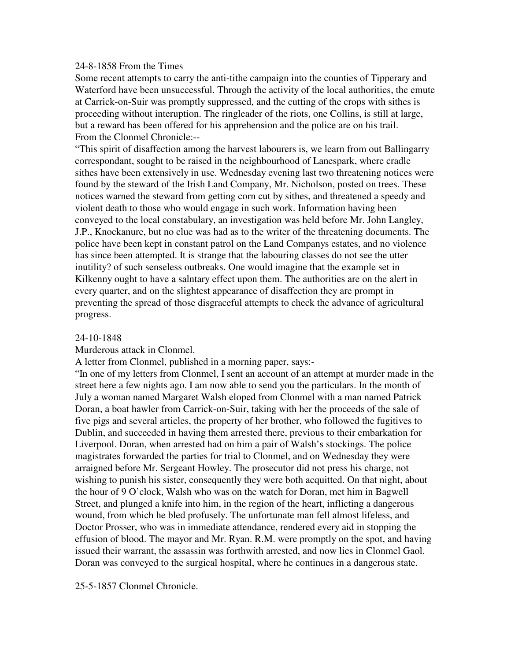### 24-8-1858 From the Times

Some recent attempts to carry the anti-tithe campaign into the counties of Tipperary and Waterford have been unsuccessful. Through the activity of the local authorities, the emute at Carrick-on-Suir was promptly suppressed, and the cutting of the crops with sithes is proceeding without interuption. The ringleader of the riots, one Collins, is still at large, but a reward has been offered for his apprehension and the police are on his trail. From the Clonmel Chronicle:--

"This spirit of disaffection among the harvest labourers is, we learn from out Ballingarry correspondant, sought to be raised in the neighbourhood of Lanespark, where cradle sithes have been extensively in use. Wednesday evening last two threatening notices were found by the steward of the Irish Land Company, Mr. Nicholson, posted on trees. These notices warned the steward from getting corn cut by sithes, and threatened a speedy and violent death to those who would engage in such work. Information having been conveyed to the local constabulary, an investigation was held before Mr. John Langley, J.P., Knockanure, but no clue was had as to the writer of the threatening documents. The police have been kept in constant patrol on the Land Companys estates, and no violence has since been attempted. It is strange that the labouring classes do not see the utter inutility? of such senseless outbreaks. One would imagine that the example set in Kilkenny ought to have a salntary effect upon them. The authorities are on the alert in every quarter, and on the slightest appearance of disaffection they are prompt in preventing the spread of those disgraceful attempts to check the advance of agricultural progress.

### 24-10-1848

Murderous attack in Clonmel.

A letter from Clonmel, published in a morning paper, says:-

"In one of my letters from Clonmel, I sent an account of an attempt at murder made in the street here a few nights ago. I am now able to send you the particulars. In the month of July a woman named Margaret Walsh eloped from Clonmel with a man named Patrick Doran, a boat hawler from Carrick-on-Suir, taking with her the proceeds of the sale of five pigs and several articles, the property of her brother, who followed the fugitives to Dublin, and succeeded in having them arrested there, previous to their embarkation for Liverpool. Doran, when arrested had on him a pair of Walsh's stockings. The police magistrates forwarded the parties for trial to Clonmel, and on Wednesday they were arraigned before Mr. Sergeant Howley. The prosecutor did not press his charge, not wishing to punish his sister, consequently they were both acquitted. On that night, about the hour of 9 O'clock, Walsh who was on the watch for Doran, met him in Bagwell Street, and plunged a knife into him, in the region of the heart, inflicting a dangerous wound, from which he bled profusely. The unfortunate man fell almost lifeless, and Doctor Prosser, who was in immediate attendance, rendered every aid in stopping the effusion of blood. The mayor and Mr. Ryan. R.M. were promptly on the spot, and having issued their warrant, the assassin was forthwith arrested, and now lies in Clonmel Gaol. Doran was conveyed to the surgical hospital, where he continues in a dangerous state.

25-5-1857 Clonmel Chronicle.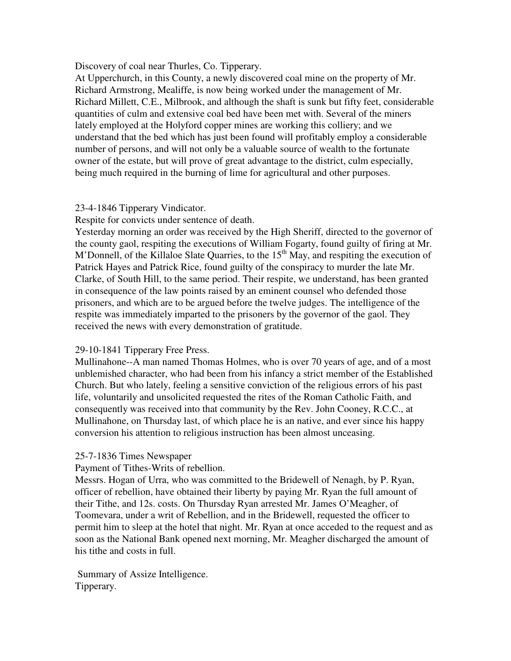Discovery of coal near Thurles, Co. Tipperary.

At Upperchurch, in this County, a newly discovered coal mine on the property of Mr. Richard Armstrong, Mealiffe, is now being worked under the management of Mr. Richard Millett, C.E., Milbrook, and although the shaft is sunk but fifty feet, considerable quantities of culm and extensive coal bed have been met with. Several of the miners lately employed at the Holyford copper mines are working this colliery; and we understand that the bed which has just been found will profitably employ a considerable number of persons, and will not only be a valuable source of wealth to the fortunate owner of the estate, but will prove of great advantage to the district, culm especially, being much required in the burning of lime for agricultural and other purposes.

## 23-4-1846 Tipperary Vindicator.

Respite for convicts under sentence of death.

Yesterday morning an order was received by the High Sheriff, directed to the governor of the county gaol, respiting the executions of William Fogarty, found guilty of firing at Mr. M'Donnell, of the Killaloe Slate Quarries, to the  $15<sup>th</sup>$  May, and respiting the execution of Patrick Hayes and Patrick Rice, found guilty of the conspiracy to murder the late Mr. Clarke, of South Hill, to the same period. Their respite, we understand, has been granted in consequence of the law points raised by an eminent counsel who defended those prisoners, and which are to be argued before the twelve judges. The intelligence of the respite was immediately imparted to the prisoners by the governor of the gaol. They received the news with every demonstration of gratitude.

# 29-10-1841 Tipperary Free Press.

Mullinahone--A man named Thomas Holmes, who is over 70 years of age, and of a most unblemished character, who had been from his infancy a strict member of the Established Church. But who lately, feeling a sensitive conviction of the religious errors of his past life, voluntarily and unsolicited requested the rites of the Roman Catholic Faith, and consequently was received into that community by the Rev. John Cooney, R.C.C., at Mullinahone, on Thursday last, of which place he is an native, and ever since his happy conversion his attention to religious instruction has been almost unceasing.

# 25-7-1836 Times Newspaper

Payment of Tithes-Writs of rebellion.

Messrs. Hogan of Urra, who was committed to the Bridewell of Nenagh, by P. Ryan, officer of rebellion, have obtained their liberty by paying Mr. Ryan the full amount of their Tithe, and 12s. costs. On Thursday Ryan arrested Mr. James O'Meagher, of Toomevara, under a writ of Rebellion, and in the Bridewell, requested the officer to permit him to sleep at the hotel that night. Mr. Ryan at once acceded to the request and as soon as the National Bank opened next morning, Mr. Meagher discharged the amount of his tithe and costs in full.

 Summary of Assize Intelligence. Tipperary.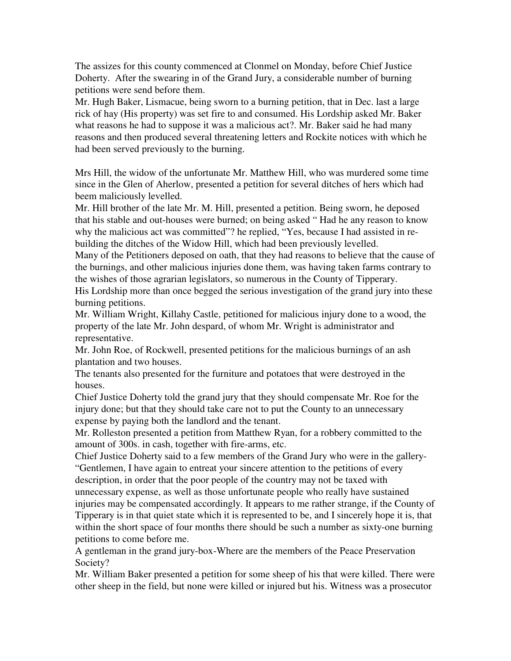The assizes for this county commenced at Clonmel on Monday, before Chief Justice Doherty. After the swearing in of the Grand Jury, a considerable number of burning petitions were send before them.

Mr. Hugh Baker, Lismacue, being sworn to a burning petition, that in Dec. last a large rick of hay (His property) was set fire to and consumed. His Lordship asked Mr. Baker what reasons he had to suppose it was a malicious act?. Mr. Baker said he had many reasons and then produced several threatening letters and Rockite notices with which he had been served previously to the burning.

Mrs Hill, the widow of the unfortunate Mr. Matthew Hill, who was murdered some time since in the Glen of Aherlow, presented a petition for several ditches of hers which had beem maliciously levelled.

Mr. Hill brother of the late Mr. M. Hill, presented a petition. Being sworn, he deposed that his stable and out-houses were burned; on being asked " Had he any reason to know why the malicious act was committed"? he replied, "Yes, because I had assisted in rebuilding the ditches of the Widow Hill, which had been previously levelled.

Many of the Petitioners deposed on oath, that they had reasons to believe that the cause of the burnings, and other malicious injuries done them, was having taken farms contrary to the wishes of those agrarian legislators, so numerous in the County of Tipperary.

His Lordship more than once begged the serious investigation of the grand jury into these burning petitions.

Mr. William Wright, Killahy Castle, petitioned for malicious injury done to a wood, the property of the late Mr. John despard, of whom Mr. Wright is administrator and representative.

Mr. John Roe, of Rockwell, presented petitions for the malicious burnings of an ash plantation and two houses.

The tenants also presented for the furniture and potatoes that were destroyed in the houses.

Chief Justice Doherty told the grand jury that they should compensate Mr. Roe for the injury done; but that they should take care not to put the County to an unnecessary expense by paying both the landlord and the tenant.

Mr. Rolleston presented a petition from Matthew Ryan, for a robbery committed to the amount of 300s. in cash, together with fire-arms, etc.

Chief Justice Doherty said to a few members of the Grand Jury who were in the gallery- "Gentlemen, I have again to entreat your sincere attention to the petitions of every description, in order that the poor people of the country may not be taxed with unnecessary expense, as well as those unfortunate people who really have sustained injuries may be compensated accordingly. It appears to me rather strange, if the County of Tipperary is in that quiet state which it is represented to be, and I sincerely hope it is, that within the short space of four months there should be such a number as sixty-one burning

petitions to come before me.

A gentleman in the grand jury-box-Where are the members of the Peace Preservation Society?

Mr. William Baker presented a petition for some sheep of his that were killed. There were other sheep in the field, but none were killed or injured but his. Witness was a prosecutor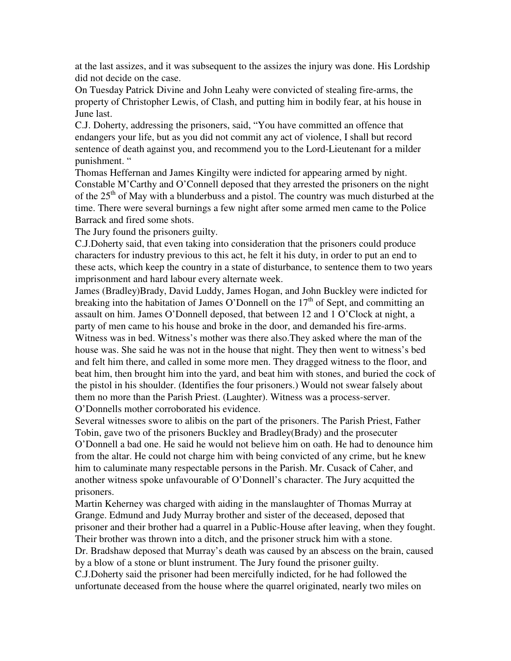at the last assizes, and it was subsequent to the assizes the injury was done. His Lordship did not decide on the case.

On Tuesday Patrick Divine and John Leahy were convicted of stealing fire-arms, the property of Christopher Lewis, of Clash, and putting him in bodily fear, at his house in June last.

C.J. Doherty, addressing the prisoners, said, "You have committed an offence that endangers your life, but as you did not commit any act of violence, I shall but record sentence of death against you, and recommend you to the Lord-Lieutenant for a milder punishment. "

Thomas Heffernan and James Kingilty were indicted for appearing armed by night. Constable M'Carthy and O'Connell deposed that they arrested the prisoners on the night of the 25<sup>th</sup> of May with a blunderbuss and a pistol. The country was much disturbed at the time. There were several burnings a few night after some armed men came to the Police Barrack and fired some shots.

The Jury found the prisoners guilty.

C.J.Doherty said, that even taking into consideration that the prisoners could produce characters for industry previous to this act, he felt it his duty, in order to put an end to these acts, which keep the country in a state of disturbance, to sentence them to two years imprisonment and hard labour every alternate week.

James (Bradley)Brady, David Luddy, James Hogan, and John Buckley were indicted for breaking into the habitation of James O'Donnell on the  $17<sup>th</sup>$  of Sept, and committing an assault on him. James O'Donnell deposed, that between 12 and 1 O'Clock at night, a party of men came to his house and broke in the door, and demanded his fire-arms. Witness was in bed. Witness's mother was there also.They asked where the man of the house was. She said he was not in the house that night. They then went to witness's bed and felt him there, and called in some more men. They dragged witness to the floor, and beat him, then brought him into the yard, and beat him with stones, and buried the cock of the pistol in his shoulder. (Identifies the four prisoners.) Would not swear falsely about them no more than the Parish Priest. (Laughter). Witness was a process-server. O'Donnells mother corroborated his evidence.

Several witnesses swore to alibis on the part of the prisoners. The Parish Priest, Father Tobin, gave two of the prisoners Buckley and Bradley(Brady) and the prosecuter O'Donnell a bad one. He said he would not believe him on oath. He had to denounce him from the altar. He could not charge him with being convicted of any crime, but he knew him to caluminate many respectable persons in the Parish. Mr. Cusack of Caher, and another witness spoke unfavourable of O'Donnell's character. The Jury acquitted the prisoners.

Martin Keherney was charged with aiding in the manslaughter of Thomas Murray at Grange. Edmund and Judy Murray brother and sister of the deceased, deposed that prisoner and their brother had a quarrel in a Public-House after leaving, when they fought. Their brother was thrown into a ditch, and the prisoner struck him with a stone.

Dr. Bradshaw deposed that Murray's death was caused by an abscess on the brain, caused by a blow of a stone or blunt instrument. The Jury found the prisoner guilty.

C.J.Doherty said the prisoner had been mercifully indicted, for he had followed the unfortunate deceased from the house where the quarrel originated, nearly two miles on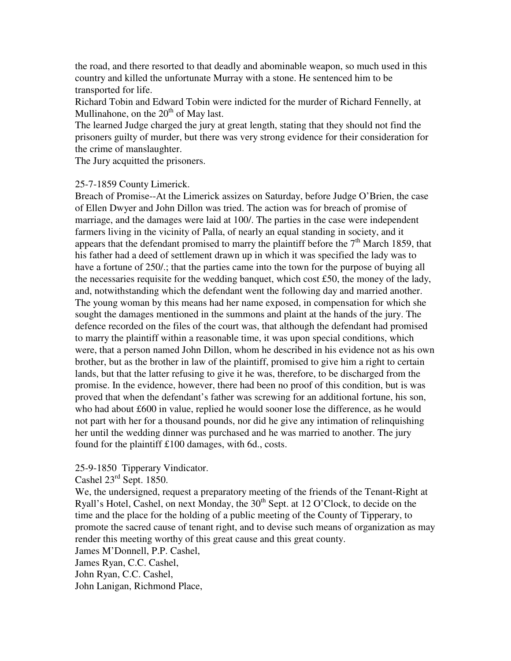the road, and there resorted to that deadly and abominable weapon, so much used in this country and killed the unfortunate Murray with a stone. He sentenced him to be transported for life.

Richard Tobin and Edward Tobin were indicted for the murder of Richard Fennelly, at Mullinahone, on the  $20<sup>th</sup>$  of May last.

The learned Judge charged the jury at great length, stating that they should not find the prisoners guilty of murder, but there was very strong evidence for their consideration for the crime of manslaughter.

The Jury acquitted the prisoners.

### 25-7-1859 County Limerick.

Breach of Promise--At the Limerick assizes on Saturday, before Judge O'Brien, the case of Ellen Dwyer and John Dillon was tried. The action was for breach of promise of marriage, and the damages were laid at 100/. The parties in the case were independent farmers living in the vicinity of Palla, of nearly an equal standing in society, and it appears that the defendant promised to marry the plaintiff before the  $7<sup>th</sup>$  March 1859, that his father had a deed of settlement drawn up in which it was specified the lady was to have a fortune of 250/.; that the parties came into the town for the purpose of buying all the necessaries requisite for the wedding banquet, which cost £50, the money of the lady, and, notwithstanding which the defendant went the following day and married another. The young woman by this means had her name exposed, in compensation for which she sought the damages mentioned in the summons and plaint at the hands of the jury. The defence recorded on the files of the court was, that although the defendant had promised to marry the plaintiff within a reasonable time, it was upon special conditions, which were, that a person named John Dillon, whom he described in his evidence not as his own brother, but as the brother in law of the plaintiff, promised to give him a right to certain lands, but that the latter refusing to give it he was, therefore, to be discharged from the promise. In the evidence, however, there had been no proof of this condition, but is was proved that when the defendant's father was screwing for an additional fortune, his son, who had about £600 in value, replied he would sooner lose the difference, as he would not part with her for a thousand pounds, nor did he give any intimation of relinquishing her until the wedding dinner was purchased and he was married to another. The jury found for the plaintiff £100 damages, with 6d., costs.

## 25-9-1850 Tipperary Vindicator.

Cashel 23rd Sept. 1850.

We, the undersigned, request a preparatory meeting of the friends of the Tenant-Right at Ryall's Hotel, Cashel, on next Monday, the  $30<sup>th</sup>$  Sept. at 12 O'Clock, to decide on the time and the place for the holding of a public meeting of the County of Tipperary, to promote the sacred cause of tenant right, and to devise such means of organization as may render this meeting worthy of this great cause and this great county.

James M'Donnell, P.P. Cashel,

James Ryan, C.C. Cashel,

John Ryan, C.C. Cashel,

John Lanigan, Richmond Place,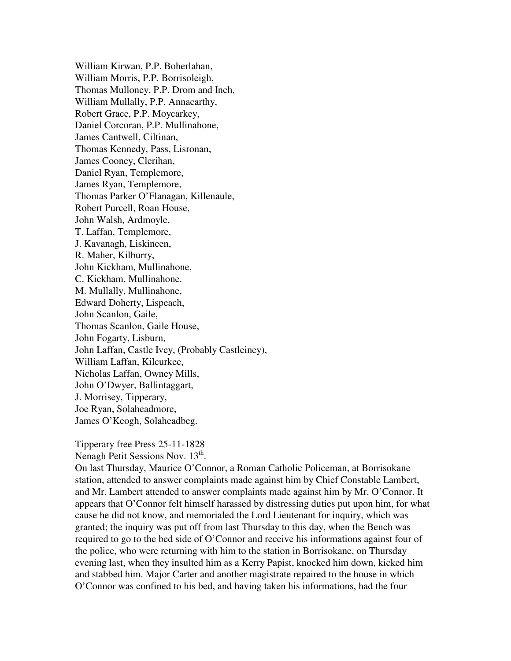William Kirwan, P.P. Boherlahan, William Morris, P.P. Borrisoleigh, Thomas Mulloney, P.P. Drom and Inch, William Mullally, P.P. Annacarthy, Robert Grace, P.P. Moycarkey, Daniel Corcoran, P.P. Mullinahone, James Cantwell, Ciltinan, Thomas Kennedy, Pass, Lisronan, James Cooney, Clerihan, Daniel Ryan, Templemore, James Ryan, Templemore, Thomas Parker O'Flanagan, Killenaule, Robert Purcell, Roan House, John Walsh, Ardmoyle, T. Laffan, Templemore, J. Kavanagh, Liskineen, R. Maher, Kilburry, John Kickham, Mullinahone, C. Kickham, Mullinahone. M. Mullally, Mullinahone, Edward Doherty, Lispeach, John Scanlon, Gaile, Thomas Scanlon, Gaile House, John Fogarty, Lisburn, John Laffan, Castle Ivey, (Probably Castleiney), William Laffan, Kilcurkee, Nicholas Laffan, Owney Mills, John O'Dwyer, Ballintaggart, J. Morrisey, Tipperary, Joe Ryan, Solaheadmore, James O'Keogh, Solaheadbeg.

Tipperary free Press 25-11-1828

Nenagh Petit Sessions Nov. 13<sup>th</sup>.

On last Thursday, Maurice O'Connor, a Roman Catholic Policeman, at Borrisokane station, attended to answer complaints made against him by Chief Constable Lambert, and Mr. Lambert attended to answer complaints made against him by Mr. O'Connor. It appears that O'Connor felt himself harassed by distressing duties put upon him, for what cause he did not know, and memorialed the Lord Lieutenant for inquiry, which was granted; the inquiry was put off from last Thursday to this day, when the Bench was required to go to the bed side of O'Connor and receive his informations against four of the police, who were returning with him to the station in Borrisokane, on Thursday evening last, when they insulted him as a Kerry Papist, knocked him down, kicked him and stabbed him. Major Carter and another magistrate repaired to the house in which O'Connor was confined to his bed, and having taken his informations, had the four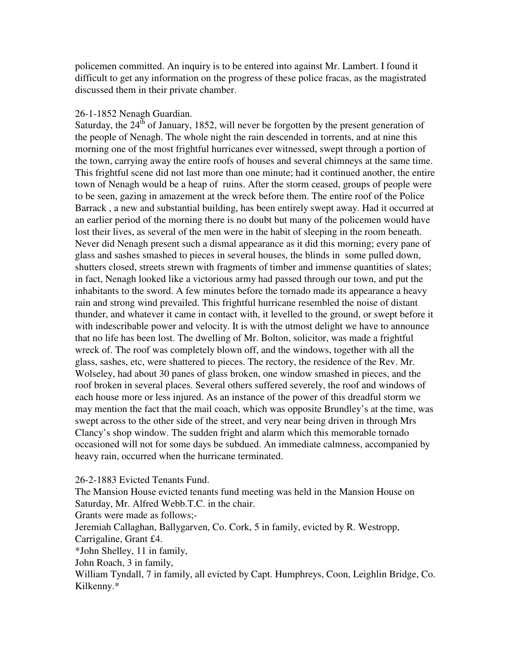policemen committed. An inquiry is to be entered into against Mr. Lambert. I found it difficult to get any information on the progress of these police fracas, as the magistrated discussed them in their private chamber.

### 26-1-1852 Nenagh Guardian.

Saturday, the  $24<sup>th</sup>$  of January, 1852, will never be forgotten by the present generation of the people of Nenagh. The whole night the rain descended in torrents, and at nine this morning one of the most frightful hurricanes ever witnessed, swept through a portion of the town, carrying away the entire roofs of houses and several chimneys at the same time. This frightful scene did not last more than one minute; had it continued another, the entire town of Nenagh would be a heap of ruins. After the storm ceased, groups of people were to be seen, gazing in amazement at the wreck before them. The entire roof of the Police Barrack , a new and substantial building, has been entirely swept away. Had it occurred at an earlier period of the morning there is no doubt but many of the policemen would have lost their lives, as several of the men were in the habit of sleeping in the room beneath. Never did Nenagh present such a dismal appearance as it did this morning; every pane of glass and sashes smashed to pieces in several houses, the blinds in some pulled down, shutters closed, streets strewn with fragments of timber and immense quantities of slates; in fact, Nenagh looked like a victorious army had passed through our town, and put the inhabitants to the sword. A few minutes before the tornado made its appearance a heavy rain and strong wind prevailed. This frightful hurricane resembled the noise of distant thunder, and whatever it came in contact with, it levelled to the ground, or swept before it with indescribable power and velocity. It is with the utmost delight we have to announce that no life has been lost. The dwelling of Mr. Bolton, solicitor, was made a frightful wreck of. The roof was completely blown off, and the windows, together with all the glass, sashes, etc, were shattered to pieces. The rectory, the residence of the Rev. Mr. Wolseley, had about 30 panes of glass broken, one window smashed in pieces, and the roof broken in several places. Several others suffered severely, the roof and windows of each house more or less injured. As an instance of the power of this dreadful storm we may mention the fact that the mail coach, which was opposite Brundley's at the time, was swept across to the other side of the street, and very near being driven in through Mrs Clancy's shop window. The sudden fright and alarm which this memorable tornado occasioned will not for some days be subdued. An immediate calmness, accompanied by heavy rain, occurred when the hurricane terminated.

26-2-1883 Evicted Tenants Fund.

The Mansion House evicted tenants fund meeting was held in the Mansion House on Saturday, Mr. Alfred Webb.T.C. in the chair.

Grants were made as follows;-

Jeremiah Callaghan, Ballygarven, Co. Cork, 5 in family, evicted by R. Westropp,

Carrigaline, Grant £4.

\*John Shelley, 11 in family,

John Roach, 3 in family,

William Tyndall, 7 in family, all evicted by Capt. Humphreys, Coon, Leighlin Bridge, Co. Kilkenny.\*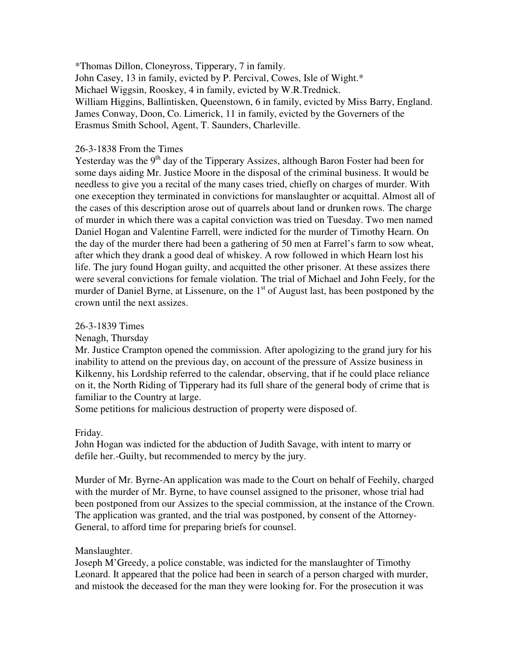\*Thomas Dillon, Cloneyross, Tipperary, 7 in family. John Casey, 13 in family, evicted by P. Percival, Cowes, Isle of Wight.\* Michael Wiggsin, Rooskey, 4 in family, evicted by W.R.Trednick. William Higgins, Ballintisken, Queenstown, 6 in family, evicted by Miss Barry, England. James Conway, Doon, Co. Limerick, 11 in family, evicted by the Governers of the Erasmus Smith School, Agent, T. Saunders, Charleville.

### 26-3-1838 From the Times

Yesterday was the  $9<sup>th</sup>$  day of the Tipperary Assizes, although Baron Foster had been for some days aiding Mr. Justice Moore in the disposal of the criminal business. It would be needless to give you a recital of the many cases tried, chiefly on charges of murder. With one exeception they terminated in convictions for manslaughter or acquittal. Almost all of the cases of this description arose out of quarrels about land or drunken rows. The charge of murder in which there was a capital conviction was tried on Tuesday. Two men named Daniel Hogan and Valentine Farrell, were indicted for the murder of Timothy Hearn. On the day of the murder there had been a gathering of 50 men at Farrel's farm to sow wheat, after which they drank a good deal of whiskey. A row followed in which Hearn lost his life. The jury found Hogan guilty, and acquitted the other prisoner. At these assizes there were several convictions for female violation. The trial of Michael and John Feely, for the murder of Daniel Byrne, at Lissenure, on the  $1<sup>st</sup>$  of August last, has been postponed by the crown until the next assizes.

### 26-3-1839 Times

Nenagh, Thursday

Mr. Justice Crampton opened the commission. After apologizing to the grand jury for his inability to attend on the previous day, on account of the pressure of Assize business in Kilkenny, his Lordship referred to the calendar, observing, that if he could place reliance on it, the North Riding of Tipperary had its full share of the general body of crime that is familiar to the Country at large.

Some petitions for malicious destruction of property were disposed of.

## Friday.

John Hogan was indicted for the abduction of Judith Savage, with intent to marry or defile her.-Guilty, but recommended to mercy by the jury.

Murder of Mr. Byrne-An application was made to the Court on behalf of Feehily, charged with the murder of Mr. Byrne, to have counsel assigned to the prisoner, whose trial had been postponed from our Assizes to the special commission, at the instance of the Crown. The application was granted, and the trial was postponed, by consent of the Attorney-General, to afford time for preparing briefs for counsel.

### Manslaughter.

Joseph M'Greedy, a police constable, was indicted for the manslaughter of Timothy Leonard. It appeared that the police had been in search of a person charged with murder, and mistook the deceased for the man they were looking for. For the prosecution it was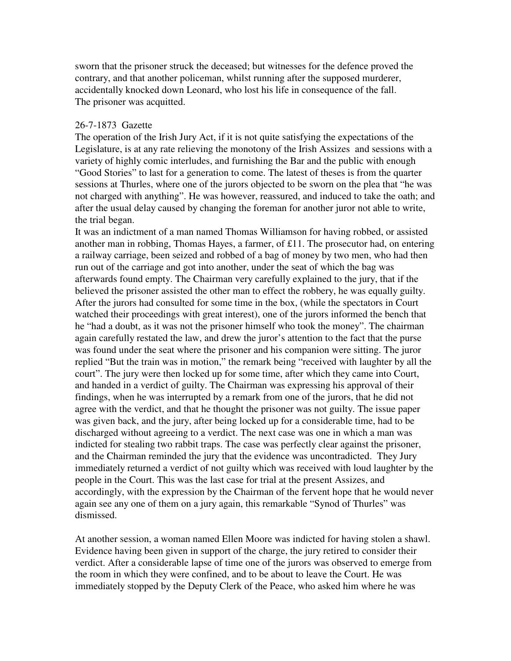sworn that the prisoner struck the deceased; but witnesses for the defence proved the contrary, and that another policeman, whilst running after the supposed murderer, accidentally knocked down Leonard, who lost his life in consequence of the fall. The prisoner was acquitted.

### 26-7-1873 Gazette

The operation of the Irish Jury Act, if it is not quite satisfying the expectations of the Legislature, is at any rate relieving the monotony of the Irish Assizes and sessions with a variety of highly comic interludes, and furnishing the Bar and the public with enough "Good Stories" to last for a generation to come. The latest of theses is from the quarter sessions at Thurles, where one of the jurors objected to be sworn on the plea that "he was not charged with anything". He was however, reassured, and induced to take the oath; and after the usual delay caused by changing the foreman for another juror not able to write, the trial began.

It was an indictment of a man named Thomas Williamson for having robbed, or assisted another man in robbing, Thomas Hayes, a farmer, of £11. The prosecutor had, on entering a railway carriage, been seized and robbed of a bag of money by two men, who had then run out of the carriage and got into another, under the seat of which the bag was afterwards found empty. The Chairman very carefully explained to the jury, that if the believed the prisoner assisted the other man to effect the robbery, he was equally guilty. After the jurors had consulted for some time in the box, (while the spectators in Court watched their proceedings with great interest), one of the jurors informed the bench that he "had a doubt, as it was not the prisoner himself who took the money". The chairman again carefully restated the law, and drew the juror's attention to the fact that the purse was found under the seat where the prisoner and his companion were sitting. The juror replied "But the train was in motion," the remark being "received with laughter by all the court". The jury were then locked up for some time, after which they came into Court, and handed in a verdict of guilty. The Chairman was expressing his approval of their findings, when he was interrupted by a remark from one of the jurors, that he did not agree with the verdict, and that he thought the prisoner was not guilty. The issue paper was given back, and the jury, after being locked up for a considerable time, had to be discharged without agreeing to a verdict. The next case was one in which a man was indicted for stealing two rabbit traps. The case was perfectly clear against the prisoner, and the Chairman reminded the jury that the evidence was uncontradicted. They Jury immediately returned a verdict of not guilty which was received with loud laughter by the people in the Court. This was the last case for trial at the present Assizes, and accordingly, with the expression by the Chairman of the fervent hope that he would never again see any one of them on a jury again, this remarkable "Synod of Thurles" was dismissed.

At another session, a woman named Ellen Moore was indicted for having stolen a shawl. Evidence having been given in support of the charge, the jury retired to consider their verdict. After a considerable lapse of time one of the jurors was observed to emerge from the room in which they were confined, and to be about to leave the Court. He was immediately stopped by the Deputy Clerk of the Peace, who asked him where he was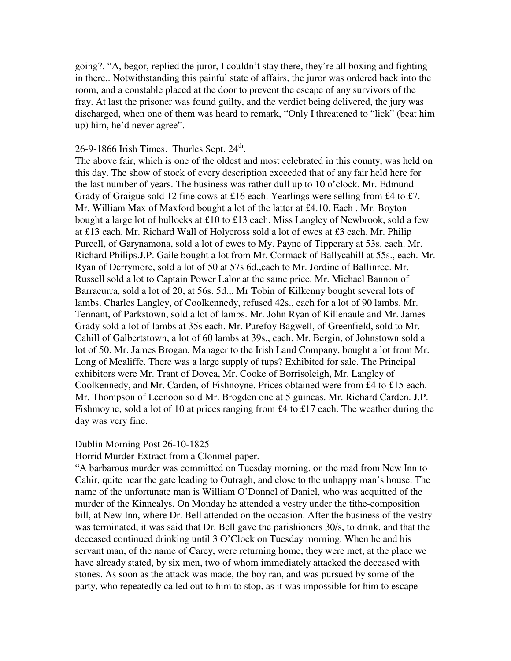going?. "A, begor, replied the juror, I couldn't stay there, they're all boxing and fighting in there,. Notwithstanding this painful state of affairs, the juror was ordered back into the room, and a constable placed at the door to prevent the escape of any survivors of the fray. At last the prisoner was found guilty, and the verdict being delivered, the jury was discharged, when one of them was heard to remark, "Only I threatened to "lick" (beat him up) him, he'd never agree".

# $26$ -9-1866 Irish Times. Thurles Sept.  $24<sup>th</sup>$ .

The above fair, which is one of the oldest and most celebrated in this county, was held on this day. The show of stock of every description exceeded that of any fair held here for the last number of years. The business was rather dull up to 10 o'clock. Mr. Edmund Grady of Graigue sold 12 fine cows at £16 each. Yearlings were selling from £4 to £7. Mr. William Max of Maxford bought a lot of the latter at £4.10. Each . Mr. Boyton bought a large lot of bullocks at £10 to £13 each. Miss Langley of Newbrook, sold a few at £13 each. Mr. Richard Wall of Holycross sold a lot of ewes at £3 each. Mr. Philip Purcell, of Garynamona, sold a lot of ewes to My. Payne of Tipperary at 53s. each. Mr. Richard Philips.J.P. Gaile bought a lot from Mr. Cormack of Ballycahill at 55s., each. Mr. Ryan of Derrymore, sold a lot of 50 at 57s 6d.,each to Mr. Jordine of Ballinree. Mr. Russell sold a lot to Captain Power Lalor at the same price. Mr. Michael Bannon of Barracurra, sold a lot of 20, at 56s. 5d.,. Mr Tobin of Kilkenny bought several lots of lambs. Charles Langley, of Coolkennedy, refused 42s., each for a lot of 90 lambs. Mr. Tennant, of Parkstown, sold a lot of lambs. Mr. John Ryan of Killenaule and Mr. James Grady sold a lot of lambs at 35s each. Mr. Purefoy Bagwell, of Greenfield, sold to Mr. Cahill of Galbertstown, a lot of 60 lambs at 39s., each. Mr. Bergin, of Johnstown sold a lot of 50. Mr. James Brogan, Manager to the Irish Land Company, bought a lot from Mr. Long of Mealiffe. There was a large supply of tups? Exhibited for sale. The Principal exhibitors were Mr. Trant of Dovea, Mr. Cooke of Borrisoleigh, Mr. Langley of Coolkennedy, and Mr. Carden, of Fishnoyne. Prices obtained were from £4 to £15 each. Mr. Thompson of Leenoon sold Mr. Brogden one at 5 guineas. Mr. Richard Carden. J.P. Fishmoyne, sold a lot of 10 at prices ranging from £4 to £17 each. The weather during the day was very fine.

### Dublin Morning Post 26-10-1825

Horrid Murder-Extract from a Clonmel paper.

"A barbarous murder was committed on Tuesday morning, on the road from New Inn to Cahir, quite near the gate leading to Outragh, and close to the unhappy man's house. The name of the unfortunate man is William O'Donnel of Daniel, who was acquitted of the murder of the Kinnealys. On Monday he attended a vestry under the tithe-composition bill, at New Inn, where Dr. Bell attended on the occasion. After the business of the vestry was terminated, it was said that Dr. Bell gave the parishioners 30/s, to drink, and that the deceased continued drinking until 3 O'Clock on Tuesday morning. When he and his servant man, of the name of Carey, were returning home, they were met, at the place we have already stated, by six men, two of whom immediately attacked the deceased with stones. As soon as the attack was made, the boy ran, and was pursued by some of the party, who repeatedly called out to him to stop, as it was impossible for him to escape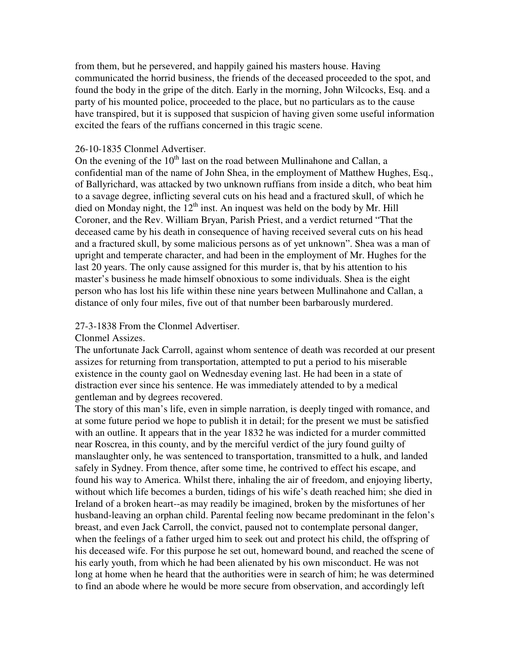from them, but he persevered, and happily gained his masters house. Having communicated the horrid business, the friends of the deceased proceeded to the spot, and found the body in the gripe of the ditch. Early in the morning, John Wilcocks, Esq. and a party of his mounted police, proceeded to the place, but no particulars as to the cause have transpired, but it is supposed that suspicion of having given some useful information excited the fears of the ruffians concerned in this tragic scene.

## 26-10-1835 Clonmel Advertiser.

On the evening of the  $10<sup>th</sup>$  last on the road between Mullinahone and Callan, a confidential man of the name of John Shea, in the employment of Matthew Hughes, Esq., of Ballyrichard, was attacked by two unknown ruffians from inside a ditch, who beat him to a savage degree, inflicting several cuts on his head and a fractured skull, of which he died on Monday night, the  $12<sup>th</sup>$  inst. An inquest was held on the body by Mr. Hill Coroner, and the Rev. William Bryan, Parish Priest, and a verdict returned "That the deceased came by his death in consequence of having received several cuts on his head and a fractured skull, by some malicious persons as of yet unknown". Shea was a man of upright and temperate character, and had been in the employment of Mr. Hughes for the last 20 years. The only cause assigned for this murder is, that by his attention to his master's business he made himself obnoxious to some individuals. Shea is the eight person who has lost his life within these nine years between Mullinahone and Callan, a distance of only four miles, five out of that number been barbarously murdered.

## 27-3-1838 From the Clonmel Advertiser.

Clonmel Assizes.

The unfortunate Jack Carroll, against whom sentence of death was recorded at our present assizes for returning from transportation, attempted to put a period to his miserable existence in the county gaol on Wednesday evening last. He had been in a state of distraction ever since his sentence. He was immediately attended to by a medical gentleman and by degrees recovered.

The story of this man's life, even in simple narration, is deeply tinged with romance, and at some future period we hope to publish it in detail; for the present we must be satisfied with an outline. It appears that in the year 1832 he was indicted for a murder committed near Roscrea, in this county, and by the merciful verdict of the jury found guilty of manslaughter only, he was sentenced to transportation, transmitted to a hulk, and landed safely in Sydney. From thence, after some time, he contrived to effect his escape, and found his way to America. Whilst there, inhaling the air of freedom, and enjoying liberty, without which life becomes a burden, tidings of his wife's death reached him; she died in Ireland of a broken heart--as may readily be imagined, broken by the misfortunes of her husband-leaving an orphan child. Parental feeling now became predominant in the felon's breast, and even Jack Carroll, the convict, paused not to contemplate personal danger, when the feelings of a father urged him to seek out and protect his child, the offspring of his deceased wife. For this purpose he set out, homeward bound, and reached the scene of his early youth, from which he had been alienated by his own misconduct. He was not long at home when he heard that the authorities were in search of him; he was determined to find an abode where he would be more secure from observation, and accordingly left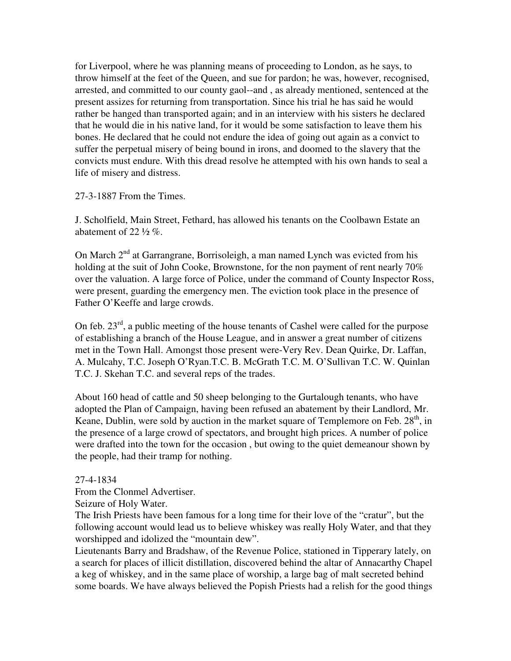for Liverpool, where he was planning means of proceeding to London, as he says, to throw himself at the feet of the Queen, and sue for pardon; he was, however, recognised, arrested, and committed to our county gaol--and , as already mentioned, sentenced at the present assizes for returning from transportation. Since his trial he has said he would rather be hanged than transported again; and in an interview with his sisters he declared that he would die in his native land, for it would be some satisfaction to leave them his bones. He declared that he could not endure the idea of going out again as a convict to suffer the perpetual misery of being bound in irons, and doomed to the slavery that the convicts must endure. With this dread resolve he attempted with his own hands to seal a life of misery and distress.

### 27-3-1887 From the Times.

J. Scholfield, Main Street, Fethard, has allowed his tenants on the Coolbawn Estate an abatement of 22  $\frac{1}{2}$  %.

On March 2<sup>nd</sup> at Garrangrane, Borrisoleigh, a man named Lynch was evicted from his holding at the suit of John Cooke, Brownstone, for the non payment of rent nearly 70% over the valuation. A large force of Police, under the command of County Inspector Ross, were present, guarding the emergency men. The eviction took place in the presence of Father O'Keeffe and large crowds.

On feb. 23<sup>rd</sup>, a public meeting of the house tenants of Cashel were called for the purpose of establishing a branch of the House League, and in answer a great number of citizens met in the Town Hall. Amongst those present were-Very Rev. Dean Quirke, Dr. Laffan, A. Mulcahy, T.C. Joseph O'Ryan.T.C. B. McGrath T.C. M. O'Sullivan T.C. W. Quinlan T.C. J. Skehan T.C. and several reps of the trades.

About 160 head of cattle and 50 sheep belonging to the Gurtalough tenants, who have adopted the Plan of Campaign, having been refused an abatement by their Landlord, Mr. Keane, Dublin, were sold by auction in the market square of Templemore on Feb.  $28<sup>th</sup>$ , in the presence of a large crowd of spectators, and brought high prices. A number of police were drafted into the town for the occasion , but owing to the quiet demeanour shown by the people, had their tramp for nothing.

## 27-4-1834

From the Clonmel Advertiser.

Seizure of Holy Water.

The Irish Priests have been famous for a long time for their love of the "cratur", but the following account would lead us to believe whiskey was really Holy Water, and that they worshipped and idolized the "mountain dew".

Lieutenants Barry and Bradshaw, of the Revenue Police, stationed in Tipperary lately, on a search for places of illicit distillation, discovered behind the altar of Annacarthy Chapel a keg of whiskey, and in the same place of worship, a large bag of malt secreted behind some boards. We have always believed the Popish Priests had a relish for the good things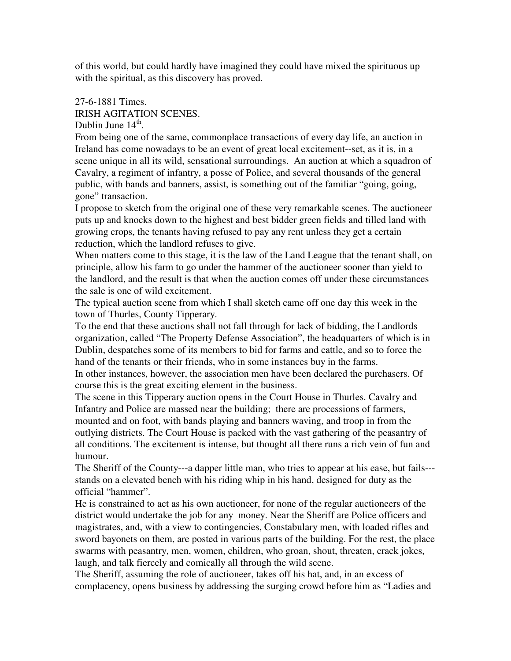of this world, but could hardly have imagined they could have mixed the spirituous up with the spiritual, as this discovery has proved.

# 27-6-1881 Times. IRISH AGITATION SCENES.

Dublin June  $14<sup>th</sup>$ .

From being one of the same, commonplace transactions of every day life, an auction in Ireland has come nowadays to be an event of great local excitement--set, as it is, in a scene unique in all its wild, sensational surroundings. An auction at which a squadron of Cavalry, a regiment of infantry, a posse of Police, and several thousands of the general public, with bands and banners, assist, is something out of the familiar "going, going, gone" transaction.

I propose to sketch from the original one of these very remarkable scenes. The auctioneer puts up and knocks down to the highest and best bidder green fields and tilled land with growing crops, the tenants having refused to pay any rent unless they get a certain reduction, which the landlord refuses to give.

When matters come to this stage, it is the law of the Land League that the tenant shall, on principle, allow his farm to go under the hammer of the auctioneer sooner than yield to the landlord, and the result is that when the auction comes off under these circumstances the sale is one of wild excitement.

The typical auction scene from which I shall sketch came off one day this week in the town of Thurles, County Tipperary.

To the end that these auctions shall not fall through for lack of bidding, the Landlords organization, called "The Property Defense Association", the headquarters of which is in Dublin, despatches some of its members to bid for farms and cattle, and so to force the hand of the tenants or their friends, who in some instances buy in the farms. In other instances, however, the association men have been declared the purchasers. Of

course this is the great exciting element in the business.

The scene in this Tipperary auction opens in the Court House in Thurles. Cavalry and Infantry and Police are massed near the building; there are processions of farmers, mounted and on foot, with bands playing and banners waving, and troop in from the outlying districts. The Court House is packed with the vast gathering of the peasantry of all conditions. The excitement is intense, but thought all there runs a rich vein of fun and humour.

The Sheriff of the County---a dapper little man, who tries to appear at his ease, but fails-- stands on a elevated bench with his riding whip in his hand, designed for duty as the official "hammer".

He is constrained to act as his own auctioneer, for none of the regular auctioneers of the district would undertake the job for any money. Near the Sheriff are Police officers and magistrates, and, with a view to contingencies, Constabulary men, with loaded rifles and sword bayonets on them, are posted in various parts of the building. For the rest, the place swarms with peasantry, men, women, children, who groan, shout, threaten, crack jokes, laugh, and talk fiercely and comically all through the wild scene.

The Sheriff, assuming the role of auctioneer, takes off his hat, and, in an excess of complacency, opens business by addressing the surging crowd before him as "Ladies and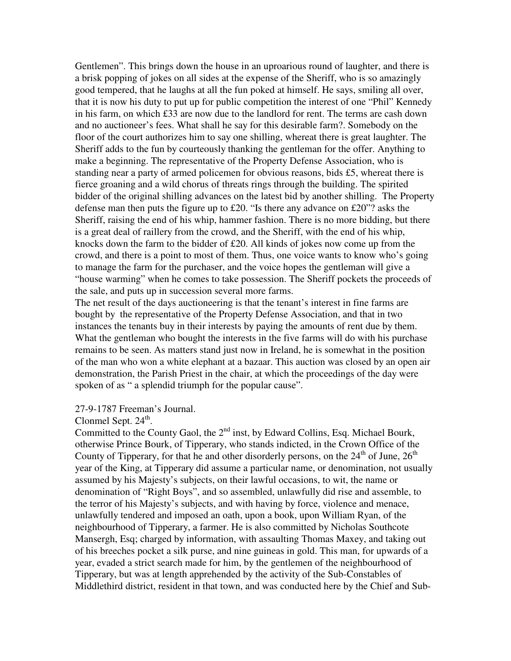Gentlemen". This brings down the house in an uproarious round of laughter, and there is a brisk popping of jokes on all sides at the expense of the Sheriff, who is so amazingly good tempered, that he laughs at all the fun poked at himself. He says, smiling all over, that it is now his duty to put up for public competition the interest of one "Phil" Kennedy in his farm, on which £33 are now due to the landlord for rent. The terms are cash down and no auctioneer's fees. What shall he say for this desirable farm?. Somebody on the floor of the court authorizes him to say one shilling, whereat there is great laughter. The Sheriff adds to the fun by courteously thanking the gentleman for the offer. Anything to make a beginning. The representative of the Property Defense Association, who is standing near a party of armed policemen for obvious reasons, bids £5, whereat there is fierce groaning and a wild chorus of threats rings through the building. The spirited bidder of the original shilling advances on the latest bid by another shilling. The Property defense man then puts the figure up to £20. "Is there any advance on £20"? asks the Sheriff, raising the end of his whip, hammer fashion. There is no more bidding, but there is a great deal of raillery from the crowd, and the Sheriff, with the end of his whip, knocks down the farm to the bidder of £20. All kinds of jokes now come up from the crowd, and there is a point to most of them. Thus, one voice wants to know who's going to manage the farm for the purchaser, and the voice hopes the gentleman will give a "house warming" when he comes to take possession. The Sheriff pockets the proceeds of the sale, and puts up in succession several more farms.

The net result of the days auctioneering is that the tenant's interest in fine farms are bought by the representative of the Property Defense Association, and that in two instances the tenants buy in their interests by paying the amounts of rent due by them. What the gentleman who bought the interests in the five farms will do with his purchase remains to be seen. As matters stand just now in Ireland, he is somewhat in the position of the man who won a white elephant at a bazaar. This auction was closed by an open air demonstration, the Parish Priest in the chair, at which the proceedings of the day were spoken of as " a splendid triumph for the popular cause".

### 27-9-1787 Freeman's Journal.

Clonmel Sept.  $24<sup>th</sup>$ .

Committed to the County Gaol, the 2<sup>nd</sup> inst, by Edward Collins, Esq. Michael Bourk, otherwise Prince Bourk, of Tipperary, who stands indicted, in the Crown Office of the County of Tipperary, for that he and other disorderly persons, on the  $24<sup>th</sup>$  of June,  $26<sup>th</sup>$ year of the King, at Tipperary did assume a particular name, or denomination, not usually assumed by his Majesty's subjects, on their lawful occasions, to wit, the name or denomination of "Right Boys", and so assembled, unlawfully did rise and assemble, to the terror of his Majesty's subjects, and with having by force, violence and menace, unlawfully tendered and imposed an oath, upon a book, upon William Ryan, of the neighbourhood of Tipperary, a farmer. He is also committed by Nicholas Southcote Mansergh, Esq; charged by information, with assaulting Thomas Maxey, and taking out of his breeches pocket a silk purse, and nine guineas in gold. This man, for upwards of a year, evaded a strict search made for him, by the gentlemen of the neighbourhood of Tipperary, but was at length apprehended by the activity of the Sub-Constables of Middlethird district, resident in that town, and was conducted here by the Chief and Sub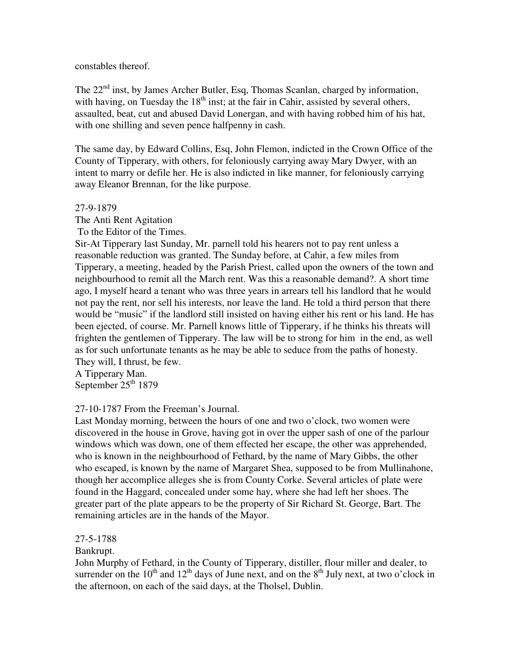constables thereof.

The  $22<sup>nd</sup>$  inst, by James Archer Butler, Esq, Thomas Scanlan, charged by information, with having, on Tuesday the  $18<sup>th</sup>$  inst; at the fair in Cahir, assisted by several others, assaulted, beat, cut and abused David Lonergan, and with having robbed him of his hat, with one shilling and seven pence halfpenny in cash.

The same day, by Edward Collins, Esq, John Flemon, indicted in the Crown Office of the County of Tipperary, with others, for feloniously carrying away Mary Dwyer, with an intent to marry or defile her. He is also indicted in like manner, for feloniously carrying away Eleanor Brennan, for the like purpose.

## 27-9-1879

The Anti Rent Agitation

To the Editor of the Times.

Sir-At Tipperary last Sunday, Mr. parnell told his hearers not to pay rent unless a reasonable reduction was granted. The Sunday before, at Cahir, a few miles from Tipperary, a meeting, headed by the Parish Priest, called upon the owners of the town and neighbourhood to remit all the March rent. Was this a reasonable demand?. A short time ago, I myself heard a tenant who was three years in arrears tell his landlord that he would not pay the rent, nor sell his interests, nor leave the land. He told a third person that there would be "music" if the landlord still insisted on having either his rent or his land. He has been ejected, of course. Mr. Parnell knows little of Tipperary, if he thinks his threats will frighten the gentlemen of Tipperary. The law will be to strong for him in the end, as well as for such unfortunate tenants as he may be able to seduce from the paths of honesty. They will, I thrust, be few.

A Tipperary Man. September  $25<sup>th</sup> 1879$ 

27-10-1787 From the Freeman's Journal.

Last Monday morning, between the hours of one and two o'clock, two women were discovered in the house in Grove, having got in over the upper sash of one of the parlour windows which was down, one of them effected her escape, the other was apprehended, who is known in the neighbourhood of Fethard, by the name of Mary Gibbs, the other who escaped, is known by the name of Margaret Shea, supposed to be from Mullinahone, though her accomplice alleges she is from County Corke. Several articles of plate were found in the Haggard, concealed under some hay, where she had left her shoes. The greater part of the plate appears to be the property of Sir Richard St. George, Bart. The remaining articles are in the hands of the Mayor.

# 27-5-1788

Bankrupt.

John Murphy of Fethard, in the County of Tipperary, distiller, flour miller and dealer, to surrender on the  $10<sup>th</sup>$  and  $12<sup>th</sup>$  days of June next, and on the  $8<sup>th</sup>$  July next, at two o'clock in the afternoon, on each of the said days, at the Tholsel, Dublin.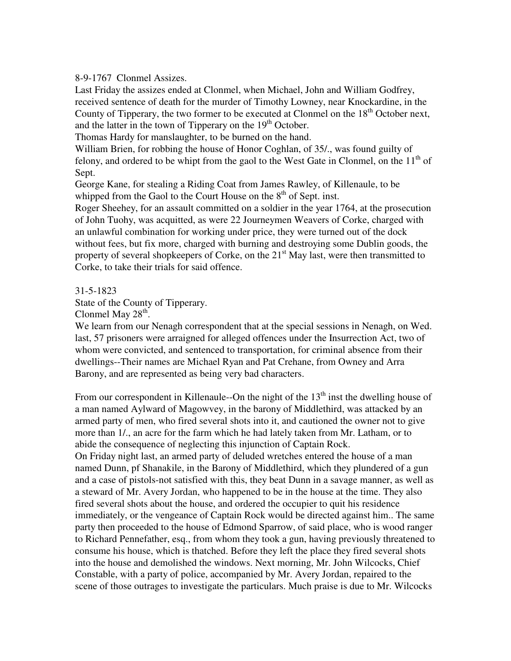## 8-9-1767 Clonmel Assizes.

Last Friday the assizes ended at Clonmel, when Michael, John and William Godfrey, received sentence of death for the murder of Timothy Lowney, near Knockardine, in the County of Tipperary, the two former to be executed at Clonmel on the  $18<sup>th</sup>$  October next, and the latter in the town of Tipperary on the  $19<sup>th</sup>$  October.

Thomas Hardy for manslaughter, to be burned on the hand.

William Brien, for robbing the house of Honor Coghlan, of 35/., was found guilty of felony, and ordered to be whipt from the gaol to the West Gate in Clonmel, on the  $11<sup>th</sup>$  of Sept.

George Kane, for stealing a Riding Coat from James Rawley, of Killenaule, to be whipped from the Gaol to the Court House on the  $8<sup>th</sup>$  of Sept. inst.

Roger Sheehey, for an assault committed on a soldier in the year 1764, at the prosecution of John Tuohy, was acquitted, as were 22 Journeymen Weavers of Corke, charged with an unlawful combination for working under price, they were turned out of the dock without fees, but fix more, charged with burning and destroying some Dublin goods, the property of several shopkeepers of Corke, on the  $21<sup>st</sup>$  May last, were then transmitted to Corke, to take their trials for said offence.

31-5-1823

State of the County of Tipperary.

Clonmel May  $28<sup>th</sup>$ .

We learn from our Nenagh correspondent that at the special sessions in Nenagh, on Wed. last, 57 prisoners were arraigned for alleged offences under the Insurrection Act, two of whom were convicted, and sentenced to transportation, for criminal absence from their dwellings--Their names are Michael Ryan and Pat Crehane, from Owney and Arra Barony, and are represented as being very bad characters.

From our correspondent in Killenaule--On the night of the  $13<sup>th</sup>$  inst the dwelling house of a man named Aylward of Magowvey, in the barony of Middlethird, was attacked by an armed party of men, who fired several shots into it, and cautioned the owner not to give more than 1/., an acre for the farm which he had lately taken from Mr. Latham, or to abide the consequence of neglecting this injunction of Captain Rock. On Friday night last, an armed party of deluded wretches entered the house of a man named Dunn, pf Shanakile, in the Barony of Middlethird, which they plundered of a gun and a case of pistols-not satisfied with this, they beat Dunn in a savage manner, as well as a steward of Mr. Avery Jordan, who happened to be in the house at the time. They also fired several shots about the house, and ordered the occupier to quit his residence immediately, or the vengeance of Captain Rock would be directed against him.. The same party then proceeded to the house of Edmond Sparrow, of said place, who is wood ranger to Richard Pennefather, esq., from whom they took a gun, having previously threatened to consume his house, which is thatched. Before they left the place they fired several shots into the house and demolished the windows. Next morning, Mr. John Wilcocks, Chief Constable, with a party of police, accompanied by Mr. Avery Jordan, repaired to the scene of those outrages to investigate the particulars. Much praise is due to Mr. Wilcocks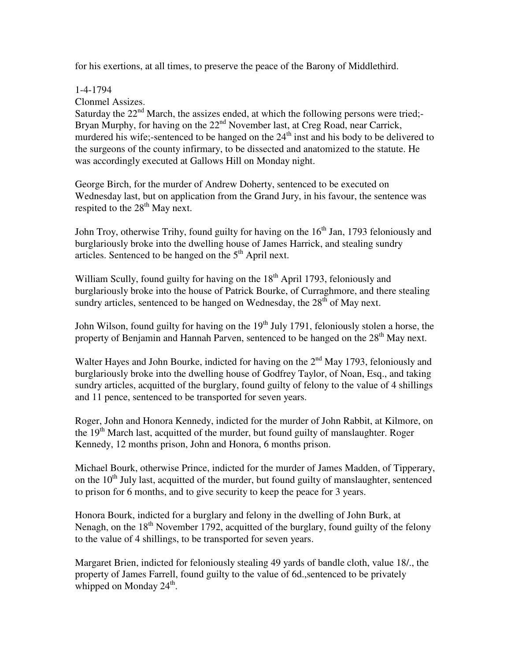for his exertions, at all times, to preserve the peace of the Barony of Middlethird.

## 1-4-1794

Clonmel Assizes.

Saturday the  $22<sup>nd</sup>$  March, the assizes ended, at which the following persons were tried;-Bryan Murphy, for having on the  $22<sup>nd</sup>$  November last, at Creg Road, near Carrick, murdered his wife;-sentenced to be hanged on the  $24<sup>th</sup>$  inst and his body to be delivered to the surgeons of the county infirmary, to be dissected and anatomized to the statute. He was accordingly executed at Gallows Hill on Monday night.

George Birch, for the murder of Andrew Doherty, sentenced to be executed on Wednesday last, but on application from the Grand Jury, in his favour, the sentence was respited to the  $28<sup>th</sup>$  May next.

John Troy, otherwise Trihy, found guilty for having on the  $16<sup>th</sup>$  Jan, 1793 feloniously and burglariously broke into the dwelling house of James Harrick, and stealing sundry articles. Sentenced to be hanged on the  $5<sup>th</sup>$  April next.

William Scully, found guilty for having on the  $18<sup>th</sup>$  April 1793, feloniously and burglariously broke into the house of Patrick Bourke, of Curraghmore, and there stealing sundry articles, sentenced to be hanged on Wednesday, the  $28<sup>th</sup>$  of May next.

John Wilson, found guilty for having on the 19<sup>th</sup> July 1791, feloniously stolen a horse, the property of Benjamin and Hannah Parven, sentenced to be hanged on the 28<sup>th</sup> May next.

Walter Hayes and John Bourke, indicted for having on the  $2<sup>nd</sup>$  May 1793, feloniously and burglariously broke into the dwelling house of Godfrey Taylor, of Noan, Esq., and taking sundry articles, acquitted of the burglary, found guilty of felony to the value of 4 shillings and 11 pence, sentenced to be transported for seven years.

Roger, John and Honora Kennedy, indicted for the murder of John Rabbit, at Kilmore, on the  $19<sup>th</sup>$  March last, acquitted of the murder, but found guilty of manslaughter. Roger Kennedy, 12 months prison, John and Honora, 6 months prison.

Michael Bourk, otherwise Prince, indicted for the murder of James Madden, of Tipperary, on the  $10<sup>th</sup>$  July last, acquitted of the murder, but found guilty of manslaughter, sentenced to prison for 6 months, and to give security to keep the peace for 3 years.

Honora Bourk, indicted for a burglary and felony in the dwelling of John Burk, at Nenagh, on the  $18<sup>th</sup>$  November 1792, acquitted of the burglary, found guilty of the felony to the value of 4 shillings, to be transported for seven years.

Margaret Brien, indicted for feloniously stealing 49 yards of bandle cloth, value 18/., the property of James Farrell, found guilty to the value of 6d.,sentenced to be privately whipped on Monday  $24^{\text{th}}$ .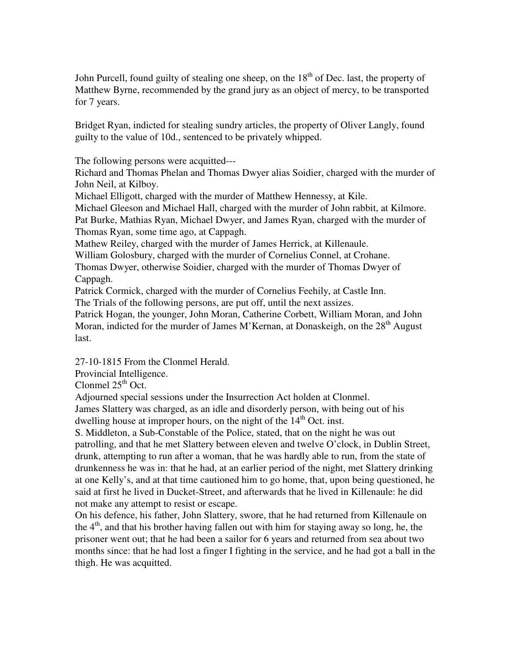John Purcell, found guilty of stealing one sheep, on the  $18<sup>th</sup>$  of Dec. last, the property of Matthew Byrne, recommended by the grand jury as an object of mercy, to be transported for 7 years.

Bridget Ryan, indicted for stealing sundry articles, the property of Oliver Langly, found guilty to the value of 10d., sentenced to be privately whipped.

The following persons were acquitted---

Richard and Thomas Phelan and Thomas Dwyer alias Soidier, charged with the murder of John Neil, at Kilboy.

Michael Elligott, charged with the murder of Matthew Hennessy, at Kile.

Michael Gleeson and Michael Hall, charged with the murder of John rabbit, at Kilmore. Pat Burke, Mathias Ryan, Michael Dwyer, and James Ryan, charged with the murder of Thomas Ryan, some time ago, at Cappagh.

Mathew Reiley, charged with the murder of James Herrick, at Killenaule.

William Golosbury, charged with the murder of Cornelius Connel, at Crohane.

Thomas Dwyer, otherwise Soidier, charged with the murder of Thomas Dwyer of Cappagh.

Patrick Cormick, charged with the murder of Cornelius Feehily, at Castle Inn.

The Trials of the following persons, are put off, until the next assizes.

Patrick Hogan, the younger, John Moran, Catherine Corbett, William Moran, and John Moran, indicted for the murder of James M'Kernan, at Donaskeigh, on the  $28<sup>th</sup>$  August last.

27-10-1815 From the Clonmel Herald.

Provincial Intelligence.

Clonmel  $25<sup>th</sup>$  Oct.

Adjourned special sessions under the Insurrection Act holden at Clonmel. James Slattery was charged, as an idle and disorderly person, with being out of his dwelling house at improper hours, on the night of the  $14<sup>th</sup>$  Oct. inst.

S. Middleton, a Sub-Constable of the Police, stated, that on the night he was out patrolling, and that he met Slattery between eleven and twelve O'clock, in Dublin Street, drunk, attempting to run after a woman, that he was hardly able to run, from the state of drunkenness he was in: that he had, at an earlier period of the night, met Slattery drinking at one Kelly's, and at that time cautioned him to go home, that, upon being questioned, he said at first he lived in Ducket-Street, and afterwards that he lived in Killenaule: he did not make any attempt to resist or escape.

On his defence, his father, John Slattery, swore, that he had returned from Killenaule on the  $4<sup>th</sup>$ , and that his brother having fallen out with him for staying away so long, he, the prisoner went out; that he had been a sailor for 6 years and returned from sea about two months since: that he had lost a finger I fighting in the service, and he had got a ball in the thigh. He was acquitted.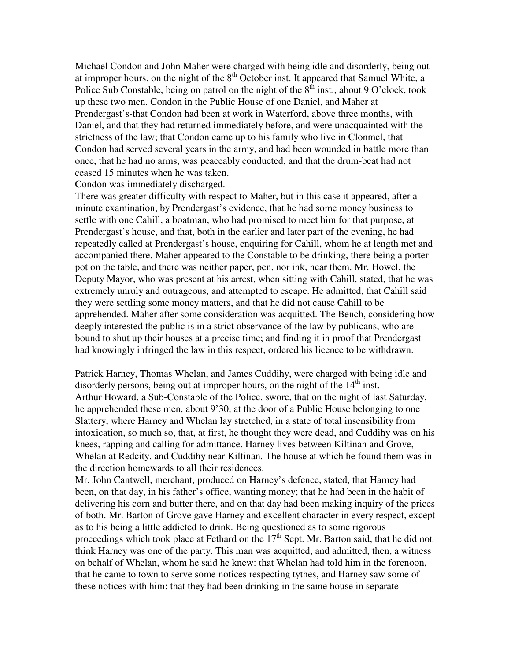Michael Condon and John Maher were charged with being idle and disorderly, being out at improper hours, on the night of the  $8<sup>th</sup>$  October inst. It appeared that Samuel White, a Police Sub Constable, being on patrol on the night of the  $8<sup>th</sup>$  inst., about 9 O'clock, took up these two men. Condon in the Public House of one Daniel, and Maher at Prendergast's-that Condon had been at work in Waterford, above three months, with Daniel, and that they had returned immediately before, and were unacquainted with the strictness of the law; that Condon came up to his family who live in Clonmel, that Condon had served several years in the army, and had been wounded in battle more than once, that he had no arms, was peaceably conducted, and that the drum-beat had not ceased 15 minutes when he was taken.

Condon was immediately discharged.

There was greater difficulty with respect to Maher, but in this case it appeared, after a minute examination, by Prendergast's evidence, that he had some money business to settle with one Cahill, a boatman, who had promised to meet him for that purpose, at Prendergast's house, and that, both in the earlier and later part of the evening, he had repeatedly called at Prendergast's house, enquiring for Cahill, whom he at length met and accompanied there. Maher appeared to the Constable to be drinking, there being a porterpot on the table, and there was neither paper, pen, nor ink, near them. Mr. Howel, the Deputy Mayor, who was present at his arrest, when sitting with Cahill, stated, that he was extremely unruly and outrageous, and attempted to escape. He admitted, that Cahill said they were settling some money matters, and that he did not cause Cahill to be apprehended. Maher after some consideration was acquitted. The Bench, considering how deeply interested the public is in a strict observance of the law by publicans, who are bound to shut up their houses at a precise time; and finding it in proof that Prendergast had knowingly infringed the law in this respect, ordered his licence to be withdrawn.

Patrick Harney, Thomas Whelan, and James Cuddihy, were charged with being idle and disorderly persons, being out at improper hours, on the night of the  $14<sup>th</sup>$  inst. Arthur Howard, a Sub-Constable of the Police, swore, that on the night of last Saturday, he apprehended these men, about 9'30, at the door of a Public House belonging to one Slattery, where Harney and Whelan lay stretched, in a state of total insensibility from intoxication, so much so, that, at first, he thought they were dead, and Cuddihy was on his knees, rapping and calling for admittance. Harney lives between Kiltinan and Grove, Whelan at Redcity, and Cuddihy near Kiltinan. The house at which he found them was in the direction homewards to all their residences.

Mr. John Cantwell, merchant, produced on Harney's defence, stated, that Harney had been, on that day, in his father's office, wanting money; that he had been in the habit of delivering his corn and butter there, and on that day had been making inquiry of the prices of both. Mr. Barton of Grove gave Harney and excellent character in every respect, except as to his being a little addicted to drink. Being questioned as to some rigorous proceedings which took place at Fethard on the  $17<sup>th</sup>$  Sept. Mr. Barton said, that he did not think Harney was one of the party. This man was acquitted, and admitted, then, a witness on behalf of Whelan, whom he said he knew: that Whelan had told him in the forenoon, that he came to town to serve some notices respecting tythes, and Harney saw some of these notices with him; that they had been drinking in the same house in separate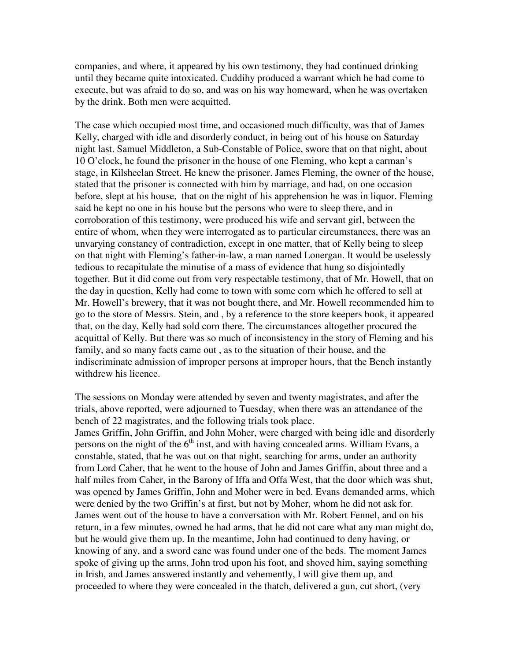companies, and where, it appeared by his own testimony, they had continued drinking until they became quite intoxicated. Cuddihy produced a warrant which he had come to execute, but was afraid to do so, and was on his way homeward, when he was overtaken by the drink. Both men were acquitted.

The case which occupied most time, and occasioned much difficulty, was that of James Kelly, charged with idle and disorderly conduct, in being out of his house on Saturday night last. Samuel Middleton, a Sub-Constable of Police, swore that on that night, about 10 O'clock, he found the prisoner in the house of one Fleming, who kept a carman's stage, in Kilsheelan Street. He knew the prisoner. James Fleming, the owner of the house, stated that the prisoner is connected with him by marriage, and had, on one occasion before, slept at his house, that on the night of his apprehension he was in liquor. Fleming said he kept no one in his house but the persons who were to sleep there, and in corroboration of this testimony, were produced his wife and servant girl, between the entire of whom, when they were interrogated as to particular circumstances, there was an unvarying constancy of contradiction, except in one matter, that of Kelly being to sleep on that night with Fleming's father-in-law, a man named Lonergan. It would be uselessly tedious to recapitulate the minutise of a mass of evidence that hung so disjointedly together. But it did come out from very respectable testimony, that of Mr. Howell, that on the day in question, Kelly had come to town with some corn which he offered to sell at Mr. Howell's brewery, that it was not bought there, and Mr. Howell recommended him to go to the store of Messrs. Stein, and , by a reference to the store keepers book, it appeared that, on the day, Kelly had sold corn there. The circumstances altogether procured the acquittal of Kelly. But there was so much of inconsistency in the story of Fleming and his family, and so many facts came out , as to the situation of their house, and the indiscriminate admission of improper persons at improper hours, that the Bench instantly withdrew his licence.

The sessions on Monday were attended by seven and twenty magistrates, and after the trials, above reported, were adjourned to Tuesday, when there was an attendance of the bench of 22 magistrates, and the following trials took place.

James Griffin, John Griffin, and John Moher, were charged with being idle and disorderly persons on the night of the  $6<sup>th</sup>$  inst, and with having concealed arms. William Evans, a constable, stated, that he was out on that night, searching for arms, under an authority from Lord Caher, that he went to the house of John and James Griffin, about three and a half miles from Caher, in the Barony of Iffa and Offa West, that the door which was shut, was opened by James Griffin, John and Moher were in bed. Evans demanded arms, which were denied by the two Griffin's at first, but not by Moher, whom he did not ask for. James went out of the house to have a conversation with Mr. Robert Fennel, and on his return, in a few minutes, owned he had arms, that he did not care what any man might do, but he would give them up. In the meantime, John had continued to deny having, or knowing of any, and a sword cane was found under one of the beds. The moment James spoke of giving up the arms, John trod upon his foot, and shoved him, saying something in Irish, and James answered instantly and vehemently, I will give them up, and proceeded to where they were concealed in the thatch, delivered a gun, cut short, (very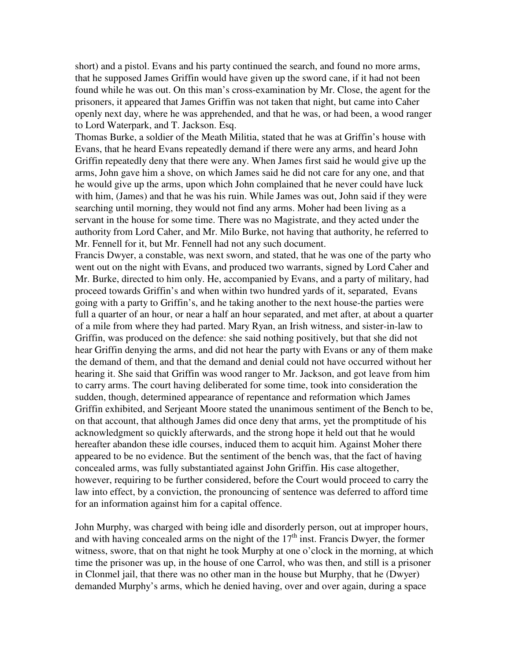short) and a pistol. Evans and his party continued the search, and found no more arms, that he supposed James Griffin would have given up the sword cane, if it had not been found while he was out. On this man's cross-examination by Mr. Close, the agent for the prisoners, it appeared that James Griffin was not taken that night, but came into Caher openly next day, where he was apprehended, and that he was, or had been, a wood ranger to Lord Waterpark, and T. Jackson. Esq.

Thomas Burke, a soldier of the Meath Militia, stated that he was at Griffin's house with Evans, that he heard Evans repeatedly demand if there were any arms, and heard John Griffin repeatedly deny that there were any. When James first said he would give up the arms, John gave him a shove, on which James said he did not care for any one, and that he would give up the arms, upon which John complained that he never could have luck with him, (James) and that he was his ruin. While James was out, John said if they were searching until morning, they would not find any arms. Moher had been living as a servant in the house for some time. There was no Magistrate, and they acted under the authority from Lord Caher, and Mr. Milo Burke, not having that authority, he referred to Mr. Fennell for it, but Mr. Fennell had not any such document.

Francis Dwyer, a constable, was next sworn, and stated, that he was one of the party who went out on the night with Evans, and produced two warrants, signed by Lord Caher and Mr. Burke, directed to him only. He, accompanied by Evans, and a party of military, had proceed towards Griffin's and when within two hundred yards of it, separated, Evans going with a party to Griffin's, and he taking another to the next house-the parties were full a quarter of an hour, or near a half an hour separated, and met after, at about a quarter of a mile from where they had parted. Mary Ryan, an Irish witness, and sister-in-law to Griffin, was produced on the defence: she said nothing positively, but that she did not hear Griffin denying the arms, and did not hear the party with Evans or any of them make the demand of them, and that the demand and denial could not have occurred without her hearing it. She said that Griffin was wood ranger to Mr. Jackson, and got leave from him to carry arms. The court having deliberated for some time, took into consideration the sudden, though, determined appearance of repentance and reformation which James Griffin exhibited, and Serjeant Moore stated the unanimous sentiment of the Bench to be, on that account, that although James did once deny that arms, yet the promptitude of his acknowledgment so quickly afterwards, and the strong hope it held out that he would hereafter abandon these idle courses, induced them to acquit him. Against Moher there appeared to be no evidence. But the sentiment of the bench was, that the fact of having concealed arms, was fully substantiated against John Griffin. His case altogether, however, requiring to be further considered, before the Court would proceed to carry the law into effect, by a conviction, the pronouncing of sentence was deferred to afford time for an information against him for a capital offence.

John Murphy, was charged with being idle and disorderly person, out at improper hours, and with having concealed arms on the night of the  $17<sup>th</sup>$  inst. Francis Dwyer, the former witness, swore, that on that night he took Murphy at one o'clock in the morning, at which time the prisoner was up, in the house of one Carrol, who was then, and still is a prisoner in Clonmel jail, that there was no other man in the house but Murphy, that he (Dwyer) demanded Murphy's arms, which he denied having, over and over again, during a space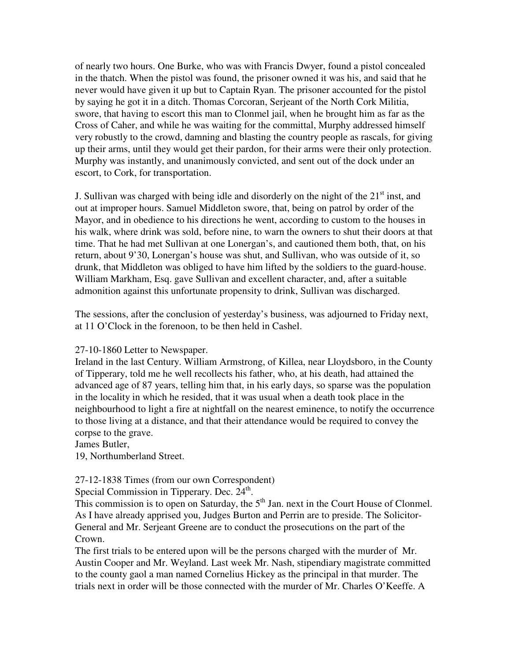of nearly two hours. One Burke, who was with Francis Dwyer, found a pistol concealed in the thatch. When the pistol was found, the prisoner owned it was his, and said that he never would have given it up but to Captain Ryan. The prisoner accounted for the pistol by saying he got it in a ditch. Thomas Corcoran, Serjeant of the North Cork Militia, swore, that having to escort this man to Clonmel jail, when he brought him as far as the Cross of Caher, and while he was waiting for the committal, Murphy addressed himself very robustly to the crowd, damning and blasting the country people as rascals, for giving up their arms, until they would get their pardon, for their arms were their only protection. Murphy was instantly, and unanimously convicted, and sent out of the dock under an escort, to Cork, for transportation.

J. Sullivan was charged with being idle and disorderly on the night of the  $21<sup>st</sup>$  inst, and out at improper hours. Samuel Middleton swore, that, being on patrol by order of the Mayor, and in obedience to his directions he went, according to custom to the houses in his walk, where drink was sold, before nine, to warn the owners to shut their doors at that time. That he had met Sullivan at one Lonergan's, and cautioned them both, that, on his return, about 9'30, Lonergan's house was shut, and Sullivan, who was outside of it, so drunk, that Middleton was obliged to have him lifted by the soldiers to the guard-house. William Markham, Esq. gave Sullivan and excellent character, and, after a suitable admonition against this unfortunate propensity to drink, Sullivan was discharged.

The sessions, after the conclusion of yesterday's business, was adjourned to Friday next, at 11 O'Clock in the forenoon, to be then held in Cashel.

### 27-10-1860 Letter to Newspaper.

Ireland in the last Century. William Armstrong, of Killea, near Lloydsboro, in the County of Tipperary, told me he well recollects his father, who, at his death, had attained the advanced age of 87 years, telling him that, in his early days, so sparse was the population in the locality in which he resided, that it was usual when a death took place in the neighbourhood to light a fire at nightfall on the nearest eminence, to notify the occurrence to those living at a distance, and that their attendance would be required to convey the corpse to the grave.

James Butler,

19, Northumberland Street.

## 27-12-1838 Times (from our own Correspondent)

Special Commission in Tipperary. Dec. 24<sup>th</sup>.

This commission is to open on Saturday, the  $5<sup>th</sup>$  Jan. next in the Court House of Clonmel. As I have already apprised you, Judges Burton and Perrin are to preside. The Solicitor-General and Mr. Serjeant Greene are to conduct the prosecutions on the part of the Crown.

The first trials to be entered upon will be the persons charged with the murder of Mr. Austin Cooper and Mr. Weyland. Last week Mr. Nash, stipendiary magistrate committed to the county gaol a man named Cornelius Hickey as the principal in that murder. The trials next in order will be those connected with the murder of Mr. Charles O'Keeffe. A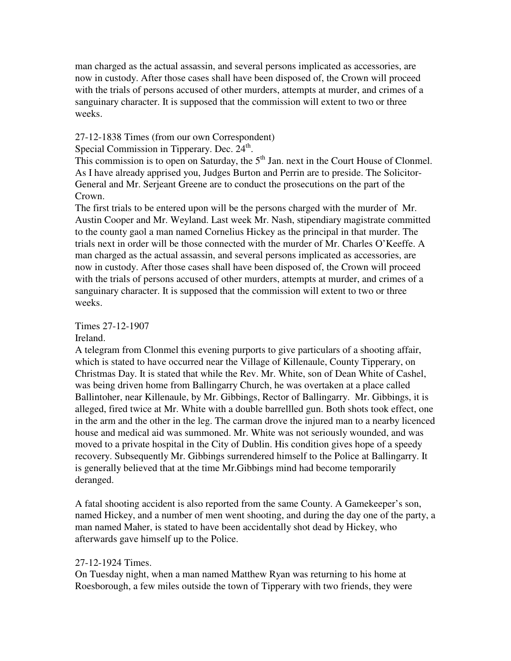man charged as the actual assassin, and several persons implicated as accessories, are now in custody. After those cases shall have been disposed of, the Crown will proceed with the trials of persons accused of other murders, attempts at murder, and crimes of a sanguinary character. It is supposed that the commission will extent to two or three weeks.

27-12-1838 Times (from our own Correspondent)

Special Commission in Tipperary. Dec. 24<sup>th</sup>.

This commission is to open on Saturday, the  $5<sup>th</sup>$  Jan. next in the Court House of Clonmel. As I have already apprised you, Judges Burton and Perrin are to preside. The Solicitor-General and Mr. Serjeant Greene are to conduct the prosecutions on the part of the Crown.

The first trials to be entered upon will be the persons charged with the murder of Mr. Austin Cooper and Mr. Weyland. Last week Mr. Nash, stipendiary magistrate committed to the county gaol a man named Cornelius Hickey as the principal in that murder. The trials next in order will be those connected with the murder of Mr. Charles O'Keeffe. A man charged as the actual assassin, and several persons implicated as accessories, are now in custody. After those cases shall have been disposed of, the Crown will proceed with the trials of persons accused of other murders, attempts at murder, and crimes of a sanguinary character. It is supposed that the commission will extent to two or three weeks.

Times 27-12-1907

Ireland.

A telegram from Clonmel this evening purports to give particulars of a shooting affair, which is stated to have occurred near the Village of Killenaule, County Tipperary, on Christmas Day. It is stated that while the Rev. Mr. White, son of Dean White of Cashel, was being driven home from Ballingarry Church, he was overtaken at a place called Ballintoher, near Killenaule, by Mr. Gibbings, Rector of Ballingarry. Mr. Gibbings, it is alleged, fired twice at Mr. White with a double barrellled gun. Both shots took effect, one in the arm and the other in the leg. The carman drove the injured man to a nearby licenced house and medical aid was summoned. Mr. White was not seriously wounded, and was moved to a private hospital in the City of Dublin. His condition gives hope of a speedy recovery. Subsequently Mr. Gibbings surrendered himself to the Police at Ballingarry. It is generally believed that at the time Mr.Gibbings mind had become temporarily deranged.

A fatal shooting accident is also reported from the same County. A Gamekeeper's son, named Hickey, and a number of men went shooting, and during the day one of the party, a man named Maher, is stated to have been accidentally shot dead by Hickey, who afterwards gave himself up to the Police.

## 27-12-1924 Times.

On Tuesday night, when a man named Matthew Ryan was returning to his home at Roesborough, a few miles outside the town of Tipperary with two friends, they were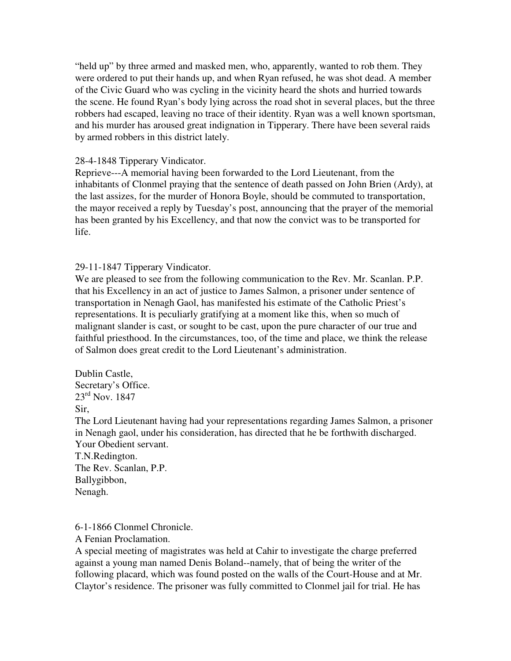"held up" by three armed and masked men, who, apparently, wanted to rob them. They were ordered to put their hands up, and when Ryan refused, he was shot dead. A member of the Civic Guard who was cycling in the vicinity heard the shots and hurried towards the scene. He found Ryan's body lying across the road shot in several places, but the three robbers had escaped, leaving no trace of their identity. Ryan was a well known sportsman, and his murder has aroused great indignation in Tipperary. There have been several raids by armed robbers in this district lately.

## 28-4-1848 Tipperary Vindicator.

Reprieve---A memorial having been forwarded to the Lord Lieutenant, from the inhabitants of Clonmel praying that the sentence of death passed on John Brien (Ardy), at the last assizes, for the murder of Honora Boyle, should be commuted to transportation, the mayor received a reply by Tuesday's post, announcing that the prayer of the memorial has been granted by his Excellency, and that now the convict was to be transported for life.

29-11-1847 Tipperary Vindicator.

We are pleased to see from the following communication to the Rev. Mr. Scanlan. P.P. that his Excellency in an act of justice to James Salmon, a prisoner under sentence of transportation in Nenagh Gaol, has manifested his estimate of the Catholic Priest's representations. It is peculiarly gratifying at a moment like this, when so much of malignant slander is cast, or sought to be cast, upon the pure character of our true and faithful priesthood. In the circumstances, too, of the time and place, we think the release of Salmon does great credit to the Lord Lieutenant's administration.

Dublin Castle, Secretary's Office.  $23^{\text{rd}}$  Nov. 1847 Sir,

The Lord Lieutenant having had your representations regarding James Salmon, a prisoner in Nenagh gaol, under his consideration, has directed that he be forthwith discharged. Your Obedient servant.

T.N.Redington. The Rev. Scanlan, P.P. Ballygibbon, Nenagh.

6-1-1866 Clonmel Chronicle.

A Fenian Proclamation.

A special meeting of magistrates was held at Cahir to investigate the charge preferred against a young man named Denis Boland--namely, that of being the writer of the following placard, which was found posted on the walls of the Court-House and at Mr. Claytor's residence. The prisoner was fully committed to Clonmel jail for trial. He has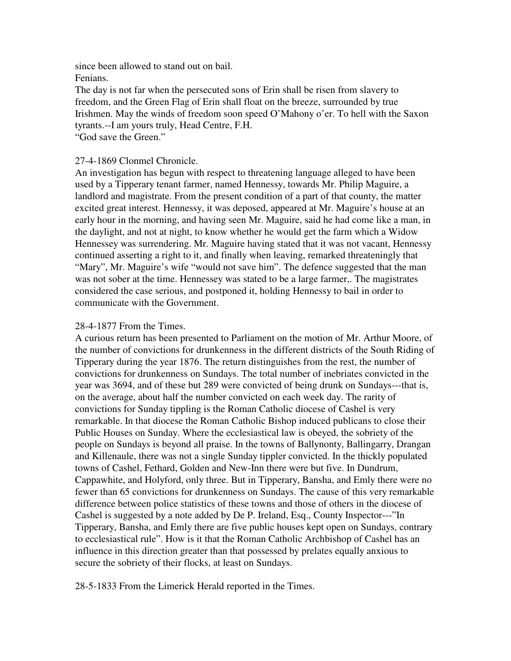since been allowed to stand out on bail. Fenians.

The day is not far when the persecuted sons of Erin shall be risen from slavery to freedom, and the Green Flag of Erin shall float on the breeze, surrounded by true Irishmen. May the winds of freedom soon speed O'Mahony o'er. To hell with the Saxon tyrants.--I am yours truly, Head Centre, F.H.

"God save the Green."

## 27-4-1869 Clonmel Chronicle.

An investigation has begun with respect to threatening language alleged to have been used by a Tipperary tenant farmer, named Hennessy, towards Mr. Philip Maguire, a landlord and magistrate. From the present condition of a part of that county, the matter excited great interest. Hennessy, it was deposed, appeared at Mr. Maguire's house at an early hour in the morning, and having seen Mr. Maguire, said he had come like a man, in the daylight, and not at night, to know whether he would get the farm which a Widow Hennessey was surrendering. Mr. Maguire having stated that it was not vacant, Hennessy continued asserting a right to it, and finally when leaving, remarked threateningly that "Mary", Mr. Maguire's wife "would not save him". The defence suggested that the man was not sober at the time. Hennessey was stated to be a large farmer,. The magistrates considered the case serious, and postponed it, holding Hennessy to bail in order to communicate with the Government.

## 28-4-1877 From the Times.

A curious return has been presented to Parliament on the motion of Mr. Arthur Moore, of the number of convictions for drunkenness in the different districts of the South Riding of Tipperary during the year 1876. The return distinguishes from the rest, the number of convictions for drunkenness on Sundays. The total number of inebriates convicted in the year was 3694, and of these but 289 were convicted of being drunk on Sundays---that is, on the average, about half the number convicted on each week day. The rarity of convictions for Sunday tippling is the Roman Catholic diocese of Cashel is very remarkable. In that diocese the Roman Catholic Bishop induced publicans to close their Public Houses on Sunday. Where the ecclesiastical law is obeyed, the sobriety of the people on Sundays is beyond all praise. In the towns of Ballynonty, Ballingarry, Drangan and Killenaule, there was not a single Sunday tippler convicted. In the thickly populated towns of Cashel, Fethard, Golden and New-Inn there were but five. In Dundrum, Cappawhite, and Holyford, only three. But in Tipperary, Bansha, and Emly there were no fewer than 65 convictions for drunkenness on Sundays. The cause of this very remarkable difference between police statistics of these towns and those of others in the diocese of Cashel is suggested by a note added by De P. Ireland, Esq., County Inspector---"In Tipperary, Bansha, and Emly there are five public houses kept open on Sundays, contrary to ecclesiastical rule". How is it that the Roman Catholic Archbishop of Cashel has an influence in this direction greater than that possessed by prelates equally anxious to secure the sobriety of their flocks, at least on Sundays.

28-5-1833 From the Limerick Herald reported in the Times.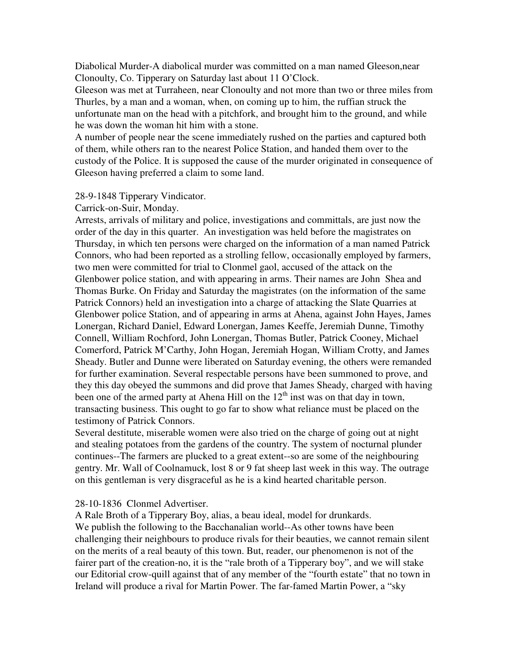Diabolical Murder-A diabolical murder was committed on a man named Gleeson,near Clonoulty, Co. Tipperary on Saturday last about 11 O'Clock.

Gleeson was met at Turraheen, near Clonoulty and not more than two or three miles from Thurles, by a man and a woman, when, on coming up to him, the ruffian struck the unfortunate man on the head with a pitchfork, and brought him to the ground, and while he was down the woman hit him with a stone.

A number of people near the scene immediately rushed on the parties and captured both of them, while others ran to the nearest Police Station, and handed them over to the custody of the Police. It is supposed the cause of the murder originated in consequence of Gleeson having preferred a claim to some land.

### 28-9-1848 Tipperary Vindicator.

Carrick-on-Suir, Monday.

Arrests, arrivals of military and police, investigations and committals, are just now the order of the day in this quarter. An investigation was held before the magistrates on Thursday, in which ten persons were charged on the information of a man named Patrick Connors, who had been reported as a strolling fellow, occasionally employed by farmers, two men were committed for trial to Clonmel gaol, accused of the attack on the Glenbower police station, and with appearing in arms. Their names are John Shea and Thomas Burke. On Friday and Saturday the magistrates (on the information of the same Patrick Connors) held an investigation into a charge of attacking the Slate Quarries at Glenbower police Station, and of appearing in arms at Ahena, against John Hayes, James Lonergan, Richard Daniel, Edward Lonergan, James Keeffe, Jeremiah Dunne, Timothy Connell, William Rochford, John Lonergan, Thomas Butler, Patrick Cooney, Michael Comerford, Patrick M'Carthy, John Hogan, Jeremiah Hogan, William Crotty, and James Sheady. Butler and Dunne were liberated on Saturday evening, the others were remanded for further examination. Several respectable persons have been summoned to prove, and they this day obeyed the summons and did prove that James Sheady, charged with having been one of the armed party at Ahena Hill on the  $12<sup>th</sup>$  inst was on that day in town, transacting business. This ought to go far to show what reliance must be placed on the testimony of Patrick Connors.

Several destitute, miserable women were also tried on the charge of going out at night and stealing potatoes from the gardens of the country. The system of nocturnal plunder continues--The farmers are plucked to a great extent--so are some of the neighbouring gentry. Mr. Wall of Coolnamuck, lost 8 or 9 fat sheep last week in this way. The outrage on this gentleman is very disgraceful as he is a kind hearted charitable person.

### 28-10-1836 Clonmel Advertiser.

A Rale Broth of a Tipperary Boy, alias, a beau ideal, model for drunkards. We publish the following to the Bacchanalian world--As other towns have been challenging their neighbours to produce rivals for their beauties, we cannot remain silent on the merits of a real beauty of this town. But, reader, our phenomenon is not of the fairer part of the creation-no, it is the "rale broth of a Tipperary boy", and we will stake our Editorial crow-quill against that of any member of the "fourth estate" that no town in Ireland will produce a rival for Martin Power. The far-famed Martin Power, a "sky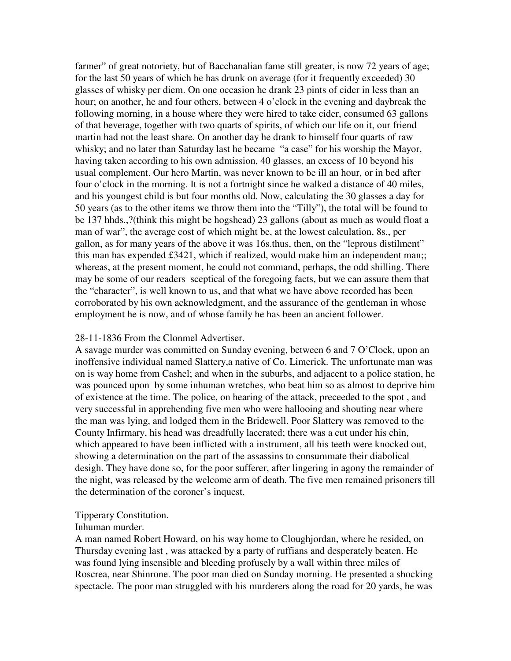farmer" of great notoriety, but of Bacchanalian fame still greater, is now 72 years of age; for the last 50 years of which he has drunk on average (for it frequently exceeded) 30 glasses of whisky per diem. On one occasion he drank 23 pints of cider in less than an hour; on another, he and four others, between 4 o'clock in the evening and daybreak the following morning, in a house where they were hired to take cider, consumed 63 gallons of that beverage, together with two quarts of spirits, of which our life on it, our friend martin had not the least share. On another day he drank to himself four quarts of raw whisky; and no later than Saturday last he became "a case" for his worship the Mayor, having taken according to his own admission, 40 glasses, an excess of 10 beyond his usual complement. Our hero Martin, was never known to be ill an hour, or in bed after four o'clock in the morning. It is not a fortnight since he walked a distance of 40 miles, and his youngest child is but four months old. Now, calculating the 30 glasses a day for 50 years (as to the other items we throw them into the "Tilly"), the total will be found to be 137 hhds.,?(think this might be hogshead) 23 gallons (about as much as would float a man of war", the average cost of which might be, at the lowest calculation, 8s., per gallon, as for many years of the above it was 16s.thus, then, on the "leprous distilment" this man has expended £3421, which if realized, would make him an independent man;; whereas, at the present moment, he could not command, perhaps, the odd shilling. There may be some of our readers sceptical of the foregoing facts, but we can assure them that the "character", is well known to us, and that what we have above recorded has been corroborated by his own acknowledgment, and the assurance of the gentleman in whose employment he is now, and of whose family he has been an ancient follower.

### 28-11-1836 From the Clonmel Advertiser.

A savage murder was committed on Sunday evening, between 6 and 7 O'Clock, upon an inoffensive individual named Slattery,a native of Co. Limerick. The unfortunate man was on is way home from Cashel; and when in the suburbs, and adjacent to a police station, he was pounced upon by some inhuman wretches, who beat him so as almost to deprive him of existence at the time. The police, on hearing of the attack, preceeded to the spot , and very successful in apprehending five men who were hallooing and shouting near where the man was lying, and lodged them in the Bridewell. Poor Slattery was removed to the County Infirmary, his head was dreadfully lacerated; there was a cut under his chin, which appeared to have been inflicted with a instrument, all his teeth were knocked out, showing a determination on the part of the assassins to consummate their diabolical desigh. They have done so, for the poor sufferer, after lingering in agony the remainder of the night, was released by the welcome arm of death. The five men remained prisoners till the determination of the coroner's inquest.

### Tipperary Constitution.

### Inhuman murder.

A man named Robert Howard, on his way home to Cloughjordan, where he resided, on Thursday evening last , was attacked by a party of ruffians and desperately beaten. He was found lying insensible and bleeding profusely by a wall within three miles of Roscrea, near Shinrone. The poor man died on Sunday morning. He presented a shocking spectacle. The poor man struggled with his murderers along the road for 20 yards, he was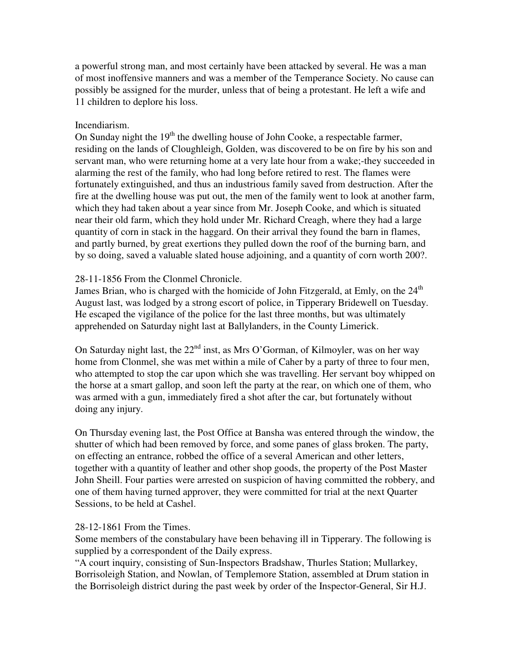a powerful strong man, and most certainly have been attacked by several. He was a man of most inoffensive manners and was a member of the Temperance Society. No cause can possibly be assigned for the murder, unless that of being a protestant. He left a wife and 11 children to deplore his loss.

## Incendiarism.

On Sunday night the  $19<sup>th</sup>$  the dwelling house of John Cooke, a respectable farmer, residing on the lands of Cloughleigh, Golden, was discovered to be on fire by his son and servant man, who were returning home at a very late hour from a wake;-they succeeded in alarming the rest of the family, who had long before retired to rest. The flames were fortunately extinguished, and thus an industrious family saved from destruction. After the fire at the dwelling house was put out, the men of the family went to look at another farm, which they had taken about a year since from Mr. Joseph Cooke, and which is situated near their old farm, which they hold under Mr. Richard Creagh, where they had a large quantity of corn in stack in the haggard. On their arrival they found the barn in flames, and partly burned, by great exertions they pulled down the roof of the burning barn, and by so doing, saved a valuable slated house adjoining, and a quantity of corn worth 200?.

## 28-11-1856 From the Clonmel Chronicle.

James Brian, who is charged with the homicide of John Fitzgerald, at Emly, on the  $24<sup>th</sup>$ August last, was lodged by a strong escort of police, in Tipperary Bridewell on Tuesday. He escaped the vigilance of the police for the last three months, but was ultimately apprehended on Saturday night last at Ballylanders, in the County Limerick.

On Saturday night last, the  $22<sup>nd</sup>$  inst, as Mrs O'Gorman, of Kilmoyler, was on her way home from Clonmel, she was met within a mile of Caher by a party of three to four men, who attempted to stop the car upon which she was travelling. Her servant boy whipped on the horse at a smart gallop, and soon left the party at the rear, on which one of them, who was armed with a gun, immediately fired a shot after the car, but fortunately without doing any injury.

On Thursday evening last, the Post Office at Bansha was entered through the window, the shutter of which had been removed by force, and some panes of glass broken. The party, on effecting an entrance, robbed the office of a several American and other letters, together with a quantity of leather and other shop goods, the property of the Post Master John Sheill. Four parties were arrested on suspicion of having committed the robbery, and one of them having turned approver, they were committed for trial at the next Quarter Sessions, to be held at Cashel.

## 28-12-1861 From the Times.

Some members of the constabulary have been behaving ill in Tipperary. The following is supplied by a correspondent of the Daily express.

"A court inquiry, consisting of Sun-Inspectors Bradshaw, Thurles Station; Mullarkey, Borrisoleigh Station, and Nowlan, of Templemore Station, assembled at Drum station in the Borrisoleigh district during the past week by order of the Inspector-General, Sir H.J.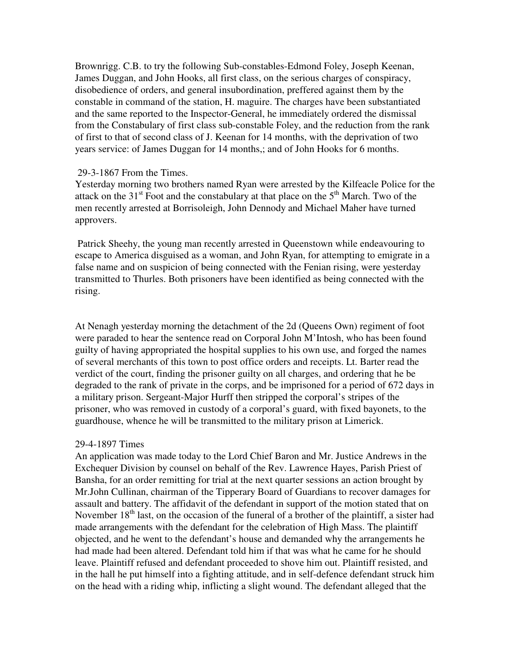Brownrigg. C.B. to try the following Sub-constables-Edmond Foley, Joseph Keenan, James Duggan, and John Hooks, all first class, on the serious charges of conspiracy, disobedience of orders, and general insubordination, preffered against them by the constable in command of the station, H. maguire. The charges have been substantiated and the same reported to the Inspector-General, he immediately ordered the dismissal from the Constabulary of first class sub-constable Foley, and the reduction from the rank of first to that of second class of J. Keenan for 14 months, with the deprivation of two years service: of James Duggan for 14 months,; and of John Hooks for 6 months.

### 29-3-1867 From the Times.

Yesterday morning two brothers named Ryan were arrested by the Kilfeacle Police for the attack on the  $31<sup>st</sup>$  Foot and the constabulary at that place on the  $5<sup>th</sup>$  March. Two of the men recently arrested at Borrisoleigh, John Dennody and Michael Maher have turned approvers.

 Patrick Sheehy, the young man recently arrested in Queenstown while endeavouring to escape to America disguised as a woman, and John Ryan, for attempting to emigrate in a false name and on suspicion of being connected with the Fenian rising, were yesterday transmitted to Thurles. Both prisoners have been identified as being connected with the rising.

At Nenagh yesterday morning the detachment of the 2d (Queens Own) regiment of foot were paraded to hear the sentence read on Corporal John M'Intosh, who has been found guilty of having appropriated the hospital supplies to his own use, and forged the names of several merchants of this town to post office orders and receipts. Lt. Barter read the verdict of the court, finding the prisoner guilty on all charges, and ordering that he be degraded to the rank of private in the corps, and be imprisoned for a period of 672 days in a military prison. Sergeant-Major Hurff then stripped the corporal's stripes of the prisoner, who was removed in custody of a corporal's guard, with fixed bayonets, to the guardhouse, whence he will be transmitted to the military prison at Limerick.

### 29-4-1897 Times

An application was made today to the Lord Chief Baron and Mr. Justice Andrews in the Exchequer Division by counsel on behalf of the Rev. Lawrence Hayes, Parish Priest of Bansha, for an order remitting for trial at the next quarter sessions an action brought by Mr.John Cullinan, chairman of the Tipperary Board of Guardians to recover damages for assault and battery. The affidavit of the defendant in support of the motion stated that on November  $18<sup>th</sup>$  last, on the occasion of the funeral of a brother of the plaintiff, a sister had made arrangements with the defendant for the celebration of High Mass. The plaintiff objected, and he went to the defendant's house and demanded why the arrangements he had made had been altered. Defendant told him if that was what he came for he should leave. Plaintiff refused and defendant proceeded to shove him out. Plaintiff resisted, and in the hall he put himself into a fighting attitude, and in self-defence defendant struck him on the head with a riding whip, inflicting a slight wound. The defendant alleged that the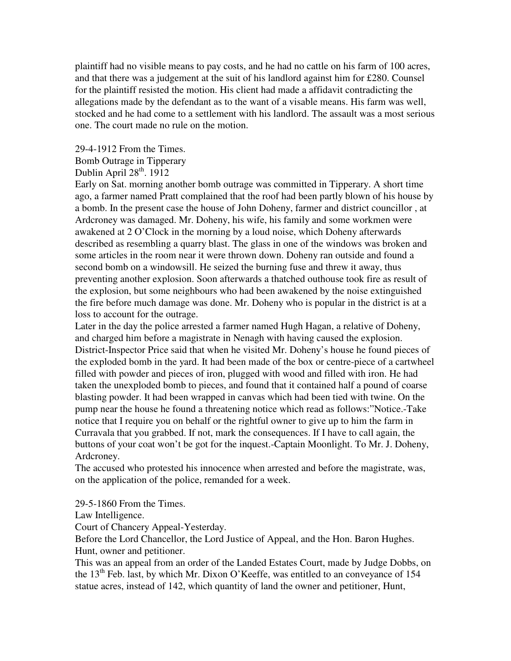plaintiff had no visible means to pay costs, and he had no cattle on his farm of 100 acres, and that there was a judgement at the suit of his landlord against him for £280. Counsel for the plaintiff resisted the motion. His client had made a affidavit contradicting the allegations made by the defendant as to the want of a visable means. His farm was well, stocked and he had come to a settlement with his landlord. The assault was a most serious one. The court made no rule on the motion.

29-4-1912 From the Times. Bomb Outrage in Tipperary Dublin April  $28<sup>th</sup>$ . 1912

Early on Sat. morning another bomb outrage was committed in Tipperary. A short time ago, a farmer named Pratt complained that the roof had been partly blown of his house by a bomb. In the present case the house of John Doheny, farmer and district councillor , at Ardcroney was damaged. Mr. Doheny, his wife, his family and some workmen were awakened at 2 O'Clock in the morning by a loud noise, which Doheny afterwards described as resembling a quarry blast. The glass in one of the windows was broken and some articles in the room near it were thrown down. Doheny ran outside and found a second bomb on a windowsill. He seized the burning fuse and threw it away, thus preventing another explosion. Soon afterwards a thatched outhouse took fire as result of the explosion, but some neighbours who had been awakened by the noise extinguished the fire before much damage was done. Mr. Doheny who is popular in the district is at a loss to account for the outrage.

Later in the day the police arrested a farmer named Hugh Hagan, a relative of Doheny, and charged him before a magistrate in Nenagh with having caused the explosion. District-Inspector Price said that when he visited Mr. Doheny's house he found pieces of the exploded bomb in the yard. It had been made of the box or centre-piece of a cartwheel filled with powder and pieces of iron, plugged with wood and filled with iron. He had taken the unexploded bomb to pieces, and found that it contained half a pound of coarse blasting powder. It had been wrapped in canvas which had been tied with twine. On the pump near the house he found a threatening notice which read as follows:"Notice.-Take notice that I require you on behalf or the rightful owner to give up to him the farm in Curravala that you grabbed. If not, mark the consequences. If I have to call again, the buttons of your coat won't be got for the inquest.-Captain Moonlight. To Mr. J. Doheny, Ardcroney.

The accused who protested his innocence when arrested and before the magistrate, was, on the application of the police, remanded for a week.

29-5-1860 From the Times.

Law Intelligence.

Court of Chancery Appeal-Yesterday.

Before the Lord Chancellor, the Lord Justice of Appeal, and the Hon. Baron Hughes. Hunt, owner and petitioner.

This was an appeal from an order of the Landed Estates Court, made by Judge Dobbs, on the  $13<sup>th</sup>$  Feb. last, by which Mr. Dixon O'Keeffe, was entitled to an conveyance of  $154$ statue acres, instead of 142, which quantity of land the owner and petitioner, Hunt,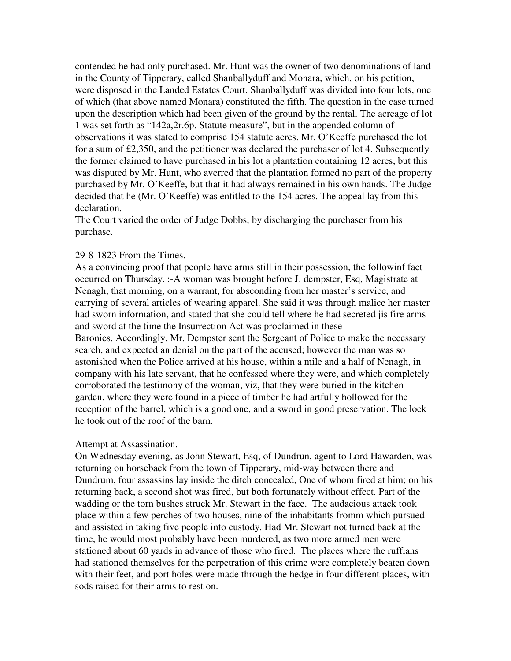contended he had only purchased. Mr. Hunt was the owner of two denominations of land in the County of Tipperary, called Shanballyduff and Monara, which, on his petition, were disposed in the Landed Estates Court. Shanballyduff was divided into four lots, one of which (that above named Monara) constituted the fifth. The question in the case turned upon the description which had been given of the ground by the rental. The acreage of lot 1 was set forth as "142a,2r.6p. Statute measure", but in the appended column of observations it was stated to comprise 154 statute acres. Mr. O'Keeffe purchased the lot for a sum of £2,350, and the petitioner was declared the purchaser of lot 4. Subsequently the former claimed to have purchased in his lot a plantation containing 12 acres, but this was disputed by Mr. Hunt, who averred that the plantation formed no part of the property purchased by Mr. O'Keeffe, but that it had always remained in his own hands. The Judge decided that he (Mr. O'Keeffe) was entitled to the 154 acres. The appeal lay from this declaration.

The Court varied the order of Judge Dobbs, by discharging the purchaser from his purchase.

### 29-8-1823 From the Times.

As a convincing proof that people have arms still in their possession, the followinf fact occurred on Thursday. :-A woman was brought before J. dempster, Esq, Magistrate at Nenagh, that morning, on a warrant, for absconding from her master's service, and carrying of several articles of wearing apparel. She said it was through malice her master had sworn information, and stated that she could tell where he had secreted jis fire arms and sword at the time the Insurrection Act was proclaimed in these Baronies. Accordingly, Mr. Dempster sent the Sergeant of Police to make the necessary search, and expected an denial on the part of the accused; however the man was so astonished when the Police arrived at his house, within a mile and a half of Nenagh, in company with his late servant, that he confessed where they were, and which completely corroborated the testimony of the woman, viz, that they were buried in the kitchen garden, where they were found in a piece of timber he had artfully hollowed for the reception of the barrel, which is a good one, and a sword in good preservation. The lock he took out of the roof of the barn.

#### Attempt at Assassination.

On Wednesday evening, as John Stewart, Esq, of Dundrun, agent to Lord Hawarden, was returning on horseback from the town of Tipperary, mid-way between there and Dundrum, four assassins lay inside the ditch concealed, One of whom fired at him; on his returning back, a second shot was fired, but both fortunately without effect. Part of the wadding or the torn bushes struck Mr. Stewart in the face. The audacious attack took place within a few perches of two houses, nine of the inhabitants fromm which pursued and assisted in taking five people into custody. Had Mr. Stewart not turned back at the time, he would most probably have been murdered, as two more armed men were stationed about 60 yards in advance of those who fired. The places where the ruffians had stationed themselves for the perpetration of this crime were completely beaten down with their feet, and port holes were made through the hedge in four different places, with sods raised for their arms to rest on.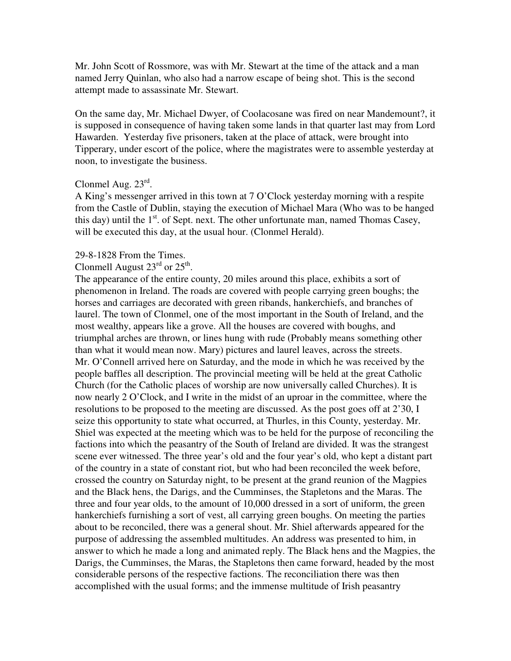Mr. John Scott of Rossmore, was with Mr. Stewart at the time of the attack and a man named Jerry Quinlan, who also had a narrow escape of being shot. This is the second attempt made to assassinate Mr. Stewart.

On the same day, Mr. Michael Dwyer, of Coolacosane was fired on near Mandemount?, it is supposed in consequence of having taken some lands in that quarter last may from Lord Hawarden. Yesterday five prisoners, taken at the place of attack, were brought into Tipperary, under escort of the police, where the magistrates were to assemble yesterday at noon, to investigate the business.

# Clonmel Aug. 23rd.

A King's messenger arrived in this town at 7 O'Clock yesterday morning with a respite from the Castle of Dublin, staying the execution of Michael Mara (Who was to be hanged this day) until the  $1<sup>st</sup>$ . of Sept. next. The other unfortunate man, named Thomas Casey, will be executed this day, at the usual hour. (Clonmel Herald).

#### 29-8-1828 From the Times.

# Clonmell August  $23^{\text{rd}}$  or  $25^{\text{th}}$ .

The appearance of the entire county, 20 miles around this place, exhibits a sort of phenomenon in Ireland. The roads are covered with people carrying green boughs; the horses and carriages are decorated with green ribands, hankerchiefs, and branches of laurel. The town of Clonmel, one of the most important in the South of Ireland, and the most wealthy, appears like a grove. All the houses are covered with boughs, and triumphal arches are thrown, or lines hung with rude (Probably means something other than what it would mean now. Mary) pictures and laurel leaves, across the streets. Mr. O'Connell arrived here on Saturday, and the mode in which he was received by the people baffles all description. The provincial meeting will be held at the great Catholic Church (for the Catholic places of worship are now universally called Churches). It is now nearly 2 O'Clock, and I write in the midst of an uproar in the committee, where the resolutions to be proposed to the meeting are discussed. As the post goes off at 2'30, I seize this opportunity to state what occurred, at Thurles, in this County, yesterday. Mr. Shiel was expected at the meeting which was to be held for the purpose of reconciling the factions into which the peasantry of the South of Ireland are divided. It was the strangest scene ever witnessed. The three year's old and the four year's old, who kept a distant part of the country in a state of constant riot, but who had been reconciled the week before, crossed the country on Saturday night, to be present at the grand reunion of the Magpies and the Black hens, the Darigs, and the Cumminses, the Stapletons and the Maras. The three and four year olds, to the amount of 10,000 dressed in a sort of uniform, the green hankerchiefs furnishing a sort of vest, all carrying green boughs. On meeting the parties about to be reconciled, there was a general shout. Mr. Shiel afterwards appeared for the purpose of addressing the assembled multitudes. An address was presented to him, in answer to which he made a long and animated reply. The Black hens and the Magpies, the Darigs, the Cumminses, the Maras, the Stapletons then came forward, headed by the most considerable persons of the respective factions. The reconciliation there was then accomplished with the usual forms; and the immense multitude of Irish peasantry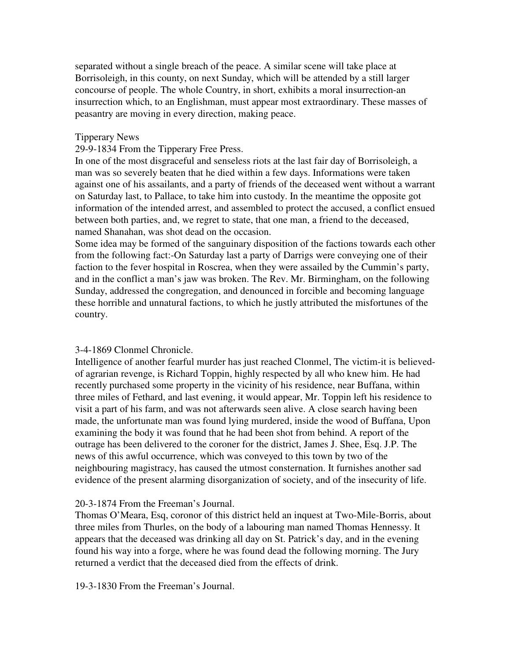separated without a single breach of the peace. A similar scene will take place at Borrisoleigh, in this county, on next Sunday, which will be attended by a still larger concourse of people. The whole Country, in short, exhibits a moral insurrection-an insurrection which, to an Englishman, must appear most extraordinary. These masses of peasantry are moving in every direction, making peace.

### Tipperary News

### 29-9-1834 From the Tipperary Free Press.

In one of the most disgraceful and senseless riots at the last fair day of Borrisoleigh, a man was so severely beaten that he died within a few days. Informations were taken against one of his assailants, and a party of friends of the deceased went without a warrant on Saturday last, to Pallace, to take him into custody. In the meantime the opposite got information of the intended arrest, and assembled to protect the accused, a conflict ensued between both parties, and, we regret to state, that one man, a friend to the deceased, named Shanahan, was shot dead on the occasion.

Some idea may be formed of the sanguinary disposition of the factions towards each other from the following fact:-On Saturday last a party of Darrigs were conveying one of their faction to the fever hospital in Roscrea, when they were assailed by the Cummin's party, and in the conflict a man's jaw was broken. The Rev. Mr. Birmingham, on the following Sunday, addressed the congregation, and denounced in forcible and becoming language these horrible and unnatural factions, to which he justly attributed the misfortunes of the country.

### 3-4-1869 Clonmel Chronicle.

Intelligence of another fearful murder has just reached Clonmel, The victim-it is believedof agrarian revenge, is Richard Toppin, highly respected by all who knew him. He had recently purchased some property in the vicinity of his residence, near Buffana, within three miles of Fethard, and last evening, it would appear, Mr. Toppin left his residence to visit a part of his farm, and was not afterwards seen alive. A close search having been made, the unfortunate man was found lying murdered, inside the wood of Buffana, Upon examining the body it was found that he had been shot from behind. A report of the outrage has been delivered to the coroner for the district, James J. Shee, Esq. J.P. The news of this awful occurrence, which was conveyed to this town by two of the neighbouring magistracy, has caused the utmost consternation. It furnishes another sad evidence of the present alarming disorganization of society, and of the insecurity of life.

## 20-3-1874 From the Freeman's Journal.

Thomas O'Meara, Esq, coronor of this district held an inquest at Two-Mile-Borris, about three miles from Thurles, on the body of a labouring man named Thomas Hennessy. It appears that the deceased was drinking all day on St. Patrick's day, and in the evening found his way into a forge, where he was found dead the following morning. The Jury returned a verdict that the deceased died from the effects of drink.

19-3-1830 From the Freeman's Journal.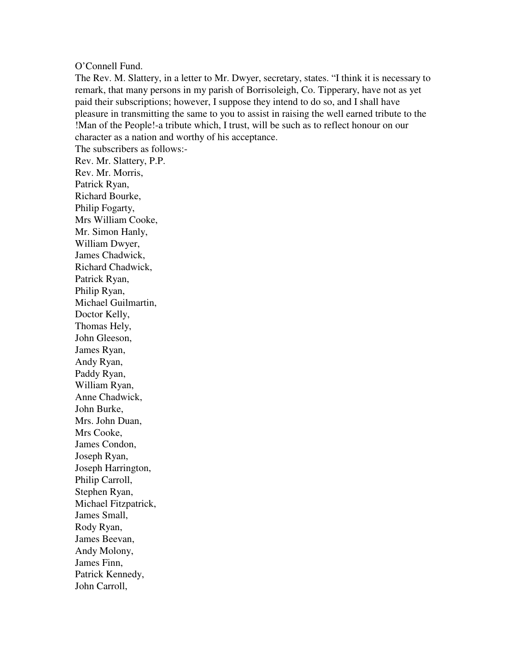### O'Connell Fund.

The Rev. M. Slattery, in a letter to Mr. Dwyer, secretary, states. "I think it is necessary to remark, that many persons in my parish of Borrisoleigh, Co. Tipperary, have not as yet paid their subscriptions; however, I suppose they intend to do so, and I shall have pleasure in transmitting the same to you to assist in raising the well earned tribute to the !Man of the People!-a tribute which, I trust, will be such as to reflect honour on our character as a nation and worthy of his acceptance.

The subscribers as follows:- Rev. Mr. Slattery, P.P. Rev. Mr. Morris, Patrick Ryan, Richard Bourke, Philip Fogarty, Mrs William Cooke, Mr. Simon Hanly, William Dwyer, James Chadwick, Richard Chadwick, Patrick Ryan, Philip Ryan, Michael Guilmartin, Doctor Kelly, Thomas Hely, John Gleeson, James Ryan, Andy Ryan, Paddy Ryan, William Ryan, Anne Chadwick, John Burke, Mrs. John Duan, Mrs Cooke, James Condon, Joseph Ryan, Joseph Harrington, Philip Carroll, Stephen Ryan, Michael Fitzpatrick, James Small, Rody Ryan, James Beevan, Andy Molony, James Finn, Patrick Kennedy, John Carroll,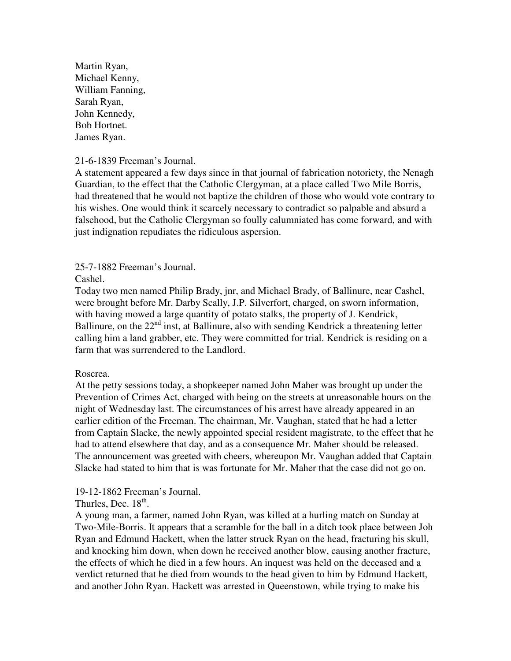Martin Ryan, Michael Kenny, William Fanning, Sarah Ryan, John Kennedy, Bob Hortnet. James Ryan.

21-6-1839 Freeman's Journal.

A statement appeared a few days since in that journal of fabrication notoriety, the Nenagh Guardian, to the effect that the Catholic Clergyman, at a place called Two Mile Borris, had threatened that he would not baptize the children of those who would vote contrary to his wishes. One would think it scarcely necessary to contradict so palpable and absurd a falsehood, but the Catholic Clergyman so foully calumniated has come forward, and with just indignation repudiates the ridiculous aspersion.

25-7-1882 Freeman's Journal.

Cashel.

Today two men named Philip Brady, jnr, and Michael Brady, of Ballinure, near Cashel, were brought before Mr. Darby Scally, J.P. Silverfort, charged, on sworn information, with having mowed a large quantity of potato stalks, the property of J. Kendrick, Ballinure, on the 22<sup>nd</sup> inst, at Ballinure, also with sending Kendrick a threatening letter calling him a land grabber, etc. They were committed for trial. Kendrick is residing on a farm that was surrendered to the Landlord.

## Roscrea.

At the petty sessions today, a shopkeeper named John Maher was brought up under the Prevention of Crimes Act, charged with being on the streets at unreasonable hours on the night of Wednesday last. The circumstances of his arrest have already appeared in an earlier edition of the Freeman. The chairman, Mr. Vaughan, stated that he had a letter from Captain Slacke, the newly appointed special resident magistrate, to the effect that he had to attend elsewhere that day, and as a consequence Mr. Maher should be released. The announcement was greeted with cheers, whereupon Mr. Vaughan added that Captain Slacke had stated to him that is was fortunate for Mr. Maher that the case did not go on.

## 19-12-1862 Freeman's Journal.

Thurles, Dec.  $18<sup>th</sup>$ .

A young man, a farmer, named John Ryan, was killed at a hurling match on Sunday at Two-Mile-Borris. It appears that a scramble for the ball in a ditch took place between Joh Ryan and Edmund Hackett, when the latter struck Ryan on the head, fracturing his skull, and knocking him down, when down he received another blow, causing another fracture, the effects of which he died in a few hours. An inquest was held on the deceased and a verdict returned that he died from wounds to the head given to him by Edmund Hackett, and another John Ryan. Hackett was arrested in Queenstown, while trying to make his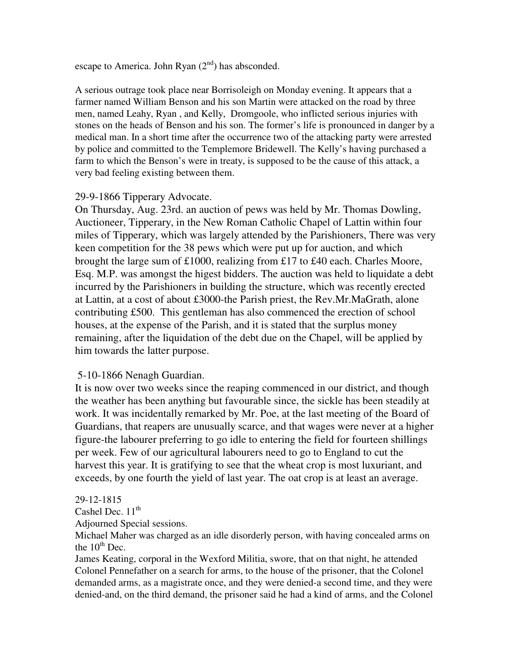escape to America. John Ryan  $(2<sup>nd</sup>)$  has absconded.

A serious outrage took place near Borrisoleigh on Monday evening. It appears that a farmer named William Benson and his son Martin were attacked on the road by three men, named Leahy, Ryan , and Kelly, Dromgoole, who inflicted serious injuries with stones on the heads of Benson and his son. The former's life is pronounced in danger by a medical man. In a short time after the occurrence two of the attacking party were arrested by police and committed to the Templemore Bridewell. The Kelly's having purchased a farm to which the Benson's were in treaty, is supposed to be the cause of this attack, a very bad feeling existing between them.

# 29-9-1866 Tipperary Advocate.

On Thursday, Aug. 23rd. an auction of pews was held by Mr. Thomas Dowling, Auctioneer, Tipperary, in the New Roman Catholic Chapel of Lattin within four miles of Tipperary, which was largely attended by the Parishioners, There was very keen competition for the 38 pews which were put up for auction, and which brought the large sum of £1000, realizing from £17 to £40 each. Charles Moore, Esq. M.P. was amongst the higest bidders. The auction was held to liquidate a debt incurred by the Parishioners in building the structure, which was recently erected at Lattin, at a cost of about £3000-the Parish priest, the Rev.Mr.MaGrath, alone contributing £500. This gentleman has also commenced the erection of school houses, at the expense of the Parish, and it is stated that the surplus money remaining, after the liquidation of the debt due on the Chapel, will be applied by him towards the latter purpose.

# 5-10-1866 Nenagh Guardian.

It is now over two weeks since the reaping commenced in our district, and though the weather has been anything but favourable since, the sickle has been steadily at work. It was incidentally remarked by Mr. Poe, at the last meeting of the Board of Guardians, that reapers are unusually scarce, and that wages were never at a higher figure-the labourer preferring to go idle to entering the field for fourteen shillings per week. Few of our agricultural labourers need to go to England to cut the harvest this year. It is gratifying to see that the wheat crop is most luxuriant, and exceeds, by one fourth the yield of last year. The oat crop is at least an average.

# 29-12-1815

Cashel Dec.  $11<sup>th</sup>$ 

Adjourned Special sessions.

Michael Maher was charged as an idle disorderly person, with having concealed arms on the  $10^{th}$  Dec.

James Keating, corporal in the Wexford Militia, swore, that on that night, he attended Colonel Pennefather on a search for arms, to the house of the prisoner, that the Colonel demanded arms, as a magistrate once, and they were denied-a second time, and they were denied-and, on the third demand, the prisoner said he had a kind of arms, and the Colonel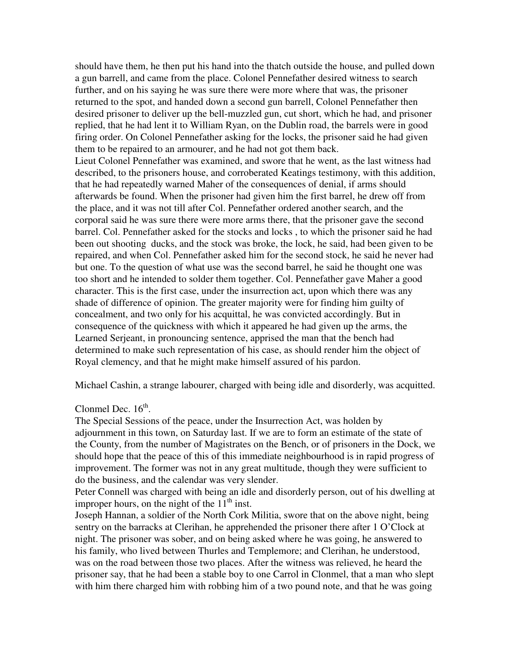should have them, he then put his hand into the thatch outside the house, and pulled down a gun barrell, and came from the place. Colonel Pennefather desired witness to search further, and on his saying he was sure there were more where that was, the prisoner returned to the spot, and handed down a second gun barrell, Colonel Pennefather then desired prisoner to deliver up the bell-muzzled gun, cut short, which he had, and prisoner replied, that he had lent it to William Ryan, on the Dublin road, the barrels were in good firing order. On Colonel Pennefather asking for the locks, the prisoner said he had given them to be repaired to an armourer, and he had not got them back.

Lieut Colonel Pennefather was examined, and swore that he went, as the last witness had described, to the prisoners house, and corroberated Keatings testimony, with this addition, that he had repeatedly warned Maher of the consequences of denial, if arms should afterwards be found. When the prisoner had given him the first barrel, he drew off from the place, and it was not till after Col. Pennefather ordered another search, and the corporal said he was sure there were more arms there, that the prisoner gave the second barrel. Col. Pennefather asked for the stocks and locks , to which the prisoner said he had been out shooting ducks, and the stock was broke, the lock, he said, had been given to be repaired, and when Col. Pennefather asked him for the second stock, he said he never had but one. To the question of what use was the second barrel, he said he thought one was too short and he intended to solder them together. Col. Pennefather gave Maher a good character. This is the first case, under the insurrection act, upon which there was any shade of difference of opinion. The greater majority were for finding him guilty of concealment, and two only for his acquittal, he was convicted accordingly. But in consequence of the quickness with which it appeared he had given up the arms, the Learned Serjeant, in pronouncing sentence, apprised the man that the bench had determined to make such representation of his case, as should render him the object of Royal clemency, and that he might make himself assured of his pardon.

Michael Cashin, a strange labourer, charged with being idle and disorderly, was acquitted.

# Clonmel Dec.  $16<sup>th</sup>$ .

The Special Sessions of the peace, under the Insurrection Act, was holden by adjournment in this town, on Saturday last. If we are to form an estimate of the state of the County, from the number of Magistrates on the Bench, or of prisoners in the Dock, we should hope that the peace of this of this immediate neighbourhood is in rapid progress of improvement. The former was not in any great multitude, though they were sufficient to do the business, and the calendar was very slender.

Peter Connell was charged with being an idle and disorderly person, out of his dwelling at improper hours, on the night of the  $11<sup>th</sup>$  inst.

Joseph Hannan, a soldier of the North Cork Militia, swore that on the above night, being sentry on the barracks at Clerihan, he apprehended the prisoner there after 1 O'Clock at night. The prisoner was sober, and on being asked where he was going, he answered to his family, who lived between Thurles and Templemore; and Clerihan, he understood, was on the road between those two places. After the witness was relieved, he heard the prisoner say, that he had been a stable boy to one Carrol in Clonmel, that a man who slept with him there charged him with robbing him of a two pound note, and that he was going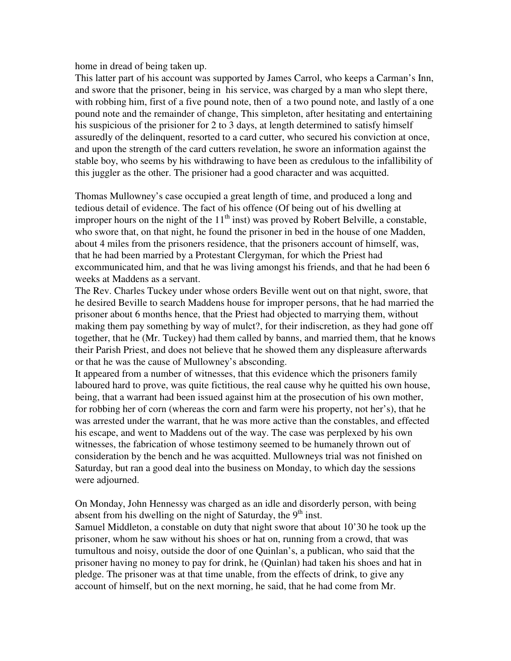home in dread of being taken up.

This latter part of his account was supported by James Carrol, who keeps a Carman's Inn, and swore that the prisoner, being in his service, was charged by a man who slept there, with robbing him, first of a five pound note, then of a two pound note, and lastly of a one pound note and the remainder of change, This simpleton, after hesitating and entertaining his suspicious of the prisioner for 2 to 3 days, at length determined to satisfy himself assuredly of the delinquent, resorted to a card cutter, who secured his conviction at once, and upon the strength of the card cutters revelation, he swore an information against the stable boy, who seems by his withdrawing to have been as credulous to the infallibility of this juggler as the other. The prisioner had a good character and was acquitted.

Thomas Mullowney's case occupied a great length of time, and produced a long and tedious detail of evidence. The fact of his offence (Of being out of his dwelling at improper hours on the night of the  $11<sup>th</sup>$  inst) was proved by Robert Belville, a constable, who swore that, on that night, he found the prisoner in bed in the house of one Madden, about 4 miles from the prisoners residence, that the prisoners account of himself, was, that he had been married by a Protestant Clergyman, for which the Priest had excommunicated him, and that he was living amongst his friends, and that he had been 6 weeks at Maddens as a servant.

The Rev. Charles Tuckey under whose orders Beville went out on that night, swore, that he desired Beville to search Maddens house for improper persons, that he had married the prisoner about 6 months hence, that the Priest had objected to marrying them, without making them pay something by way of mulct?, for their indiscretion, as they had gone off together, that he (Mr. Tuckey) had them called by banns, and married them, that he knows their Parish Priest, and does not believe that he showed them any displeasure afterwards or that he was the cause of Mullowney's absconding.

It appeared from a number of witnesses, that this evidence which the prisoners family laboured hard to prove, was quite fictitious, the real cause why he quitted his own house, being, that a warrant had been issued against him at the prosecution of his own mother, for robbing her of corn (whereas the corn and farm were his property, not her's), that he was arrested under the warrant, that he was more active than the constables, and effected his escape, and went to Maddens out of the way. The case was perplexed by his own witnesses, the fabrication of whose testimony seemed to be humanely thrown out of consideration by the bench and he was acquitted. Mullowneys trial was not finished on Saturday, but ran a good deal into the business on Monday, to which day the sessions were adjourned.

On Monday, John Hennessy was charged as an idle and disorderly person, with being absent from his dwelling on the night of Saturday, the  $9<sup>th</sup>$  inst.

Samuel Middleton, a constable on duty that night swore that about 10'30 he took up the prisoner, whom he saw without his shoes or hat on, running from a crowd, that was tumultous and noisy, outside the door of one Quinlan's, a publican, who said that the prisoner having no money to pay for drink, he (Quinlan) had taken his shoes and hat in pledge. The prisoner was at that time unable, from the effects of drink, to give any account of himself, but on the next morning, he said, that he had come from Mr.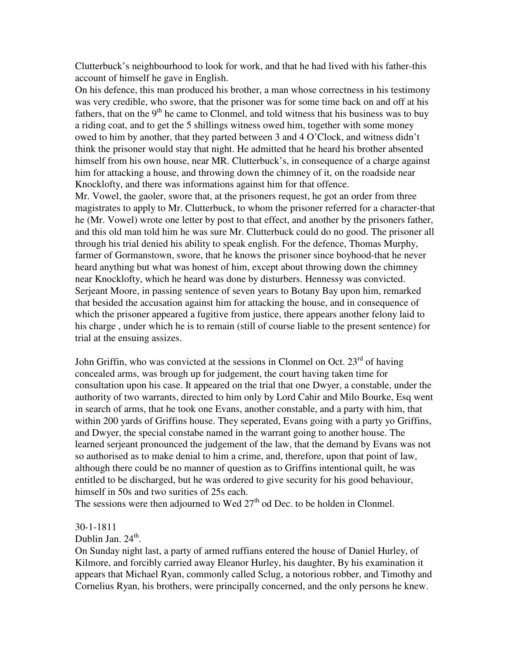Clutterbuck's neighbourhood to look for work, and that he had lived with his father-this account of himself he gave in English.

On his defence, this man produced his brother, a man whose correctness in his testimony was very credible, who swore, that the prisoner was for some time back on and off at his fathers, that on the  $9<sup>th</sup>$  he came to Clonmel, and told witness that his business was to buy a riding coat, and to get the 5 shillings witness owed him, together with some money owed to him by another, that they parted between 3 and 4 O'Clock, and witness didn't think the prisoner would stay that night. He admitted that he heard his brother absented himself from his own house, near MR. Clutterbuck's, in consequence of a charge against him for attacking a house, and throwing down the chimney of it, on the roadside near Knocklofty, and there was informations against him for that offence.

Mr. Vowel, the gaoler, swore that, at the prisoners request, he got an order from three magistrates to apply to Mr. Clutterbuck, to whom the prisoner referred for a character-that he (Mr. Vowel) wrote one letter by post to that effect, and another by the prisoners father, and this old man told him he was sure Mr. Clutterbuck could do no good. The prisoner all through his trial denied his ability to speak english. For the defence, Thomas Murphy, farmer of Gormanstown, swore, that he knows the prisoner since boyhood-that he never heard anything but what was honest of him, except about throwing down the chimney near Knocklofty, which he heard was done by disturbers. Hennessy was convicted. Serjeant Moore, in passing sentence of seven years to Botany Bay upon him, remarked that besided the accusation against him for attacking the house, and in consequence of which the prisoner appeared a fugitive from justice, there appears another felony laid to his charge , under which he is to remain (still of course liable to the present sentence) for trial at the ensuing assizes.

John Griffin, who was convicted at the sessions in Clonmel on Oct.  $23<sup>rd</sup>$  of having concealed arms, was brough up for judgement, the court having taken time for consultation upon his case. It appeared on the trial that one Dwyer, a constable, under the authority of two warrants, directed to him only by Lord Cahir and Milo Bourke, Esq went in search of arms, that he took one Evans, another constable, and a party with him, that within 200 yards of Griffins house. They seperated, Evans going with a party yo Griffins, and Dwyer, the special constabe named in the warrant going to another house. The learned serjeant pronounced the judgement of the law, that the demand by Evans was not so authorised as to make denial to him a crime, and, therefore, upon that point of law, although there could be no manner of question as to Griffins intentional quilt, he was entitled to be discharged, but he was ordered to give security for his good behaviour, himself in 50s and two surities of 25s each.

The sessions were then adjourned to Wed  $27<sup>th</sup>$  od Dec. to be holden in Clonmel.

### 30-1-1811

Dublin Jan.  $24^{\text{th}}$ .

On Sunday night last, a party of armed ruffians entered the house of Daniel Hurley, of Kilmore, and forcibly carried away Eleanor Hurley, his daughter, By his examination it appears that Michael Ryan, commonly called Sclug, a notorious robber, and Timothy and Cornelius Ryan, his brothers, were principally concerned, and the only persons he knew.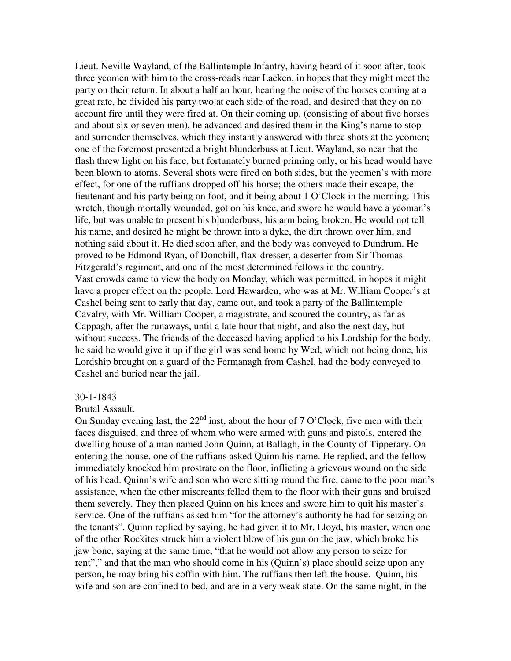Lieut. Neville Wayland, of the Ballintemple Infantry, having heard of it soon after, took three yeomen with him to the cross-roads near Lacken, in hopes that they might meet the party on their return. In about a half an hour, hearing the noise of the horses coming at a great rate, he divided his party two at each side of the road, and desired that they on no account fire until they were fired at. On their coming up, (consisting of about five horses and about six or seven men), he advanced and desired them in the King's name to stop and surrender themselves, which they instantly answered with three shots at the yeomen; one of the foremost presented a bright blunderbuss at Lieut. Wayland, so near that the flash threw light on his face, but fortunately burned priming only, or his head would have been blown to atoms. Several shots were fired on both sides, but the yeomen's with more effect, for one of the ruffians dropped off his horse; the others made their escape, the lieutenant and his party being on foot, and it being about 1 O'Clock in the morning. This wretch, though mortally wounded, got on his knee, and swore he would have a yeoman's life, but was unable to present his blunderbuss, his arm being broken. He would not tell his name, and desired he might be thrown into a dyke, the dirt thrown over him, and nothing said about it. He died soon after, and the body was conveyed to Dundrum. He proved to be Edmond Ryan, of Donohill, flax-dresser, a deserter from Sir Thomas Fitzgerald's regiment, and one of the most determined fellows in the country. Vast crowds came to view the body on Monday, which was permitted, in hopes it might have a proper effect on the people. Lord Hawarden, who was at Mr. William Cooper's at Cashel being sent to early that day, came out, and took a party of the Ballintemple Cavalry, with Mr. William Cooper, a magistrate, and scoured the country, as far as Cappagh, after the runaways, until a late hour that night, and also the next day, but without success. The friends of the deceased having applied to his Lordship for the body, he said he would give it up if the girl was send home by Wed, which not being done, his Lordship brought on a guard of the Fermanagh from Cashel, had the body conveyed to Cashel and buried near the jail.

#### 30-1-1843

#### Brutal Assault.

On Sunday evening last, the  $22<sup>nd</sup>$  inst, about the hour of 7 O'Clock, five men with their faces disguised, and three of whom who were armed with guns and pistols, entered the dwelling house of a man named John Quinn, at Ballagh, in the County of Tipperary. On entering the house, one of the ruffians asked Quinn his name. He replied, and the fellow immediately knocked him prostrate on the floor, inflicting a grievous wound on the side of his head. Quinn's wife and son who were sitting round the fire, came to the poor man's assistance, when the other miscreants felled them to the floor with their guns and bruised them severely. They then placed Quinn on his knees and swore him to quit his master's service. One of the ruffians asked him "for the attorney's authority he had for seizing on the tenants". Quinn replied by saying, he had given it to Mr. Lloyd, his master, when one of the other Rockites struck him a violent blow of his gun on the jaw, which broke his jaw bone, saying at the same time, "that he would not allow any person to seize for rent"," and that the man who should come in his (Quinn's) place should seize upon any person, he may bring his coffin with him. The ruffians then left the house. Quinn, his wife and son are confined to bed, and are in a very weak state. On the same night, in the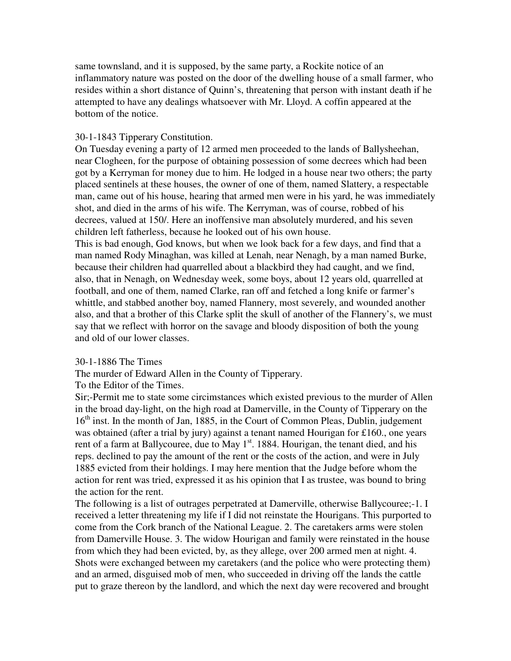same townsland, and it is supposed, by the same party, a Rockite notice of an inflammatory nature was posted on the door of the dwelling house of a small farmer, who resides within a short distance of Quinn's, threatening that person with instant death if he attempted to have any dealings whatsoever with Mr. Lloyd. A coffin appeared at the bottom of the notice.

## 30-1-1843 Tipperary Constitution.

On Tuesday evening a party of 12 armed men proceeded to the lands of Ballysheehan, near Clogheen, for the purpose of obtaining possession of some decrees which had been got by a Kerryman for money due to him. He lodged in a house near two others; the party placed sentinels at these houses, the owner of one of them, named Slattery, a respectable man, came out of his house, hearing that armed men were in his yard, he was immediately shot, and died in the arms of his wife. The Kerryman, was of course, robbed of his decrees, valued at 150/. Here an inoffensive man absolutely murdered, and his seven children left fatherless, because he looked out of his own house.

This is bad enough, God knows, but when we look back for a few days, and find that a man named Rody Minaghan, was killed at Lenah, near Nenagh, by a man named Burke, because their children had quarrelled about a blackbird they had caught, and we find, also, that in Nenagh, on Wednesday week, some boys, about 12 years old, quarrelled at football, and one of them, named Clarke, ran off and fetched a long knife or farmer's whittle, and stabbed another boy, named Flannery, most severely, and wounded another also, and that a brother of this Clarke split the skull of another of the Flannery's, we must say that we reflect with horror on the savage and bloody disposition of both the young and old of our lower classes.

### 30-1-1886 The Times

The murder of Edward Allen in the County of Tipperary.

## To the Editor of the Times.

Sir;-Permit me to state some circimstances which existed previous to the murder of Allen in the broad day-light, on the high road at Damerville, in the County of Tipperary on the 16<sup>th</sup> inst. In the month of Jan, 1885, in the Court of Common Pleas, Dublin, judgement was obtained (after a trial by jury) against a tenant named Hourigan for £160, one years rent of a farm at Ballycouree, due to May  $1<sup>st</sup>$ . 1884. Hourigan, the tenant died, and his reps. declined to pay the amount of the rent or the costs of the action, and were in July 1885 evicted from their holdings. I may here mention that the Judge before whom the action for rent was tried, expressed it as his opinion that I as trustee, was bound to bring the action for the rent.

The following is a list of outrages perpetrated at Damerville, otherwise Ballycouree;-1. I received a letter threatening my life if I did not reinstate the Hourigans. This purported to come from the Cork branch of the National League. 2. The caretakers arms were stolen from Damerville House. 3. The widow Hourigan and family were reinstated in the house from which they had been evicted, by, as they allege, over 200 armed men at night. 4. Shots were exchanged between my caretakers (and the police who were protecting them) and an armed, disguised mob of men, who succeeded in driving off the lands the cattle put to graze thereon by the landlord, and which the next day were recovered and brought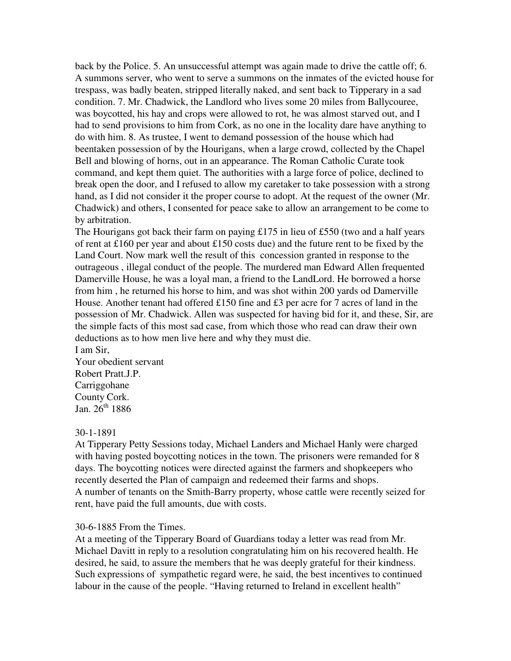back by the Police. 5. An unsuccessful attempt was again made to drive the cattle off; 6. A summons server, who went to serve a summons on the inmates of the evicted house for trespass, was badly beaten, stripped literally naked, and sent back to Tipperary in a sad condition. 7. Mr. Chadwick, the Landlord who lives some 20 miles from Ballycouree, was boycotted, his hay and crops were allowed to rot, he was almost starved out, and I had to send provisions to him from Cork, as no one in the locality dare have anything to do with him. 8. As trustee, I went to demand possession of the house which had beentaken possession of by the Hourigans, when a large crowd, collected by the Chapel Bell and blowing of horns, out in an appearance. The Roman Catholic Curate took command, and kept them quiet. The authorities with a large force of police, declined to break open the door, and I refused to allow my caretaker to take possession with a strong hand, as I did not consider it the proper course to adopt. At the request of the owner (Mr. Chadwick) and others, I consented for peace sake to allow an arrangement to be come to by arbitration.

The Hourigans got back their farm on paying £175 in lieu of £550 (two and a half years of rent at £160 per year and about £150 costs due) and the future rent to be fixed by the Land Court. Now mark well the result of this concession granted in response to the outrageous , illegal conduct of the people. The murdered man Edward Allen frequented Damerville House, he was a loyal man, a friend to the LandLord. He borrowed a horse from him , he returned his horse to him, and was shot within 200 yards od Damerville House. Another tenant had offered £150 fine and £3 per acre for 7 acres of land in the possession of Mr. Chadwick. Allen was suspected for having bid for it, and these, Sir, are the simple facts of this most sad case, from which those who read can draw their own deductions as to how men live here and why they must die.

I am Sir, Your obedient servant Robert Pratt.J.P. Carriggohane County Cork. Jan.  $26^{th}$  1886

### 30-1-1891

At Tipperary Petty Sessions today, Michael Landers and Michael Hanly were charged with having posted boycotting notices in the town. The prisoners were remanded for 8 days. The boycotting notices were directed against the farmers and shopkeepers who recently deserted the Plan of campaign and redeemed their farms and shops. A number of tenants on the Smith-Barry property, whose cattle were recently seized for rent, have paid the full amounts, due with costs.

### 30-6-1885 From the Times.

At a meeting of the Tipperary Board of Guardians today a letter was read from Mr. Michael Davitt in reply to a resolution congratulating him on his recovered health. He desired, he said, to assure the members that he was deeply grateful for their kindness. Such expressions of sympathetic regard were, he said, the best incentives to continued labour in the cause of the people. "Having returned to Ireland in excellent health"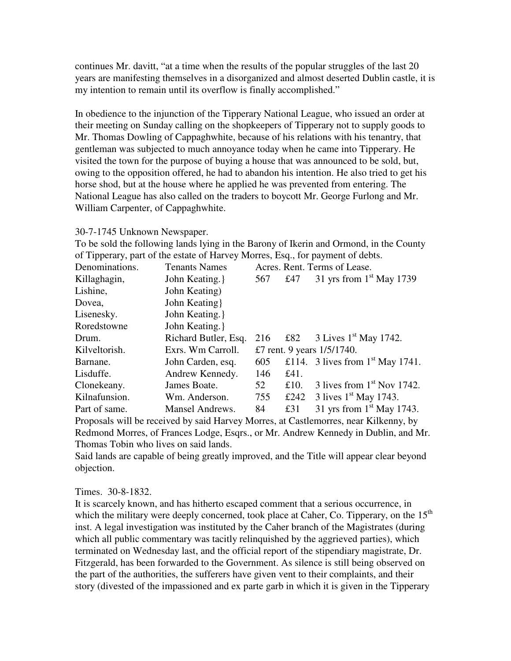continues Mr. davitt, "at a time when the results of the popular struggles of the last 20 years are manifesting themselves in a disorganized and almost deserted Dublin castle, it is my intention to remain until its overflow is finally accomplished."

In obedience to the injunction of the Tipperary National League, who issued an order at their meeting on Sunday calling on the shopkeepers of Tipperary not to supply goods to Mr. Thomas Dowling of Cappaghwhite, because of his relations with his tenantry, that gentleman was subjected to much annoyance today when he came into Tipperary. He visited the town for the purpose of buying a house that was announced to be sold, but, owing to the opposition offered, he had to abandon his intention. He also tried to get his horse shod, but at the house where he applied he was prevented from entering. The National League has also called on the traders to boycott Mr. George Furlong and Mr. William Carpenter, of Cappaghwhite.

### 30-7-1745 Unknown Newspaper.

To be sold the following lands lying in the Barony of Ikerin and Ormond, in the County of Tipperary, part of the estate of Harvey Morres, Esq., for payment of debts.

| Denominations. | <b>Tenants Names</b> |                            |      | Acres. Rent. Terms of Lease.       |
|----------------|----------------------|----------------------------|------|------------------------------------|
| Killaghagin,   | John Keating.        | 567                        | £47  | 31 yrs from $1st$ May 1739         |
| Lishine,       | John Keating)        |                            |      |                                    |
| Dovea,         | John Keating         |                            |      |                                    |
| Lisenesky.     | John Keating.        |                            |      |                                    |
| Roredstowne    | John Keating.        |                            |      |                                    |
| Drum.          | Richard Butler, Esq. | 216                        |      | £82 3 Lives $1^{st}$ May 1742.     |
| Kilveltorish.  | Exrs. Wm Carroll.    | £7 rent. 9 years 1/5/1740. |      |                                    |
| Barnane.       | John Carden, esq.    | 605                        |      | £114. 3 lives from $1st$ May 1741. |
| Lisduffe.      | Andrew Kennedy.      | 146                        | £41. |                                    |
| Clonekeany.    | James Boate.         | 52                         | £10. | 3 lives from $1st$ Nov 1742.       |
| Kilnafunsion.  | Wm. Anderson.        | 755                        | £242 | 3 lives $1st$ May 1743.            |
| Part of same.  | Mansel Andrews.      | 84                         | £31  | 31 yrs from $1st$ May 1743.        |

Proposals will be received by said Harvey Morres, at Castlemorres, near Kilkenny, by Redmond Morres, of Frances Lodge, Esqrs., or Mr. Andrew Kennedy in Dublin, and Mr. Thomas Tobin who lives on said lands.

Said lands are capable of being greatly improved, and the Title will appear clear beyond objection.

### Times. 30-8-1832.

It is scarcely known, and has hitherto escaped comment that a serious occurrence, in which the military were deeply concerned, took place at Caher, Co. Tipperary, on the  $15<sup>th</sup>$ inst. A legal investigation was instituted by the Caher branch of the Magistrates (during which all public commentary was tacitly relinquished by the aggrieved parties), which terminated on Wednesday last, and the official report of the stipendiary magistrate, Dr. Fitzgerald, has been forwarded to the Government. As silence is still being observed on the part of the authorities, the sufferers have given vent to their complaints, and their story (divested of the impassioned and ex parte garb in which it is given in the Tipperary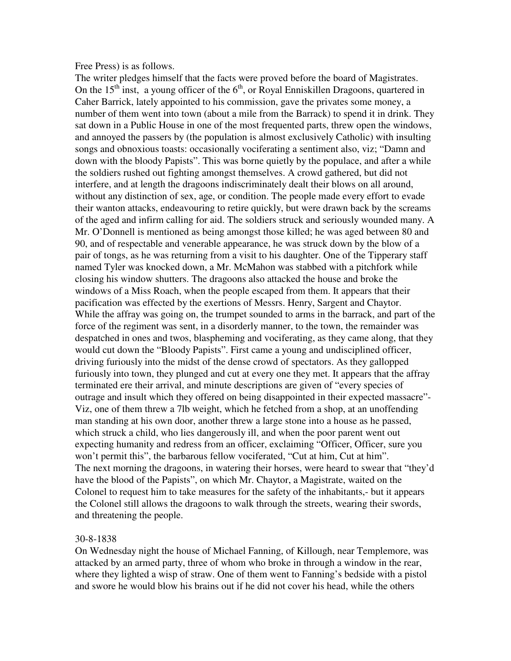#### Free Press) is as follows.

The writer pledges himself that the facts were proved before the board of Magistrates. On the  $15<sup>th</sup>$  inst, a young officer of the  $6<sup>th</sup>$ , or Royal Enniskillen Dragoons, quartered in Caher Barrick, lately appointed to his commission, gave the privates some money, a number of them went into town (about a mile from the Barrack) to spend it in drink. They sat down in a Public House in one of the most frequented parts, threw open the windows, and annoyed the passers by (the population is almost exclusively Catholic) with insulting songs and obnoxious toasts: occasionally vociferating a sentiment also, viz; "Damn and down with the bloody Papists". This was borne quietly by the populace, and after a while the soldiers rushed out fighting amongst themselves. A crowd gathered, but did not interfere, and at length the dragoons indiscriminately dealt their blows on all around, without any distinction of sex, age, or condition. The people made every effort to evade their wanton attacks, endeavouring to retire quickly, but were drawn back by the screams of the aged and infirm calling for aid. The soldiers struck and seriously wounded many. A Mr. O'Donnell is mentioned as being amongst those killed; he was aged between 80 and 90, and of respectable and venerable appearance, he was struck down by the blow of a pair of tongs, as he was returning from a visit to his daughter. One of the Tipperary staff named Tyler was knocked down, a Mr. McMahon was stabbed with a pitchfork while closing his window shutters. The dragoons also attacked the house and broke the windows of a Miss Roach, when the people escaped from them. It appears that their pacification was effected by the exertions of Messrs. Henry, Sargent and Chaytor. While the affray was going on, the trumpet sounded to arms in the barrack, and part of the force of the regiment was sent, in a disorderly manner, to the town, the remainder was despatched in ones and twos, blaspheming and vociferating, as they came along, that they would cut down the "Bloody Papists". First came a young and undisciplined officer, driving furiously into the midst of the dense crowd of spectators. As they gallopped furiously into town, they plunged and cut at every one they met. It appears that the affray terminated ere their arrival, and minute descriptions are given of "every species of outrage and insult which they offered on being disappointed in their expected massacre"- Viz, one of them threw a 7lb weight, which he fetched from a shop, at an unoffending man standing at his own door, another threw a large stone into a house as he passed, which struck a child, who lies dangerously ill, and when the poor parent went out expecting humanity and redress from an officer, exclaiming "Officer, Officer, sure you won't permit this", the barbarous fellow vociferated, "Cut at him, Cut at him". The next morning the dragoons, in watering their horses, were heard to swear that "they'd have the blood of the Papists", on which Mr. Chaytor, a Magistrate, waited on the Colonel to request him to take measures for the safety of the inhabitants,- but it appears the Colonel still allows the dragoons to walk through the streets, wearing their swords, and threatening the people.

## 30-8-1838

On Wednesday night the house of Michael Fanning, of Killough, near Templemore, was attacked by an armed party, three of whom who broke in through a window in the rear, where they lighted a wisp of straw. One of them went to Fanning's bedside with a pistol and swore he would blow his brains out if he did not cover his head, while the others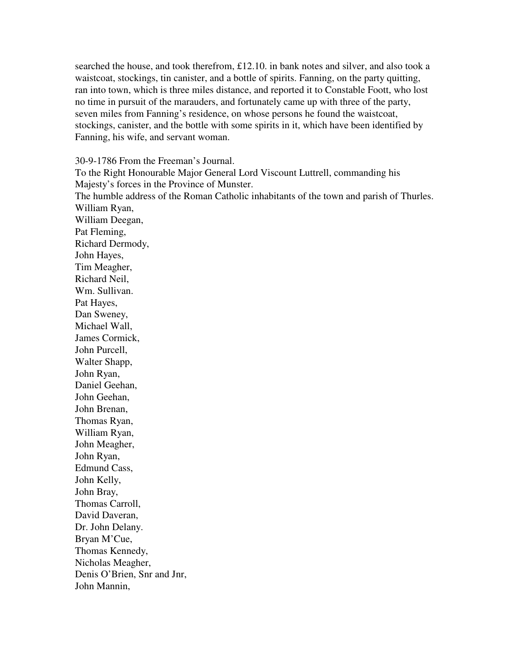searched the house, and took therefrom, £12.10. in bank notes and silver, and also took a waistcoat, stockings, tin canister, and a bottle of spirits. Fanning, on the party quitting, ran into town, which is three miles distance, and reported it to Constable Foott, who lost no time in pursuit of the marauders, and fortunately came up with three of the party, seven miles from Fanning's residence, on whose persons he found the waistcoat, stockings, canister, and the bottle with some spirits in it, which have been identified by Fanning, his wife, and servant woman.

30-9-1786 From the Freeman's Journal.

To the Right Honourable Major General Lord Viscount Luttrell, commanding his Majesty's forces in the Province of Munster. The humble address of the Roman Catholic inhabitants of the town and parish of Thurles. William Ryan, William Deegan, Pat Fleming, Richard Dermody, John Hayes, Tim Meagher, Richard Neil, Wm. Sullivan. Pat Hayes, Dan Sweney, Michael Wall, James Cormick, John Purcell, Walter Shapp, John Ryan, Daniel Geehan, John Geehan, John Brenan, Thomas Ryan, William Ryan, John Meagher, John Ryan, Edmund Cass, John Kelly, John Bray, Thomas Carroll, David Daveran, Dr. John Delany. Bryan M'Cue, Thomas Kennedy, Nicholas Meagher, Denis O'Brien, Snr and Jnr,

John Mannin,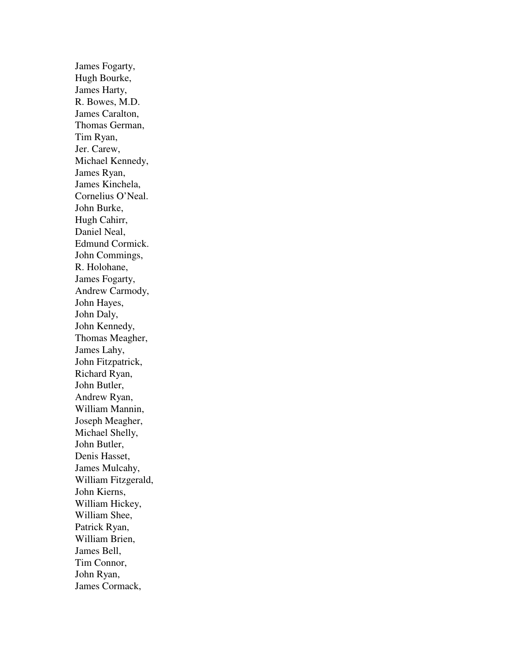James Fogarty, Hugh Bourke, James Harty, R. Bowes, M.D. James Caralton, Thomas German, Tim Ryan, Jer. Carew, Michael Kennedy, James Ryan, James Kinchela, Cornelius O'Neal. John Burke, Hugh Cahirr, Daniel Neal, Edmund Cormick. John Commings, R. Holohane, James Fogarty, Andrew Carmody, John Hayes, John Daly, John Kennedy, Thomas Meagher, James Lahy, John Fitzpatrick, Richard Ryan, John Butler, Andrew Ryan, William Mannin, Joseph Meagher, Michael Shelly, John Butler, Denis Hasset, James Mulcahy, William Fitzgerald, John Kierns, William Hickey, William Shee, Patrick Ryan, William Brien, James Bell, Tim Connor, John Ryan, James Cormack,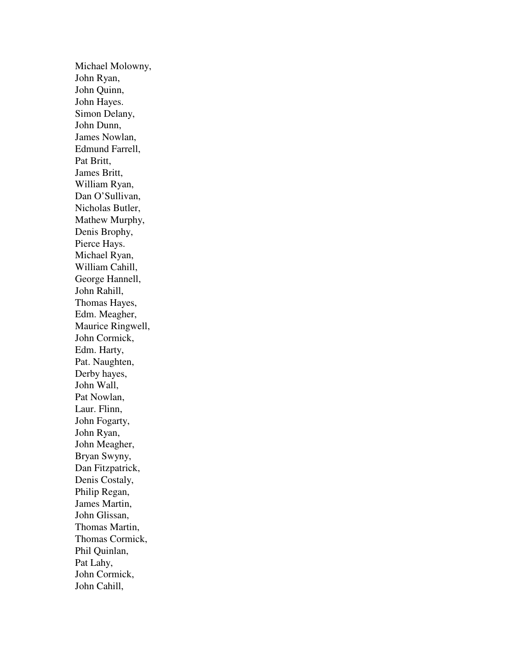Michael Molowny, John Ryan, John Quinn, John Hayes. Simon Delany, John Dunn, James Nowlan, Edmund Farrell, Pat Britt, James Britt, William Ryan, Dan O'Sullivan, Nicholas Butler, Mathew Murphy, Denis Brophy, Pierce Hays. Michael Ryan, William Cahill, George Hannell, John Rahill, Thomas Hayes, Edm. Meagher, Maurice Ringwell, John Cormick, Edm. Harty, Pat. Naughten, Derby hayes, John Wall, Pat Nowlan, Laur. Flinn, John Fogarty, John Ryan, John Meagher, Bryan Swyny, Dan Fitzpatrick, Denis Costaly, Philip Regan, James Martin, John Glissan, Thomas Martin, Thomas Cormick, Phil Quinlan, Pat Lahy, John Cormick, John Cahill,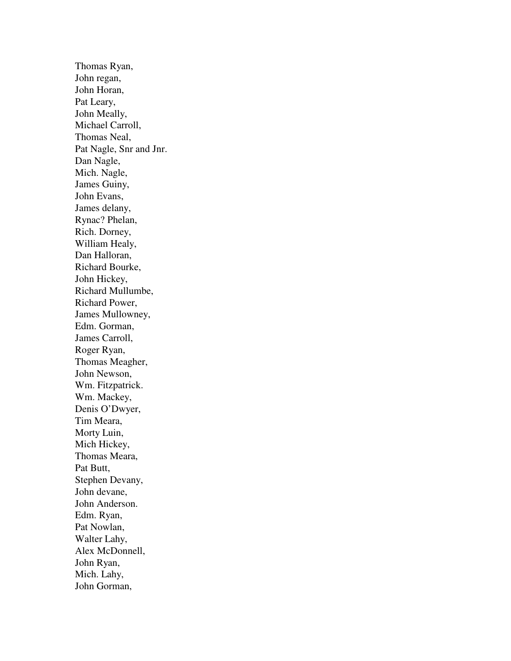Thomas Ryan, John regan, John Horan, Pat Leary, John Meally, Michael Carroll, Thomas Neal, Pat Nagle, Snr and Jnr. Dan Nagle, Mich. Nagle, James Guiny, John Evans, James delany, Rynac? Phelan, Rich. Dorney, William Healy, Dan Halloran, Richard Bourke, John Hickey, Richard Mullumbe, Richard Power, James Mullowney, Edm. Gorman, James Carroll, Roger Ryan, Thomas Meagher, John Newson, Wm. Fitzpatrick. Wm. Mackey, Denis O'Dwyer, Tim Meara, Morty Luin, Mich Hickey, Thomas Meara, Pat Butt, Stephen Devany, John devane, John Anderson. Edm. Ryan, Pat Nowlan, Walter Lahy, Alex McDonnell, John Ryan, Mich. Lahy, John Gorman,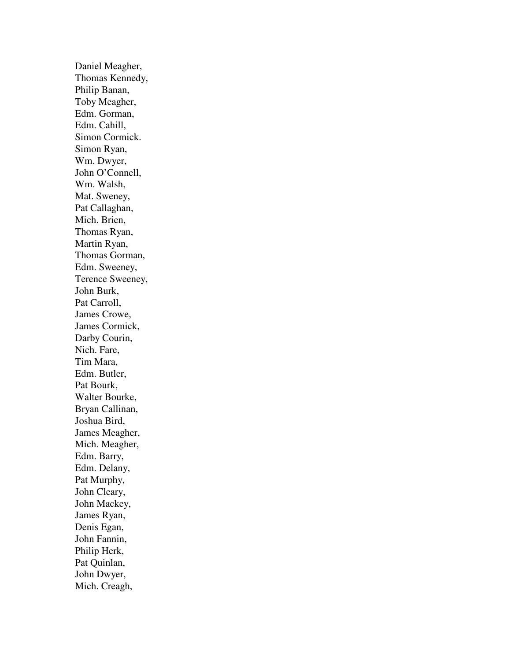Daniel Meagher, Thomas Kennedy, Philip Banan, Toby Meagher, Edm. Gorman, Edm. Cahill, Simon Cormick. Simon Ryan, Wm. Dwyer, John O'Connell, Wm. Walsh, Mat. Sweney, Pat Callaghan, Mich. Brien, Thomas Ryan, Martin Ryan, Thomas Gorman, Edm. Sweeney, Terence Sweeney, John Burk, Pat Carroll, James Crowe, James Cormick, Darby Courin, Nich. Fare, Tim Mara, Edm. Butler, Pat Bourk, Walter Bourke, Bryan Callinan, Joshua Bird, James Meagher, Mich. Meagher, Edm. Barry, Edm. Delany, Pat Murphy, John Cleary, John Mackey, James Ryan, Denis Egan, John Fannin, Philip Herk, Pat Quinlan, John Dwyer, Mich. Creagh,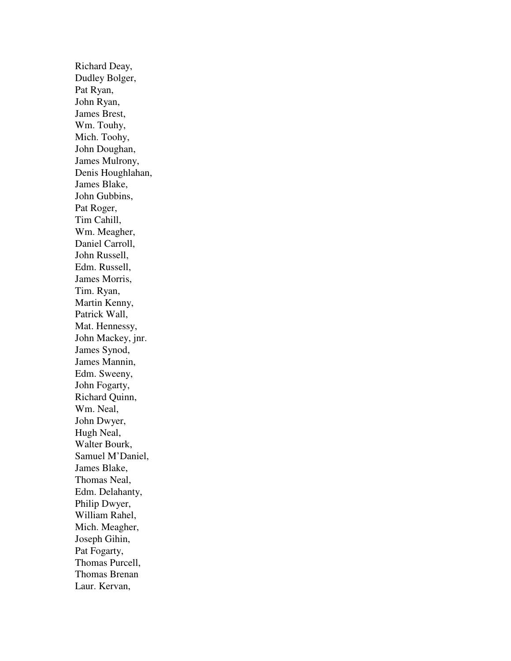Richard Deay, Dudley Bolger, Pat Ryan, John Ryan, James Brest, Wm. Touhy, Mich. Toohy, John Doughan, James Mulrony, Denis Houghlahan, James Blake, John Gubbins, Pat Roger, Tim Cahill, Wm. Meagher, Daniel Carroll, John Russell, Edm. Russell, James Morris, Tim. Ryan, Martin Kenny, Patrick Wall, Mat. Hennessy, John Mackey, jnr. James Synod, James Mannin, Edm. Sweeny, John Fogarty, Richard Quinn, Wm. Neal, John Dwyer, Hugh Neal, Walter Bourk, Samuel M'Daniel, James Blake, Thomas Neal, Edm. Delahanty, Philip Dwyer, William Rahel, Mich. Meagher, Joseph Gihin, Pat Fogarty, Thomas Purcell, Thomas Brenan Laur. Kervan,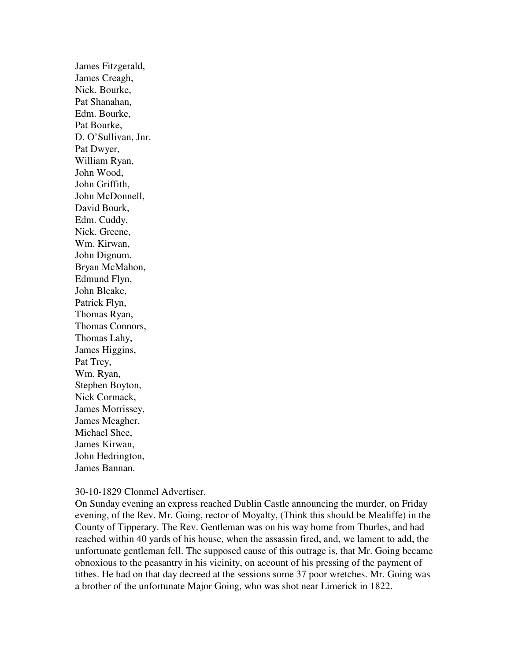James Fitzgerald, James Creagh, Nick. Bourke, Pat Shanahan, Edm. Bourke, Pat Bourke, D. O'Sullivan, Jnr. Pat Dwyer, William Ryan, John Wood, John Griffith, John McDonnell, David Bourk, Edm. Cuddy, Nick. Greene, Wm. Kirwan, John Dignum. Bryan McMahon, Edmund Flyn, John Bleake, Patrick Flyn, Thomas Ryan, Thomas Connors, Thomas Lahy, James Higgins, Pat Trey, Wm. Ryan, Stephen Boyton, Nick Cormack, James Morrissey, James Meagher, Michael Shee, James Kirwan, John Hedrington, James Bannan.

#### 30-10-1829 Clonmel Advertiser.

On Sunday evening an express reached Dublin Castle announcing the murder, on Friday evening, of the Rev. Mr. Going, rector of Moyalty, (Think this should be Mealiffe) in the County of Tipperary. The Rev. Gentleman was on his way home from Thurles, and had reached within 40 yards of his house, when the assassin fired, and, we lament to add, the unfortunate gentleman fell. The supposed cause of this outrage is, that Mr. Going became obnoxious to the peasantry in his vicinity, on account of his pressing of the payment of tithes. He had on that day decreed at the sessions some 37 poor wretches. Mr. Going was a brother of the unfortunate Major Going, who was shot near Limerick in 1822.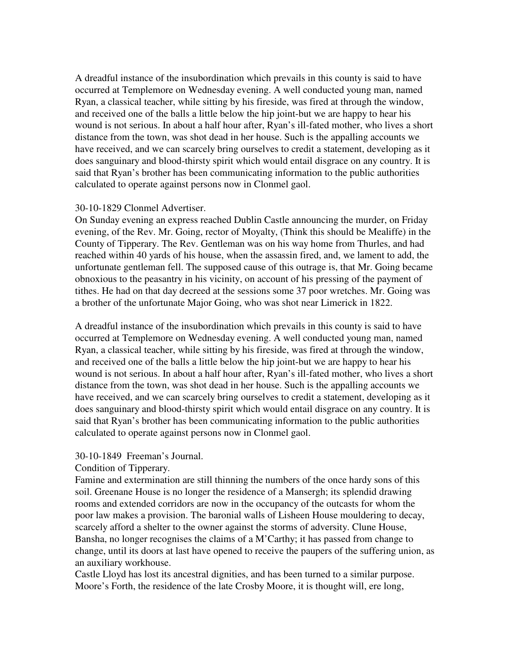A dreadful instance of the insubordination which prevails in this county is said to have occurred at Templemore on Wednesday evening. A well conducted young man, named Ryan, a classical teacher, while sitting by his fireside, was fired at through the window, and received one of the balls a little below the hip joint-but we are happy to hear his wound is not serious. In about a half hour after, Ryan's ill-fated mother, who lives a short distance from the town, was shot dead in her house. Such is the appalling accounts we have received, and we can scarcely bring ourselves to credit a statement, developing as it does sanguinary and blood-thirsty spirit which would entail disgrace on any country. It is said that Ryan's brother has been communicating information to the public authorities calculated to operate against persons now in Clonmel gaol.

## 30-10-1829 Clonmel Advertiser.

On Sunday evening an express reached Dublin Castle announcing the murder, on Friday evening, of the Rev. Mr. Going, rector of Moyalty, (Think this should be Mealiffe) in the County of Tipperary. The Rev. Gentleman was on his way home from Thurles, and had reached within 40 yards of his house, when the assassin fired, and, we lament to add, the unfortunate gentleman fell. The supposed cause of this outrage is, that Mr. Going became obnoxious to the peasantry in his vicinity, on account of his pressing of the payment of tithes. He had on that day decreed at the sessions some 37 poor wretches. Mr. Going was a brother of the unfortunate Major Going, who was shot near Limerick in 1822.

A dreadful instance of the insubordination which prevails in this county is said to have occurred at Templemore on Wednesday evening. A well conducted young man, named Ryan, a classical teacher, while sitting by his fireside, was fired at through the window, and received one of the balls a little below the hip joint-but we are happy to hear his wound is not serious. In about a half hour after, Ryan's ill-fated mother, who lives a short distance from the town, was shot dead in her house. Such is the appalling accounts we have received, and we can scarcely bring ourselves to credit a statement, developing as it does sanguinary and blood-thirsty spirit which would entail disgrace on any country. It is said that Ryan's brother has been communicating information to the public authorities calculated to operate against persons now in Clonmel gaol.

## 30-10-1849 Freeman's Journal.

## Condition of Tipperary.

Famine and extermination are still thinning the numbers of the once hardy sons of this soil. Greenane House is no longer the residence of a Mansergh; its splendid drawing rooms and extended corridors are now in the occupancy of the outcasts for whom the poor law makes a provision. The baronial walls of Lisheen House mouldering to decay, scarcely afford a shelter to the owner against the storms of adversity. Clune House, Bansha, no longer recognises the claims of a M'Carthy; it has passed from change to change, until its doors at last have opened to receive the paupers of the suffering union, as an auxiliary workhouse.

Castle Lloyd has lost its ancestral dignities, and has been turned to a similar purpose. Moore's Forth, the residence of the late Crosby Moore, it is thought will, ere long,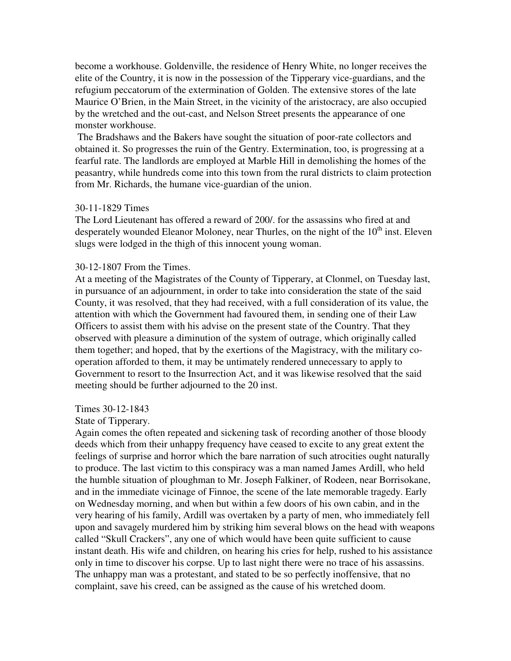become a workhouse. Goldenville, the residence of Henry White, no longer receives the elite of the Country, it is now in the possession of the Tipperary vice-guardians, and the refugium peccatorum of the extermination of Golden. The extensive stores of the late Maurice O'Brien, in the Main Street, in the vicinity of the aristocracy, are also occupied by the wretched and the out-cast, and Nelson Street presents the appearance of one monster workhouse.

 The Bradshaws and the Bakers have sought the situation of poor-rate collectors and obtained it. So progresses the ruin of the Gentry. Extermination, too, is progressing at a fearful rate. The landlords are employed at Marble Hill in demolishing the homes of the peasantry, while hundreds come into this town from the rural districts to claim protection from Mr. Richards, the humane vice-guardian of the union.

## 30-11-1829 Times

The Lord Lieutenant has offered a reward of 200/. for the assassins who fired at and desperately wounded Eleanor Moloney, near Thurles, on the night of the 10<sup>th</sup> inst. Eleven slugs were lodged in the thigh of this innocent young woman.

#### 30-12-1807 From the Times.

At a meeting of the Magistrates of the County of Tipperary, at Clonmel, on Tuesday last, in pursuance of an adjournment, in order to take into consideration the state of the said County, it was resolved, that they had received, with a full consideration of its value, the attention with which the Government had favoured them, in sending one of their Law Officers to assist them with his advise on the present state of the Country. That they observed with pleasure a diminution of the system of outrage, which originally called them together; and hoped, that by the exertions of the Magistracy, with the military cooperation afforded to them, it may be untimately rendered unnecessary to apply to Government to resort to the Insurrection Act, and it was likewise resolved that the said meeting should be further adjourned to the 20 inst.

Times 30-12-1843

State of Tipperary.

Again comes the often repeated and sickening task of recording another of those bloody deeds which from their unhappy frequency have ceased to excite to any great extent the feelings of surprise and horror which the bare narration of such atrocities ought naturally to produce. The last victim to this conspiracy was a man named James Ardill, who held the humble situation of ploughman to Mr. Joseph Falkiner, of Rodeen, near Borrisokane, and in the immediate vicinage of Finnoe, the scene of the late memorable tragedy. Early on Wednesday morning, and when but within a few doors of his own cabin, and in the very hearing of his family, Ardill was overtaken by a party of men, who immediately fell upon and savagely murdered him by striking him several blows on the head with weapons called "Skull Crackers", any one of which would have been quite sufficient to cause instant death. His wife and children, on hearing his cries for help, rushed to his assistance only in time to discover his corpse. Up to last night there were no trace of his assassins. The unhappy man was a protestant, and stated to be so perfectly inoffensive, that no complaint, save his creed, can be assigned as the cause of his wretched doom.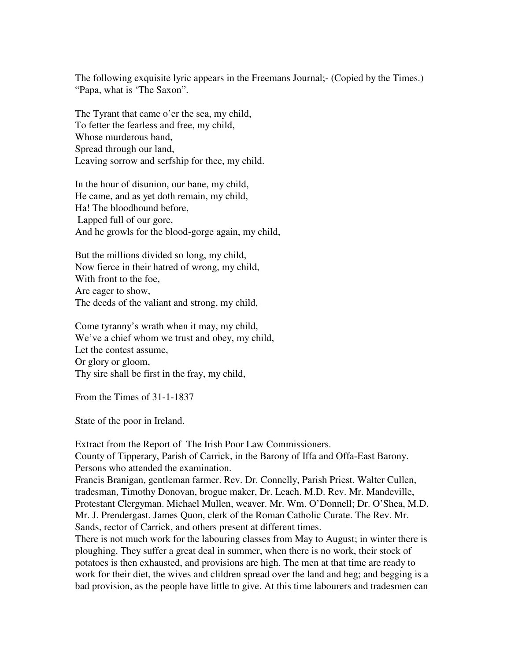The following exquisite lyric appears in the Freemans Journal;- (Copied by the Times.) "Papa, what is 'The Saxon".

The Tyrant that came o'er the sea, my child, To fetter the fearless and free, my child, Whose murderous band, Spread through our land, Leaving sorrow and serfship for thee, my child.

In the hour of disunion, our bane, my child, He came, and as yet doth remain, my child, Ha! The bloodhound before, Lapped full of our gore, And he growls for the blood-gorge again, my child,

But the millions divided so long, my child, Now fierce in their hatred of wrong, my child, With front to the foe, Are eager to show, The deeds of the valiant and strong, my child,

Come tyranny's wrath when it may, my child, We've a chief whom we trust and obey, my child, Let the contest assume, Or glory or gloom, Thy sire shall be first in the fray, my child,

From the Times of 31-1-1837

State of the poor in Ireland.

Extract from the Report of The Irish Poor Law Commissioners.

County of Tipperary, Parish of Carrick, in the Barony of Iffa and Offa-East Barony. Persons who attended the examination.

Francis Branigan, gentleman farmer. Rev. Dr. Connelly, Parish Priest. Walter Cullen, tradesman, Timothy Donovan, brogue maker, Dr. Leach. M.D. Rev. Mr. Mandeville, Protestant Clergyman. Michael Mullen, weaver. Mr. Wm. O'Donnell; Dr. O'Shea, M.D. Mr. J. Prendergast. James Quon, clerk of the Roman Catholic Curate. The Rev. Mr. Sands, rector of Carrick, and others present at different times.

There is not much work for the labouring classes from May to August; in winter there is ploughing. They suffer a great deal in summer, when there is no work, their stock of potatoes is then exhausted, and provisions are high. The men at that time are ready to work for their diet, the wives and clildren spread over the land and beg; and begging is a bad provision, as the people have little to give. At this time labourers and tradesmen can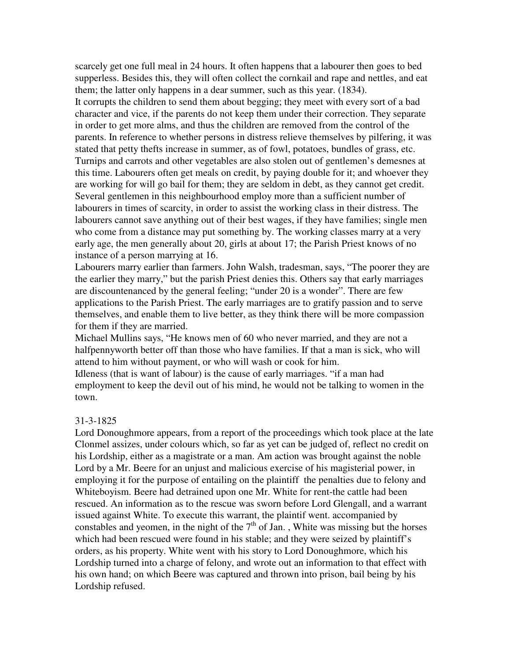scarcely get one full meal in 24 hours. It often happens that a labourer then goes to bed supperless. Besides this, they will often collect the cornkail and rape and nettles, and eat them; the latter only happens in a dear summer, such as this year. (1834).

It corrupts the children to send them about begging; they meet with every sort of a bad character and vice, if the parents do not keep them under their correction. They separate in order to get more alms, and thus the children are removed from the control of the parents. In reference to whether persons in distress relieve themselves by pilfering, it was stated that petty thefts increase in summer, as of fowl, potatoes, bundles of grass, etc. Turnips and carrots and other vegetables are also stolen out of gentlemen's demesnes at this time. Labourers often get meals on credit, by paying double for it; and whoever they are working for will go bail for them; they are seldom in debt, as they cannot get credit. Several gentlemen in this neighbourhood employ more than a sufficient number of labourers in times of scarcity, in order to assist the working class in their distress. The labourers cannot save anything out of their best wages, if they have families; single men who come from a distance may put something by. The working classes marry at a very early age, the men generally about 20, girls at about 17; the Parish Priest knows of no instance of a person marrying at 16.

Labourers marry earlier than farmers. John Walsh, tradesman, says, "The poorer they are the earlier they marry," but the parish Priest denies this. Others say that early marriages are discountenanced by the general feeling; "under 20 is a wonder". There are few applications to the Parish Priest. The early marriages are to gratify passion and to serve themselves, and enable them to live better, as they think there will be more compassion for them if they are married.

Michael Mullins says, "He knows men of 60 who never married, and they are not a halfpennyworth better off than those who have families. If that a man is sick, who will attend to him without payment, or who will wash or cook for him.

Idleness (that is want of labour) is the cause of early marriages. "if a man had employment to keep the devil out of his mind, he would not be talking to women in the town.

### 31-3-1825

Lord Donoughmore appears, from a report of the proceedings which took place at the late Clonmel assizes, under colours which, so far as yet can be judged of, reflect no credit on his Lordship, either as a magistrate or a man. Am action was brought against the noble Lord by a Mr. Beere for an unjust and malicious exercise of his magisterial power, in employing it for the purpose of entailing on the plaintiff the penalties due to felony and Whiteboyism. Beere had detrained upon one Mr. White for rent-the cattle had been rescued. An information as to the rescue was sworn before Lord Glengall, and a warrant issued against White. To execute this warrant, the plaintif went. accompanied by constables and yeomen, in the night of the  $7<sup>th</sup>$  of Jan., White was missing but the horses which had been rescued were found in his stable; and they were seized by plaintiff's orders, as his property. White went with his story to Lord Donoughmore, which his Lordship turned into a charge of felony, and wrote out an information to that effect with his own hand; on which Beere was captured and thrown into prison, bail being by his Lordship refused.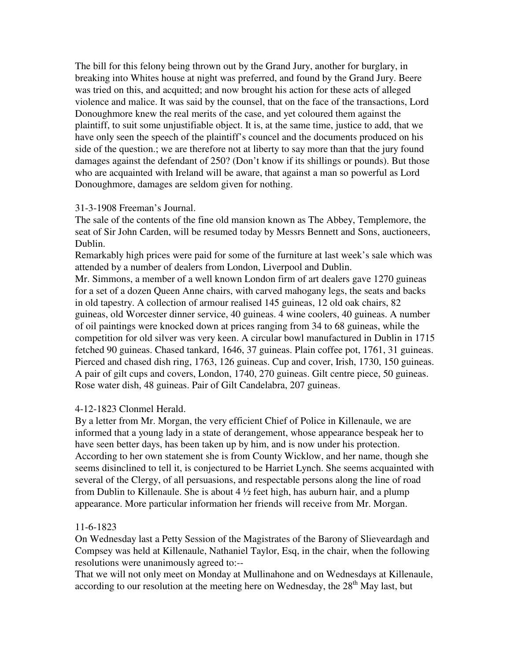The bill for this felony being thrown out by the Grand Jury, another for burglary, in breaking into Whites house at night was preferred, and found by the Grand Jury. Beere was tried on this, and acquitted; and now brought his action for these acts of alleged violence and malice. It was said by the counsel, that on the face of the transactions, Lord Donoughmore knew the real merits of the case, and yet coloured them against the plaintiff, to suit some unjustifiable object. It is, at the same time, justice to add, that we have only seen the speech of the plaintiff's councel and the documents produced on his side of the question.; we are therefore not at liberty to say more than that the jury found damages against the defendant of 250? (Don't know if its shillings or pounds). But those who are acquainted with Ireland will be aware, that against a man so powerful as Lord Donoughmore, damages are seldom given for nothing.

## 31-3-1908 Freeman's Journal.

The sale of the contents of the fine old mansion known as The Abbey, Templemore, the seat of Sir John Carden, will be resumed today by Messrs Bennett and Sons, auctioneers, Dublin.

Remarkably high prices were paid for some of the furniture at last week's sale which was attended by a number of dealers from London, Liverpool and Dublin.

Mr. Simmons, a member of a well known London firm of art dealers gave 1270 guineas for a set of a dozen Queen Anne chairs, with carved mahogany legs, the seats and backs in old tapestry. A collection of armour realised 145 guineas, 12 old oak chairs, 82 guineas, old Worcester dinner service, 40 guineas. 4 wine coolers, 40 guineas. A number of oil paintings were knocked down at prices ranging from 34 to 68 guineas, while the competition for old silver was very keen. A circular bowl manufactured in Dublin in 1715 fetched 90 guineas. Chased tankard, 1646, 37 guineas. Plain coffee pot, 1761, 31 guineas. Pierced and chased dish ring, 1763, 126 guineas. Cup and cover, Irish, 1730, 150 guineas. A pair of gilt cups and covers, London, 1740, 270 guineas. Gilt centre piece, 50 guineas. Rose water dish, 48 guineas. Pair of Gilt Candelabra, 207 guineas.

## 4-12-1823 Clonmel Herald.

By a letter from Mr. Morgan, the very efficient Chief of Police in Killenaule, we are informed that a young lady in a state of derangement, whose appearance bespeak her to have seen better days, has been taken up by him, and is now under his protection. According to her own statement she is from County Wicklow, and her name, though she seems disinclined to tell it, is conjectured to be Harriet Lynch. She seems acquainted with several of the Clergy, of all persuasions, and respectable persons along the line of road from Dublin to Killenaule. She is about 4 ½ feet high, has auburn hair, and a plump appearance. More particular information her friends will receive from Mr. Morgan.

## 11-6-1823

On Wednesday last a Petty Session of the Magistrates of the Barony of Slieveardagh and Compsey was held at Killenaule, Nathaniel Taylor, Esq, in the chair, when the following resolutions were unanimously agreed to:--

That we will not only meet on Monday at Mullinahone and on Wednesdays at Killenaule, according to our resolution at the meeting here on Wednesday, the  $28<sup>th</sup>$  May last, but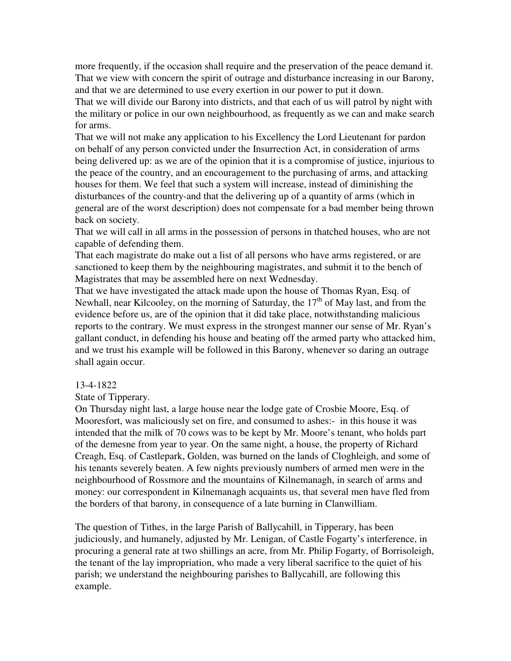more frequently, if the occasion shall require and the preservation of the peace demand it. That we view with concern the spirit of outrage and disturbance increasing in our Barony, and that we are determined to use every exertion in our power to put it down.

That we will divide our Barony into districts, and that each of us will patrol by night with the military or police in our own neighbourhood, as frequently as we can and make search for arms.

That we will not make any application to his Excellency the Lord Lieutenant for pardon on behalf of any person convicted under the Insurrection Act, in consideration of arms being delivered up: as we are of the opinion that it is a compromise of justice, injurious to the peace of the country, and an encouragement to the purchasing of arms, and attacking houses for them. We feel that such a system will increase, instead of diminishing the disturbances of the country-and that the delivering up of a quantity of arms (which in general are of the worst description) does not compensate for a bad member being thrown back on society.

That we will call in all arms in the possession of persons in thatched houses, who are not capable of defending them.

That each magistrate do make out a list of all persons who have arms registered, or are sanctioned to keep them by the neighbouring magistrates, and submit it to the bench of Magistrates that may be assembled here on next Wednesday.

That we have investigated the attack made upon the house of Thomas Ryan, Esq. of Newhall, near Kilcooley, on the morning of Saturday, the  $17<sup>th</sup>$  of May last, and from the evidence before us, are of the opinion that it did take place, notwithstanding malicious reports to the contrary. We must express in the strongest manner our sense of Mr. Ryan's gallant conduct, in defending his house and beating off the armed party who attacked him, and we trust his example will be followed in this Barony, whenever so daring an outrage shall again occur.

## 13-4-1822

State of Tipperary.

On Thursday night last, a large house near the lodge gate of Crosbie Moore, Esq. of Mooresfort, was maliciously set on fire, and consumed to ashes:- in this house it was intended that the milk of 70 cows was to be kept by Mr. Moore's tenant, who holds part of the demesne from year to year. On the same night, a house, the property of Richard Creagh, Esq. of Castlepark, Golden, was burned on the lands of Cloghleigh, and some of his tenants severely beaten. A few nights previously numbers of armed men were in the neighbourhood of Rossmore and the mountains of Kilnemanagh, in search of arms and money: our correspondent in Kilnemanagh acquaints us, that several men have fled from the borders of that barony, in consequence of a late burning in Clanwilliam.

The question of Tithes, in the large Parish of Ballycahill, in Tipperary, has been judiciously, and humanely, adjusted by Mr. Lenigan, of Castle Fogarty's interference, in procuring a general rate at two shillings an acre, from Mr. Philip Fogarty, of Borrisoleigh, the tenant of the lay impropriation, who made a very liberal sacrifice to the quiet of his parish; we understand the neighbouring parishes to Ballycahill, are following this example.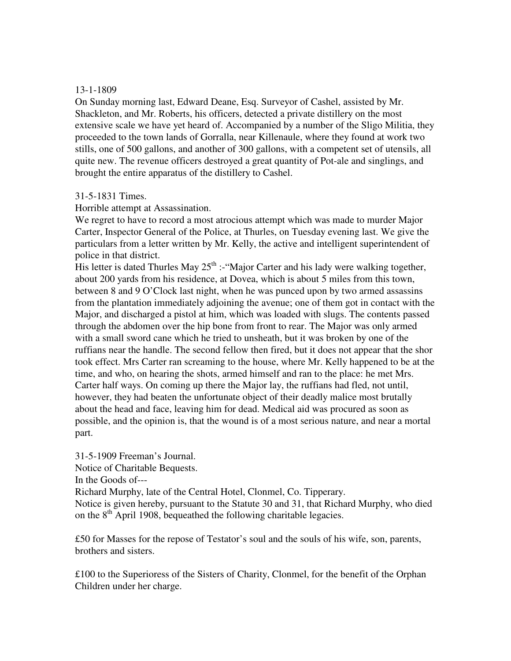## 13-1-1809

On Sunday morning last, Edward Deane, Esq. Surveyor of Cashel, assisted by Mr. Shackleton, and Mr. Roberts, his officers, detected a private distillery on the most extensive scale we have yet heard of. Accompanied by a number of the Sligo Militia, they proceeded to the town lands of Gorralla, near Killenaule, where they found at work two stills, one of 500 gallons, and another of 300 gallons, with a competent set of utensils, all quite new. The revenue officers destroyed a great quantity of Pot-ale and singlings, and brought the entire apparatus of the distillery to Cashel.

## 31-5-1831 Times.

Horrible attempt at Assassination.

We regret to have to record a most atrocious attempt which was made to murder Major Carter, Inspector General of the Police, at Thurles, on Tuesday evening last. We give the particulars from a letter written by Mr. Kelly, the active and intelligent superintendent of police in that district.

His letter is dated Thurles May  $25<sup>th</sup>$ : "Major Carter and his lady were walking together, about 200 yards from his residence, at Dovea, which is about 5 miles from this town, between 8 and 9 O'Clock last night, when he was punced upon by two armed assassins from the plantation immediately adjoining the avenue; one of them got in contact with the Major, and discharged a pistol at him, which was loaded with slugs. The contents passed through the abdomen over the hip bone from front to rear. The Major was only armed with a small sword cane which he tried to unsheath, but it was broken by one of the ruffians near the handle. The second fellow then fired, but it does not appear that the shor took effect. Mrs Carter ran screaming to the house, where Mr. Kelly happened to be at the time, and who, on hearing the shots, armed himself and ran to the place: he met Mrs. Carter half ways. On coming up there the Major lay, the ruffians had fled, not until, however, they had beaten the unfortunate object of their deadly malice most brutally about the head and face, leaving him for dead. Medical aid was procured as soon as possible, and the opinion is, that the wound is of a most serious nature, and near a mortal part.

31-5-1909 Freeman's Journal. Notice of Charitable Bequests. In the Goods of--- Richard Murphy, late of the Central Hotel, Clonmel, Co. Tipperary. Notice is given hereby, pursuant to the Statute 30 and 31, that Richard Murphy, who died on the  $8<sup>th</sup>$  April 1908, bequeathed the following charitable legacies.

£50 for Masses for the repose of Testator's soul and the souls of his wife, son, parents, brothers and sisters.

£100 to the Superioress of the Sisters of Charity, Clonmel, for the benefit of the Orphan Children under her charge.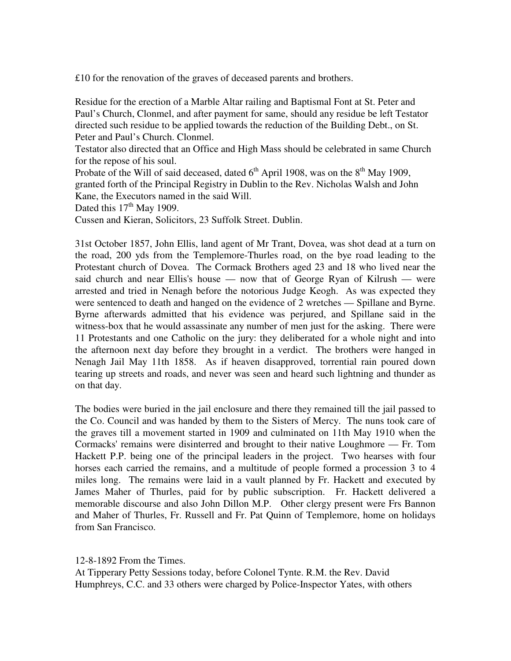£10 for the renovation of the graves of deceased parents and brothers.

Residue for the erection of a Marble Altar railing and Baptismal Font at St. Peter and Paul's Church, Clonmel, and after payment for same, should any residue be left Testator directed such residue to be applied towards the reduction of the Building Debt., on St. Peter and Paul's Church. Clonmel.

Testator also directed that an Office and High Mass should be celebrated in same Church for the repose of his soul.

Probate of the Will of said deceased, dated  $6<sup>th</sup>$  April 1908, was on the  $8<sup>th</sup>$  May 1909, granted forth of the Principal Registry in Dublin to the Rev. Nicholas Walsh and John Kane, the Executors named in the said Will.

Dated this  $17<sup>th</sup>$  May 1909.

Cussen and Kieran, Solicitors, 23 Suffolk Street. Dublin.

31st October 1857, John Ellis, land agent of Mr Trant, Dovea, was shot dead at a turn on the road, 200 yds from the Templemore-Thurles road, on the bye road leading to the Protestant church of Dovea. The Cormack Brothers aged 23 and 18 who lived near the said church and near Ellis's house — now that of George Ryan of Kilrush — were arrested and tried in Nenagh before the notorious Judge Keogh. As was expected they were sentenced to death and hanged on the evidence of 2 wretches — Spillane and Byrne. Byrne afterwards admitted that his evidence was perjured, and Spillane said in the witness-box that he would assassinate any number of men just for the asking. There were 11 Protestants and one Catholic on the jury: they deliberated for a whole night and into the afternoon next day before they brought in a verdict. The brothers were hanged in Nenagh Jail May 11th 1858. As if heaven disapproved, torrential rain poured down tearing up streets and roads, and never was seen and heard such lightning and thunder as on that day.

The bodies were buried in the jail enclosure and there they remained till the jail passed to the Co. Council and was handed by them to the Sisters of Mercy. The nuns took care of the graves till a movement started in 1909 and culminated on 11th May 1910 when the Cormacks' remains were disinterred and brought to their native Loughmore — Fr. Tom Hackett P.P. being one of the principal leaders in the project. Two hearses with four horses each carried the remains, and a multitude of people formed a procession 3 to 4 miles long. The remains were laid in a vault planned by Fr. Hackett and executed by James Maher of Thurles, paid for by public subscription. Fr. Hackett delivered a memorable discourse and also John Dillon M.P. Other clergy present were Frs Bannon and Maher of Thurles, Fr. Russell and Fr. Pat Quinn of Templemore, home on holidays from San Francisco.

12-8-1892 From the Times.

At Tipperary Petty Sessions today, before Colonel Tynte. R.M. the Rev. David Humphreys, C.C. and 33 others were charged by Police-Inspector Yates, with others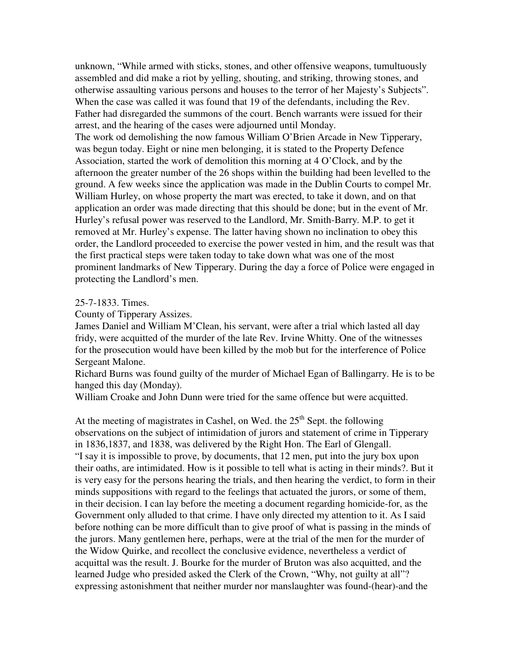unknown, "While armed with sticks, stones, and other offensive weapons, tumultuously assembled and did make a riot by yelling, shouting, and striking, throwing stones, and otherwise assaulting various persons and houses to the terror of her Majesty's Subjects". When the case was called it was found that 19 of the defendants, including the Rev. Father had disregarded the summons of the court. Bench warrants were issued for their arrest, and the hearing of the cases were adjourned until Monday.

The work od demolishing the now famous William O'Brien Arcade in New Tipperary, was begun today. Eight or nine men belonging, it is stated to the Property Defence Association, started the work of demolition this morning at 4 O'Clock, and by the afternoon the greater number of the 26 shops within the building had been levelled to the ground. A few weeks since the application was made in the Dublin Courts to compel Mr. William Hurley, on whose property the mart was erected, to take it down, and on that application an order was made directing that this should be done; but in the event of Mr. Hurley's refusal power was reserved to the Landlord, Mr. Smith-Barry. M.P. to get it removed at Mr. Hurley's expense. The latter having shown no inclination to obey this order, the Landlord proceeded to exercise the power vested in him, and the result was that the first practical steps were taken today to take down what was one of the most prominent landmarks of New Tipperary. During the day a force of Police were engaged in protecting the Landlord's men.

## 25-7-1833. Times.

County of Tipperary Assizes.

James Daniel and William M'Clean, his servant, were after a trial which lasted all day fridy, were acquitted of the murder of the late Rev. Irvine Whitty. One of the witnesses for the prosecution would have been killed by the mob but for the interference of Police Sergeant Malone.

Richard Burns was found guilty of the murder of Michael Egan of Ballingarry. He is to be hanged this day (Monday).

William Croake and John Dunn were tried for the same offence but were acquitted.

At the meeting of magistrates in Cashel, on Wed. the  $25<sup>th</sup>$  Sept. the following observations on the subject of intimidation of jurors and statement of crime in Tipperary in 1836,1837, and 1838, was delivered by the Right Hon. The Earl of Glengall. "I say it is impossible to prove, by documents, that 12 men, put into the jury box upon their oaths, are intimidated. How is it possible to tell what is acting in their minds?. But it is very easy for the persons hearing the trials, and then hearing the verdict, to form in their minds suppositions with regard to the feelings that actuated the jurors, or some of them, in their decision. I can lay before the meeting a document regarding homicide-for, as the Government only alluded to that crime. I have only directed my attention to it. As I said before nothing can be more difficult than to give proof of what is passing in the minds of the jurors. Many gentlemen here, perhaps, were at the trial of the men for the murder of the Widow Quirke, and recollect the conclusive evidence, nevertheless a verdict of acquittal was the result. J. Bourke for the murder of Bruton was also acquitted, and the learned Judge who presided asked the Clerk of the Crown, "Why, not guilty at all"? expressing astonishment that neither murder nor manslaughter was found-(hear)-and the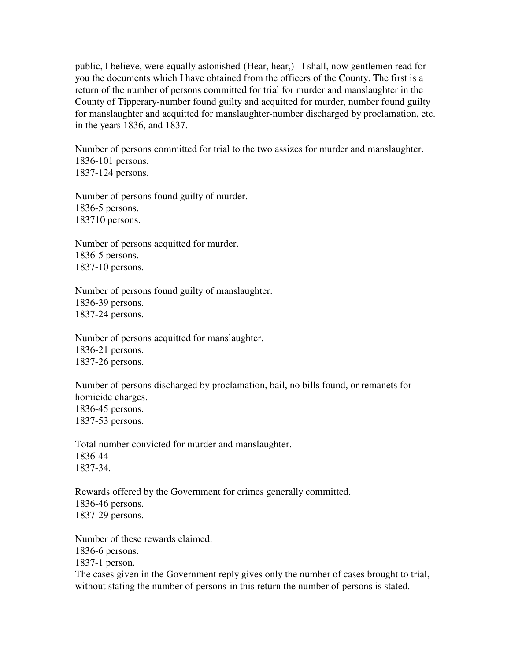public, I believe, were equally astonished-(Hear, hear,) –I shall, now gentlemen read for you the documents which I have obtained from the officers of the County. The first is a return of the number of persons committed for trial for murder and manslaughter in the County of Tipperary-number found guilty and acquitted for murder, number found guilty for manslaughter and acquitted for manslaughter-number discharged by proclamation, etc. in the years 1836, and 1837.

Number of persons committed for trial to the two assizes for murder and manslaughter. 1836-101 persons. 1837-124 persons.

Number of persons found guilty of murder. 1836-5 persons. 183710 persons.

Number of persons acquitted for murder. 1836-5 persons. 1837-10 persons.

Number of persons found guilty of manslaughter. 1836-39 persons. 1837-24 persons.

Number of persons acquitted for manslaughter. 1836-21 persons. 1837-26 persons.

Number of persons discharged by proclamation, bail, no bills found, or remanets for homicide charges. 1836-45 persons. 1837-53 persons.

Total number convicted for murder and manslaughter. 1836-44 1837-34.

Rewards offered by the Government for crimes generally committed. 1836-46 persons. 1837-29 persons.

Number of these rewards claimed. 1836-6 persons. 1837-1 person. The cases given in the Government reply gives only the number of cases brought to trial, without stating the number of persons-in this return the number of persons is stated.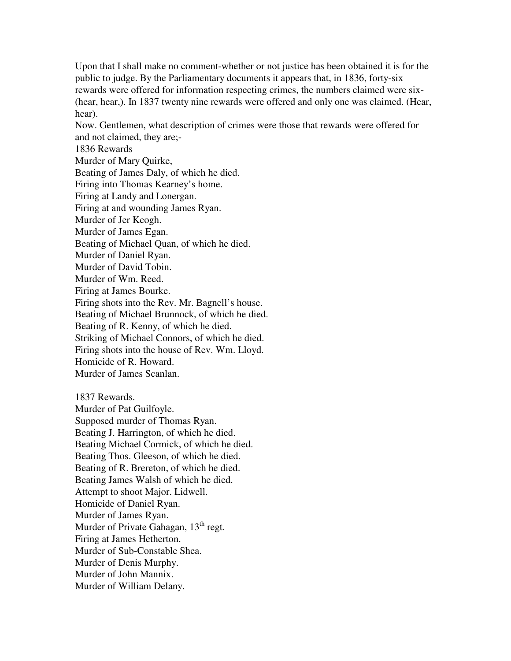Upon that I shall make no comment-whether or not justice has been obtained it is for the public to judge. By the Parliamentary documents it appears that, in 1836, forty-six rewards were offered for information respecting crimes, the numbers claimed were six- (hear, hear,). In 1837 twenty nine rewards were offered and only one was claimed. (Hear, hear).

Now. Gentlemen, what description of crimes were those that rewards were offered for and not claimed, they are;-

1836 Rewards

Murder of Mary Quirke,

Beating of James Daly, of which he died.

Firing into Thomas Kearney's home.

Firing at Landy and Lonergan.

Firing at and wounding James Ryan.

Murder of Jer Keogh.

Murder of James Egan.

Beating of Michael Quan, of which he died.

Murder of Daniel Ryan.

Murder of David Tobin.

Murder of Wm. Reed.

Firing at James Bourke.

Firing shots into the Rev. Mr. Bagnell's house.

Beating of Michael Brunnock, of which he died.

Beating of R. Kenny, of which he died.

Striking of Michael Connors, of which he died.

Firing shots into the house of Rev. Wm. Lloyd.

Homicide of R. Howard.

Murder of James Scanlan.

1837 Rewards.

Murder of Pat Guilfoyle. Supposed murder of Thomas Ryan. Beating J. Harrington, of which he died. Beating Michael Cormick, of which he died. Beating Thos. Gleeson, of which he died. Beating of R. Brereton, of which he died. Beating James Walsh of which he died. Attempt to shoot Major. Lidwell. Homicide of Daniel Ryan. Murder of James Ryan. Murder of Private Gahagan, 13<sup>th</sup> regt. Firing at James Hetherton. Murder of Sub-Constable Shea. Murder of Denis Murphy. Murder of John Mannix. Murder of William Delany.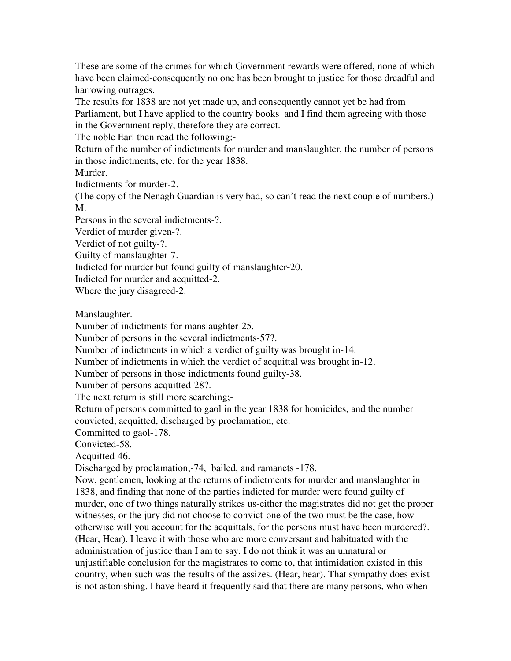These are some of the crimes for which Government rewards were offered, none of which have been claimed-consequently no one has been brought to justice for those dreadful and harrowing outrages.

The results for 1838 are not yet made up, and consequently cannot yet be had from Parliament, but I have applied to the country books and I find them agreeing with those in the Government reply, therefore they are correct.

The noble Earl then read the following;-

Return of the number of indictments for murder and manslaughter, the number of persons in those indictments, etc. for the year 1838.

Murder.

Indictments for murder-2.

(The copy of the Nenagh Guardian is very bad, so can't read the next couple of numbers.) M.

Persons in the several indictments-?.

Verdict of murder given-?.

Verdict of not guilty-?.

Guilty of manslaughter-7.

Indicted for murder but found guilty of manslaughter-20.

Indicted for murder and acquitted-2.

Where the jury disagreed-2.

Manslaughter.

Number of indictments for manslaughter-25.

Number of persons in the several indictments-57?.

Number of indictments in which a verdict of guilty was brought in-14.

Number of indictments in which the verdict of acquittal was brought in-12.

Number of persons in those indictments found guilty-38.

Number of persons acquitted-28?.

The next return is still more searching;-

Return of persons committed to gaol in the year 1838 for homicides, and the number convicted, acquitted, discharged by proclamation, etc.

Committed to gaol-178.

Convicted-58.

Acquitted-46.

Discharged by proclamation,-74, bailed, and ramanets -178.

Now, gentlemen, looking at the returns of indictments for murder and manslaughter in 1838, and finding that none of the parties indicted for murder were found guilty of murder, one of two things naturally strikes us-either the magistrates did not get the proper witnesses, or the jury did not choose to convict-one of the two must be the case, how otherwise will you account for the acquittals, for the persons must have been murdered?. (Hear, Hear). I leave it with those who are more conversant and habituated with the administration of justice than I am to say. I do not think it was an unnatural or unjustifiable conclusion for the magistrates to come to, that intimidation existed in this country, when such was the results of the assizes. (Hear, hear). That sympathy does exist is not astonishing. I have heard it frequently said that there are many persons, who when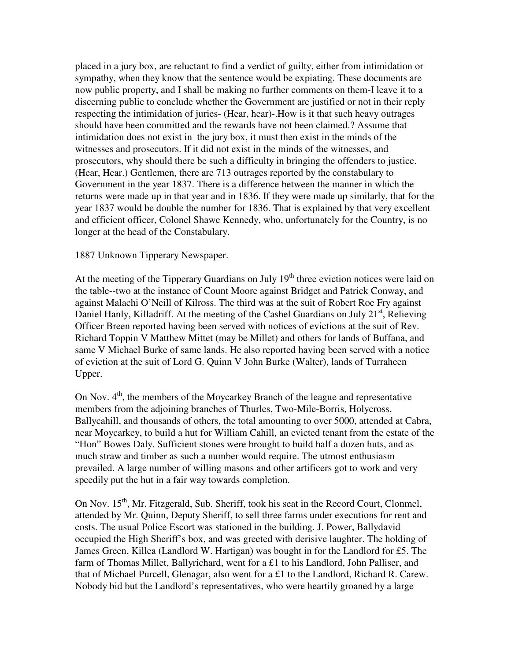placed in a jury box, are reluctant to find a verdict of guilty, either from intimidation or sympathy, when they know that the sentence would be expiating. These documents are now public property, and I shall be making no further comments on them-I leave it to a discerning public to conclude whether the Government are justified or not in their reply respecting the intimidation of juries- (Hear, hear)-.How is it that such heavy outrages should have been committed and the rewards have not been claimed.? Assume that intimidation does not exist in the jury box, it must then exist in the minds of the witnesses and prosecutors. If it did not exist in the minds of the witnesses, and prosecutors, why should there be such a difficulty in bringing the offenders to justice. (Hear, Hear.) Gentlemen, there are 713 outrages reported by the constabulary to Government in the year 1837. There is a difference between the manner in which the returns were made up in that year and in 1836. If they were made up similarly, that for the year 1837 would be double the number for 1836. That is explained by that very excellent and efficient officer, Colonel Shawe Kennedy, who, unfortunately for the Country, is no longer at the head of the Constabulary.

### 1887 Unknown Tipperary Newspaper.

At the meeting of the Tipperary Guardians on July 19<sup>th</sup> three eviction notices were laid on the table--two at the instance of Count Moore against Bridget and Patrick Conway, and against Malachi O'Neill of Kilross. The third was at the suit of Robert Roe Fry against Daniel Hanly, Killadriff. At the meeting of the Cashel Guardians on July  $21<sup>st</sup>$ , Relieving Officer Breen reported having been served with notices of evictions at the suit of Rev. Richard Toppin V Matthew Mittet (may be Millet) and others for lands of Buffana, and same V Michael Burke of same lands. He also reported having been served with a notice of eviction at the suit of Lord G. Quinn V John Burke (Walter), lands of Turraheen Upper.

On Nov.  $4<sup>th</sup>$ , the members of the Moycarkey Branch of the league and representative members from the adjoining branches of Thurles, Two-Mile-Borris, Holycross, Ballycahill, and thousands of others, the total amounting to over 5000, attended at Cabra, near Moycarkey, to build a hut for William Cahill, an evicted tenant from the estate of the "Hon" Bowes Daly. Sufficient stones were brought to build half a dozen huts, and as much straw and timber as such a number would require. The utmost enthusiasm prevailed. A large number of willing masons and other artificers got to work and very speedily put the hut in a fair way towards completion.

On Nov.  $15<sup>th</sup>$ , Mr. Fitzgerald, Sub. Sheriff, took his seat in the Record Court, Clonmel, attended by Mr. Quinn, Deputy Sheriff, to sell three farms under executions for rent and costs. The usual Police Escort was stationed in the building. J. Power, Ballydavid occupied the High Sheriff's box, and was greeted with derisive laughter. The holding of James Green, Killea (Landlord W. Hartigan) was bought in for the Landlord for £5. The farm of Thomas Millet, Ballyrichard, went for a £1 to his Landlord, John Palliser, and that of Michael Purcell, Glenagar, also went for a £1 to the Landlord, Richard R. Carew. Nobody bid but the Landlord's representatives, who were heartily groaned by a large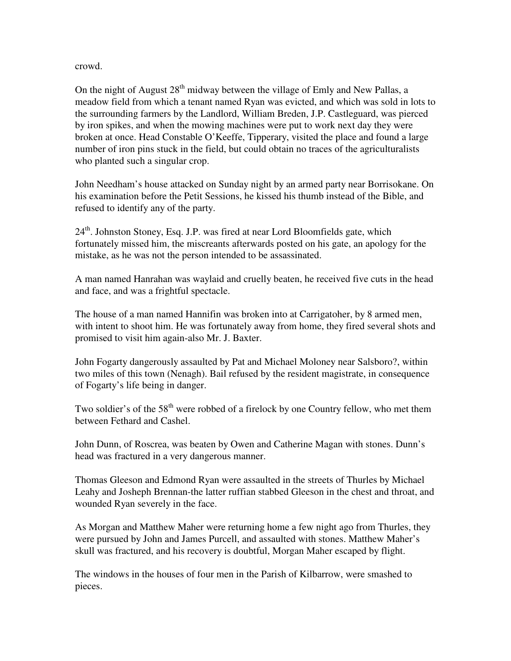## crowd.

On the night of August  $28<sup>th</sup>$  midway between the village of Emly and New Pallas, a meadow field from which a tenant named Ryan was evicted, and which was sold in lots to the surrounding farmers by the Landlord, William Breden, J.P. Castleguard, was pierced by iron spikes, and when the mowing machines were put to work next day they were broken at once. Head Constable O'Keeffe, Tipperary, visited the place and found a large number of iron pins stuck in the field, but could obtain no traces of the agriculturalists who planted such a singular crop.

John Needham's house attacked on Sunday night by an armed party near Borrisokane. On his examination before the Petit Sessions, he kissed his thumb instead of the Bible, and refused to identify any of the party.

 $24<sup>th</sup>$ . Johnston Stoney, Esq. J.P. was fired at near Lord Bloomfields gate, which fortunately missed him, the miscreants afterwards posted on his gate, an apology for the mistake, as he was not the person intended to be assassinated.

A man named Hanrahan was waylaid and cruelly beaten, he received five cuts in the head and face, and was a frightful spectacle.

The house of a man named Hannifin was broken into at Carrigatoher, by 8 armed men, with intent to shoot him. He was fortunately away from home, they fired several shots and promised to visit him again-also Mr. J. Baxter.

John Fogarty dangerously assaulted by Pat and Michael Moloney near Salsboro?, within two miles of this town (Nenagh). Bail refused by the resident magistrate, in consequence of Fogarty's life being in danger.

Two soldier's of the 58<sup>th</sup> were robbed of a firelock by one Country fellow, who met them between Fethard and Cashel.

John Dunn, of Roscrea, was beaten by Owen and Catherine Magan with stones. Dunn's head was fractured in a very dangerous manner.

Thomas Gleeson and Edmond Ryan were assaulted in the streets of Thurles by Michael Leahy and Josheph Brennan-the latter ruffian stabbed Gleeson in the chest and throat, and wounded Ryan severely in the face.

As Morgan and Matthew Maher were returning home a few night ago from Thurles, they were pursued by John and James Purcell, and assaulted with stones. Matthew Maher's skull was fractured, and his recovery is doubtful, Morgan Maher escaped by flight.

The windows in the houses of four men in the Parish of Kilbarrow, were smashed to pieces.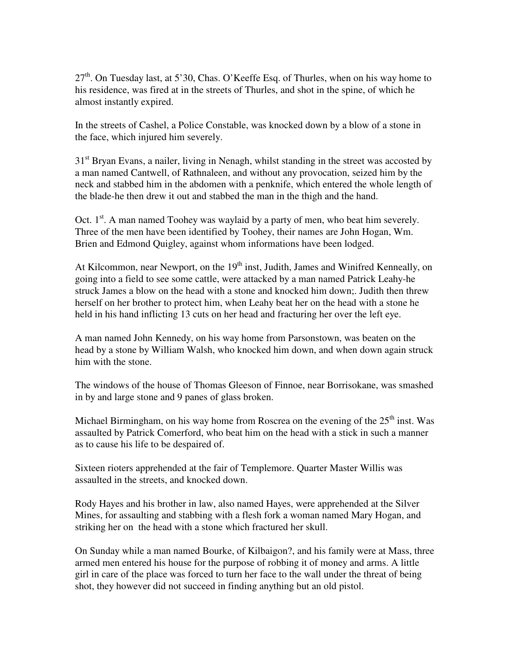$27<sup>th</sup>$ . On Tuesday last, at 5'30, Chas. O'Keeffe Esq. of Thurles, when on his way home to his residence, was fired at in the streets of Thurles, and shot in the spine, of which he almost instantly expired.

In the streets of Cashel, a Police Constable, was knocked down by a blow of a stone in the face, which injured him severely.

 $31<sup>st</sup>$  Bryan Evans, a nailer, living in Nenagh, whilst standing in the street was accosted by a man named Cantwell, of Rathnaleen, and without any provocation, seized him by the neck and stabbed him in the abdomen with a penknife, which entered the whole length of the blade-he then drew it out and stabbed the man in the thigh and the hand.

Oct.  $1<sup>st</sup>$ . A man named Toohey was waylaid by a party of men, who beat him severely. Three of the men have been identified by Toohey, their names are John Hogan, Wm. Brien and Edmond Quigley, against whom informations have been lodged.

At Kilcommon, near Newport, on the 19<sup>th</sup> inst, Judith, James and Winifred Kenneally, on going into a field to see some cattle, were attacked by a man named Patrick Leahy-he struck James a blow on the head with a stone and knocked him down;. Judith then threw herself on her brother to protect him, when Leahy beat her on the head with a stone he held in his hand inflicting 13 cuts on her head and fracturing her over the left eye.

A man named John Kennedy, on his way home from Parsonstown, was beaten on the head by a stone by William Walsh, who knocked him down, and when down again struck him with the stone.

The windows of the house of Thomas Gleeson of Finnoe, near Borrisokane, was smashed in by and large stone and 9 panes of glass broken.

Michael Birmingham, on his way home from Roscrea on the evening of the  $25<sup>th</sup>$  inst. Was assaulted by Patrick Comerford, who beat him on the head with a stick in such a manner as to cause his life to be despaired of.

Sixteen rioters apprehended at the fair of Templemore. Quarter Master Willis was assaulted in the streets, and knocked down.

Rody Hayes and his brother in law, also named Hayes, were apprehended at the Silver Mines, for assaulting and stabbing with a flesh fork a woman named Mary Hogan, and striking her on the head with a stone which fractured her skull.

On Sunday while a man named Bourke, of Kilbaigon?, and his family were at Mass, three armed men entered his house for the purpose of robbing it of money and arms. A little girl in care of the place was forced to turn her face to the wall under the threat of being shot, they however did not succeed in finding anything but an old pistol.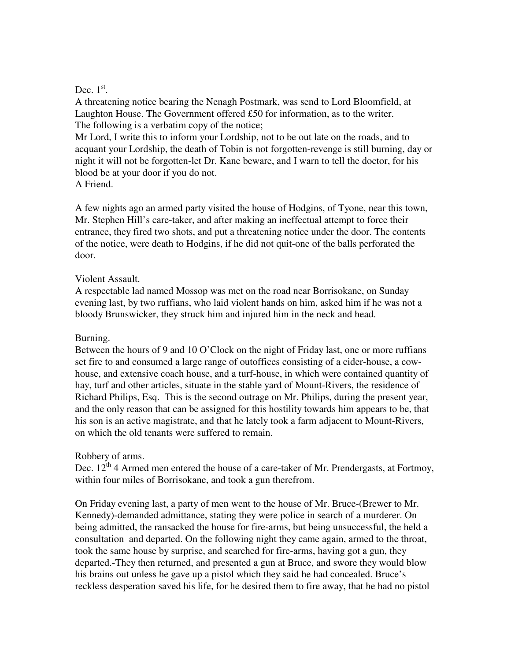# Dec.  $1<sup>st</sup>$ .

A threatening notice bearing the Nenagh Postmark, was send to Lord Bloomfield, at Laughton House. The Government offered £50 for information, as to the writer. The following is a verbatim copy of the notice;

Mr Lord, I write this to inform your Lordship, not to be out late on the roads, and to acquant your Lordship, the death of Tobin is not forgotten-revenge is still burning, day or night it will not be forgotten-let Dr. Kane beware, and I warn to tell the doctor, for his blood be at your door if you do not.

A Friend.

A few nights ago an armed party visited the house of Hodgins, of Tyone, near this town, Mr. Stephen Hill's care-taker, and after making an ineffectual attempt to force their entrance, they fired two shots, and put a threatening notice under the door. The contents of the notice, were death to Hodgins, if he did not quit-one of the balls perforated the door.

## Violent Assault.

A respectable lad named Mossop was met on the road near Borrisokane, on Sunday evening last, by two ruffians, who laid violent hands on him, asked him if he was not a bloody Brunswicker, they struck him and injured him in the neck and head.

# Burning.

Between the hours of 9 and 10 O'Clock on the night of Friday last, one or more ruffians set fire to and consumed a large range of outoffices consisting of a cider-house, a cowhouse, and extensive coach house, and a turf-house, in which were contained quantity of hay, turf and other articles, situate in the stable yard of Mount-Rivers, the residence of Richard Philips, Esq. This is the second outrage on Mr. Philips, during the present year, and the only reason that can be assigned for this hostility towards him appears to be, that his son is an active magistrate, and that he lately took a farm adjacent to Mount-Rivers, on which the old tenants were suffered to remain.

# Robbery of arms.

Dec.  $12^{th}$  4 Armed men entered the house of a care-taker of Mr. Prendergasts, at Fortmoy, within four miles of Borrisokane, and took a gun therefrom.

On Friday evening last, a party of men went to the house of Mr. Bruce-(Brewer to Mr. Kennedy)-demanded admittance, stating they were police in search of a murderer. On being admitted, the ransacked the house for fire-arms, but being unsuccessful, the held a consultation and departed. On the following night they came again, armed to the throat, took the same house by surprise, and searched for fire-arms, having got a gun, they departed.-They then returned, and presented a gun at Bruce, and swore they would blow his brains out unless he gave up a pistol which they said he had concealed. Bruce's reckless desperation saved his life, for he desired them to fire away, that he had no pistol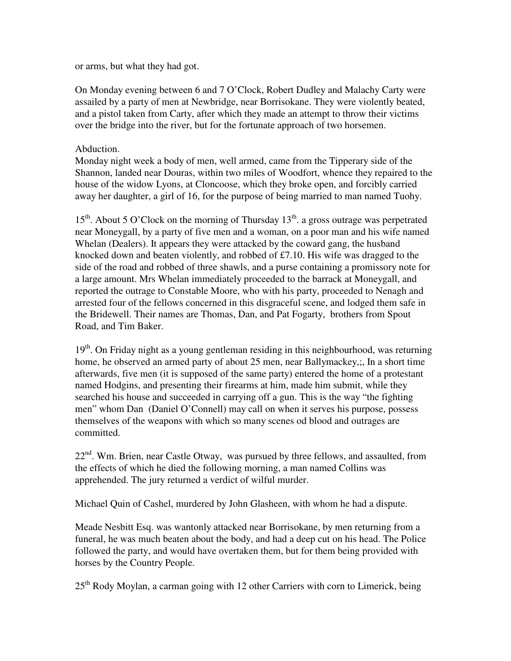or arms, but what they had got.

On Monday evening between 6 and 7 O'Clock, Robert Dudley and Malachy Carty were assailed by a party of men at Newbridge, near Borrisokane. They were violently beated, and a pistol taken from Carty, after which they made an attempt to throw their victims over the bridge into the river, but for the fortunate approach of two horsemen.

## Abduction.

Monday night week a body of men, well armed, came from the Tipperary side of the Shannon, landed near Douras, within two miles of Woodfort, whence they repaired to the house of the widow Lyons, at Cloncoose, which they broke open, and forcibly carried away her daughter, a girl of 16, for the purpose of being married to man named Tuohy.

 $15<sup>th</sup>$ . About 5 O'Clock on the morning of Thursday  $13<sup>th</sup>$ . a gross outrage was perpetrated near Moneygall, by a party of five men and a woman, on a poor man and his wife named Whelan (Dealers). It appears they were attacked by the coward gang, the husband knocked down and beaten violently, and robbed of £7.10. His wife was dragged to the side of the road and robbed of three shawls, and a purse containing a promissory note for a large amount. Mrs Whelan immediately proceeded to the barrack at Moneygall, and reported the outrage to Constable Moore, who with his party, proceeded to Nenagh and arrested four of the fellows concerned in this disgraceful scene, and lodged them safe in the Bridewell. Their names are Thomas, Dan, and Pat Fogarty, brothers from Spout Road, and Tim Baker.

 $19<sup>th</sup>$ . On Friday night as a young gentleman residing in this neighbourhood, was returning home, he observed an armed party of about 25 men, near Ballymackey,;, In a short time afterwards, five men (it is supposed of the same party) entered the home of a protestant named Hodgins, and presenting their firearms at him, made him submit, while they searched his house and succeeded in carrying off a gun. This is the way "the fighting men" whom Dan (Daniel O'Connell) may call on when it serves his purpose, possess themselves of the weapons with which so many scenes od blood and outrages are committed.

22<sup>nd</sup>. Wm. Brien, near Castle Otway, was pursued by three fellows, and assaulted, from the effects of which he died the following morning, a man named Collins was apprehended. The jury returned a verdict of wilful murder.

Michael Quin of Cashel, murdered by John Glasheen, with whom he had a dispute.

Meade Nesbitt Esq. was wantonly attacked near Borrisokane, by men returning from a funeral, he was much beaten about the body, and had a deep cut on his head. The Police followed the party, and would have overtaken them, but for them being provided with horses by the Country People.

25<sup>th</sup> Rody Moylan, a carman going with 12 other Carriers with corn to Limerick, being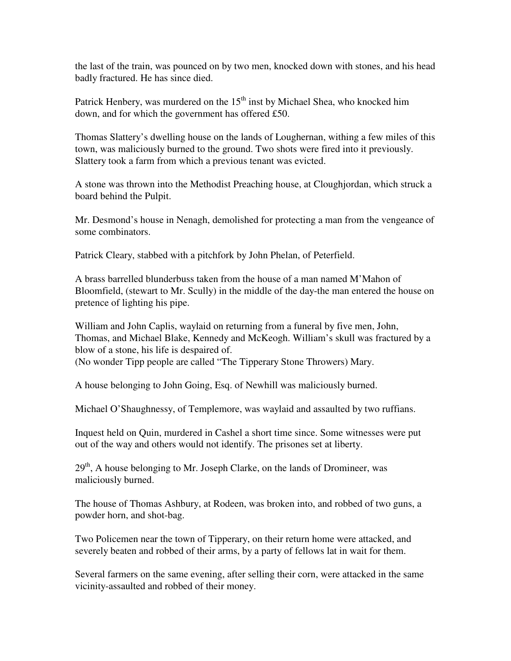the last of the train, was pounced on by two men, knocked down with stones, and his head badly fractured. He has since died.

Patrick Henbery, was murdered on the  $15<sup>th</sup>$  inst by Michael Shea, who knocked him down, and for which the government has offered £50.

Thomas Slattery's dwelling house on the lands of Loughernan, withing a few miles of this town, was maliciously burned to the ground. Two shots were fired into it previously. Slattery took a farm from which a previous tenant was evicted.

A stone was thrown into the Methodist Preaching house, at Cloughjordan, which struck a board behind the Pulpit.

Mr. Desmond's house in Nenagh, demolished for protecting a man from the vengeance of some combinators.

Patrick Cleary, stabbed with a pitchfork by John Phelan, of Peterfield.

A brass barrelled blunderbuss taken from the house of a man named M'Mahon of Bloomfield, (stewart to Mr. Scully) in the middle of the day-the man entered the house on pretence of lighting his pipe.

William and John Caplis, waylaid on returning from a funeral by five men, John, Thomas, and Michael Blake, Kennedy and McKeogh. William's skull was fractured by a blow of a stone, his life is despaired of.

(No wonder Tipp people are called "The Tipperary Stone Throwers) Mary.

A house belonging to John Going, Esq. of Newhill was maliciously burned.

Michael O'Shaughnessy, of Templemore, was waylaid and assaulted by two ruffians.

Inquest held on Quin, murdered in Cashel a short time since. Some witnesses were put out of the way and others would not identify. The prisones set at liberty.

 $29<sup>th</sup>$ , A house belonging to Mr. Joseph Clarke, on the lands of Dromineer, was maliciously burned.

The house of Thomas Ashbury, at Rodeen, was broken into, and robbed of two guns, a powder horn, and shot-bag.

Two Policemen near the town of Tipperary, on their return home were attacked, and severely beaten and robbed of their arms, by a party of fellows lat in wait for them.

Several farmers on the same evening, after selling their corn, were attacked in the same vicinity-assaulted and robbed of their money.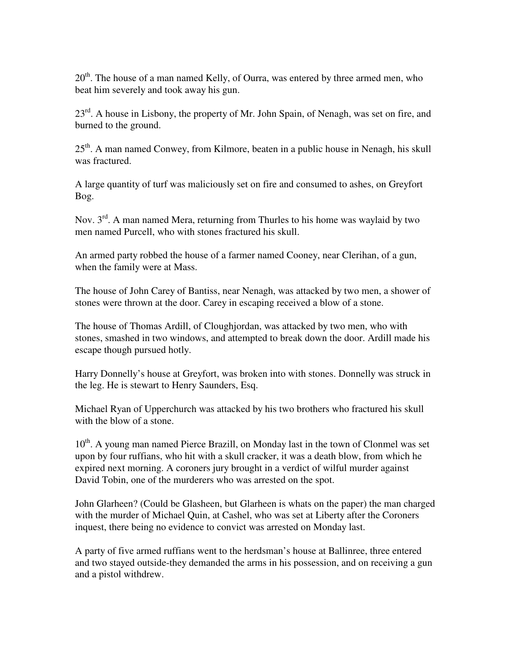$20<sup>th</sup>$ . The house of a man named Kelly, of Ourra, was entered by three armed men, who beat him severely and took away his gun.

 $23<sup>rd</sup>$ . A house in Lisbony, the property of Mr. John Spain, of Nenagh, was set on fire, and burned to the ground.

 $25<sup>th</sup>$ . A man named Conwey, from Kilmore, beaten in a public house in Nenagh, his skull was fractured.

A large quantity of turf was maliciously set on fire and consumed to ashes, on Greyfort Bog.

Nov.  $3<sup>rd</sup>$ . A man named Mera, returning from Thurles to his home was waylaid by two men named Purcell, who with stones fractured his skull.

An armed party robbed the house of a farmer named Cooney, near Clerihan, of a gun, when the family were at Mass.

The house of John Carey of Bantiss, near Nenagh, was attacked by two men, a shower of stones were thrown at the door. Carey in escaping received a blow of a stone.

The house of Thomas Ardill, of Cloughjordan, was attacked by two men, who with stones, smashed in two windows, and attempted to break down the door. Ardill made his escape though pursued hotly.

Harry Donnelly's house at Greyfort, was broken into with stones. Donnelly was struck in the leg. He is stewart to Henry Saunders, Esq.

Michael Ryan of Upperchurch was attacked by his two brothers who fractured his skull with the blow of a stone.

 $10<sup>th</sup>$ . A young man named Pierce Brazill, on Monday last in the town of Clonmel was set upon by four ruffians, who hit with a skull cracker, it was a death blow, from which he expired next morning. A coroners jury brought in a verdict of wilful murder against David Tobin, one of the murderers who was arrested on the spot.

John Glarheen? (Could be Glasheen, but Glarheen is whats on the paper) the man charged with the murder of Michael Quin, at Cashel, who was set at Liberty after the Coroners inquest, there being no evidence to convict was arrested on Monday last.

A party of five armed ruffians went to the herdsman's house at Ballinree, three entered and two stayed outside-they demanded the arms in his possession, and on receiving a gun and a pistol withdrew.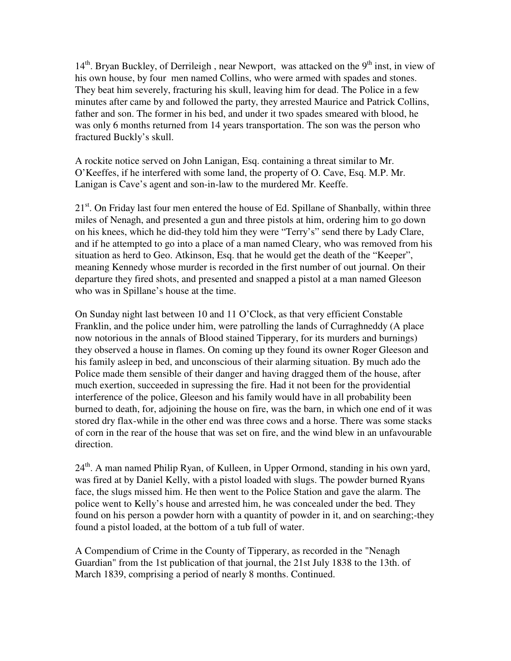$14<sup>th</sup>$ . Bryan Buckley, of Derrileigh, near Newport, was attacked on the 9<sup>th</sup> inst, in view of his own house, by four men named Collins, who were armed with spades and stones. They beat him severely, fracturing his skull, leaving him for dead. The Police in a few minutes after came by and followed the party, they arrested Maurice and Patrick Collins, father and son. The former in his bed, and under it two spades smeared with blood, he was only 6 months returned from 14 years transportation. The son was the person who fractured Buckly's skull.

A rockite notice served on John Lanigan, Esq. containing a threat similar to Mr. O'Keeffes, if he interfered with some land, the property of O. Cave, Esq. M.P. Mr. Lanigan is Cave's agent and son-in-law to the murdered Mr. Keeffe.

21<sup>st</sup>. On Friday last four men entered the house of Ed. Spillane of Shanbally, within three miles of Nenagh, and presented a gun and three pistols at him, ordering him to go down on his knees, which he did-they told him they were "Terry's" send there by Lady Clare, and if he attempted to go into a place of a man named Cleary, who was removed from his situation as herd to Geo. Atkinson, Esq. that he would get the death of the "Keeper", meaning Kennedy whose murder is recorded in the first number of out journal. On their departure they fired shots, and presented and snapped a pistol at a man named Gleeson who was in Spillane's house at the time.

On Sunday night last between 10 and 11 O'Clock, as that very efficient Constable Franklin, and the police under him, were patrolling the lands of Curraghneddy (A place now notorious in the annals of Blood stained Tipperary, for its murders and burnings) they observed a house in flames. On coming up they found its owner Roger Gleeson and his family asleep in bed, and unconscious of their alarming situation. By much ado the Police made them sensible of their danger and having dragged them of the house, after much exertion, succeeded in supressing the fire. Had it not been for the providential interference of the police, Gleeson and his family would have in all probability been burned to death, for, adjoining the house on fire, was the barn, in which one end of it was stored dry flax-while in the other end was three cows and a horse. There was some stacks of corn in the rear of the house that was set on fire, and the wind blew in an unfavourable direction.

 $24<sup>th</sup>$ . A man named Philip Ryan, of Kulleen, in Upper Ormond, standing in his own yard, was fired at by Daniel Kelly, with a pistol loaded with slugs. The powder burned Ryans face, the slugs missed him. He then went to the Police Station and gave the alarm. The police went to Kelly's house and arrested him, he was concealed under the bed. They found on his person a powder horn with a quantity of powder in it, and on searching;-they found a pistol loaded, at the bottom of a tub full of water.

A Compendium of Crime in the County of Tipperary, as recorded in the "Nenagh Guardian" from the 1st publication of that journal, the 21st July 1838 to the 13th. of March 1839, comprising a period of nearly 8 months. Continued.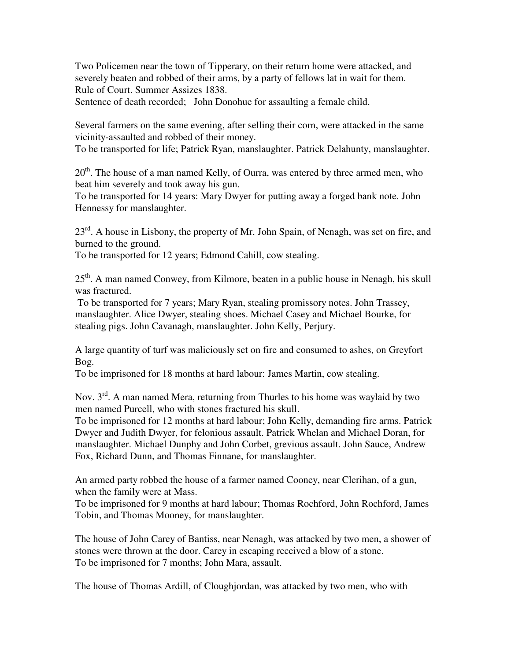Two Policemen near the town of Tipperary, on their return home were attacked, and severely beaten and robbed of their arms, by a party of fellows lat in wait for them. Rule of Court. Summer Assizes 1838.

Sentence of death recorded; John Donohue for assaulting a female child.

Several farmers on the same evening, after selling their corn, were attacked in the same vicinity-assaulted and robbed of their money.

To be transported for life; Patrick Ryan, manslaughter. Patrick Delahunty, manslaughter.

20<sup>th</sup>. The house of a man named Kelly, of Ourra, was entered by three armed men, who beat him severely and took away his gun.

To be transported for 14 years: Mary Dwyer for putting away a forged bank note. John Hennessy for manslaughter.

 $23<sup>rd</sup>$ . A house in Lisbony, the property of Mr. John Spain, of Nenagh, was set on fire, and burned to the ground.

To be transported for 12 years; Edmond Cahill, cow stealing.

25<sup>th</sup>. A man named Conwey, from Kilmore, beaten in a public house in Nenagh, his skull was fractured.

 To be transported for 7 years; Mary Ryan, stealing promissory notes. John Trassey, manslaughter. Alice Dwyer, stealing shoes. Michael Casey and Michael Bourke, for stealing pigs. John Cavanagh, manslaughter. John Kelly, Perjury.

A large quantity of turf was maliciously set on fire and consumed to ashes, on Greyfort Bog.

To be imprisoned for 18 months at hard labour: James Martin, cow stealing.

Nov.  $3<sup>rd</sup>$ . A man named Mera, returning from Thurles to his home was waylaid by two men named Purcell, who with stones fractured his skull.

To be imprisoned for 12 months at hard labour; John Kelly, demanding fire arms. Patrick Dwyer and Judith Dwyer, for felonious assault. Patrick Whelan and Michael Doran, for manslaughter. Michael Dunphy and John Corbet, grevious assault. John Sauce, Andrew Fox, Richard Dunn, and Thomas Finnane, for manslaughter.

An armed party robbed the house of a farmer named Cooney, near Clerihan, of a gun, when the family were at Mass.

To be imprisoned for 9 months at hard labour; Thomas Rochford, John Rochford, James Tobin, and Thomas Mooney, for manslaughter.

The house of John Carey of Bantiss, near Nenagh, was attacked by two men, a shower of stones were thrown at the door. Carey in escaping received a blow of a stone. To be imprisoned for 7 months; John Mara, assault.

The house of Thomas Ardill, of Cloughjordan, was attacked by two men, who with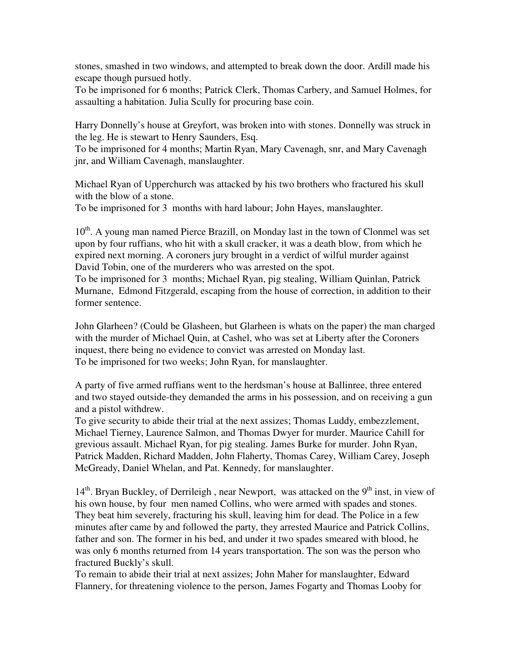stones, smashed in two windows, and attempted to break down the door. Ardill made his escape though pursued hotly.

To be imprisoned for 6 months; Patrick Clerk, Thomas Carbery, and Samuel Holmes, for assaulting a habitation. Julia Scully for procuring base coin.

Harry Donnelly's house at Greyfort, was broken into with stones. Donnelly was struck in the leg. He is stewart to Henry Saunders, Esq.

To be imprisoned for 4 months; Martin Ryan, Mary Cavenagh, snr, and Mary Cavenagh jnr, and William Cavenagh, manslaughter.

Michael Ryan of Upperchurch was attacked by his two brothers who fractured his skull with the blow of a stone.

To be imprisoned for 3 months with hard labour; John Hayes, manslaughter.

 $10<sup>th</sup>$ . A young man named Pierce Brazill, on Monday last in the town of Clonmel was set upon by four ruffians, who hit with a skull cracker, it was a death blow, from which he expired next morning. A coroners jury brought in a verdict of wilful murder against David Tobin, one of the murderers who was arrested on the spot.

To be imprisoned for 3 months; Michael Ryan, pig stealing, William Quinlan, Patrick Murnane, Edmond Fitzgerald, escaping from the house of correction, in addition to their former sentence.

John Glarheen? (Could be Glasheen, but Glarheen is whats on the paper) the man charged with the murder of Michael Quin, at Cashel, who was set at Liberty after the Coroners inquest, there being no evidence to convict was arrested on Monday last. To be imprisoned for two weeks; John Ryan, for manslaughter.

A party of five armed ruffians went to the herdsman's house at Ballinree, three entered and two stayed outside-they demanded the arms in his possession, and on receiving a gun and a pistol withdrew.

To give security to abide their trial at the next assizes; Thomas Luddy, embezzlement, Michael Tierney, Laurence Salmon, and Thomas Dwyer for murder. Maurice Cahill for grevious assault. Michael Ryan, for pig stealing. James Burke for murder. John Ryan, Patrick Madden, Richard Madden, John Flaherty, Thomas Carey, William Carey, Joseph McGready, Daniel Whelan, and Pat. Kennedy, for manslaughter.

 $14<sup>th</sup>$ . Bryan Buckley, of Derrileigh, near Newport, was attacked on the 9<sup>th</sup> inst, in view of his own house, by four men named Collins, who were armed with spades and stones. They beat him severely, fracturing his skull, leaving him for dead. The Police in a few minutes after came by and followed the party, they arrested Maurice and Patrick Collins, father and son. The former in his bed, and under it two spades smeared with blood, he was only 6 months returned from 14 years transportation. The son was the person who fractured Buckly's skull.

To remain to abide their trial at next assizes; John Maher for manslaughter, Edward Flannery, for threatening violence to the person, James Fogarty and Thomas Looby for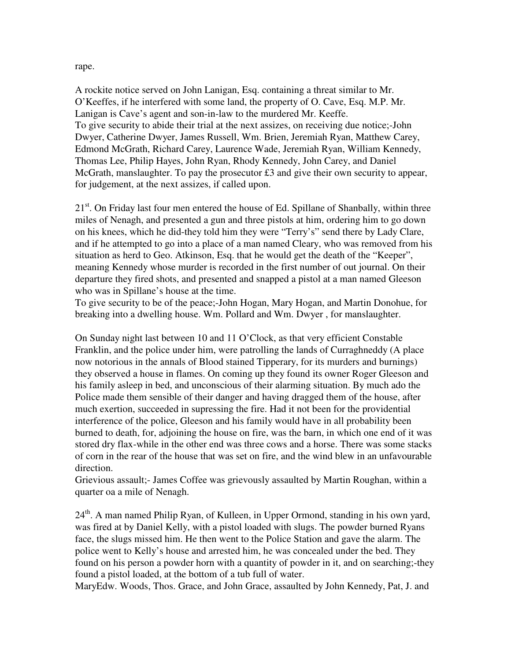rape.

A rockite notice served on John Lanigan, Esq. containing a threat similar to Mr. O'Keeffes, if he interfered with some land, the property of O. Cave, Esq. M.P. Mr. Lanigan is Cave's agent and son-in-law to the murdered Mr. Keeffe. To give security to abide their trial at the next assizes, on receiving due notice;-John Dwyer, Catherine Dwyer, James Russell, Wm. Brien, Jeremiah Ryan, Matthew Carey, Edmond McGrath, Richard Carey, Laurence Wade, Jeremiah Ryan, William Kennedy, Thomas Lee, Philip Hayes, John Ryan, Rhody Kennedy, John Carey, and Daniel McGrath, manslaughter. To pay the prosecutor £3 and give their own security to appear, for judgement, at the next assizes, if called upon.

 $21<sup>st</sup>$ . On Friday last four men entered the house of Ed. Spillane of Shanbally, within three miles of Nenagh, and presented a gun and three pistols at him, ordering him to go down on his knees, which he did-they told him they were "Terry's" send there by Lady Clare, and if he attempted to go into a place of a man named Cleary, who was removed from his situation as herd to Geo. Atkinson, Esq. that he would get the death of the "Keeper", meaning Kennedy whose murder is recorded in the first number of out journal. On their departure they fired shots, and presented and snapped a pistol at a man named Gleeson who was in Spillane's house at the time.

To give security to be of the peace;-John Hogan, Mary Hogan, and Martin Donohue, for breaking into a dwelling house. Wm. Pollard and Wm. Dwyer , for manslaughter.

On Sunday night last between 10 and 11 O'Clock, as that very efficient Constable Franklin, and the police under him, were patrolling the lands of Curraghneddy (A place now notorious in the annals of Blood stained Tipperary, for its murders and burnings) they observed a house in flames. On coming up they found its owner Roger Gleeson and his family asleep in bed, and unconscious of their alarming situation. By much ado the Police made them sensible of their danger and having dragged them of the house, after much exertion, succeeded in supressing the fire. Had it not been for the providential interference of the police, Gleeson and his family would have in all probability been burned to death, for, adjoining the house on fire, was the barn, in which one end of it was stored dry flax-while in the other end was three cows and a horse. There was some stacks of corn in the rear of the house that was set on fire, and the wind blew in an unfavourable direction.

Grievious assault;- James Coffee was grievously assaulted by Martin Roughan, within a quarter oa a mile of Nenagh.

 $24<sup>th</sup>$ . A man named Philip Ryan, of Kulleen, in Upper Ormond, standing in his own yard, was fired at by Daniel Kelly, with a pistol loaded with slugs. The powder burned Ryans face, the slugs missed him. He then went to the Police Station and gave the alarm. The police went to Kelly's house and arrested him, he was concealed under the bed. They found on his person a powder horn with a quantity of powder in it, and on searching;-they found a pistol loaded, at the bottom of a tub full of water.

MaryEdw. Woods, Thos. Grace, and John Grace, assaulted by John Kennedy, Pat, J. and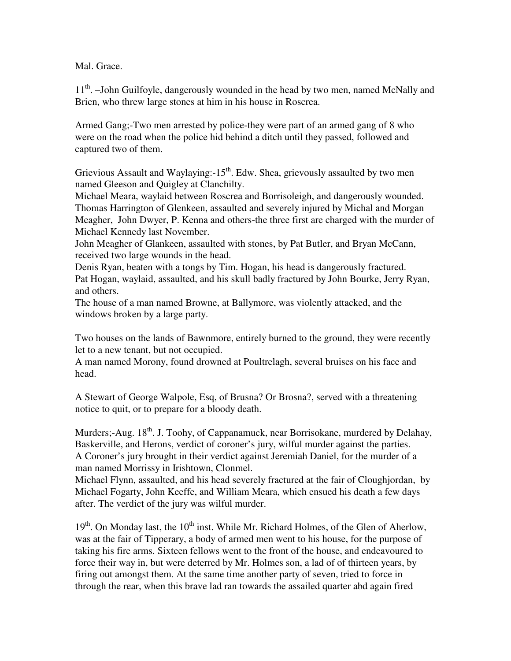Mal. Grace.

11<sup>th</sup>. –John Guilfoyle, dangerously wounded in the head by two men, named McNally and Brien, who threw large stones at him in his house in Roscrea.

Armed Gang;-Two men arrested by police-they were part of an armed gang of 8 who were on the road when the police hid behind a ditch until they passed, followed and captured two of them.

Grievious Assault and Waylaying: $-15<sup>th</sup>$ . Edw. Shea, grievously assaulted by two men named Gleeson and Quigley at Clanchilty.

Michael Meara, waylaid between Roscrea and Borrisoleigh, and dangerously wounded. Thomas Harrington of Glenkeen, assaulted and severely injured by Michal and Morgan Meagher, John Dwyer, P. Kenna and others-the three first are charged with the murder of Michael Kennedy last November.

John Meagher of Glankeen, assaulted with stones, by Pat Butler, and Bryan McCann, received two large wounds in the head.

Denis Ryan, beaten with a tongs by Tim. Hogan, his head is dangerously fractured. Pat Hogan, waylaid, assaulted, and his skull badly fractured by John Bourke, Jerry Ryan, and others.

The house of a man named Browne, at Ballymore, was violently attacked, and the windows broken by a large party.

Two houses on the lands of Bawnmore, entirely burned to the ground, they were recently let to a new tenant, but not occupied.

A man named Morony, found drowned at Poultrelagh, several bruises on his face and head.

A Stewart of George Walpole, Esq, of Brusna? Or Brosna?, served with a threatening notice to quit, or to prepare for a bloody death.

Murders;-Aug.  $18<sup>th</sup>$ . J. Toohy, of Cappanamuck, near Borrisokane, murdered by Delahay, Baskerville, and Herons, verdict of coroner's jury, wilful murder against the parties. A Coroner's jury brought in their verdict against Jeremiah Daniel, for the murder of a man named Morrissy in Irishtown, Clonmel.

Michael Flynn, assaulted, and his head severely fractured at the fair of Cloughjordan, by Michael Fogarty, John Keeffe, and William Meara, which ensued his death a few days after. The verdict of the jury was wilful murder.

 $19<sup>th</sup>$ . On Monday last, the  $10<sup>th</sup>$  inst. While Mr. Richard Holmes, of the Glen of Aherlow, was at the fair of Tipperary, a body of armed men went to his house, for the purpose of taking his fire arms. Sixteen fellows went to the front of the house, and endeavoured to force their way in, but were deterred by Mr. Holmes son, a lad of of thirteen years, by firing out amongst them. At the same time another party of seven, tried to force in through the rear, when this brave lad ran towards the assailed quarter abd again fired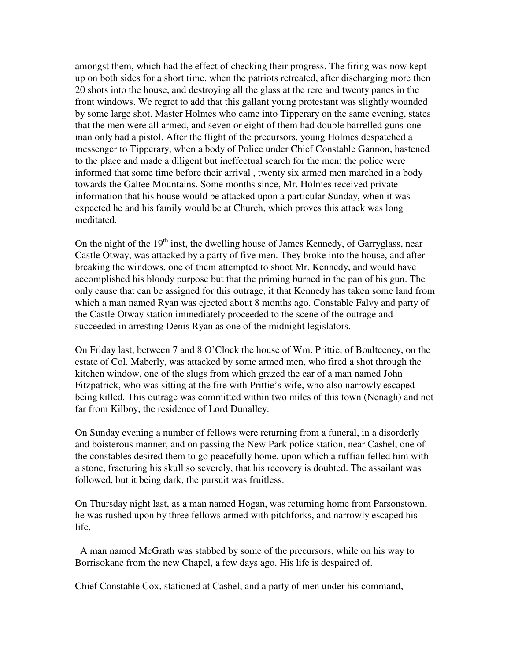amongst them, which had the effect of checking their progress. The firing was now kept up on both sides for a short time, when the patriots retreated, after discharging more then 20 shots into the house, and destroying all the glass at the rere and twenty panes in the front windows. We regret to add that this gallant young protestant was slightly wounded by some large shot. Master Holmes who came into Tipperary on the same evening, states that the men were all armed, and seven or eight of them had double barrelled guns-one man only had a pistol. After the flight of the precursors, young Holmes despatched a messenger to Tipperary, when a body of Police under Chief Constable Gannon, hastened to the place and made a diligent but ineffectual search for the men; the police were informed that some time before their arrival , twenty six armed men marched in a body towards the Galtee Mountains. Some months since, Mr. Holmes received private information that his house would be attacked upon a particular Sunday, when it was expected he and his family would be at Church, which proves this attack was long meditated.

On the night of the  $19<sup>th</sup>$  inst, the dwelling house of James Kennedy, of Garryglass, near Castle Otway, was attacked by a party of five men. They broke into the house, and after breaking the windows, one of them attempted to shoot Mr. Kennedy, and would have accomplished his bloody purpose but that the priming burned in the pan of his gun. The only cause that can be assigned for this outrage, it that Kennedy has taken some land from which a man named Ryan was ejected about 8 months ago. Constable Falvy and party of the Castle Otway station immediately proceeded to the scene of the outrage and succeeded in arresting Denis Ryan as one of the midnight legislators.

On Friday last, between 7 and 8 O'Clock the house of Wm. Prittie, of Boulteeney, on the estate of Col. Maberly, was attacked by some armed men, who fired a shot through the kitchen window, one of the slugs from which grazed the ear of a man named John Fitzpatrick, who was sitting at the fire with Prittie's wife, who also narrowly escaped being killed. This outrage was committed within two miles of this town (Nenagh) and not far from Kilboy, the residence of Lord Dunalley.

On Sunday evening a number of fellows were returning from a funeral, in a disorderly and boisterous manner, and on passing the New Park police station, near Cashel, one of the constables desired them to go peacefully home, upon which a ruffian felled him with a stone, fracturing his skull so severely, that his recovery is doubted. The assailant was followed, but it being dark, the pursuit was fruitless.

On Thursday night last, as a man named Hogan, was returning home from Parsonstown, he was rushed upon by three fellows armed with pitchforks, and narrowly escaped his life.

 A man named McGrath was stabbed by some of the precursors, while on his way to Borrisokane from the new Chapel, a few days ago. His life is despaired of.

Chief Constable Cox, stationed at Cashel, and a party of men under his command,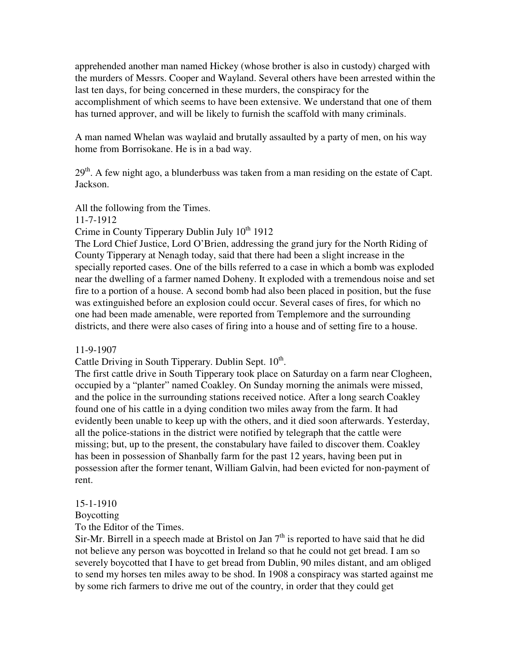apprehended another man named Hickey (whose brother is also in custody) charged with the murders of Messrs. Cooper and Wayland. Several others have been arrested within the last ten days, for being concerned in these murders, the conspiracy for the accomplishment of which seems to have been extensive. We understand that one of them has turned approver, and will be likely to furnish the scaffold with many criminals.

A man named Whelan was waylaid and brutally assaulted by a party of men, on his way home from Borrisokane. He is in a bad way.

 $29<sup>th</sup>$ . A few night ago, a blunderbuss was taken from a man residing on the estate of Capt. Jackson.

All the following from the Times.

11-7-1912

Crime in County Tipperary Dublin July  $10^{th}$  1912

The Lord Chief Justice, Lord O'Brien, addressing the grand jury for the North Riding of County Tipperary at Nenagh today, said that there had been a slight increase in the specially reported cases. One of the bills referred to a case in which a bomb was exploded near the dwelling of a farmer named Doheny. It exploded with a tremendous noise and set fire to a portion of a house. A second bomb had also been placed in position, but the fuse was extinguished before an explosion could occur. Several cases of fires, for which no one had been made amenable, were reported from Templemore and the surrounding districts, and there were also cases of firing into a house and of setting fire to a house.

11-9-1907

Cattle Driving in South Tipperary. Dublin Sept.  $10<sup>th</sup>$ .

The first cattle drive in South Tipperary took place on Saturday on a farm near Clogheen, occupied by a "planter" named Coakley. On Sunday morning the animals were missed, and the police in the surrounding stations received notice. After a long search Coakley found one of his cattle in a dying condition two miles away from the farm. It had evidently been unable to keep up with the others, and it died soon afterwards. Yesterday, all the police-stations in the district were notified by telegraph that the cattle were missing; but, up to the present, the constabulary have failed to discover them. Coakley has been in possession of Shanbally farm for the past 12 years, having been put in possession after the former tenant, William Galvin, had been evicted for non-payment of rent.

15-1-1910

Boycotting

To the Editor of the Times.

Sir-Mr. Birrell in a speech made at Bristol on Jan  $7<sup>th</sup>$  is reported to have said that he did not believe any person was boycotted in Ireland so that he could not get bread. I am so severely boycotted that I have to get bread from Dublin, 90 miles distant, and am obliged to send my horses ten miles away to be shod. In 1908 a conspiracy was started against me by some rich farmers to drive me out of the country, in order that they could get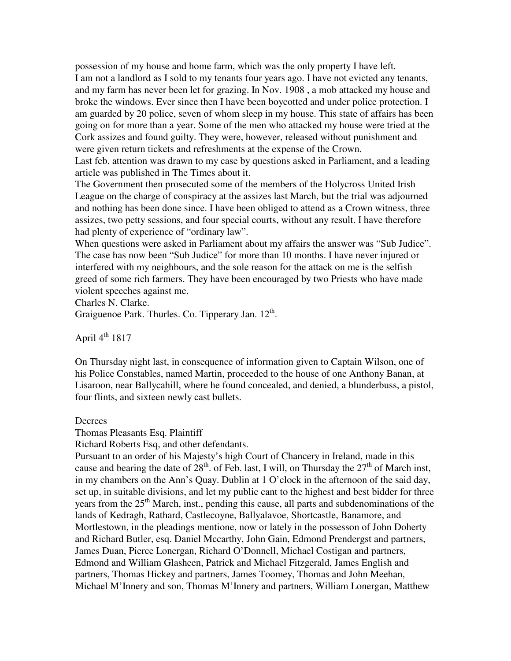possession of my house and home farm, which was the only property I have left. I am not a landlord as I sold to my tenants four years ago. I have not evicted any tenants, and my farm has never been let for grazing. In Nov. 1908 , a mob attacked my house and broke the windows. Ever since then I have been boycotted and under police protection. I am guarded by 20 police, seven of whom sleep in my house. This state of affairs has been going on for more than a year. Some of the men who attacked my house were tried at the Cork assizes and found guilty. They were, however, released without punishment and were given return tickets and refreshments at the expense of the Crown.

Last feb. attention was drawn to my case by questions asked in Parliament, and a leading article was published in The Times about it.

The Government then prosecuted some of the members of the Holycross United Irish League on the charge of conspiracy at the assizes last March, but the trial was adjourned and nothing has been done since. I have been obliged to attend as a Crown witness, three assizes, two petty sessions, and four special courts, without any result. I have therefore had plenty of experience of "ordinary law".

When questions were asked in Parliament about my affairs the answer was "Sub Judice". The case has now been "Sub Judice" for more than 10 months. I have never injured or interfered with my neighbours, and the sole reason for the attack on me is the selfish greed of some rich farmers. They have been encouraged by two Priests who have made violent speeches against me.

Charles N. Clarke.

Graiguenoe Park. Thurles. Co. Tipperary Jan.  $12<sup>th</sup>$ .

April  $4^{th}$  1817

On Thursday night last, in consequence of information given to Captain Wilson, one of his Police Constables, named Martin, proceeded to the house of one Anthony Banan, at Lisaroon, near Ballycahill, where he found concealed, and denied, a blunderbuss, a pistol, four flints, and sixteen newly cast bullets.

#### **Decrees**

Thomas Pleasants Esq. Plaintiff

Richard Roberts Esq, and other defendants.

Pursuant to an order of his Majesty's high Court of Chancery in Ireland, made in this cause and bearing the date of  $28<sup>th</sup>$ . of Feb. last, I will, on Thursday the  $27<sup>th</sup>$  of March inst, in my chambers on the Ann's Quay. Dublin at 1 O'clock in the afternoon of the said day, set up, in suitable divisions, and let my public cant to the highest and best bidder for three years from the  $25<sup>th</sup>$  March, inst., pending this cause, all parts and subdenominations of the lands of Kedragh, Rathard, Castlecoyne, Ballyalavoe, Shortcastle, Banamore, and Mortlestown, in the pleadings mentione, now or lately in the possesson of John Doherty and Richard Butler, esq. Daniel Mccarthy, John Gain, Edmond Prendergst and partners, James Duan, Pierce Lonergan, Richard O'Donnell, Michael Costigan and partners, Edmond and William Glasheen, Patrick and Michael Fitzgerald, James English and partners, Thomas Hickey and partners, James Toomey, Thomas and John Meehan, Michael M'Innery and son, Thomas M'Innery and partners, William Lonergan, Matthew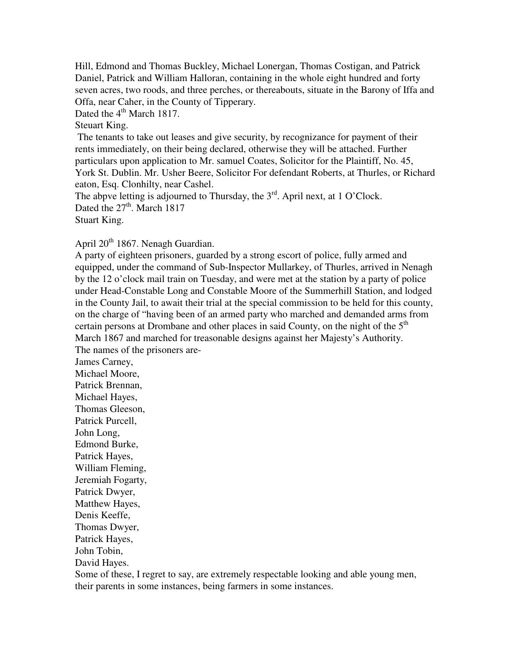Hill, Edmond and Thomas Buckley, Michael Lonergan, Thomas Costigan, and Patrick Daniel, Patrick and William Halloran, containing in the whole eight hundred and forty seven acres, two roods, and three perches, or thereabouts, situate in the Barony of Iffa and Offa, near Caher, in the County of Tipperary.

Dated the  $4<sup>th</sup>$  March 1817.

Steuart King.

 The tenants to take out leases and give security, by recognizance for payment of their rents immediately, on their being declared, otherwise they will be attached. Further particulars upon application to Mr. samuel Coates, Solicitor for the Plaintiff, No. 45, York St. Dublin. Mr. Usher Beere, Solicitor For defendant Roberts, at Thurles, or Richard eaton, Esq. Clonhilty, near Cashel.

The abpve letting is adjourned to Thursday, the  $3<sup>rd</sup>$ . April next, at 1 O'Clock. Dated the  $27<sup>th</sup>$ . March 1817 Stuart King.

April  $20<sup>th</sup>$  1867. Nenagh Guardian.

A party of eighteen prisoners, guarded by a strong escort of police, fully armed and equipped, under the command of Sub-Inspector Mullarkey, of Thurles, arrived in Nenagh by the 12 o'clock mail train on Tuesday, and were met at the station by a party of police under Head-Constable Long and Constable Moore of the Summerhill Station, and lodged in the County Jail, to await their trial at the special commission to be held for this county, on the charge of "having been of an armed party who marched and demanded arms from certain persons at Drombane and other places in said County, on the night of the  $5<sup>th</sup>$ March 1867 and marched for treasonable designs against her Majesty's Authority. The names of the prisoners are-

James Carney, Michael Moore, Patrick Brennan, Michael Hayes, Thomas Gleeson, Patrick Purcell, John Long, Edmond Burke, Patrick Hayes, William Fleming, Jeremiah Fogarty, Patrick Dwyer, Matthew Hayes, Denis Keeffe, Thomas Dwyer, Patrick Hayes, John Tobin, David Hayes. Some of these, I regret to say, are extremely respectable looking and able young men, their parents in some instances, being farmers in some instances.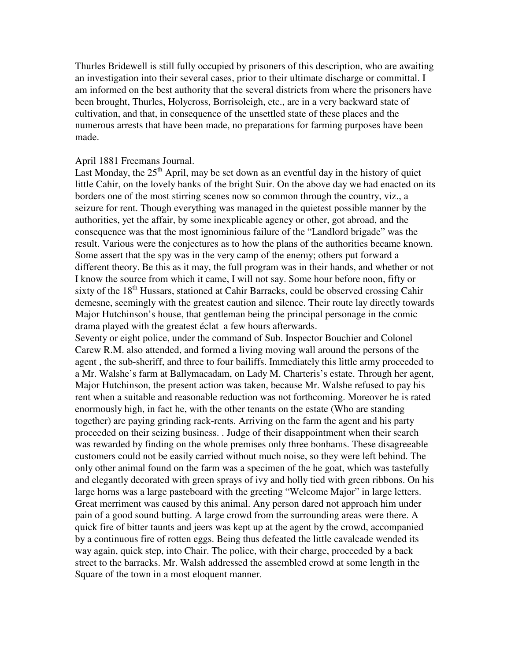Thurles Bridewell is still fully occupied by prisoners of this description, who are awaiting an investigation into their several cases, prior to their ultimate discharge or committal. I am informed on the best authority that the several districts from where the prisoners have been brought, Thurles, Holycross, Borrisoleigh, etc., are in a very backward state of cultivation, and that, in consequence of the unsettled state of these places and the numerous arrests that have been made, no preparations for farming purposes have been made.

#### April 1881 Freemans Journal.

Last Monday, the  $25<sup>th</sup>$  April, may be set down as an eventful day in the history of quiet little Cahir, on the lovely banks of the bright Suir. On the above day we had enacted on its borders one of the most stirring scenes now so common through the country, viz., a seizure for rent. Though everything was managed in the quietest possible manner by the authorities, yet the affair, by some inexplicable agency or other, got abroad, and the consequence was that the most ignominious failure of the "Landlord brigade" was the result. Various were the conjectures as to how the plans of the authorities became known. Some assert that the spy was in the very camp of the enemy; others put forward a different theory. Be this as it may, the full program was in their hands, and whether or not I know the source from which it came, I will not say. Some hour before noon, fifty or sixty of the  $18<sup>th</sup>$  Hussars, stationed at Cahir Barracks, could be observed crossing Cahir demesne, seemingly with the greatest caution and silence. Their route lay directly towards Major Hutchinson's house, that gentleman being the principal personage in the comic drama played with the greatest éclat a few hours afterwards.

Seventy or eight police, under the command of Sub. Inspector Bouchier and Colonel Carew R.M. also attended, and formed a living moving wall around the persons of the agent , the sub-sheriff, and three to four bailiffs. Immediately this little army proceeded to a Mr. Walshe's farm at Ballymacadam, on Lady M. Charteris's estate. Through her agent, Major Hutchinson, the present action was taken, because Mr. Walshe refused to pay his rent when a suitable and reasonable reduction was not forthcoming. Moreover he is rated enormously high, in fact he, with the other tenants on the estate (Who are standing together) are paying grinding rack-rents. Arriving on the farm the agent and his party proceeded on their seizing business. . Judge of their disappointment when their search was rewarded by finding on the whole premises only three bonhams. These disagreeable customers could not be easily carried without much noise, so they were left behind. The only other animal found on the farm was a specimen of the he goat, which was tastefully and elegantly decorated with green sprays of ivy and holly tied with green ribbons. On his large horns was a large pasteboard with the greeting "Welcome Major" in large letters. Great merriment was caused by this animal. Any person dared not approach him under pain of a good sound butting. A large crowd from the surrounding areas were there. A quick fire of bitter taunts and jeers was kept up at the agent by the crowd, accompanied by a continuous fire of rotten eggs. Being thus defeated the little cavalcade wended its way again, quick step, into Chair. The police, with their charge, proceeded by a back street to the barracks. Mr. Walsh addressed the assembled crowd at some length in the Square of the town in a most eloquent manner.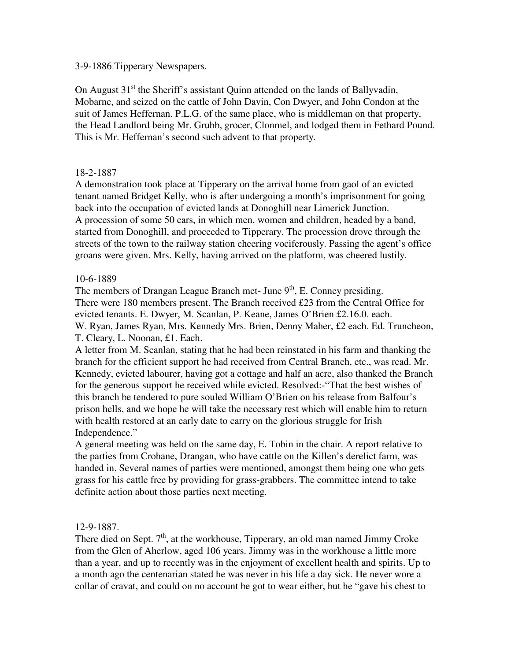3-9-1886 Tipperary Newspapers.

On August  $31<sup>st</sup>$  the Sheriff's assistant Quinn attended on the lands of Ballyvadin, Mobarne, and seized on the cattle of John Davin, Con Dwyer, and John Condon at the suit of James Heffernan. P.L.G. of the same place, who is middleman on that property, the Head Landlord being Mr. Grubb, grocer, Clonmel, and lodged them in Fethard Pound. This is Mr. Heffernan's second such advent to that property.

# 18-2-1887

A demonstration took place at Tipperary on the arrival home from gaol of an evicted tenant named Bridget Kelly, who is after undergoing a month's imprisonment for going back into the occupation of evicted lands at Donoghill near Limerick Junction. A procession of some 50 cars, in which men, women and children, headed by a band, started from Donoghill, and proceeded to Tipperary. The procession drove through the streets of the town to the railway station cheering vociferously. Passing the agent's office groans were given. Mrs. Kelly, having arrived on the platform, was cheered lustily.

# 10-6-1889

The members of Drangan League Branch met- June  $9<sup>th</sup>$ , E. Conney presiding. There were 180 members present. The Branch received £23 from the Central Office for evicted tenants. E. Dwyer, M. Scanlan, P. Keane, James O'Brien £2.16.0. each. W. Ryan, James Ryan, Mrs. Kennedy Mrs. Brien, Denny Maher, £2 each. Ed. Truncheon, T. Cleary, L. Noonan, £1. Each.

A letter from M. Scanlan, stating that he had been reinstated in his farm and thanking the branch for the efficient support he had received from Central Branch, etc., was read. Mr. Kennedy, evicted labourer, having got a cottage and half an acre, also thanked the Branch for the generous support he received while evicted. Resolved:-"That the best wishes of this branch be tendered to pure souled William O'Brien on his release from Balfour's prison hells, and we hope he will take the necessary rest which will enable him to return with health restored at an early date to carry on the glorious struggle for Irish Independence."

A general meeting was held on the same day, E. Tobin in the chair. A report relative to the parties from Crohane, Drangan, who have cattle on the Killen's derelict farm, was handed in. Several names of parties were mentioned, amongst them being one who gets grass for his cattle free by providing for grass-grabbers. The committee intend to take definite action about those parties next meeting.

### 12-9-1887.

There died on Sept.  $7<sup>th</sup>$ , at the workhouse, Tipperary, an old man named Jimmy Croke from the Glen of Aherlow, aged 106 years. Jimmy was in the workhouse a little more than a year, and up to recently was in the enjoyment of excellent health and spirits. Up to a month ago the centenarian stated he was never in his life a day sick. He never wore a collar of cravat, and could on no account be got to wear either, but he "gave his chest to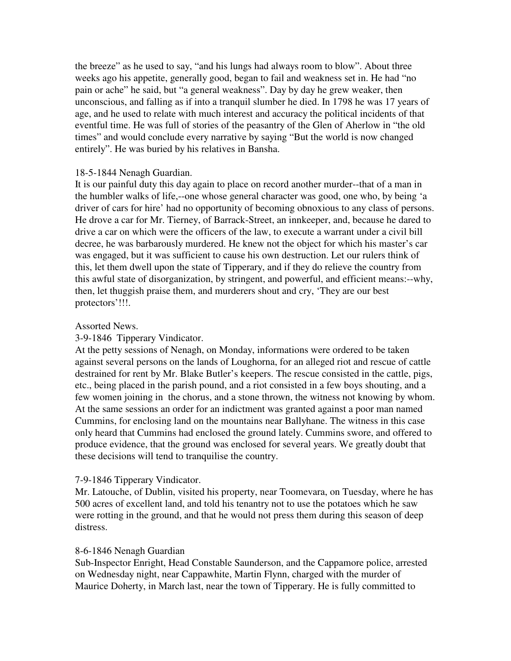the breeze" as he used to say, "and his lungs had always room to blow". About three weeks ago his appetite, generally good, began to fail and weakness set in. He had "no pain or ache" he said, but "a general weakness". Day by day he grew weaker, then unconscious, and falling as if into a tranquil slumber he died. In 1798 he was 17 years of age, and he used to relate with much interest and accuracy the political incidents of that eventful time. He was full of stories of the peasantry of the Glen of Aherlow in "the old times" and would conclude every narrative by saying "But the world is now changed entirely". He was buried by his relatives in Bansha.

#### 18-5-1844 Nenagh Guardian.

It is our painful duty this day again to place on record another murder--that of a man in the humbler walks of life,--one whose general character was good, one who, by being 'a driver of cars for hire' had no opportunity of becoming obnoxious to any class of persons. He drove a car for Mr. Tierney, of Barrack-Street, an innkeeper, and, because he dared to drive a car on which were the officers of the law, to execute a warrant under a civil bill decree, he was barbarously murdered. He knew not the object for which his master's car was engaged, but it was sufficient to cause his own destruction. Let our rulers think of this, let them dwell upon the state of Tipperary, and if they do relieve the country from this awful state of disorganization, by stringent, and powerful, and efficient means:--why, then, let thuggish praise them, and murderers shout and cry, 'They are our best protectors'!!!.

#### Assorted News.

### 3-9-1846 Tipperary Vindicator.

At the petty sessions of Nenagh, on Monday, informations were ordered to be taken against several persons on the lands of Loughorna, for an alleged riot and rescue of cattle destrained for rent by Mr. Blake Butler's keepers. The rescue consisted in the cattle, pigs, etc., being placed in the parish pound, and a riot consisted in a few boys shouting, and a few women joining in the chorus, and a stone thrown, the witness not knowing by whom. At the same sessions an order for an indictment was granted against a poor man named Cummins, for enclosing land on the mountains near Ballyhane. The witness in this case only heard that Cummins had enclosed the ground lately. Cummins swore, and offered to produce evidence, that the ground was enclosed for several years. We greatly doubt that these decisions will tend to tranquilise the country.

### 7-9-1846 Tipperary Vindicator.

Mr. Latouche, of Dublin, visited his property, near Toomevara, on Tuesday, where he has 500 acres of excellent land, and told his tenantry not to use the potatoes which he saw were rotting in the ground, and that he would not press them during this season of deep distress.

#### 8-6-1846 Nenagh Guardian

Sub-Inspector Enright, Head Constable Saunderson, and the Cappamore police, arrested on Wednesday night, near Cappawhite, Martin Flynn, charged with the murder of Maurice Doherty, in March last, near the town of Tipperary. He is fully committed to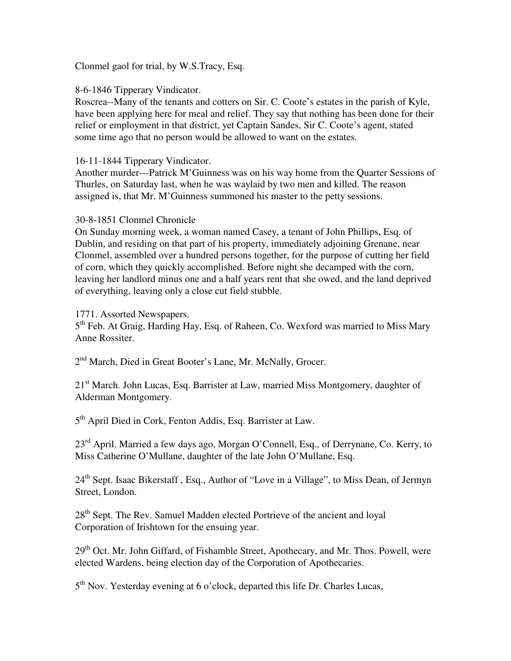Clonmel gaol for trial, by W.S.Tracy, Esq.

8-6-1846 Tipperary Vindicator.

Roscrea--Many of the tenants and cotters on Sir. C. Coote's estates in the parish of Kyle, have been applying here for meal and relief. They say that nothing has been done for their relief or employment in that district, yet Captain Sandes, Sir C. Coote's agent, stated some time ago that no person would be allowed to want on the estates.

# 16-11-1844 Tipperary Vindicator.

Another murder---Patrick M'Guinness was on his way home from the Quarter Sessions of Thurles, on Saturday last, when he was waylaid by two men and killed. The reason assigned is, that Mr. M'Guinness summoned his master to the petty sessions.

### 30-8-1851 Clonmel Chronicle

On Sunday morning week, a woman named Casey, a tenant of John Phillips, Esq. of Dublin, and residing on that part of his property, immediately adjoining Grenane, near Clonmel, assembled over a hundred persons together, for the purpose of cutting her field of corn, which they quickly accomplished. Before night she decamped with the corn, leaving her landlord minus one and a half years rent that she owed, and the land deprived of everything, leaving only a close cut field stubble.

# 1771. Assorted Newspapers.

5<sup>th</sup> Feb. At Graig, Harding Hay, Esq. of Raheen, Co. Wexford was married to Miss Mary Anne Rossiter.

2<sup>nd</sup> March, Died in Great Booter's Lane, Mr. McNally, Grocer.

21<sup>st</sup> March. John Lucas, Esq. Barrister at Law, married Miss Montgomery, daughter of Alderman Montgomery.

5<sup>th</sup> April Died in Cork, Fenton Addis, Esq. Barrister at Law.

23<sup>rd</sup> April. Married a few days ago, Morgan O'Connell, Esq., of Derrynane, Co. Kerry, to Miss Catherine O'Mullane, daughter of the late John O'Mullane, Esq.

24<sup>th</sup> Sept. Isaac Bikerstaff, Esq., Author of "Love in a Village", to Miss Dean, of Jermyn Street, London.

28<sup>th</sup> Sept. The Rev. Samuel Madden elected Portrieve of the ancient and loyal Corporation of Irishtown for the ensuing year.

29<sup>th</sup> Oct. Mr. John Giffard, of Fishamble Street, Apothecary, and Mr. Thos. Powell, were elected Wardens, being election day of the Corporation of Apothecaries.

5<sup>th</sup> Nov. Yesterday evening at 6 o'clock, departed this life Dr. Charles Lucas,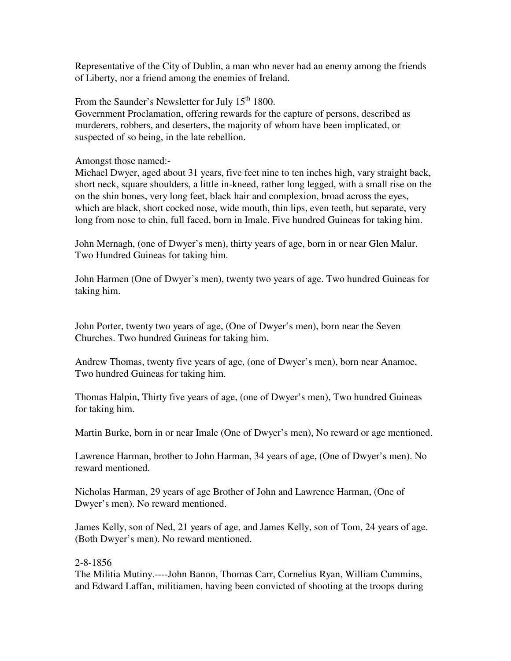Representative of the City of Dublin, a man who never had an enemy among the friends of Liberty, nor a friend among the enemies of Ireland.

From the Saunder's Newsletter for July  $15<sup>th</sup> 1800$ . Government Proclamation, offering rewards for the capture of persons, described as murderers, robbers, and deserters, the majority of whom have been implicated, or suspected of so being, in the late rebellion.

Amongst those named:-

Michael Dwyer, aged about 31 years, five feet nine to ten inches high, vary straight back, short neck, square shoulders, a little in-kneed, rather long legged, with a small rise on the on the shin bones, very long feet, black hair and complexion, broad across the eyes, which are black, short cocked nose, wide mouth, thin lips, even teeth, but separate, very long from nose to chin, full faced, born in Imale. Five hundred Guineas for taking him.

John Mernagh, (one of Dwyer's men), thirty years of age, born in or near Glen Malur. Two Hundred Guineas for taking him.

John Harmen (One of Dwyer's men), twenty two years of age. Two hundred Guineas for taking him.

John Porter, twenty two years of age, (One of Dwyer's men), born near the Seven Churches. Two hundred Guineas for taking him.

Andrew Thomas, twenty five years of age, (one of Dwyer's men), born near Anamoe, Two hundred Guineas for taking him.

Thomas Halpin, Thirty five years of age, (one of Dwyer's men), Two hundred Guineas for taking him.

Martin Burke, born in or near Imale (One of Dwyer's men), No reward or age mentioned.

Lawrence Harman, brother to John Harman, 34 years of age, (One of Dwyer's men). No reward mentioned.

Nicholas Harman, 29 years of age Brother of John and Lawrence Harman, (One of Dwyer's men). No reward mentioned.

James Kelly, son of Ned, 21 years of age, and James Kelly, son of Tom, 24 years of age. (Both Dwyer's men). No reward mentioned.

# 2-8-1856

The Militia Mutiny.----John Banon, Thomas Carr, Cornelius Ryan, William Cummins, and Edward Laffan, militiamen, having been convicted of shooting at the troops during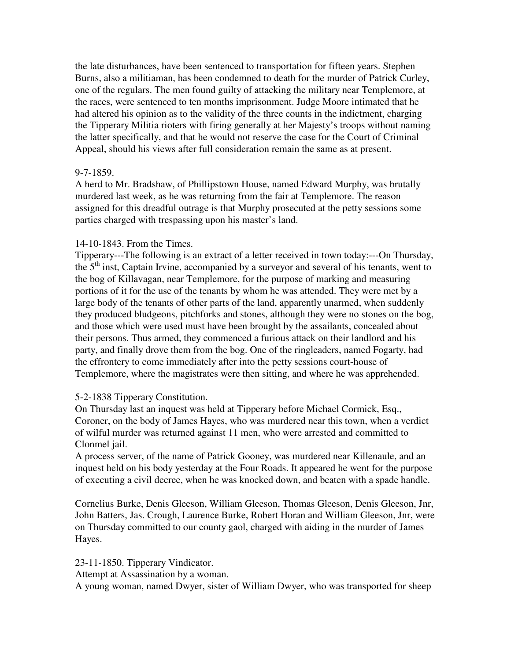the late disturbances, have been sentenced to transportation for fifteen years. Stephen Burns, also a militiaman, has been condemned to death for the murder of Patrick Curley, one of the regulars. The men found guilty of attacking the military near Templemore, at the races, were sentenced to ten months imprisonment. Judge Moore intimated that he had altered his opinion as to the validity of the three counts in the indictment, charging the Tipperary Militia rioters with firing generally at her Majesty's troops without naming the latter specifically, and that he would not reserve the case for the Court of Criminal Appeal, should his views after full consideration remain the same as at present.

### 9-7-1859.

A herd to Mr. Bradshaw, of Phillipstown House, named Edward Murphy, was brutally murdered last week, as he was returning from the fair at Templemore. The reason assigned for this dreadful outrage is that Murphy prosecuted at the petty sessions some parties charged with trespassing upon his master's land.

# 14-10-1843. From the Times.

Tipperary---The following is an extract of a letter received in town today:---On Thursday, the  $5<sup>th</sup>$  inst, Captain Irvine, accompanied by a surveyor and several of his tenants, went to the bog of Killavagan, near Templemore, for the purpose of marking and measuring portions of it for the use of the tenants by whom he was attended. They were met by a large body of the tenants of other parts of the land, apparently unarmed, when suddenly they produced bludgeons, pitchforks and stones, although they were no stones on the bog, and those which were used must have been brought by the assailants, concealed about their persons. Thus armed, they commenced a furious attack on their landlord and his party, and finally drove them from the bog. One of the ringleaders, named Fogarty, had the effrontery to come immediately after into the petty sessions court-house of Templemore, where the magistrates were then sitting, and where he was apprehended.

# 5-2-1838 Tipperary Constitution.

On Thursday last an inquest was held at Tipperary before Michael Cormick, Esq., Coroner, on the body of James Hayes, who was murdered near this town, when a verdict of wilful murder was returned against 11 men, who were arrested and committed to Clonmel jail.

A process server, of the name of Patrick Gooney, was murdered near Killenaule, and an inquest held on his body yesterday at the Four Roads. It appeared he went for the purpose of executing a civil decree, when he was knocked down, and beaten with a spade handle.

Cornelius Burke, Denis Gleeson, William Gleeson, Thomas Gleeson, Denis Gleeson, Jnr, John Batters, Jas. Crough, Laurence Burke, Robert Horan and William Gleeson, Jnr, were on Thursday committed to our county gaol, charged with aiding in the murder of James Hayes.

23-11-1850. Tipperary Vindicator.

Attempt at Assassination by a woman.

A young woman, named Dwyer, sister of William Dwyer, who was transported for sheep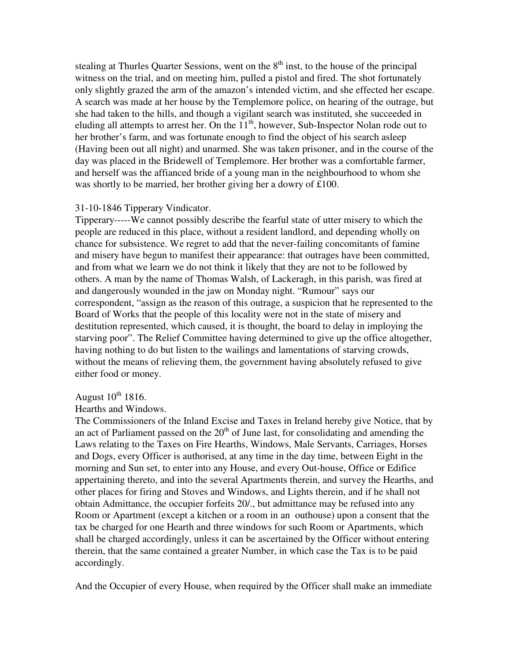stealing at Thurles Quarter Sessions, went on the  $8<sup>th</sup>$  inst, to the house of the principal witness on the trial, and on meeting him, pulled a pistol and fired. The shot fortunately only slightly grazed the arm of the amazon's intended victim, and she effected her escape. A search was made at her house by the Templemore police, on hearing of the outrage, but she had taken to the hills, and though a vigilant search was instituted, she succeeded in eluding all attempts to arrest her. On the  $11<sup>th</sup>$ , however, Sub-Inspector Nolan rode out to her brother's farm, and was fortunate enough to find the object of his search asleep (Having been out all night) and unarmed. She was taken prisoner, and in the course of the day was placed in the Bridewell of Templemore. Her brother was a comfortable farmer, and herself was the affianced bride of a young man in the neighbourhood to whom she was shortly to be married, her brother giving her a dowry of £100.

#### 31-10-1846 Tipperary Vindicator.

Tipperary-----We cannot possibly describe the fearful state of utter misery to which the people are reduced in this place, without a resident landlord, and depending wholly on chance for subsistence. We regret to add that the never-failing concomitants of famine and misery have begun to manifest their appearance: that outrages have been committed, and from what we learn we do not think it likely that they are not to be followed by others. A man by the name of Thomas Walsh, of Lackeragh, in this parish, was fired at and dangerously wounded in the jaw on Monday night. "Rumour" says our correspondent, "assign as the reason of this outrage, a suspicion that he represented to the Board of Works that the people of this locality were not in the state of misery and destitution represented, which caused, it is thought, the board to delay in imploying the starving poor". The Relief Committee having determined to give up the office altogether, having nothing to do but listen to the wailings and lamentations of starving crowds, without the means of relieving them, the government having absolutely refused to give either food or money.

# August  $10^{th}$  1816.

#### Hearths and Windows.

The Commissioners of the Inland Excise and Taxes in Ireland hereby give Notice, that by an act of Parliament passed on the  $20<sup>th</sup>$  of June last, for consolidating and amending the Laws relating to the Taxes on Fire Hearths, Windows, Male Servants, Carriages, Horses and Dogs, every Officer is authorised, at any time in the day time, between Eight in the morning and Sun set, to enter into any House, and every Out-house, Office or Edifice appertaining thereto, and into the several Apartments therein, and survey the Hearths, and other places for firing and Stoves and Windows, and Lights therein, and if he shall not obtain Admittance, the occupier forfeits 20/., but admittance may be refused into any Room or Apartment (except a kitchen or a room in an outhouse) upon a consent that the tax be charged for one Hearth and three windows for such Room or Apartments, which shall be charged accordingly, unless it can be ascertained by the Officer without entering therein, that the same contained a greater Number, in which case the Tax is to be paid accordingly.

And the Occupier of every House, when required by the Officer shall make an immediate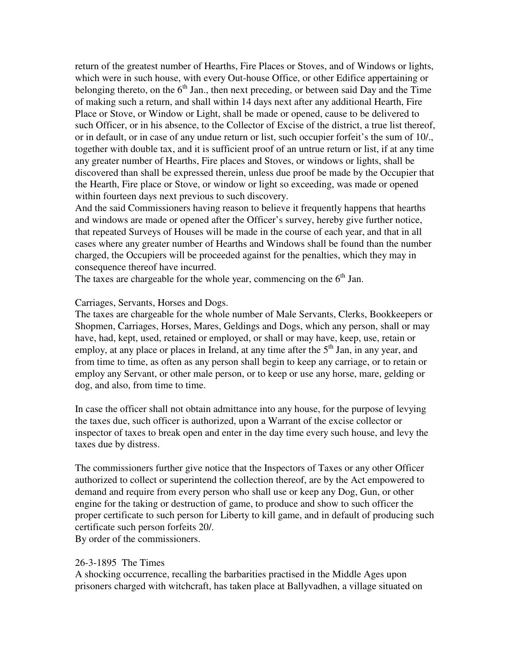return of the greatest number of Hearths, Fire Places or Stoves, and of Windows or lights, which were in such house, with every Out-house Office, or other Edifice appertaining or belonging thereto, on the  $6<sup>th</sup>$  Jan., then next preceding, or between said Day and the Time of making such a return, and shall within 14 days next after any additional Hearth, Fire Place or Stove, or Window or Light, shall be made or opened, cause to be delivered to such Officer, or in his absence, to the Collector of Excise of the district, a true list thereof, or in default, or in case of any undue return or list, such occupier forfeit's the sum of 10/., together with double tax, and it is sufficient proof of an untrue return or list, if at any time any greater number of Hearths, Fire places and Stoves, or windows or lights, shall be discovered than shall be expressed therein, unless due proof be made by the Occupier that the Hearth, Fire place or Stove, or window or light so exceeding, was made or opened within fourteen days next previous to such discovery.

And the said Commissioners having reason to believe it frequently happens that hearths and windows are made or opened after the Officer's survey, hereby give further notice, that repeated Surveys of Houses will be made in the course of each year, and that in all cases where any greater number of Hearths and Windows shall be found than the number charged, the Occupiers will be proceeded against for the penalties, which they may in consequence thereof have incurred.

The taxes are chargeable for the whole year, commencing on the  $6<sup>th</sup>$  Jan.

Carriages, Servants, Horses and Dogs.

The taxes are chargeable for the whole number of Male Servants, Clerks, Bookkeepers or Shopmen, Carriages, Horses, Mares, Geldings and Dogs, which any person, shall or may have, had, kept, used, retained or employed, or shall or may have, keep, use, retain or employ, at any place or places in Ireland, at any time after the  $5<sup>th</sup>$  Jan, in any year, and from time to time, as often as any person shall begin to keep any carriage, or to retain or employ any Servant, or other male person, or to keep or use any horse, mare, gelding or dog, and also, from time to time.

In case the officer shall not obtain admittance into any house, for the purpose of levying the taxes due, such officer is authorized, upon a Warrant of the excise collector or inspector of taxes to break open and enter in the day time every such house, and levy the taxes due by distress.

The commissioners further give notice that the Inspectors of Taxes or any other Officer authorized to collect or superintend the collection thereof, are by the Act empowered to demand and require from every person who shall use or keep any Dog, Gun, or other engine for the taking or destruction of game, to produce and show to such officer the proper certificate to such person for Liberty to kill game, and in default of producing such certificate such person forfeits 20/.

By order of the commissioners.

#### 26-3-1895 The Times

A shocking occurrence, recalling the barbarities practised in the Middle Ages upon prisoners charged with witchcraft, has taken place at Ballyvadhen, a village situated on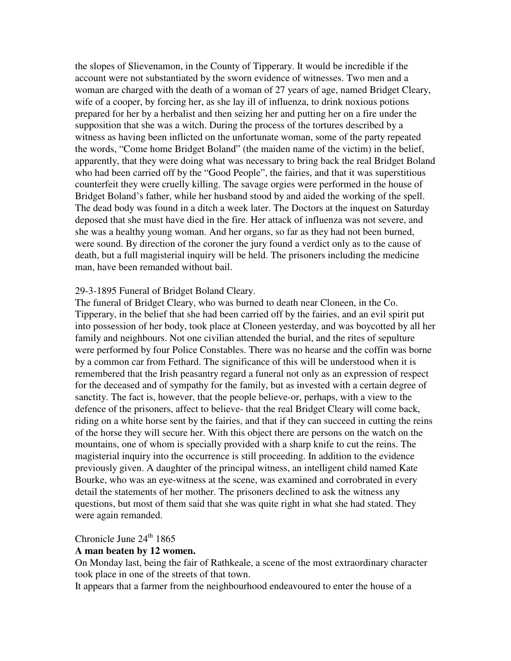the slopes of Slievenamon, in the County of Tipperary. It would be incredible if the account were not substantiated by the sworn evidence of witnesses. Two men and a woman are charged with the death of a woman of 27 years of age, named Bridget Cleary, wife of a cooper, by forcing her, as she lay ill of influenza, to drink noxious potions prepared for her by a herbalist and then seizing her and putting her on a fire under the supposition that she was a witch. During the process of the tortures described by a witness as having been inflicted on the unfortunate woman, some of the party repeated the words, "Come home Bridget Boland" (the maiden name of the victim) in the belief, apparently, that they were doing what was necessary to bring back the real Bridget Boland who had been carried off by the "Good People", the fairies, and that it was superstitious counterfeit they were cruelly killing. The savage orgies were performed in the house of Bridget Boland's father, while her husband stood by and aided the working of the spell. The dead body was found in a ditch a week later. The Doctors at the inquest on Saturday deposed that she must have died in the fire. Her attack of influenza was not severe, and she was a healthy young woman. And her organs, so far as they had not been burned, were sound. By direction of the coroner the jury found a verdict only as to the cause of death, but a full magisterial inquiry will be held. The prisoners including the medicine man, have been remanded without bail.

#### 29-3-1895 Funeral of Bridget Boland Cleary.

The funeral of Bridget Cleary, who was burned to death near Cloneen, in the Co. Tipperary, in the belief that she had been carried off by the fairies, and an evil spirit put into possession of her body, took place at Cloneen yesterday, and was boycotted by all her family and neighbours. Not one civilian attended the burial, and the rites of sepulture were performed by four Police Constables. There was no hearse and the coffin was borne by a common car from Fethard. The significance of this will be understood when it is remembered that the Irish peasantry regard a funeral not only as an expression of respect for the deceased and of sympathy for the family, but as invested with a certain degree of sanctity. The fact is, however, that the people believe-or, perhaps, with a view to the defence of the prisoners, affect to believe- that the real Bridget Cleary will come back, riding on a white horse sent by the fairies, and that if they can succeed in cutting the reins of the horse they will secure her. With this object there are persons on the watch on the mountains, one of whom is specially provided with a sharp knife to cut the reins. The magisterial inquiry into the occurrence is still proceeding. In addition to the evidence previously given. A daughter of the principal witness, an intelligent child named Kate Bourke, who was an eye-witness at the scene, was examined and corrobrated in every detail the statements of her mother. The prisoners declined to ask the witness any questions, but most of them said that she was quite right in what she had stated. They were again remanded.

# Chronicle June  $24<sup>th</sup> 1865$

#### **A man beaten by 12 women.**

On Monday last, being the fair of Rathkeale, a scene of the most extraordinary character took place in one of the streets of that town.

It appears that a farmer from the neighbourhood endeavoured to enter the house of a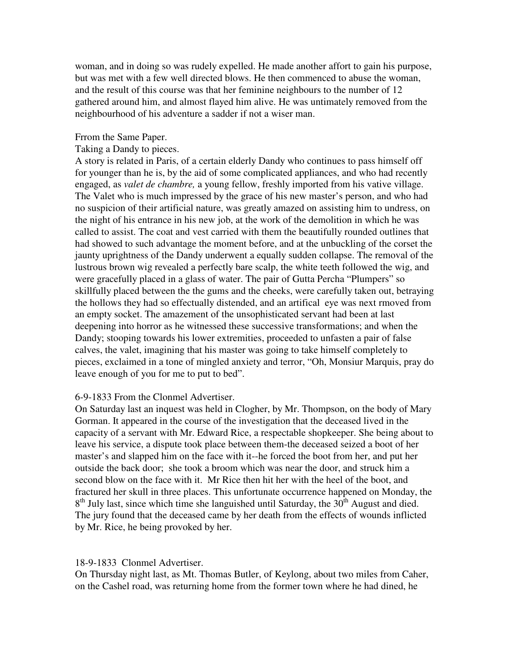woman, and in doing so was rudely expelled. He made another affort to gain his purpose, but was met with a few well directed blows. He then commenced to abuse the woman, and the result of this course was that her feminine neighbours to the number of 12 gathered around him, and almost flayed him alive. He was untimately removed from the neighbourhood of his adventure a sadder if not a wiser man.

### Frrom the Same Paper.

### Taking a Dandy to pieces.

A story is related in Paris, of a certain elderly Dandy who continues to pass himself off for younger than he is, by the aid of some complicated appliances, and who had recently engaged, as *valet de chambre,* a young fellow, freshly imported from his vative village. The Valet who is much impressed by the grace of his new master's person, and who had no suspicion of their artificial nature, was greatly amazed on assisting him to undress, on the night of his entrance in his new job, at the work of the demolition in which he was called to assist. The coat and vest carried with them the beautifully rounded outlines that had showed to such advantage the moment before, and at the unbuckling of the corset the jaunty uprightness of the Dandy underwent a equally sudden collapse. The removal of the lustrous brown wig revealed a perfectly bare scalp, the white teeth followed the wig, and were gracefully placed in a glass of water. The pair of Gutta Percha "Plumpers" so skillfully placed between the the gums and the cheeks, were carefully taken out, betraying the hollows they had so effectually distended, and an artifical eye was next rmoved from an empty socket. The amazement of the unsophisticated servant had been at last deepening into horror as he witnessed these successive transformations; and when the Dandy; stooping towards his lower extremities, proceeded to unfasten a pair of false calves, the valet, imagining that his master was going to take himself completely to pieces, exclaimed in a tone of mingled anxiety and terror, "Oh, Monsiur Marquis, pray do leave enough of you for me to put to bed".

### 6-9-1833 From the Clonmel Advertiser.

On Saturday last an inquest was held in Clogher, by Mr. Thompson, on the body of Mary Gorman. It appeared in the course of the investigation that the deceased lived in the capacity of a servant with Mr. Edward Rice, a respectable shopkeeper. She being about to leave his service, a dispute took place between them-the deceased seized a boot of her master's and slapped him on the face with it--he forced the boot from her, and put her outside the back door; she took a broom which was near the door, and struck him a second blow on the face with it. Mr Rice then hit her with the heel of the boot, and fractured her skull in three places. This unfortunate occurrence happened on Monday, the 8<sup>th</sup> July last, since which time she languished until Saturday, the 30<sup>th</sup> August and died. The jury found that the deceased came by her death from the effects of wounds inflicted by Mr. Rice, he being provoked by her.

#### 18-9-1833 Clonmel Advertiser.

On Thursday night last, as Mt. Thomas Butler, of Keylong, about two miles from Caher, on the Cashel road, was returning home from the former town where he had dined, he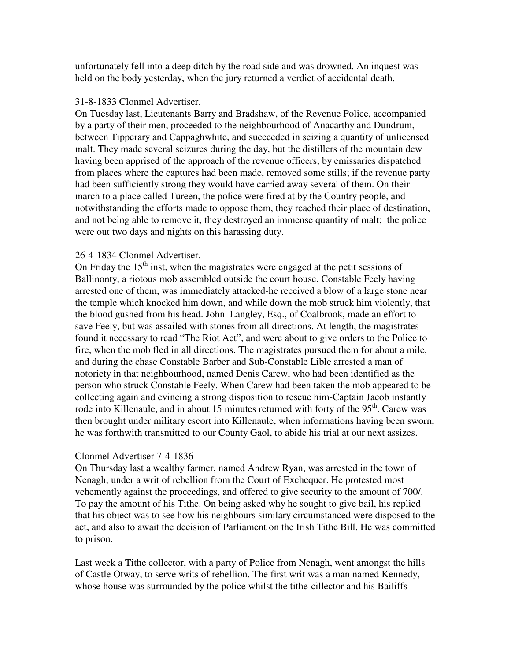unfortunately fell into a deep ditch by the road side and was drowned. An inquest was held on the body yesterday, when the jury returned a verdict of accidental death.

#### 31-8-1833 Clonmel Advertiser.

On Tuesday last, Lieutenants Barry and Bradshaw, of the Revenue Police, accompanied by a party of their men, proceeded to the neighbourhood of Anacarthy and Dundrum, between Tipperary and Cappaghwhite, and succeeded in seizing a quantity of unlicensed malt. They made several seizures during the day, but the distillers of the mountain dew having been apprised of the approach of the revenue officers, by emissaries dispatched from places where the captures had been made, removed some stills; if the revenue party had been sufficiently strong they would have carried away several of them. On their march to a place called Tureen, the police were fired at by the Country people, and notwithstanding the efforts made to oppose them, they reached their place of destination, and not being able to remove it, they destroyed an immense quantity of malt; the police were out two days and nights on this harassing duty.

### 26-4-1834 Clonmel Advertiser.

On Friday the  $15<sup>th</sup>$  inst, when the magistrates were engaged at the petit sessions of Ballinonty, a riotous mob assembled outside the court house. Constable Feely having arrested one of them, was immediately attacked-he received a blow of a large stone near the temple which knocked him down, and while down the mob struck him violently, that the blood gushed from his head. John Langley, Esq., of Coalbrook, made an effort to save Feely, but was assailed with stones from all directions. At length, the magistrates found it necessary to read "The Riot Act", and were about to give orders to the Police to fire, when the mob fled in all directions. The magistrates pursued them for about a mile, and during the chase Constable Barber and Sub-Constable Lible arrested a man of notoriety in that neighbourhood, named Denis Carew, who had been identified as the person who struck Constable Feely. When Carew had been taken the mob appeared to be collecting again and evincing a strong disposition to rescue him-Captain Jacob instantly rode into Killenaule, and in about 15 minutes returned with forty of the  $95<sup>th</sup>$ . Carew was then brought under military escort into Killenaule, when informations having been sworn, he was forthwith transmitted to our County Gaol, to abide his trial at our next assizes.

### Clonmel Advertiser 7-4-1836

On Thursday last a wealthy farmer, named Andrew Ryan, was arrested in the town of Nenagh, under a writ of rebellion from the Court of Exchequer. He protested most vehemently against the proceedings, and offered to give security to the amount of 700/. To pay the amount of his Tithe. On being asked why he sought to give bail, his replied that his object was to see how his neighbours similary circumstanced were disposed to the act, and also to await the decision of Parliament on the Irish Tithe Bill. He was committed to prison.

Last week a Tithe collector, with a party of Police from Nenagh, went amongst the hills of Castle Otway, to serve writs of rebellion. The first writ was a man named Kennedy, whose house was surrounded by the police whilst the tithe-cillector and his Bailiffs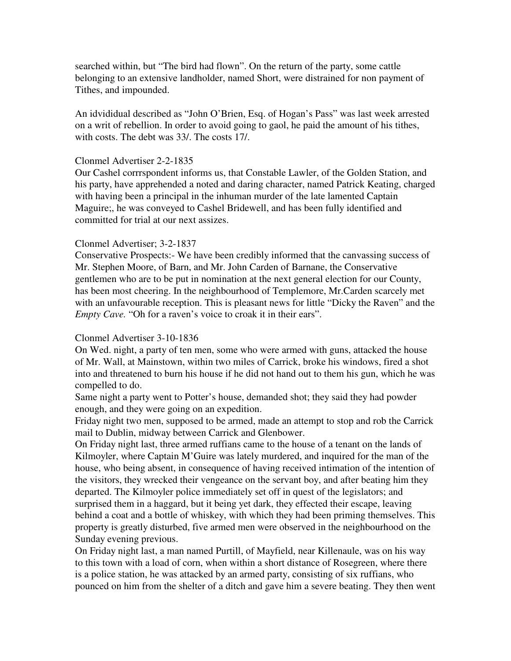searched within, but "The bird had flown". On the return of the party, some cattle belonging to an extensive landholder, named Short, were distrained for non payment of Tithes, and impounded.

An idvididual described as "John O'Brien, Esq. of Hogan's Pass" was last week arrested on a writ of rebellion. In order to avoid going to gaol, he paid the amount of his tithes, with costs. The debt was 33/. The costs 17/.

#### Clonmel Advertiser 2-2-1835

Our Cashel corrrspondent informs us, that Constable Lawler, of the Golden Station, and his party, have apprehended a noted and daring character, named Patrick Keating, charged with having been a principal in the inhuman murder of the late lamented Captain Maguire;, he was conveyed to Cashel Bridewell, and has been fully identified and committed for trial at our next assizes.

### Clonmel Advertiser; 3-2-1837

Conservative Prospects:- We have been credibly informed that the canvassing success of Mr. Stephen Moore, of Barn, and Mr. John Carden of Barnane, the Conservative gentlemen who are to be put in nomination at the next general election for our County, has been most cheering. In the neighbourhood of Templemore, Mr.Carden scarcely met with an unfavourable reception. This is pleasant news for little "Dicky the Raven" and the *Empty Cave.* "Oh for a raven's voice to croak it in their ears".

### Clonmel Advertiser 3-10-1836

On Wed. night, a party of ten men, some who were armed with guns, attacked the house of Mr. Wall, at Mainstown, within two miles of Carrick, broke his windows, fired a shot into and threatened to burn his house if he did not hand out to them his gun, which he was compelled to do.

Same night a party went to Potter's house, demanded shot; they said they had powder enough, and they were going on an expedition.

Friday night two men, supposed to be armed, made an attempt to stop and rob the Carrick mail to Dublin, midway between Carrick and Glenbower.

On Friday night last, three armed ruffians came to the house of a tenant on the lands of Kilmoyler, where Captain M'Guire was lately murdered, and inquired for the man of the house, who being absent, in consequence of having received intimation of the intention of the visitors, they wrecked their vengeance on the servant boy, and after beating him they departed. The Kilmoyler police immediately set off in quest of the legislators; and surprised them in a haggard, but it being yet dark, they effected their escape, leaving behind a coat and a bottle of whiskey, with which they had been priming themselves. This property is greatly disturbed, five armed men were observed in the neighbourhood on the Sunday evening previous.

On Friday night last, a man named Purtill, of Mayfield, near Killenaule, was on his way to this town with a load of corn, when within a short distance of Rosegreen, where there is a police station, he was attacked by an armed party, consisting of six ruffians, who pounced on him from the shelter of a ditch and gave him a severe beating. They then went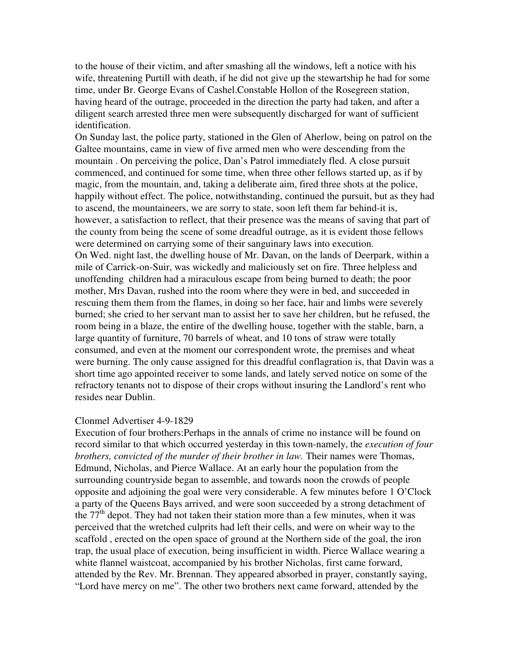to the house of their victim, and after smashing all the windows, left a notice with his wife, threatening Purtill with death, if he did not give up the stewartship he had for some time, under Br. George Evans of Cashel.Constable Hollon of the Rosegreen station, having heard of the outrage, proceeded in the direction the party had taken, and after a diligent search arrested three men were subsequently discharged for want of sufficient identification.

On Sunday last, the police party, stationed in the Glen of Aherlow, being on patrol on the Galtee mountains, came in view of five armed men who were descending from the mountain . On perceiving the police, Dan's Patrol immediately fled. A close pursuit commenced, and continued for some time, when three other fellows started up, as if by magic, from the mountain, and, taking a deliberate aim, fired three shots at the police, happily without effect. The police, notwithstanding, continued the pursuit, but as they had to ascend, the mountaineers, we are sorry to state, soon left them far behind-it is, however, a satisfaction to reflect, that their presence was the means of saving that part of the county from being the scene of some dreadful outrage, as it is evident those fellows were determined on carrying some of their sanguinary laws into execution. On Wed. night last, the dwelling house of Mr. Davan, on the lands of Deerpark, within a mile of Carrick-on-Suir, was wickedly and maliciously set on fire. Three helpless and unoffending children had a miraculous escape from being burned to death; the poor mother, Mrs Davan, rushed into the room where they were in bed, and succeeded in rescuing them them from the flames, in doing so her face, hair and limbs were severely burned; she cried to her servant man to assist her to save her children, but he refused, the room being in a blaze, the entire of the dwelling house, together with the stable, barn, a large quantity of furniture, 70 barrels of wheat, and 10 tons of straw were totally consumed, and even at the moment our correspondent wrote, the premises and wheat were burning. The only cause assigned for this dreadful conflagration is, that Davin was a short time ago appointed receiver to some lands, and lately served notice on some of the refractory tenants not to dispose of their crops without insuring the Landlord's rent who resides near Dublin.

#### Clonmel Advertiser 4-9-1829

Execution of four brothers:Perhaps in the annals of crime no instance will be found on record similar to that which occurred yesterday in this town-namely, the *execution of four brothers, convicted of the murder of their brother in law.* Their names were Thomas, Edmund, Nicholas, and Pierce Wallace. At an early hour the population from the surrounding countryside began to assemble, and towards noon the crowds of people opposite and adjoining the goal were very considerable. A few minutes before 1 O'Clock a party of the Queens Bays arrived, and were soon succeeded by a strong detachment of the 77<sup>th</sup> depot. They had not taken their station more than a few minutes, when it was perceived that the wretched culprits had left their cells, and were on wheir way to the scaffold , erected on the open space of ground at the Northern side of the goal, the iron trap, the usual place of execution, being insufficient in width. Pierce Wallace wearing a white flannel waistcoat, accompanied by his brother Nicholas, first came forward, attended by the Rev. Mr. Brennan. They appeared absorbed in prayer, constantly saying, "Lord have mercy on me". The other two brothers next came forward, attended by the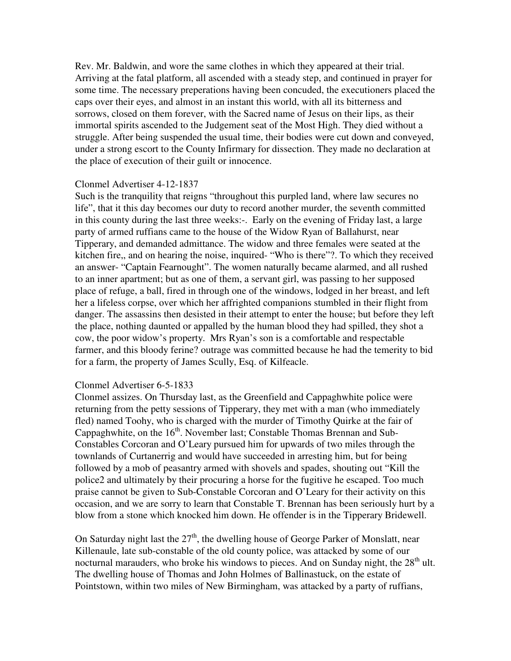Rev. Mr. Baldwin, and wore the same clothes in which they appeared at their trial. Arriving at the fatal platform, all ascended with a steady step, and continued in prayer for some time. The necessary preperations having been concuded, the executioners placed the caps over their eyes, and almost in an instant this world, with all its bitterness and sorrows, closed on them forever, with the Sacred name of Jesus on their lips, as their immortal spirits ascended to the Judgement seat of the Most High. They died without a struggle. After being suspended the usual time, their bodies were cut down and conveyed, under a strong escort to the County Infirmary for dissection. They made no declaration at the place of execution of their guilt or innocence.

### Clonmel Advertiser 4-12-1837

Such is the tranquility that reigns "throughout this purpled land, where law secures no life", that it this day becomes our duty to record another murder, the seventh committed in this county during the last three weeks:-. Early on the evening of Friday last, a large party of armed ruffians came to the house of the Widow Ryan of Ballahurst, near Tipperary, and demanded admittance. The widow and three females were seated at the kitchen fire,, and on hearing the noise, inquired- "Who is there"?. To which they received an answer- "Captain Fearnought". The women naturally became alarmed, and all rushed to an inner apartment; but as one of them, a servant girl, was passing to her supposed place of refuge, a ball, fired in through one of the windows, lodged in her breast, and left her a lifeless corpse, over which her affrighted companions stumbled in their flight from danger. The assassins then desisted in their attempt to enter the house; but before they left the place, nothing daunted or appalled by the human blood they had spilled, they shot a cow, the poor widow's property. Mrs Ryan's son is a comfortable and respectable farmer, and this bloody ferine? outrage was committed because he had the temerity to bid for a farm, the property of James Scully, Esq. of Kilfeacle.

### Clonmel Advertiser 6-5-1833

Clonmel assizes. On Thursday last, as the Greenfield and Cappaghwhite police were returning from the petty sessions of Tipperary, they met with a man (who immediately fled) named Toohy, who is charged with the murder of Timothy Quirke at the fair of Cappaghwhite, on the  $16<sup>th</sup>$ . November last; Constable Thomas Brennan and Sub-Constables Corcoran and O'Leary pursued him for upwards of two miles through the townlands of Curtanerrig and would have succeeded in arresting him, but for being followed by a mob of peasantry armed with shovels and spades, shouting out "Kill the police2 and ultimately by their procuring a horse for the fugitive he escaped. Too much praise cannot be given to Sub-Constable Corcoran and O'Leary for their activity on this occasion, and we are sorry to learn that Constable T. Brennan has been seriously hurt by a blow from a stone which knocked him down. He offender is in the Tipperary Bridewell.

On Saturday night last the  $27<sup>th</sup>$ , the dwelling house of George Parker of Monslatt, near Killenaule, late sub-constable of the old county police, was attacked by some of our nocturnal marauders, who broke his windows to pieces. And on Sunday night, the  $28<sup>th</sup>$  ult. The dwelling house of Thomas and John Holmes of Ballinastuck, on the estate of Pointstown, within two miles of New Birmingham, was attacked by a party of ruffians,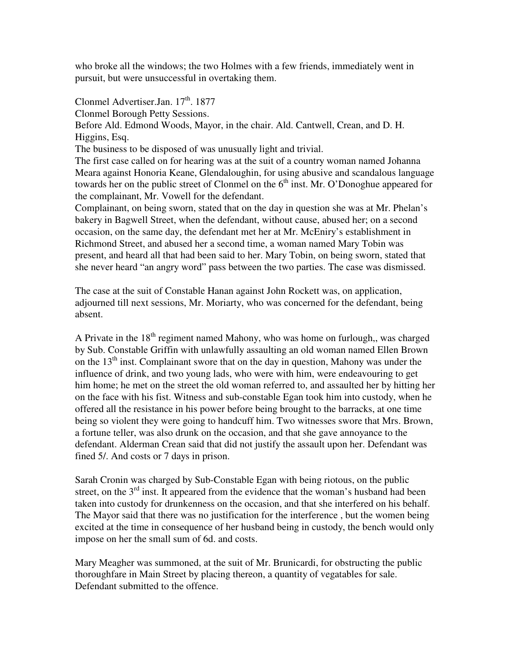who broke all the windows; the two Holmes with a few friends, immediately went in pursuit, but were unsuccessful in overtaking them.

Clonmel Advertiser.Jan. 17<sup>th</sup>. 1877

Clonmel Borough Petty Sessions.

Before Ald. Edmond Woods, Mayor, in the chair. Ald. Cantwell, Crean, and D. H. Higgins, Esq.

The business to be disposed of was unusually light and trivial.

The first case called on for hearing was at the suit of a country woman named Johanna Meara against Honoria Keane, Glendaloughin, for using abusive and scandalous language towards her on the public street of Clonmel on the 6<sup>th</sup> inst. Mr. O'Donoghue appeared for the complainant, Mr. Vowell for the defendant.

Complainant, on being sworn, stated that on the day in question she was at Mr. Phelan's bakery in Bagwell Street, when the defendant, without cause, abused her; on a second occasion, on the same day, the defendant met her at Mr. McEniry's establishment in Richmond Street, and abused her a second time, a woman named Mary Tobin was present, and heard all that had been said to her. Mary Tobin, on being sworn, stated that she never heard "an angry word" pass between the two parties. The case was dismissed.

The case at the suit of Constable Hanan against John Rockett was, on application, adjourned till next sessions, Mr. Moriarty, who was concerned for the defendant, being absent.

A Private in the  $18<sup>th</sup>$  regiment named Mahony, who was home on furlough,, was charged by Sub. Constable Griffin with unlawfully assaulting an old woman named Ellen Brown on the  $13<sup>th</sup>$  inst. Complainant swore that on the day in question, Mahony was under the influence of drink, and two young lads, who were with him, were endeavouring to get him home; he met on the street the old woman referred to, and assaulted her by hitting her on the face with his fist. Witness and sub-constable Egan took him into custody, when he offered all the resistance in his power before being brought to the barracks, at one time being so violent they were going to handcuff him. Two witnesses swore that Mrs. Brown, a fortune teller, was also drunk on the occasion, and that she gave annoyance to the defendant. Alderman Crean said that did not justify the assault upon her. Defendant was fined 5/. And costs or 7 days in prison.

Sarah Cronin was charged by Sub-Constable Egan with being riotous, on the public street, on the  $3<sup>rd</sup>$  inst. It appeared from the evidence that the woman's husband had been taken into custody for drunkenness on the occasion, and that she interfered on his behalf. The Mayor said that there was no justification for the interference , but the women being excited at the time in consequence of her husband being in custody, the bench would only impose on her the small sum of 6d. and costs.

Mary Meagher was summoned, at the suit of Mr. Brunicardi, for obstructing the public thoroughfare in Main Street by placing thereon, a quantity of vegatables for sale. Defendant submitted to the offence.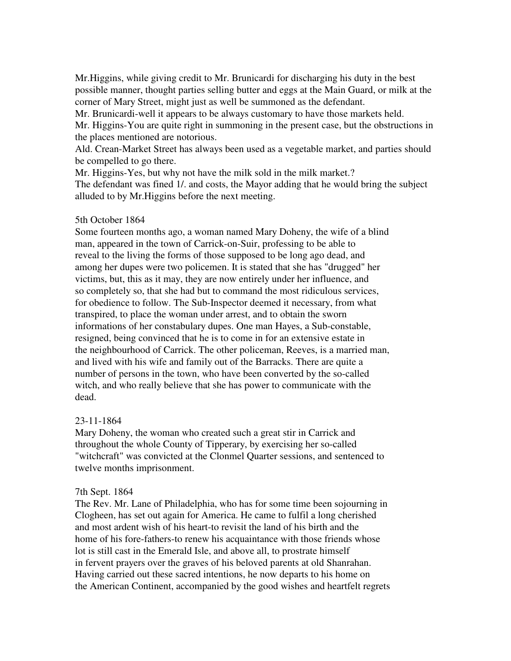Mr.Higgins, while giving credit to Mr. Brunicardi for discharging his duty in the best possible manner, thought parties selling butter and eggs at the Main Guard, or milk at the corner of Mary Street, might just as well be summoned as the defendant.

Mr. Brunicardi-well it appears to be always customary to have those markets held. Mr. Higgins-You are quite right in summoning in the present case, but the obstructions in the places mentioned are notorious.

Ald. Crean-Market Street has always been used as a vegetable market, and parties should be compelled to go there.

Mr. Higgins-Yes, but why not have the milk sold in the milk market.? The defendant was fined 1/. and costs, the Mayor adding that he would bring the subject alluded to by Mr.Higgins before the next meeting.

### 5th October 1864

Some fourteen months ago, a woman named Mary Doheny, the wife of a blind man, appeared in the town of Carrick-on-Suir, professing to be able to reveal to the living the forms of those supposed to be long ago dead, and among her dupes were two policemen. It is stated that she has "drugged" her victims, but, this as it may, they are now entirely under her influence, and so completely so, that she had but to command the most ridiculous services, for obedience to follow. The Sub-Inspector deemed it necessary, from what transpired, to place the woman under arrest, and to obtain the sworn informations of her constabulary dupes. One man Hayes, a Sub-constable, resigned, being convinced that he is to come in for an extensive estate in the neighbourhood of Carrick. The other policeman, Reeves, is a married man, and lived with his wife and family out of the Barracks. There are quite a number of persons in the town, who have been converted by the so-called witch, and who really believe that she has power to communicate with the dead.

# 23-11-1864

Mary Doheny, the woman who created such a great stir in Carrick and throughout the whole County of Tipperary, by exercising her so-called "witchcraft" was convicted at the Clonmel Quarter sessions, and sentenced to twelve months imprisonment.

### 7th Sept. 1864

The Rev. Mr. Lane of Philadelphia, who has for some time been sojourning in Clogheen, has set out again for America. He came to fulfil a long cherished and most ardent wish of his heart-to revisit the land of his birth and the home of his fore-fathers-to renew his acquaintance with those friends whose lot is still cast in the Emerald Isle, and above all, to prostrate himself in fervent prayers over the graves of his beloved parents at old Shanrahan. Having carried out these sacred intentions, he now departs to his home on the American Continent, accompanied by the good wishes and heartfelt regrets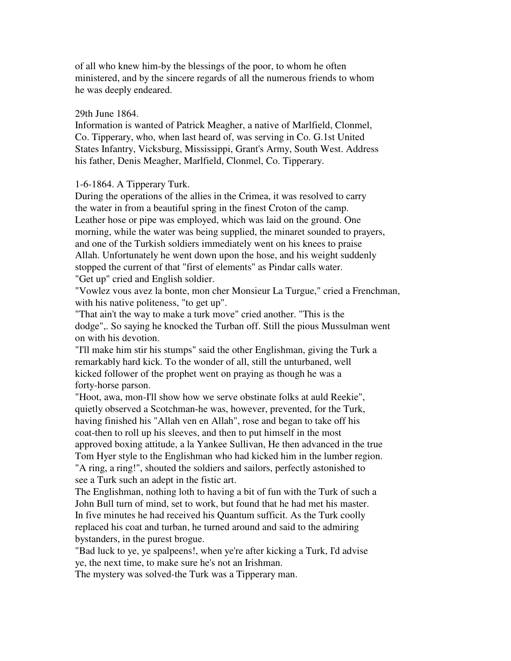of all who knew him-by the blessings of the poor, to whom he often ministered, and by the sincere regards of all the numerous friends to whom he was deeply endeared.

#### 29th June 1864.

Information is wanted of Patrick Meagher, a native of Marlfield, Clonmel, Co. Tipperary, who, when last heard of, was serving in Co. G.1st United States Infantry, Vicksburg, Mississippi, Grant's Army, South West. Address his father, Denis Meagher, Marlfield, Clonmel, Co. Tipperary.

#### 1-6-1864. A Tipperary Turk.

During the operations of the allies in the Crimea, it was resolved to carry the water in from a beautiful spring in the finest Croton of the camp. Leather hose or pipe was employed, which was laid on the ground. One morning, while the water was being supplied, the minaret sounded to prayers, and one of the Turkish soldiers immediately went on his knees to praise Allah. Unfortunately he went down upon the hose, and his weight suddenly stopped the current of that "first of elements" as Pindar calls water. "Get up" cried and English soldier.

"Vowlez vous avez la bonte, mon cher Monsieur La Turgue," cried a Frenchman, with his native politeness, "to get up".

"That ain't the way to make a turk move" cried another. "This is the dodge",. So saying he knocked the Turban off. Still the pious Mussulman went on with his devotion.

"I'll make him stir his stumps" said the other Englishman, giving the Turk a remarkably hard kick. To the wonder of all, still the unturbaned, well kicked follower of the prophet went on praying as though he was a forty-horse parson.

"Hoot, awa, mon-I'll show how we serve obstinate folks at auld Reekie", quietly observed a Scotchman-he was, however, prevented, for the Turk, having finished his "Allah ven en Allah", rose and began to take off his coat-then to roll up his sleeves, and then to put himself in the most approved boxing attitude, a la Yankee Sullivan, He then advanced in the true Tom Hyer style to the Englishman who had kicked him in the lumber region. "A ring, a ring!", shouted the soldiers and sailors, perfectly astonished to see a Turk such an adept in the fistic art.

The Englishman, nothing loth to having a bit of fun with the Turk of such a John Bull turn of mind, set to work, but found that he had met his master. In five minutes he had received his Quantum sufficit. As the Turk coolly replaced his coat and turban, he turned around and said to the admiring bystanders, in the purest brogue.

"Bad luck to ye, ye spalpeens!, when ye're after kicking a Turk, I'd advise ye, the next time, to make sure he's not an Irishman.

The mystery was solved-the Turk was a Tipperary man.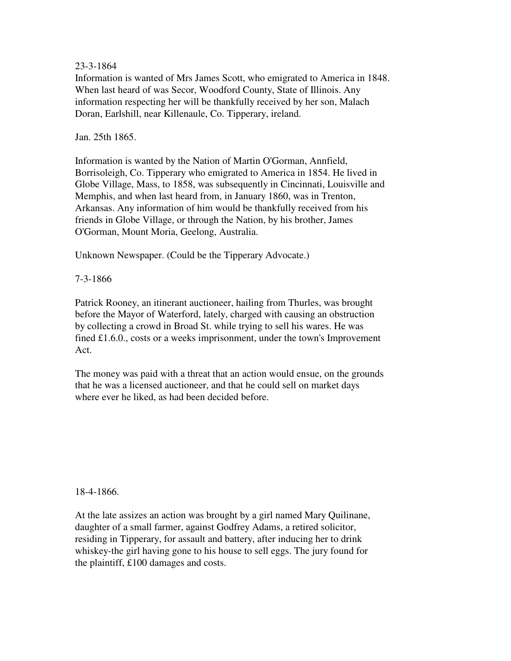### 23-3-1864

Information is wanted of Mrs James Scott, who emigrated to America in 1848. When last heard of was Secor, Woodford County, State of Illinois. Any information respecting her will be thankfully received by her son, Malach Doran, Earlshill, near Killenaule, Co. Tipperary, ireland.

#### Jan. 25th 1865.

Information is wanted by the Nation of Martin O'Gorman, Annfield, Borrisoleigh, Co. Tipperary who emigrated to America in 1854. He lived in Globe Village, Mass, to 1858, was subsequently in Cincinnati, Louisville and Memphis, and when last heard from, in January 1860, was in Trenton, Arkansas. Any information of him would be thankfully received from his friends in Globe Village, or through the Nation, by his brother, James O'Gorman, Mount Moria, Geelong, Australia.

Unknown Newspaper. (Could be the Tipperary Advocate.)

7-3-1866

Patrick Rooney, an itinerant auctioneer, hailing from Thurles, was brought before the Mayor of Waterford, lately, charged with causing an obstruction by collecting a crowd in Broad St. while trying to sell his wares. He was fined £1.6.0., costs or a weeks imprisonment, under the town's Improvement Act.

The money was paid with a threat that an action would ensue, on the grounds that he was a licensed auctioneer, and that he could sell on market days where ever he liked, as had been decided before.

18-4-1866.

At the late assizes an action was brought by a girl named Mary Quilinane, daughter of a small farmer, against Godfrey Adams, a retired solicitor, residing in Tipperary, for assault and battery, after inducing her to drink whiskey-the girl having gone to his house to sell eggs. The jury found for the plaintiff, £100 damages and costs.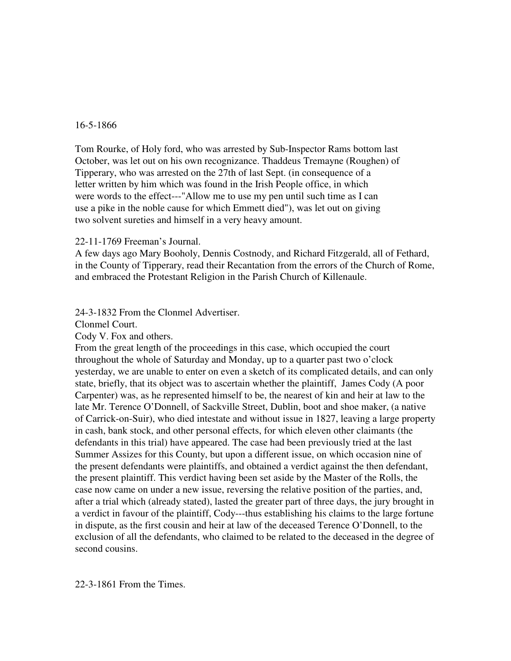#### 16-5-1866

Tom Rourke, of Holy ford, who was arrested by Sub-Inspector Rams bottom last October, was let out on his own recognizance. Thaddeus Tremayne (Roughen) of Tipperary, who was arrested on the 27th of last Sept. (in consequence of a letter written by him which was found in the Irish People office, in which were words to the effect---"Allow me to use my pen until such time as I can use a pike in the noble cause for which Emmett died"), was let out on giving two solvent sureties and himself in a very heavy amount.

#### 22-11-1769 Freeman's Journal.

A few days ago Mary Booholy, Dennis Costnody, and Richard Fitzgerald, all of Fethard, in the County of Tipperary, read their Recantation from the errors of the Church of Rome, and embraced the Protestant Religion in the Parish Church of Killenaule.

### 24-3-1832 From the Clonmel Advertiser.

Clonmel Court.

Cody V. Fox and others.

From the great length of the proceedings in this case, which occupied the court throughout the whole of Saturday and Monday, up to a quarter past two o'clock yesterday, we are unable to enter on even a sketch of its complicated details, and can only state, briefly, that its object was to ascertain whether the plaintiff, James Cody (A poor Carpenter) was, as he represented himself to be, the nearest of kin and heir at law to the late Mr. Terence O'Donnell, of Sackville Street, Dublin, boot and shoe maker, (a native of Carrick-on-Suir), who died intestate and without issue in 1827, leaving a large property in cash, bank stock, and other personal effects, for which eleven other claimants (the defendants in this trial) have appeared. The case had been previously tried at the last Summer Assizes for this County, but upon a different issue, on which occasion nine of the present defendants were plaintiffs, and obtained a verdict against the then defendant, the present plaintiff. This verdict having been set aside by the Master of the Rolls, the case now came on under a new issue, reversing the relative position of the parties, and, after a trial which (already stated), lasted the greater part of three days, the jury brought in a verdict in favour of the plaintiff, Cody---thus establishing his claims to the large fortune in dispute, as the first cousin and heir at law of the deceased Terence O'Donnell, to the exclusion of all the defendants, who claimed to be related to the deceased in the degree of second cousins.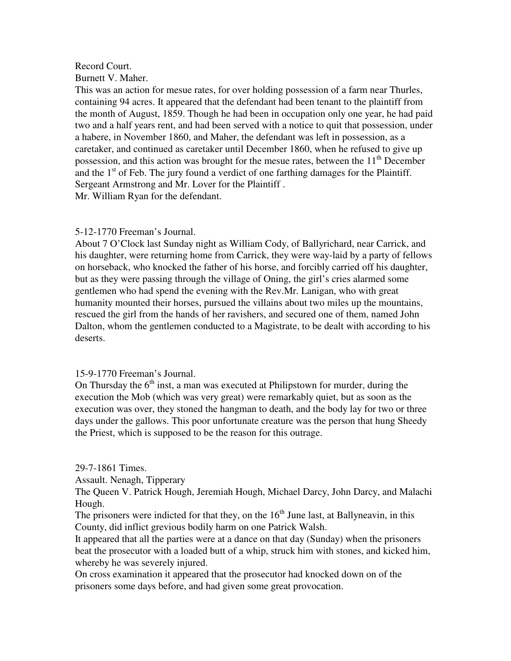# Record Court.

Burnett V. Maher.

This was an action for mesue rates, for over holding possession of a farm near Thurles, containing 94 acres. It appeared that the defendant had been tenant to the plaintiff from the month of August, 1859. Though he had been in occupation only one year, he had paid two and a half years rent, and had been served with a notice to quit that possession, under a habere, in November 1860, and Maher, the defendant was left in possession, as a caretaker, and continued as caretaker until December 1860, when he refused to give up possession, and this action was brought for the mesue rates, between the  $11<sup>th</sup>$  December and the  $1<sup>st</sup>$  of Feb. The jury found a verdict of one farthing damages for the Plaintiff. Sergeant Armstrong and Mr. Lover for the Plaintiff . Mr. William Ryan for the defendant.

### 5-12-1770 Freeman's Journal.

About 7 O'Clock last Sunday night as William Cody, of Ballyrichard, near Carrick, and his daughter, were returning home from Carrick, they were way-laid by a party of fellows on horseback, who knocked the father of his horse, and forcibly carried off his daughter, but as they were passing through the village of Oning, the girl's cries alarmed some gentlemen who had spend the evening with the Rev.Mr. Lanigan, who with great humanity mounted their horses, pursued the villains about two miles up the mountains, rescued the girl from the hands of her ravishers, and secured one of them, named John Dalton, whom the gentlemen conducted to a Magistrate, to be dealt with according to his deserts.

# 15-9-1770 Freeman's Journal.

On Thursday the  $6<sup>th</sup>$  inst, a man was executed at Philipstown for murder, during the execution the Mob (which was very great) were remarkably quiet, but as soon as the execution was over, they stoned the hangman to death, and the body lay for two or three days under the gallows. This poor unfortunate creature was the person that hung Sheedy the Priest, which is supposed to be the reason for this outrage.

### 29-7-1861 Times.

Assault. Nenagh, Tipperary

The Queen V. Patrick Hough, Jeremiah Hough, Michael Darcy, John Darcy, and Malachi Hough.

The prisoners were indicted for that they, on the  $16<sup>th</sup>$  June last, at Ballyneavin, in this County, did inflict grevious bodily harm on one Patrick Walsh.

It appeared that all the parties were at a dance on that day (Sunday) when the prisoners beat the prosecutor with a loaded butt of a whip, struck him with stones, and kicked him, whereby he was severely injured.

On cross examination it appeared that the prosecutor had knocked down on of the prisoners some days before, and had given some great provocation.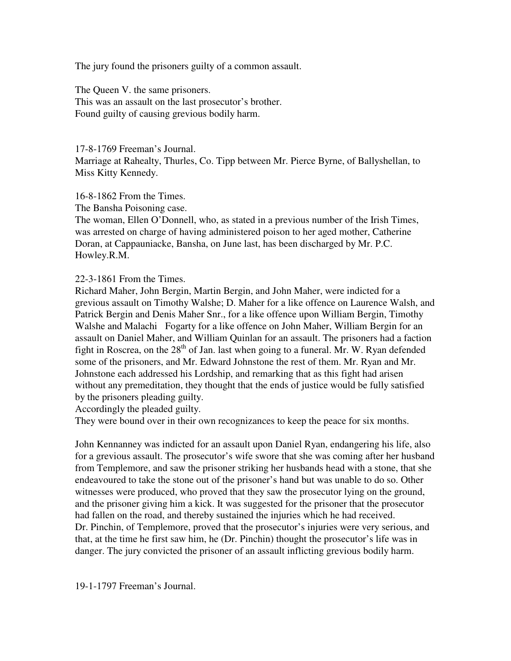The jury found the prisoners guilty of a common assault.

The Queen V. the same prisoners. This was an assault on the last prosecutor's brother. Found guilty of causing grevious bodily harm.

17-8-1769 Freeman's Journal.

Marriage at Rahealty, Thurles, Co. Tipp between Mr. Pierce Byrne, of Ballyshellan, to Miss Kitty Kennedy.

16-8-1862 From the Times.

The Bansha Poisoning case.

The woman, Ellen O'Donnell, who, as stated in a previous number of the Irish Times, was arrested on charge of having administered poison to her aged mother, Catherine Doran, at Cappauniacke, Bansha, on June last, has been discharged by Mr. P.C. Howley.R.M.

22-3-1861 From the Times.

Richard Maher, John Bergin, Martin Bergin, and John Maher, were indicted for a grevious assault on Timothy Walshe; D. Maher for a like offence on Laurence Walsh, and Patrick Bergin and Denis Maher Snr., for a like offence upon William Bergin, Timothy Walshe and Malachi Fogarty for a like offence on John Maher, William Bergin for an assault on Daniel Maher, and William Quinlan for an assault. The prisoners had a faction fight in Roscrea, on the  $28<sup>th</sup>$  of Jan. last when going to a funeral. Mr. W. Ryan defended some of the prisoners, and Mr. Edward Johnstone the rest of them. Mr. Ryan and Mr. Johnstone each addressed his Lordship, and remarking that as this fight had arisen without any premeditation, they thought that the ends of justice would be fully satisfied by the prisoners pleading guilty.

Accordingly the pleaded guilty.

They were bound over in their own recognizances to keep the peace for six months.

John Kennanney was indicted for an assault upon Daniel Ryan, endangering his life, also for a grevious assault. The prosecutor's wife swore that she was coming after her husband from Templemore, and saw the prisoner striking her husbands head with a stone, that she endeavoured to take the stone out of the prisoner's hand but was unable to do so. Other witnesses were produced, who proved that they saw the prosecutor lying on the ground, and the prisoner giving him a kick. It was suggested for the prisoner that the prosecutor had fallen on the road, and thereby sustained the injuries which he had received. Dr. Pinchin, of Templemore, proved that the prosecutor's injuries were very serious, and that, at the time he first saw him, he (Dr. Pinchin) thought the prosecutor's life was in danger. The jury convicted the prisoner of an assault inflicting grevious bodily harm.

19-1-1797 Freeman's Journal.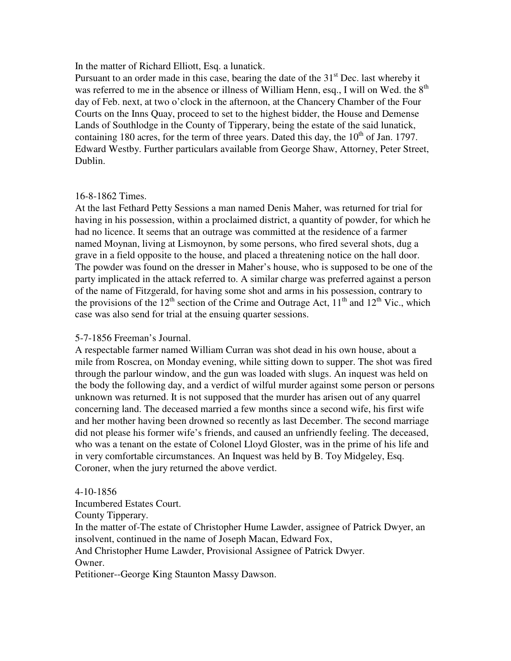In the matter of Richard Elliott, Esq. a lunatick.

Pursuant to an order made in this case, bearing the date of the  $31<sup>st</sup>$  Dec. last whereby it was referred to me in the absence or illness of William Henn, esq., I will on Wed. the  $8<sup>th</sup>$ day of Feb. next, at two o'clock in the afternoon, at the Chancery Chamber of the Four Courts on the Inns Quay, proceed to set to the highest bidder, the House and Demense Lands of Southlodge in the County of Tipperary, being the estate of the said lunatick, containing 180 acres, for the term of three years. Dated this day, the  $10<sup>th</sup>$  of Jan. 1797. Edward Westby. Further particulars available from George Shaw, Attorney, Peter Street, Dublin.

### 16-8-1862 Times.

At the last Fethard Petty Sessions a man named Denis Maher, was returned for trial for having in his possession, within a proclaimed district, a quantity of powder, for which he had no licence. It seems that an outrage was committed at the residence of a farmer named Moynan, living at Lismoynon, by some persons, who fired several shots, dug a grave in a field opposite to the house, and placed a threatening notice on the hall door. The powder was found on the dresser in Maher's house, who is supposed to be one of the party implicated in the attack referred to. A similar charge was preferred against a person of the name of Fitzgerald, for having some shot and arms in his possession, contrary to the provisions of the 12<sup>th</sup> section of the Crime and Outrage Act,  $11<sup>th</sup>$  and  $12<sup>th</sup>$  Vic., which case was also send for trial at the ensuing quarter sessions.

### 5-7-1856 Freeman's Journal.

A respectable farmer named William Curran was shot dead in his own house, about a mile from Roscrea, on Monday evening, while sitting down to supper. The shot was fired through the parlour window, and the gun was loaded with slugs. An inquest was held on the body the following day, and a verdict of wilful murder against some person or persons unknown was returned. It is not supposed that the murder has arisen out of any quarrel concerning land. The deceased married a few months since a second wife, his first wife and her mother having been drowned so recently as last December. The second marriage did not please his former wife's friends, and caused an unfriendly feeling. The deceased, who was a tenant on the estate of Colonel Lloyd Gloster, was in the prime of his life and in very comfortable circumstances. An Inquest was held by B. Toy Midgeley, Esq. Coroner, when the jury returned the above verdict.

### 4-10-1856

Incumbered Estates Court.

County Tipperary.

In the matter of-The estate of Christopher Hume Lawder, assignee of Patrick Dwyer, an insolvent, continued in the name of Joseph Macan, Edward Fox,

And Christopher Hume Lawder, Provisional Assignee of Patrick Dwyer.

Owner.

Petitioner--George King Staunton Massy Dawson.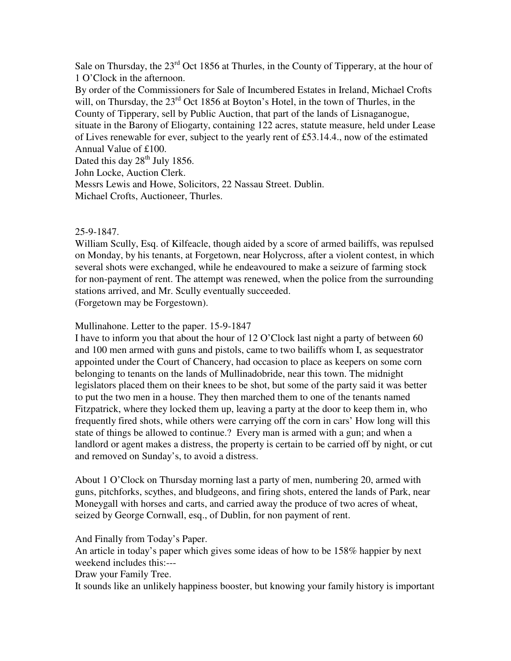Sale on Thursday, the  $23<sup>rd</sup>$  Oct 1856 at Thurles, in the County of Tipperary, at the hour of 1 O'Clock in the afternoon.

By order of the Commissioners for Sale of Incumbered Estates in Ireland, Michael Crofts will, on Thursday, the 23<sup>rd</sup> Oct 1856 at Boyton's Hotel, in the town of Thurles, in the County of Tipperary, sell by Public Auction, that part of the lands of Lisnaganogue, situate in the Barony of Eliogarty, containing 122 acres, statute measure, held under Lease of Lives renewable for ever, subject to the yearly rent of £53.14.4., now of the estimated Annual Value of £100. Dated this day  $28<sup>th</sup>$  July 1856. John Locke, Auction Clerk.

Messrs Lewis and Howe, Solicitors, 22 Nassau Street. Dublin.

Michael Crofts, Auctioneer, Thurles.

# 25-9-1847.

William Scully, Esq. of Kilfeacle, though aided by a score of armed bailiffs, was repulsed on Monday, by his tenants, at Forgetown, near Holycross, after a violent contest, in which several shots were exchanged, while he endeavoured to make a seizure of farming stock for non-payment of rent. The attempt was renewed, when the police from the surrounding stations arrived, and Mr. Scully eventually succeeded. (Forgetown may be Forgestown).

# Mullinahone. Letter to the paper. 15-9-1847

I have to inform you that about the hour of 12 O'Clock last night a party of between 60 and 100 men armed with guns and pistols, came to two bailiffs whom I, as sequestrator appointed under the Court of Chancery, had occasion to place as keepers on some corn belonging to tenants on the lands of Mullinadobride, near this town. The midnight legislators placed them on their knees to be shot, but some of the party said it was better to put the two men in a house. They then marched them to one of the tenants named Fitzpatrick, where they locked them up, leaving a party at the door to keep them in, who frequently fired shots, while others were carrying off the corn in cars' How long will this state of things be allowed to continue.? Every man is armed with a gun; and when a landlord or agent makes a distress, the property is certain to be carried off by night, or cut and removed on Sunday's, to avoid a distress.

About 1 O'Clock on Thursday morning last a party of men, numbering 20, armed with guns, pitchforks, scythes, and bludgeons, and firing shots, entered the lands of Park, near Moneygall with horses and carts, and carried away the produce of two acres of wheat, seized by George Cornwall, esq., of Dublin, for non payment of rent.

And Finally from Today's Paper.

An article in today's paper which gives some ideas of how to be 158% happier by next weekend includes this:---

Draw your Family Tree.

It sounds like an unlikely happiness booster, but knowing your family history is important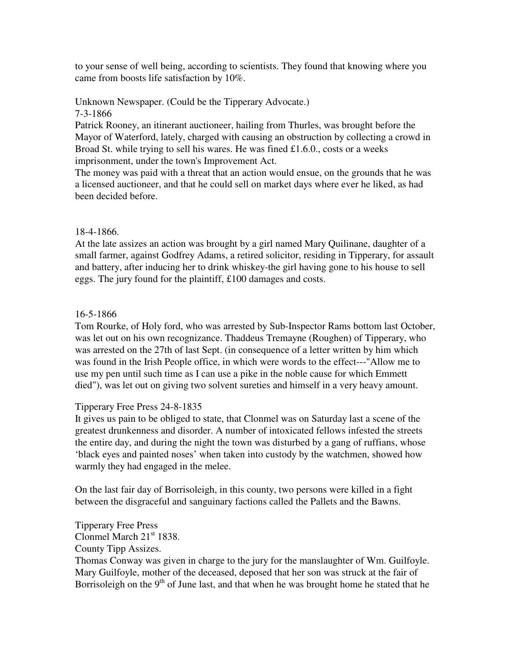to your sense of well being, according to scientists. They found that knowing where you came from boosts life satisfaction by 10%.

Unknown Newspaper. (Could be the Tipperary Advocate.) 7-3-1866

Patrick Rooney, an itinerant auctioneer, hailing from Thurles, was brought before the Mayor of Waterford, lately, charged with causing an obstruction by collecting a crowd in Broad St. while trying to sell his wares. He was fined £1.6.0., costs or a weeks imprisonment, under the town's Improvement Act.

The money was paid with a threat that an action would ensue, on the grounds that he was a licensed auctioneer, and that he could sell on market days where ever he liked, as had been decided before.

# 18-4-1866.

At the late assizes an action was brought by a girl named Mary Quilinane, daughter of a small farmer, against Godfrey Adams, a retired solicitor, residing in Tipperary, for assault and battery, after inducing her to drink whiskey-the girl having gone to his house to sell eggs. The jury found for the plaintiff, £100 damages and costs.

# 16-5-1866

Tom Rourke, of Holy ford, who was arrested by Sub-Inspector Rams bottom last October, was let out on his own recognizance. Thaddeus Tremayne (Roughen) of Tipperary, who was arrested on the 27th of last Sept. (in consequence of a letter written by him which was found in the Irish People office, in which were words to the effect---"Allow me to use my pen until such time as I can use a pike in the noble cause for which Emmett died"), was let out on giving two solvent sureties and himself in a very heavy amount.

### Tipperary Free Press 24-8-1835

It gives us pain to be obliged to state, that Clonmel was on Saturday last a scene of the greatest drunkenness and disorder. A number of intoxicated fellows infested the streets the entire day, and during the night the town was disturbed by a gang of ruffians, whose 'black eyes and painted noses' when taken into custody by the watchmen, showed how warmly they had engaged in the melee.

On the last fair day of Borrisoleigh, in this county, two persons were killed in a fight between the disgraceful and sanguinary factions called the Pallets and the Bawns.

Tipperary Free Press Clonmel March  $21<sup>st</sup> 1838$ . County Tipp Assizes. Thomas Conway was given in charge to the jury for the manslaughter of Wm. Guilfoyle. Mary Guilfoyle, mother of the deceased, deposed that her son was struck at the fair of Borrisoleigh on the  $9<sup>th</sup>$  of June last, and that when he was brought home he stated that he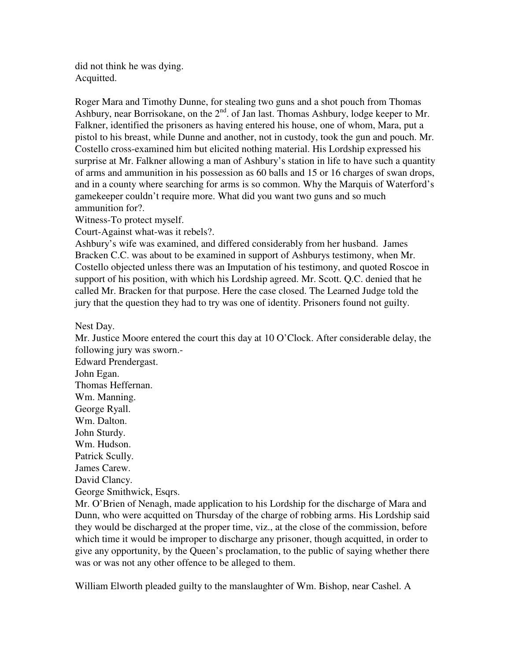did not think he was dying. Acquitted.

Roger Mara and Timothy Dunne, for stealing two guns and a shot pouch from Thomas Ashbury, near Borrisokane, on the 2<sup>nd</sup>. of Jan last. Thomas Ashbury, lodge keeper to Mr. Falkner, identified the prisoners as having entered his house, one of whom, Mara, put a pistol to his breast, while Dunne and another, not in custody, took the gun and pouch. Mr. Costello cross-examined him but elicited nothing material. His Lordship expressed his surprise at Mr. Falkner allowing a man of Ashbury's station in life to have such a quantity of arms and ammunition in his possession as 60 balls and 15 or 16 charges of swan drops, and in a county where searching for arms is so common. Why the Marquis of Waterford's gamekeeper couldn't require more. What did you want two guns and so much ammunition for?.

Witness-To protect myself.

Court-Against what-was it rebels?.

Ashbury's wife was examined, and differed considerably from her husband. James Bracken C.C. was about to be examined in support of Ashburys testimony, when Mr. Costello objected unless there was an Imputation of his testimony, and quoted Roscoe in support of his position, with which his Lordship agreed. Mr. Scott. Q.C. denied that he called Mr. Bracken for that purpose. Here the case closed. The Learned Judge told the jury that the question they had to try was one of identity. Prisoners found not guilty.

Nest Day.

Mr. Justice Moore entered the court this day at 10 O'Clock. After considerable delay, the following jury was sworn.-

Edward Prendergast. John Egan. Thomas Heffernan. Wm. Manning. George Ryall. Wm. Dalton. John Sturdy. Wm. Hudson. Patrick Scully. James Carew. David Clancy. George Smithwick, Esqrs.

Mr. O'Brien of Nenagh, made application to his Lordship for the discharge of Mara and Dunn, who were acquitted on Thursday of the charge of robbing arms. His Lordship said they would be discharged at the proper time, viz., at the close of the commission, before which time it would be improper to discharge any prisoner, though acquitted, in order to give any opportunity, by the Queen's proclamation, to the public of saying whether there was or was not any other offence to be alleged to them.

William Elworth pleaded guilty to the manslaughter of Wm. Bishop, near Cashel. A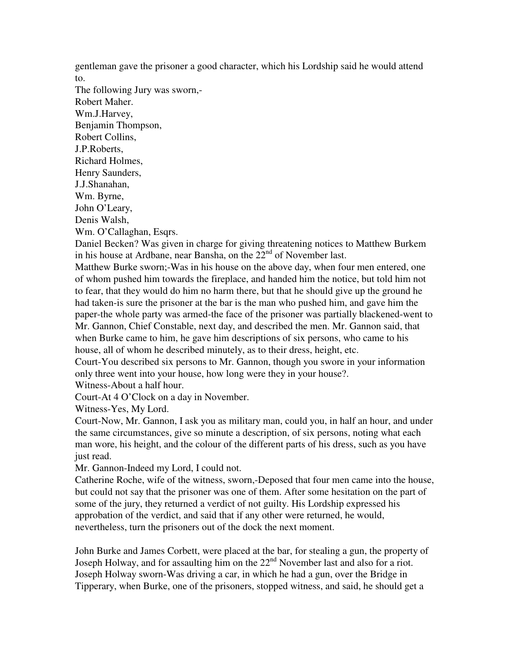gentleman gave the prisoner a good character, which his Lordship said he would attend to.

The following Jury was sworn,- Robert Maher. Wm.J.Harvey, Benjamin Thompson, Robert Collins, J.P.Roberts, Richard Holmes, Henry Saunders, J.J.Shanahan, Wm. Byrne, John O'Leary, Denis Walsh, Wm. O'Callaghan, Esqrs.

Daniel Becken? Was given in charge for giving threatening notices to Matthew Burkem in his house at Ardbane, near Bansha, on the  $22<sup>nd</sup>$  of November last.

Matthew Burke sworn;-Was in his house on the above day, when four men entered, one of whom pushed him towards the fireplace, and handed him the notice, but told him not to fear, that they would do him no harm there, but that he should give up the ground he had taken-is sure the prisoner at the bar is the man who pushed him, and gave him the paper-the whole party was armed-the face of the prisoner was partially blackened-went to Mr. Gannon, Chief Constable, next day, and described the men. Mr. Gannon said, that when Burke came to him, he gave him descriptions of six persons, who came to his house, all of whom he described minutely, as to their dress, height, etc.

Court-You described six persons to Mr. Gannon, though you swore in your information only three went into your house, how long were they in your house?.

Witness-About a half hour. Court-At 4 O'Clock on a day in November.

Witness-Yes, My Lord.

Court-Now, Mr. Gannon, I ask you as military man, could you, in half an hour, and under the same circumstances, give so minute a description, of six persons, noting what each man wore, his height, and the colour of the different parts of his dress, such as you have just read.

Mr. Gannon-Indeed my Lord, I could not.

Catherine Roche, wife of the witness, sworn,-Deposed that four men came into the house, but could not say that the prisoner was one of them. After some hesitation on the part of some of the jury, they returned a verdict of not guilty. His Lordship expressed his approbation of the verdict, and said that if any other were returned, he would, nevertheless, turn the prisoners out of the dock the next moment.

John Burke and James Corbett, were placed at the bar, for stealing a gun, the property of Joseph Holway, and for assaulting him on the  $22<sup>nd</sup>$  November last and also for a riot. Joseph Holway sworn-Was driving a car, in which he had a gun, over the Bridge in Tipperary, when Burke, one of the prisoners, stopped witness, and said, he should get a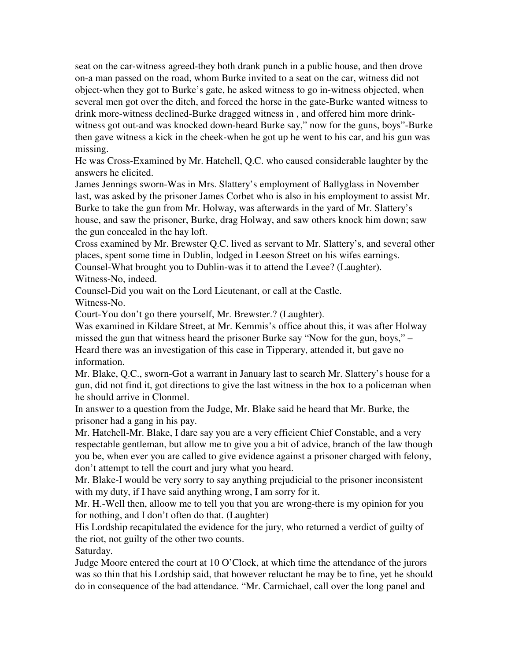seat on the car-witness agreed-they both drank punch in a public house, and then drove on-a man passed on the road, whom Burke invited to a seat on the car, witness did not object-when they got to Burke's gate, he asked witness to go in-witness objected, when several men got over the ditch, and forced the horse in the gate-Burke wanted witness to drink more-witness declined-Burke dragged witness in , and offered him more drinkwitness got out-and was knocked down-heard Burke say," now for the guns, boys"-Burke then gave witness a kick in the cheek-when he got up he went to his car, and his gun was missing.

He was Cross-Examined by Mr. Hatchell, Q.C. who caused considerable laughter by the answers he elicited.

James Jennings sworn-Was in Mrs. Slattery's employment of Ballyglass in November last, was asked by the prisoner James Corbet who is also in his employment to assist Mr. Burke to take the gun from Mr. Holway, was afterwards in the yard of Mr. Slattery's house, and saw the prisoner, Burke, drag Holway, and saw others knock him down; saw the gun concealed in the hay loft.

Cross examined by Mr. Brewster Q.C. lived as servant to Mr. Slattery's, and several other places, spent some time in Dublin, lodged in Leeson Street on his wifes earnings.

Counsel-What brought you to Dublin-was it to attend the Levee? (Laughter). Witness-No, indeed.

Counsel-Did you wait on the Lord Lieutenant, or call at the Castle. Witness-No.

Court-You don't go there yourself, Mr. Brewster.? (Laughter).

Was examined in Kildare Street, at Mr. Kemmis's office about this, it was after Holway missed the gun that witness heard the prisoner Burke say "Now for the gun, boys," – Heard there was an investigation of this case in Tipperary, attended it, but gave no information.

Mr. Blake, Q.C., sworn-Got a warrant in January last to search Mr. Slattery's house for a gun, did not find it, got directions to give the last witness in the box to a policeman when he should arrive in Clonmel.

In answer to a question from the Judge, Mr. Blake said he heard that Mr. Burke, the prisoner had a gang in his pay.

Mr. Hatchell-Mr. Blake, I dare say you are a very efficient Chief Constable, and a very respectable gentleman, but allow me to give you a bit of advice, branch of the law though you be, when ever you are called to give evidence against a prisoner charged with felony, don't attempt to tell the court and jury what you heard.

Mr. Blake-I would be very sorry to say anything prejudicial to the prisoner inconsistent with my duty, if I have said anything wrong, I am sorry for it.

Mr. H.-Well then, alloow me to tell you that you are wrong-there is my opinion for you for nothing, and I don't often do that. (Laughter)

His Lordship recapitulated the evidence for the jury, who returned a verdict of guilty of the riot, not guilty of the other two counts.

Saturday.

Judge Moore entered the court at 10 O'Clock, at which time the attendance of the jurors was so thin that his Lordship said, that however reluctant he may be to fine, yet he should do in consequence of the bad attendance. "Mr. Carmichael, call over the long panel and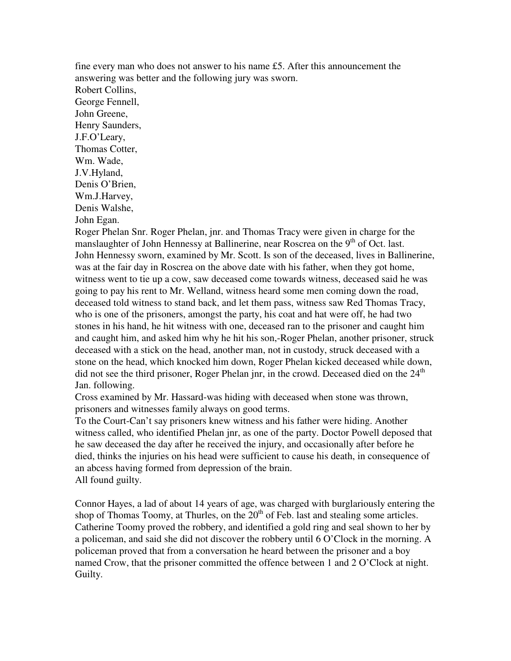fine every man who does not answer to his name £5. After this announcement the answering was better and the following jury was sworn. Robert Collins, George Fennell, John Greene, Henry Saunders, J.F.O'Leary, Thomas Cotter, Wm. Wade, J.V.Hyland, Denis O'Brien, Wm.J.Harvey, Denis Walshe, John Egan.

Roger Phelan Snr. Roger Phelan, jnr. and Thomas Tracy were given in charge for the manslaughter of John Hennessy at Ballinerine, near Roscrea on the 9<sup>th</sup> of Oct. last. John Hennessy sworn, examined by Mr. Scott. Is son of the deceased, lives in Ballinerine, was at the fair day in Roscrea on the above date with his father, when they got home, witness went to tie up a cow, saw deceased come towards witness, deceased said he was going to pay his rent to Mr. Welland, witness heard some men coming down the road, deceased told witness to stand back, and let them pass, witness saw Red Thomas Tracy, who is one of the prisoners, amongst the party, his coat and hat were off, he had two stones in his hand, he hit witness with one, deceased ran to the prisoner and caught him and caught him, and asked him why he hit his son,-Roger Phelan, another prisoner, struck deceased with a stick on the head, another man, not in custody, struck deceased with a stone on the head, which knocked him down, Roger Phelan kicked deceased while down, did not see the third prisoner, Roger Phelan jnr, in the crowd. Deceased died on the  $24<sup>th</sup>$ Jan. following.

Cross examined by Mr. Hassard-was hiding with deceased when stone was thrown, prisoners and witnesses family always on good terms.

To the Court-Can't say prisoners knew witness and his father were hiding. Another witness called, who identified Phelan jnr, as one of the party. Doctor Powell deposed that he saw deceased the day after he received the injury, and occasionally after before he died, thinks the injuries on his head were sufficient to cause his death, in consequence of an abcess having formed from depression of the brain. All found guilty.

Connor Hayes, a lad of about 14 years of age, was charged with burglariously entering the shop of Thomas Toomy, at Thurles, on the  $20<sup>th</sup>$  of Feb. last and stealing some articles. Catherine Toomy proved the robbery, and identified a gold ring and seal shown to her by a policeman, and said she did not discover the robbery until 6 O'Clock in the morning. A policeman proved that from a conversation he heard between the prisoner and a boy named Crow, that the prisoner committed the offence between 1 and 2 O'Clock at night. Guilty.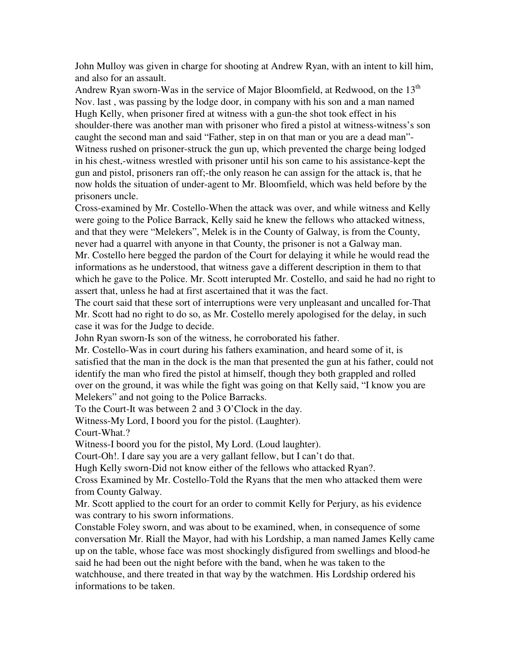John Mulloy was given in charge for shooting at Andrew Ryan, with an intent to kill him, and also for an assault.

Andrew Ryan sworn-Was in the service of Major Bloomfield, at Redwood, on the  $13<sup>th</sup>$ Nov. last , was passing by the lodge door, in company with his son and a man named Hugh Kelly, when prisoner fired at witness with a gun-the shot took effect in his shoulder-there was another man with prisoner who fired a pistol at witness-witness's son caught the second man and said "Father, step in on that man or you are a dead man"- Witness rushed on prisoner-struck the gun up, which prevented the charge being lodged in his chest,-witness wrestled with prisoner until his son came to his assistance-kept the gun and pistol, prisoners ran off;-the only reason he can assign for the attack is, that he now holds the situation of under-agent to Mr. Bloomfield, which was held before by the prisoners uncle.

Cross-examined by Mr. Costello-When the attack was over, and while witness and Kelly were going to the Police Barrack, Kelly said he knew the fellows who attacked witness, and that they were "Melekers", Melek is in the County of Galway, is from the County, never had a quarrel with anyone in that County, the prisoner is not a Galway man.

Mr. Costello here begged the pardon of the Court for delaying it while he would read the informations as he understood, that witness gave a different description in them to that which he gave to the Police. Mr. Scott interupted Mr. Costello, and said he had no right to assert that, unless he had at first ascertained that it was the fact.

The court said that these sort of interruptions were very unpleasant and uncalled for-That Mr. Scott had no right to do so, as Mr. Costello merely apologised for the delay, in such case it was for the Judge to decide.

John Ryan sworn-Is son of the witness, he corroborated his father.

Mr. Costello-Was in court during his fathers examination, and heard some of it, is satisfied that the man in the dock is the man that presented the gun at his father, could not identify the man who fired the pistol at himself, though they both grappled and rolled over on the ground, it was while the fight was going on that Kelly said, "I know you are Melekers" and not going to the Police Barracks.

To the Court-It was between 2 and 3 O'Clock in the day.

Witness-My Lord, I boord you for the pistol. (Laughter).

Court-What.?

Witness-I boord you for the pistol, My Lord. (Loud laughter).

Court-Oh!. I dare say you are a very gallant fellow, but I can't do that.

Hugh Kelly sworn-Did not know either of the fellows who attacked Ryan?.

Cross Examined by Mr. Costello-Told the Ryans that the men who attacked them were from County Galway.

Mr. Scott applied to the court for an order to commit Kelly for Perjury, as his evidence was contrary to his sworn informations.

Constable Foley sworn, and was about to be examined, when, in consequence of some conversation Mr. Riall the Mayor, had with his Lordship, a man named James Kelly came up on the table, whose face was most shockingly disfigured from swellings and blood-he said he had been out the night before with the band, when he was taken to the watchhouse, and there treated in that way by the watchmen. His Lordship ordered his informations to be taken.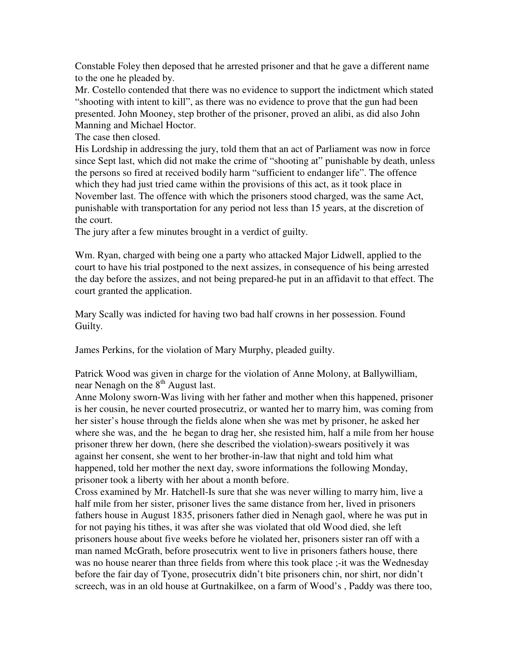Constable Foley then deposed that he arrested prisoner and that he gave a different name to the one he pleaded by.

Mr. Costello contended that there was no evidence to support the indictment which stated "shooting with intent to kill", as there was no evidence to prove that the gun had been presented. John Mooney, step brother of the prisoner, proved an alibi, as did also John Manning and Michael Hoctor.

The case then closed.

His Lordship in addressing the jury, told them that an act of Parliament was now in force since Sept last, which did not make the crime of "shooting at" punishable by death, unless the persons so fired at received bodily harm "sufficient to endanger life". The offence which they had just tried came within the provisions of this act, as it took place in November last. The offence with which the prisoners stood charged, was the same Act, punishable with transportation for any period not less than 15 years, at the discretion of the court.

The jury after a few minutes brought in a verdict of guilty.

Wm. Ryan, charged with being one a party who attacked Major Lidwell, applied to the court to have his trial postponed to the next assizes, in consequence of his being arrested the day before the assizes, and not being prepared-he put in an affidavit to that effect. The court granted the application.

Mary Scally was indicted for having two bad half crowns in her possession. Found Guilty.

James Perkins, for the violation of Mary Murphy, pleaded guilty.

Patrick Wood was given in charge for the violation of Anne Molony, at Ballywilliam, near Nenagh on the  $8<sup>th</sup>$  August last.

Anne Molony sworn-Was living with her father and mother when this happened, prisoner is her cousin, he never courted prosecutriz, or wanted her to marry him, was coming from her sister's house through the fields alone when she was met by prisoner, he asked her where she was, and the he began to drag her, she resisted him, half a mile from her house prisoner threw her down, (here she described the violation)-swears positively it was against her consent, she went to her brother-in-law that night and told him what happened, told her mother the next day, swore informations the following Monday, prisoner took a liberty with her about a month before.

Cross examined by Mr. Hatchell-Is sure that she was never willing to marry him, live a half mile from her sister, prisoner lives the same distance from her, lived in prisoners fathers house in August 1835, prisoners father died in Nenagh gaol, where he was put in for not paying his tithes, it was after she was violated that old Wood died, she left prisoners house about five weeks before he violated her, prisoners sister ran off with a man named McGrath, before prosecutrix went to live in prisoners fathers house, there was no house nearer than three fields from where this took place ;-it was the Wednesday before the fair day of Tyone, prosecutrix didn't bite prisoners chin, nor shirt, nor didn't screech, was in an old house at Gurtnakilkee, on a farm of Wood's , Paddy was there too,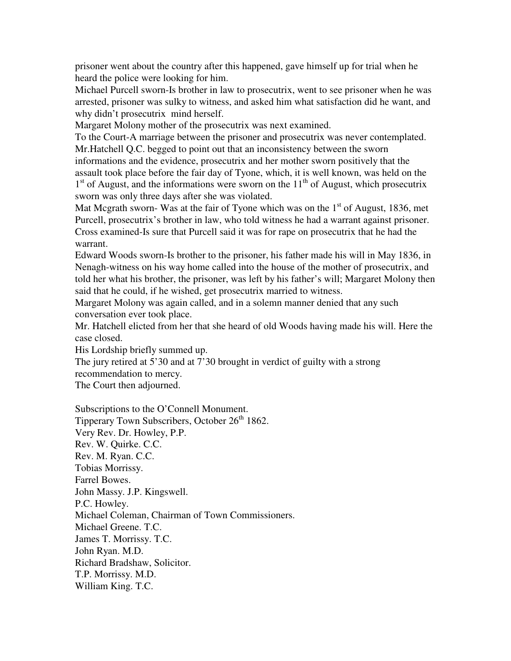prisoner went about the country after this happened, gave himself up for trial when he heard the police were looking for him.

Michael Purcell sworn-Is brother in law to prosecutrix, went to see prisoner when he was arrested, prisoner was sulky to witness, and asked him what satisfaction did he want, and why didn't prosecutrix mind herself.

Margaret Molony mother of the prosecutrix was next examined.

To the Court-A marriage between the prisoner and prosecutrix was never contemplated. Mr.Hatchell Q.C. begged to point out that an inconsistency between the sworn informations and the evidence, prosecutrix and her mother sworn positively that the assault took place before the fair day of Tyone, which, it is well known, was held on the 1<sup>st</sup> of August, and the informations were sworn on the 11<sup>th</sup> of August, which prosecutrix sworn was only three days after she was violated.

Mat Mcgrath sworn- Was at the fair of Tyone which was on the  $1<sup>st</sup>$  of August, 1836, met Purcell, prosecutrix's brother in law, who told witness he had a warrant against prisoner. Cross examined-Is sure that Purcell said it was for rape on prosecutrix that he had the warrant.

Edward Woods sworn-Is brother to the prisoner, his father made his will in May 1836, in Nenagh-witness on his way home called into the house of the mother of prosecutrix, and told her what his brother, the prisoner, was left by his father's will; Margaret Molony then said that he could, if he wished, get prosecutrix married to witness.

Margaret Molony was again called, and in a solemn manner denied that any such conversation ever took place.

Mr. Hatchell elicted from her that she heard of old Woods having made his will. Here the case closed.

His Lordship briefly summed up.

The jury retired at 5'30 and at 7'30 brought in verdict of guilty with a strong recommendation to mercy.

The Court then adjourned.

Subscriptions to the O'Connell Monument. Tipperary Town Subscribers, October 26<sup>th</sup> 1862. Very Rev. Dr. Howley, P.P. Rev. W. Quirke. C.C. Rev. M. Ryan. C.C. Tobias Morrissy. Farrel Bowes. John Massy. J.P. Kingswell. P.C. Howley. Michael Coleman, Chairman of Town Commissioners. Michael Greene. T.C. James T. Morrissy. T.C. John Ryan. M.D. Richard Bradshaw, Solicitor. T.P. Morrissy. M.D. William King. T.C.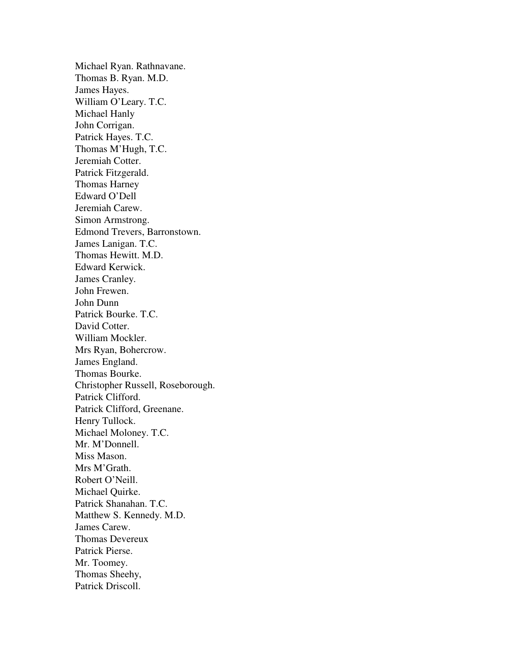Michael Ryan. Rathnavane. Thomas B. Ryan. M.D. James Hayes. William O'Leary. T.C. Michael Hanly John Corrigan. Patrick Hayes. T.C. Thomas M'Hugh, T.C. Jeremiah Cotter. Patrick Fitzgerald. Thomas Harney Edward O'Dell Jeremiah Carew. Simon Armstrong. Edmond Trevers, Barronstown. James Lanigan. T.C. Thomas Hewitt. M.D. Edward Kerwick. James Cranley. John Frewen. John Dunn Patrick Bourke. T.C. David Cotter. William Mockler. Mrs Ryan, Bohercrow. James England. Thomas Bourke. Christopher Russell, Roseborough. Patrick Clifford. Patrick Clifford, Greenane. Henry Tullock. Michael Moloney. T.C. Mr. M'Donnell. Miss Mason. Mrs M'Grath. Robert O'Neill. Michael Quirke. Patrick Shanahan. T.C. Matthew S. Kennedy. M.D. James Carew. Thomas Devereux Patrick Pierse. Mr. Toomey. Thomas Sheehy, Patrick Driscoll.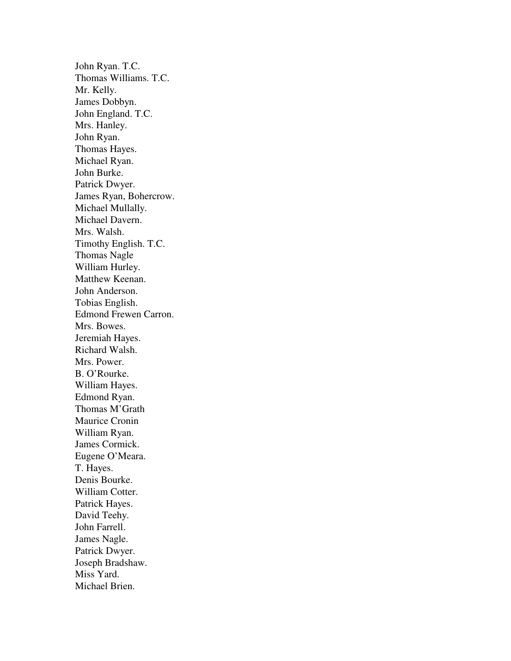John Ryan. T.C. Thomas Williams. T.C. Mr. Kelly. James Dobbyn. John England. T.C. Mrs. Hanley. John Ryan. Thomas Hayes. Michael Ryan. John Burke. Patrick Dwyer. James Ryan, Bohercrow. Michael Mullally. Michael Davern. Mrs. Walsh. Timothy English. T.C. Thomas Nagle William Hurley. Matthew Keenan. John Anderson. Tobias English. Edmond Frewen Carron. Mrs. Bowes. Jeremiah Hayes. Richard Walsh. Mrs. Power. B. O'Rourke. William Hayes. Edmond Ryan. Thomas M'Grath Maurice Cronin William Ryan. James Cormick. Eugene O'Meara. T. Hayes. Denis Bourke. William Cotter. Patrick Hayes. David Teehy. John Farrell. James Nagle. Patrick Dwyer. Joseph Bradshaw. Miss Yard. Michael Brien.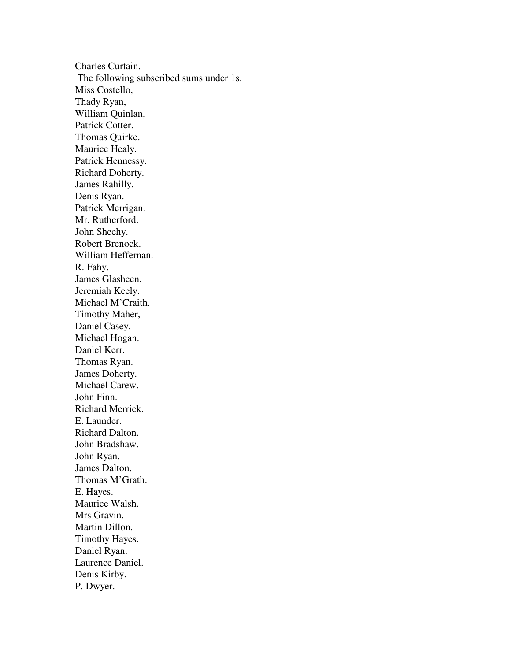Charles Curtain. The following subscribed sums under 1s. Miss Costello, Thady Ryan, William Quinlan, Patrick Cotter. Thomas Quirke. Maurice Healy. Patrick Hennessy. Richard Doherty. James Rahilly. Denis Ryan. Patrick Merrigan. Mr. Rutherford. John Sheehy. Robert Brenock. William Heffernan. R. Fahy. James Glasheen. Jeremiah Keely. Michael M'Craith. Timothy Maher, Daniel Casey. Michael Hogan. Daniel Kerr. Thomas Ryan. James Doherty. Michael Carew. John Finn. Richard Merrick. E. Launder. Richard Dalton. John Bradshaw. John Ryan. James Dalton. Thomas M'Grath. E. Hayes. Maurice Walsh. Mrs Gravin. Martin Dillon. Timothy Hayes. Daniel Ryan. Laurence Daniel. Denis Kirby. P. Dwyer.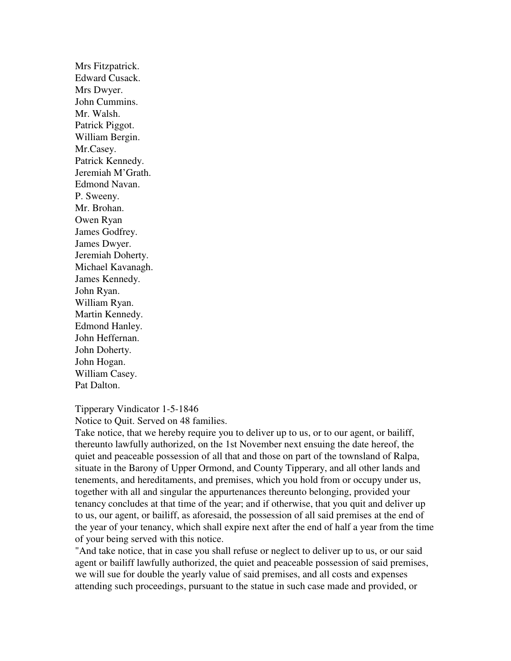Mrs Fitzpatrick. Edward Cusack. Mrs Dwyer. John Cummins. Mr. Walsh. Patrick Piggot. William Bergin. Mr.Casey. Patrick Kennedy. Jeremiah M'Grath. Edmond Navan. P. Sweeny. Mr. Brohan. Owen Ryan James Godfrey. James Dwyer. Jeremiah Doherty. Michael Kavanagh. James Kennedy. John Ryan. William Ryan. Martin Kennedy. Edmond Hanley. John Heffernan. John Doherty. John Hogan. William Casey. Pat Dalton.

Tipperary Vindicator 1-5-1846 Notice to Quit. Served on 48 families.

Take notice, that we hereby require you to deliver up to us, or to our agent, or bailiff, thereunto lawfully authorized, on the 1st November next ensuing the date hereof, the quiet and peaceable possession of all that and those on part of the townsland of Ralpa, situate in the Barony of Upper Ormond, and County Tipperary, and all other lands and tenements, and hereditaments, and premises, which you hold from or occupy under us, together with all and singular the appurtenances thereunto belonging, provided your tenancy concludes at that time of the year; and if otherwise, that you quit and deliver up to us, our agent, or bailiff, as aforesaid, the possession of all said premises at the end of the year of your tenancy, which shall expire next after the end of half a year from the time of your being served with this notice.

"And take notice, that in case you shall refuse or neglect to deliver up to us, or our said agent or bailiff lawfully authorized, the quiet and peaceable possession of said premises, we will sue for double the yearly value of said premises, and all costs and expenses attending such proceedings, pursuant to the statue in such case made and provided, or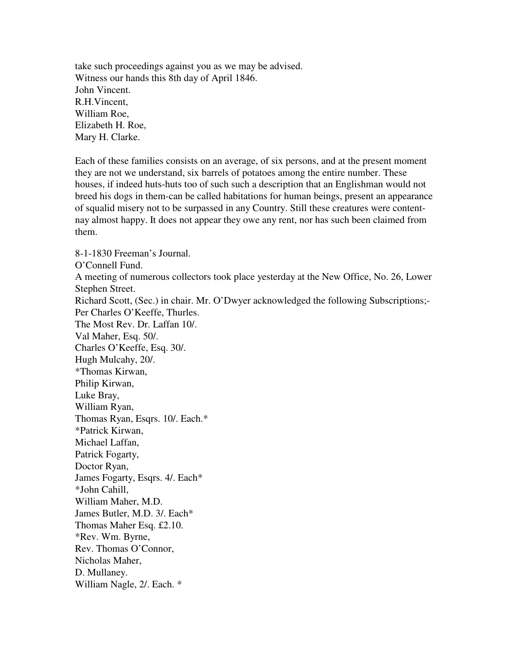take such proceedings against you as we may be advised. Witness our hands this 8th day of April 1846. John Vincent. R.H.Vincent, William Roe, Elizabeth H. Roe, Mary H. Clarke.

Each of these families consists on an average, of six persons, and at the present moment they are not we understand, six barrels of potatoes among the entire number. These houses, if indeed huts-huts too of such such a description that an Englishman would not breed his dogs in them-can be called habitations for human beings, present an appearance of squalid misery not to be surpassed in any Country. Still these creatures were contentnay almost happy. It does not appear they owe any rent, nor has such been claimed from them.

8-1-1830 Freeman's Journal. O'Connell Fund. A meeting of numerous collectors took place yesterday at the New Office, No. 26, Lower Stephen Street. Richard Scott, (Sec.) in chair. Mr. O'Dwyer acknowledged the following Subscriptions;- Per Charles O'Keeffe, Thurles. The Most Rev. Dr. Laffan 10/. Val Maher, Esq. 50/. Charles O'Keeffe, Esq. 30/. Hugh Mulcahy, 20/. \*Thomas Kirwan, Philip Kirwan, Luke Bray, William Ryan, Thomas Ryan, Esqrs. 10/. Each.\* \*Patrick Kirwan, Michael Laffan, Patrick Fogarty, Doctor Ryan, James Fogarty, Esqrs. 4/. Each\* \*John Cahill, William Maher, M.D. James Butler, M.D. 3/. Each\* Thomas Maher Esq. £2.10. \*Rev. Wm. Byrne, Rev. Thomas O'Connor, Nicholas Maher, D. Mullaney. William Nagle, 2/. Each. \*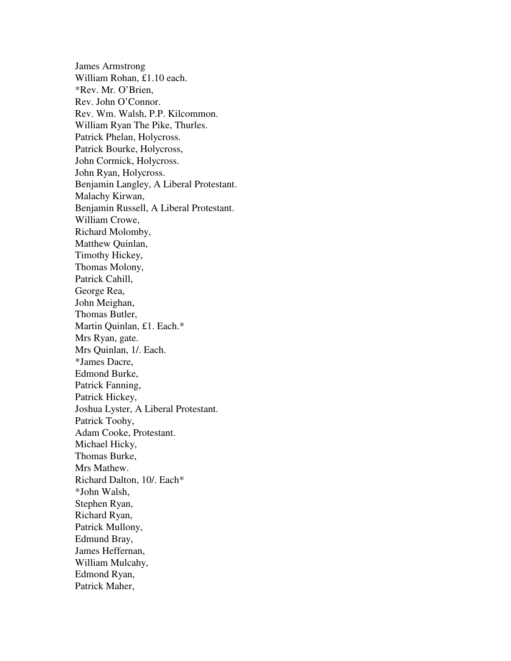James Armstrong William Rohan, £1.10 each. \*Rev. Mr. O'Brien, Rev. John O'Connor. Rev. Wm. Walsh, P.P. Kilcommon. William Ryan The Pike, Thurles. Patrick Phelan, Holycross. Patrick Bourke, Holycross, John Cormick, Holycross. John Ryan, Holycross. Benjamin Langley, A Liberal Protestant. Malachy Kirwan, Benjamin Russell, A Liberal Protestant. William Crowe, Richard Molomby, Matthew Quinlan, Timothy Hickey, Thomas Molony, Patrick Cahill, George Rea, John Meighan, Thomas Butler, Martin Quinlan, £1. Each.\* Mrs Ryan, gate. Mrs Quinlan, 1/. Each. \*James Dacre, Edmond Burke, Patrick Fanning, Patrick Hickey, Joshua Lyster, A Liberal Protestant. Patrick Toohy, Adam Cooke, Protestant. Michael Hicky, Thomas Burke, Mrs Mathew. Richard Dalton, 10/. Each\* \*John Walsh, Stephen Ryan, Richard Ryan, Patrick Mullony, Edmund Bray, James Heffernan, William Mulcahy, Edmond Ryan, Patrick Maher,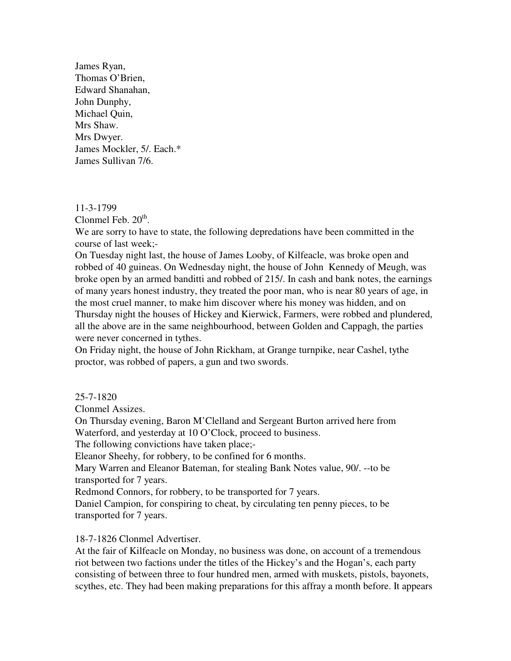James Ryan, Thomas O'Brien, Edward Shanahan, John Dunphy, Michael Quin, Mrs Shaw. Mrs Dwyer. James Mockler, 5/. Each.\* James Sullivan 7/6.

### 11-3-1799

Clonmel Feb.  $20<sup>th</sup>$ .

We are sorry to have to state, the following depredations have been committed in the course of last week;-

On Tuesday night last, the house of James Looby, of Kilfeacle, was broke open and robbed of 40 guineas. On Wednesday night, the house of John Kennedy of Meugh, was broke open by an armed banditti and robbed of 215/. In cash and bank notes, the earnings of many years honest industry, they treated the poor man, who is near 80 years of age, in the most cruel manner, to make him discover where his money was hidden, and on Thursday night the houses of Hickey and Kierwick, Farmers, were robbed and plundered, all the above are in the same neighbourhood, between Golden and Cappagh, the parties were never concerned in tythes.

On Friday night, the house of John Rickham, at Grange turnpike, near Cashel, tythe proctor, was robbed of papers, a gun and two swords.

25-7-1820

Clonmel Assizes.

On Thursday evening, Baron M'Clelland and Sergeant Burton arrived here from Waterford, and yesterday at 10 O'Clock, proceed to business.

The following convictions have taken place;-

Eleanor Sheehy, for robbery, to be confined for 6 months.

Mary Warren and Eleanor Bateman, for stealing Bank Notes value, 90/. --to be transported for 7 years.

Redmond Connors, for robbery, to be transported for 7 years.

Daniel Campion, for conspiring to cheat, by circulating ten penny pieces, to be transported for 7 years.

18-7-1826 Clonmel Advertiser.

At the fair of Kilfeacle on Monday, no business was done, on account of a tremendous riot between two factions under the titles of the Hickey's and the Hogan's, each party consisting of between three to four hundred men, armed with muskets, pistols, bayonets, scythes, etc. They had been making preparations for this affray a month before. It appears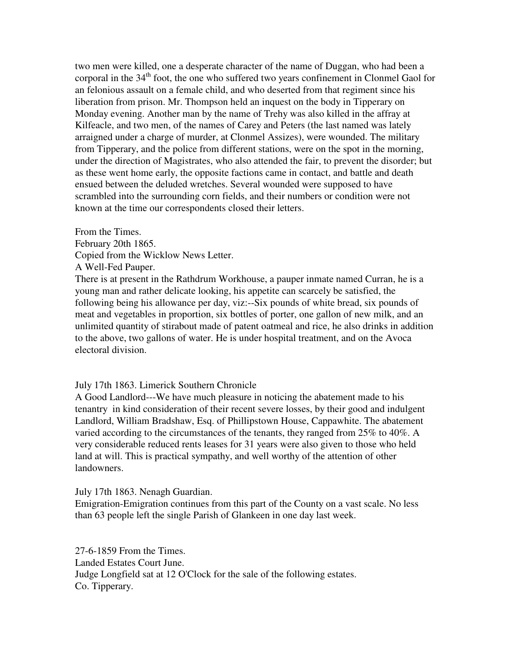two men were killed, one a desperate character of the name of Duggan, who had been a corporal in the  $34<sup>th</sup>$  foot, the one who suffered two years confinement in Clonmel Gaol for an felonious assault on a female child, and who deserted from that regiment since his liberation from prison. Mr. Thompson held an inquest on the body in Tipperary on Monday evening. Another man by the name of Trehy was also killed in the affray at Kilfeacle, and two men, of the names of Carey and Peters (the last named was lately arraigned under a charge of murder, at Clonmel Assizes), were wounded. The military from Tipperary, and the police from different stations, were on the spot in the morning, under the direction of Magistrates, who also attended the fair, to prevent the disorder; but as these went home early, the opposite factions came in contact, and battle and death ensued between the deluded wretches. Several wounded were supposed to have scrambled into the surrounding corn fields, and their numbers or condition were not known at the time our correspondents closed their letters.

From the Times. February 20th 1865. Copied from the Wicklow News Letter. A Well-Fed Pauper.

There is at present in the Rathdrum Workhouse, a pauper inmate named Curran, he is a young man and rather delicate looking, his appetite can scarcely be satisfied, the following being his allowance per day, viz:--Six pounds of white bread, six pounds of meat and vegetables in proportion, six bottles of porter, one gallon of new milk, and an unlimited quantity of stirabout made of patent oatmeal and rice, he also drinks in addition to the above, two gallons of water. He is under hospital treatment, and on the Avoca electoral division.

### July 17th 1863. Limerick Southern Chronicle

A Good Landlord---We have much pleasure in noticing the abatement made to his tenantry in kind consideration of their recent severe losses, by their good and indulgent Landlord, William Bradshaw, Esq. of Phillipstown House, Cappawhite. The abatement varied according to the circumstances of the tenants, they ranged from 25% to 40%. A very considerable reduced rents leases for 31 years were also given to those who held land at will. This is practical sympathy, and well worthy of the attention of other landowners.

July 17th 1863. Nenagh Guardian.

Emigration-Emigration continues from this part of the County on a vast scale. No less than 63 people left the single Parish of Glankeen in one day last week.

27-6-1859 From the Times. Landed Estates Court June. Judge Longfield sat at 12 O'Clock for the sale of the following estates. Co. Tipperary.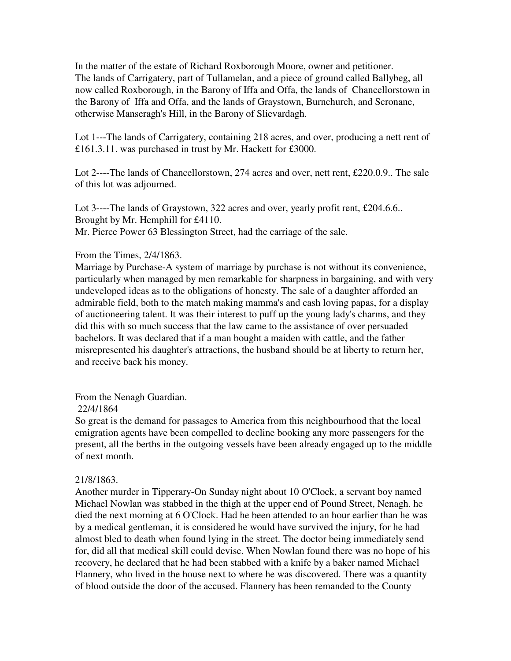In the matter of the estate of Richard Roxborough Moore, owner and petitioner. The lands of Carrigatery, part of Tullamelan, and a piece of ground called Ballybeg, all now called Roxborough, in the Barony of Iffa and Offa, the lands of Chancellorstown in the Barony of Iffa and Offa, and the lands of Graystown, Burnchurch, and Scronane, otherwise Manseragh's Hill, in the Barony of Slievardagh.

Lot 1---The lands of Carrigatery, containing 218 acres, and over, producing a nett rent of £161.3.11. was purchased in trust by Mr. Hackett for £3000.

Lot 2----The lands of Chancellorstown, 274 acres and over, nett rent, £220.0.9.. The sale of this lot was adjourned.

Lot 3----The lands of Graystown, 322 acres and over, yearly profit rent, £204.6.6.. Brought by Mr. Hemphill for £4110. Mr. Pierce Power 63 Blessington Street, had the carriage of the sale.

# From the Times, 2/4/1863.

Marriage by Purchase-A system of marriage by purchase is not without its convenience, particularly when managed by men remarkable for sharpness in bargaining, and with very undeveloped ideas as to the obligations of honesty. The sale of a daughter afforded an admirable field, both to the match making mamma's and cash loving papas, for a display of auctioneering talent. It was their interest to puff up the young lady's charms, and they did this with so much success that the law came to the assistance of over persuaded bachelors. It was declared that if a man bought a maiden with cattle, and the father misrepresented his daughter's attractions, the husband should be at liberty to return her, and receive back his money.

### From the Nenagh Guardian.

## 22/4/1864

So great is the demand for passages to America from this neighbourhood that the local emigration agents have been compelled to decline booking any more passengers for the present, all the berths in the outgoing vessels have been already engaged up to the middle of next month.

### 21/8/1863.

Another murder in Tipperary-On Sunday night about 10 O'Clock, a servant boy named Michael Nowlan was stabbed in the thigh at the upper end of Pound Street, Nenagh. he died the next morning at 6 O'Clock. Had he been attended to an hour earlier than he was by a medical gentleman, it is considered he would have survived the injury, for he had almost bled to death when found lying in the street. The doctor being immediately send for, did all that medical skill could devise. When Nowlan found there was no hope of his recovery, he declared that he had been stabbed with a knife by a baker named Michael Flannery, who lived in the house next to where he was discovered. There was a quantity of blood outside the door of the accused. Flannery has been remanded to the County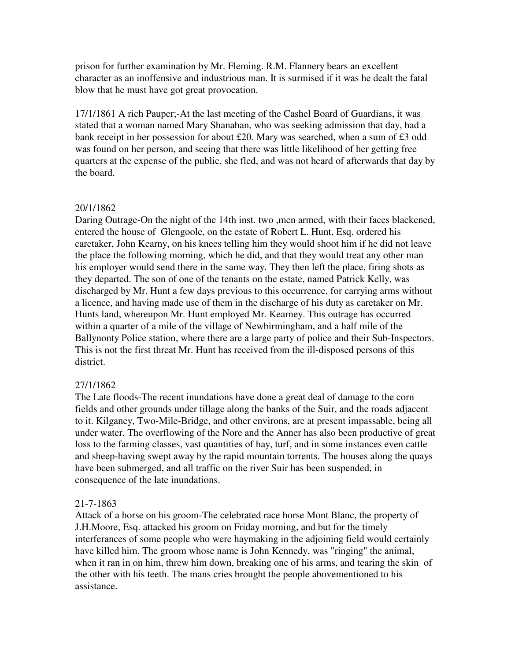prison for further examination by Mr. Fleming. R.M. Flannery bears an excellent character as an inoffensive and industrious man. It is surmised if it was he dealt the fatal blow that he must have got great provocation.

17/1/1861 A rich Pauper;-At the last meeting of the Cashel Board of Guardians, it was stated that a woman named Mary Shanahan, who was seeking admission that day, had a bank receipt in her possession for about £20. Mary was searched, when a sum of £3 odd was found on her person, and seeing that there was little likelihood of her getting free quarters at the expense of the public, she fled, and was not heard of afterwards that day by the board.

# 20/1/1862

Daring Outrage-On the night of the 14th inst. two ,men armed, with their faces blackened, entered the house of Glengoole, on the estate of Robert L. Hunt, Esq. ordered his caretaker, John Kearny, on his knees telling him they would shoot him if he did not leave the place the following morning, which he did, and that they would treat any other man his employer would send there in the same way. They then left the place, firing shots as they departed. The son of one of the tenants on the estate, named Patrick Kelly, was discharged by Mr. Hunt a few days previous to this occurrence, for carrying arms without a licence, and having made use of them in the discharge of his duty as caretaker on Mr. Hunts land, whereupon Mr. Hunt employed Mr. Kearney. This outrage has occurred within a quarter of a mile of the village of Newbirmingham, and a half mile of the Ballynonty Police station, where there are a large party of police and their Sub-Inspectors. This is not the first threat Mr. Hunt has received from the ill-disposed persons of this district.

# 27/1/1862

The Late floods-The recent inundations have done a great deal of damage to the corn fields and other grounds under tillage along the banks of the Suir, and the roads adjacent to it. Kilganey, Two-Mile-Bridge, and other environs, are at present impassable, being all under water. The overflowing of the Nore and the Anner has also been productive of great loss to the farming classes, vast quantities of hay, turf, and in some instances even cattle and sheep-having swept away by the rapid mountain torrents. The houses along the quays have been submerged, and all traffic on the river Suir has been suspended, in consequence of the late inundations.

# 21-7-1863

Attack of a horse on his groom-The celebrated race horse Mont Blanc, the property of J.H.Moore, Esq. attacked his groom on Friday morning, and but for the timely interferances of some people who were haymaking in the adjoining field would certainly have killed him. The groom whose name is John Kennedy, was "ringing" the animal, when it ran in on him, threw him down, breaking one of his arms, and tearing the skin of the other with his teeth. The mans cries brought the people abovementioned to his assistance.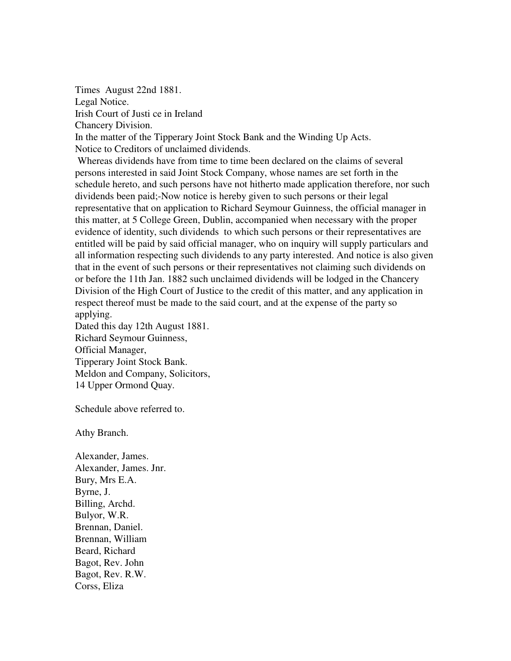Times August 22nd 1881. Legal Notice. Irish Court of Justi ce in Ireland Chancery Division. In the matter of the Tipperary Joint Stock Bank and the Winding Up Acts. Notice to Creditors of unclaimed dividends. Whereas dividends have from time to time been declared on the claims of several

persons interested in said Joint Stock Company, whose names are set forth in the schedule hereto, and such persons have not hitherto made application therefore, nor such dividends been paid;-Now notice is hereby given to such persons or their legal representative that on application to Richard Seymour Guinness, the official manager in this matter, at 5 College Green, Dublin, accompanied when necessary with the proper evidence of identity, such dividends to which such persons or their representatives are entitled will be paid by said official manager, who on inquiry will supply particulars and all information respecting such dividends to any party interested. And notice is also given that in the event of such persons or their representatives not claiming such dividends on or before the 11th Jan. 1882 such unclaimed dividends will be lodged in the Chancery Division of the High Court of Justice to the credit of this matter, and any application in respect thereof must be made to the said court, and at the expense of the party so applying.

Dated this day 12th August 1881. Richard Seymour Guinness, Official Manager, Tipperary Joint Stock Bank. Meldon and Company, Solicitors, 14 Upper Ormond Quay.

Schedule above referred to.

Athy Branch.

Alexander, James. Alexander, James. Jnr. Bury, Mrs E.A. Byrne, J. Billing, Archd. Bulyor, W.R. Brennan, Daniel. Brennan, William Beard, Richard Bagot, Rev. John Bagot, Rev. R.W. Corss, Eliza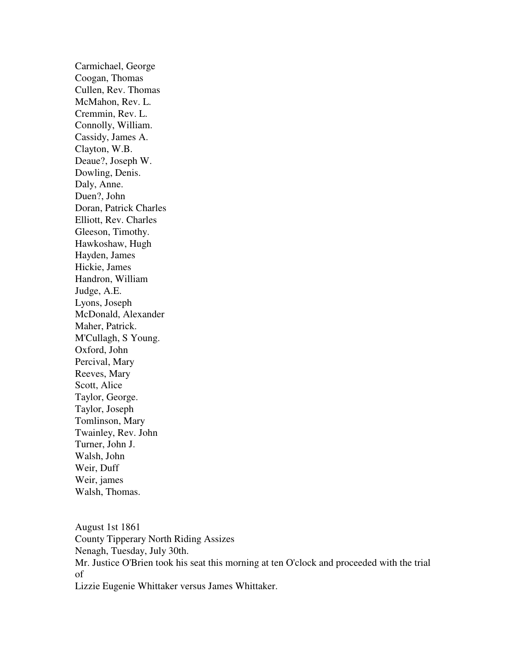Carmichael, George Coogan, Thomas Cullen, Rev. Thomas McMahon, Rev. L. Cremmin, Rev. L. Connolly, William. Cassidy, James A. Clayton, W.B. Deaue?, Joseph W. Dowling, Denis. Daly, Anne. Duen?, John Doran, Patrick Charles Elliott, Rev. Charles Gleeson, Timothy. Hawkoshaw, Hugh Hayden, James Hickie, James Handron, William Judge, A.E. Lyons, Joseph McDonald, Alexander Maher, Patrick. M'Cullagh, S Young. Oxford, John Percival, Mary Reeves, Mary Scott, Alice Taylor, George. Taylor, Joseph Tomlinson, Mary Twainley, Rev. John Turner, John J. Walsh, John Weir, Duff Weir, james Walsh, Thomas.

August 1st 1861 County Tipperary North Riding Assizes Nenagh, Tuesday, July 30th. Mr. Justice O'Brien took his seat this morning at ten O'clock and proceeded with the trial of Lizzie Eugenie Whittaker versus James Whittaker.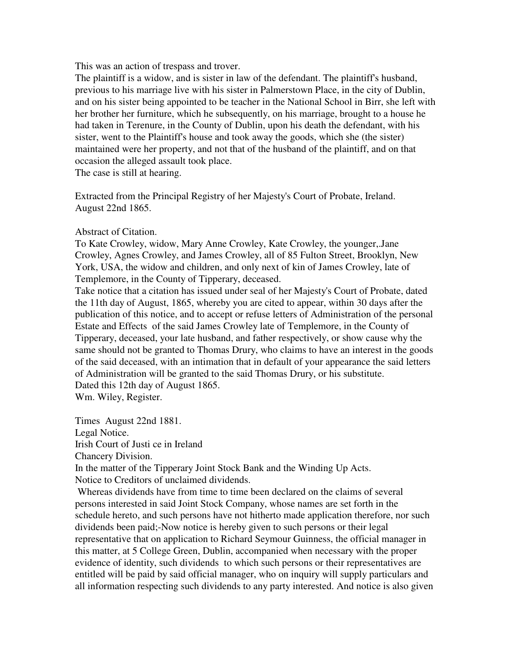This was an action of trespass and trover.

The plaintiff is a widow, and is sister in law of the defendant. The plaintiff's husband, previous to his marriage live with his sister in Palmerstown Place, in the city of Dublin, and on his sister being appointed to be teacher in the National School in Birr, she left with her brother her furniture, which he subsequently, on his marriage, brought to a house he had taken in Terenure, in the County of Dublin, upon his death the defendant, with his sister, went to the Plaintiff's house and took away the goods, which she (the sister) maintained were her property, and not that of the husband of the plaintiff, and on that occasion the alleged assault took place.

The case is still at hearing.

Extracted from the Principal Registry of her Majesty's Court of Probate, Ireland. August 22nd 1865.

# Abstract of Citation.

To Kate Crowley, widow, Mary Anne Crowley, Kate Crowley, the younger,.Jane Crowley, Agnes Crowley, and James Crowley, all of 85 Fulton Street, Brooklyn, New York, USA, the widow and children, and only next of kin of James Crowley, late of Templemore, in the County of Tipperary, deceased.

Take notice that a citation has issued under seal of her Majesty's Court of Probate, dated the 11th day of August, 1865, whereby you are cited to appear, within 30 days after the publication of this notice, and to accept or refuse letters of Administration of the personal Estate and Effects of the said James Crowley late of Templemore, in the County of Tipperary, deceased, your late husband, and father respectively, or show cause why the same should not be granted to Thomas Drury, who claims to have an interest in the goods of the said deceased, with an intimation that in default of your appearance the said letters of Administration will be granted to the said Thomas Drury, or his substitute. Dated this 12th day of August 1865.

Wm. Wiley, Register.

Times August 22nd 1881. Legal Notice. Irish Court of Justi ce in Ireland

Chancery Division.

In the matter of the Tipperary Joint Stock Bank and the Winding Up Acts. Notice to Creditors of unclaimed dividends.

 Whereas dividends have from time to time been declared on the claims of several persons interested in said Joint Stock Company, whose names are set forth in the schedule hereto, and such persons have not hitherto made application therefore, nor such dividends been paid;-Now notice is hereby given to such persons or their legal representative that on application to Richard Seymour Guinness, the official manager in this matter, at 5 College Green, Dublin, accompanied when necessary with the proper evidence of identity, such dividends to which such persons or their representatives are entitled will be paid by said official manager, who on inquiry will supply particulars and all information respecting such dividends to any party interested. And notice is also given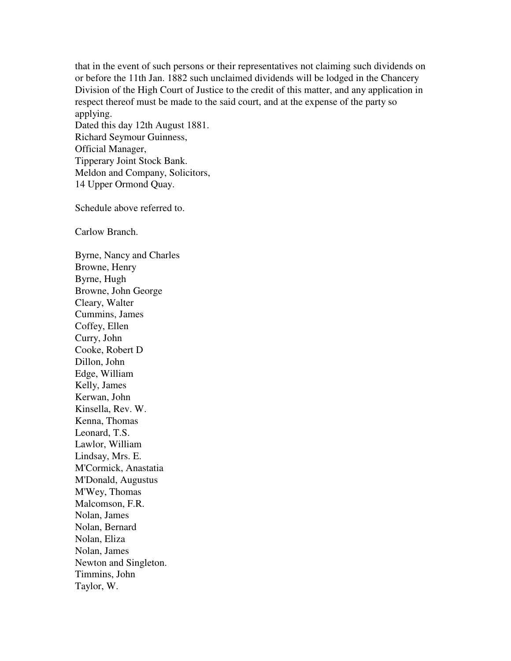that in the event of such persons or their representatives not claiming such dividends on or before the 11th Jan. 1882 such unclaimed dividends will be lodged in the Chancery Division of the High Court of Justice to the credit of this matter, and any application in respect thereof must be made to the said court, and at the expense of the party so applying. Dated this day 12th August 1881.

Richard Seymour Guinness, Official Manager, Tipperary Joint Stock Bank. Meldon and Company, Solicitors, 14 Upper Ormond Quay.

Schedule above referred to.

Carlow Branch.

Byrne, Nancy and Charles Browne, Henry Byrne, Hugh Browne, John George Cleary, Walter Cummins, James Coffey, Ellen Curry, John Cooke, Robert D Dillon, John Edge, William Kelly, James Kerwan, John Kinsella, Rev. W. Kenna, Thomas Leonard, T.S. Lawlor, William Lindsay, Mrs. E. M'Cormick, Anastatia M'Donald, Augustus M'Wey, Thomas Malcomson, F.R. Nolan, James Nolan, Bernard Nolan, Eliza Nolan, James Newton and Singleton. Timmins, John Taylor, W.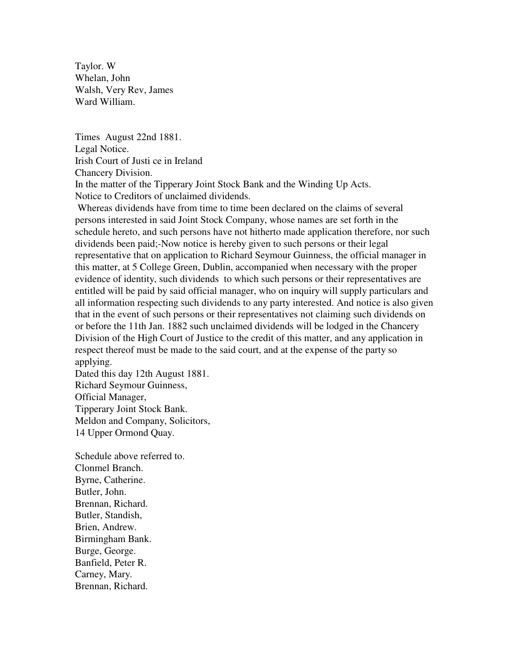Taylor. W Whelan, John Walsh, Very Rev, James Ward William.

Times August 22nd 1881. Legal Notice. Irish Court of Justi ce in Ireland Chancery Division. In the matter of the Tipperary Joint Stock Bank and the Winding Up Acts. Notice to Creditors of unclaimed dividends.

 Whereas dividends have from time to time been declared on the claims of several persons interested in said Joint Stock Company, whose names are set forth in the schedule hereto, and such persons have not hitherto made application therefore, nor such dividends been paid;-Now notice is hereby given to such persons or their legal representative that on application to Richard Seymour Guinness, the official manager in this matter, at 5 College Green, Dublin, accompanied when necessary with the proper evidence of identity, such dividends to which such persons or their representatives are entitled will be paid by said official manager, who on inquiry will supply particulars and all information respecting such dividends to any party interested. And notice is also given that in the event of such persons or their representatives not claiming such dividends on or before the 11th Jan. 1882 such unclaimed dividends will be lodged in the Chancery Division of the High Court of Justice to the credit of this matter, and any application in respect thereof must be made to the said court, and at the expense of the party so applying.

Dated this day 12th August 1881. Richard Seymour Guinness, Official Manager, Tipperary Joint Stock Bank. Meldon and Company, Solicitors, 14 Upper Ormond Quay.

Schedule above referred to. Clonmel Branch. Byrne, Catherine. Butler, John. Brennan, Richard. Butler, Standish, Brien, Andrew. Birmingham Bank. Burge, George. Banfield, Peter R. Carney, Mary. Brennan, Richard.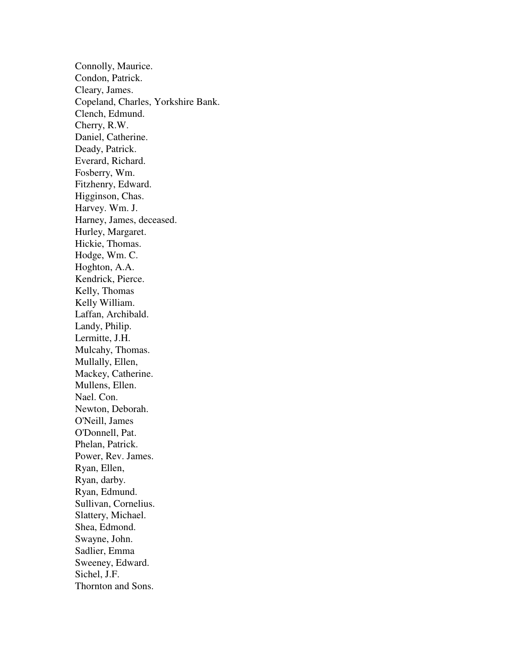Connolly, Maurice. Condon, Patrick. Cleary, James. Copeland, Charles, Yorkshire Bank. Clench, Edmund. Cherry, R.W. Daniel, Catherine. Deady, Patrick. Everard, Richard. Fosberry, Wm. Fitzhenry, Edward. Higginson, Chas. Harvey. Wm. J. Harney, James, deceased. Hurley, Margaret. Hickie, Thomas. Hodge, Wm. C. Hoghton, A.A. Kendrick, Pierce. Kelly, Thomas Kelly William. Laffan, Archibald. Landy, Philip. Lermitte, J.H. Mulcahy, Thomas. Mullally, Ellen, Mackey, Catherine. Mullens, Ellen. Nael. Con. Newton, Deborah. O'Neill, James O'Donnell, Pat. Phelan, Patrick. Power, Rev. James. Ryan, Ellen, Ryan, darby. Ryan, Edmund. Sullivan, Cornelius. Slattery, Michael. Shea, Edmond. Swayne, John. Sadlier, Emma Sweeney, Edward. Sichel, J.F. Thornton and Sons.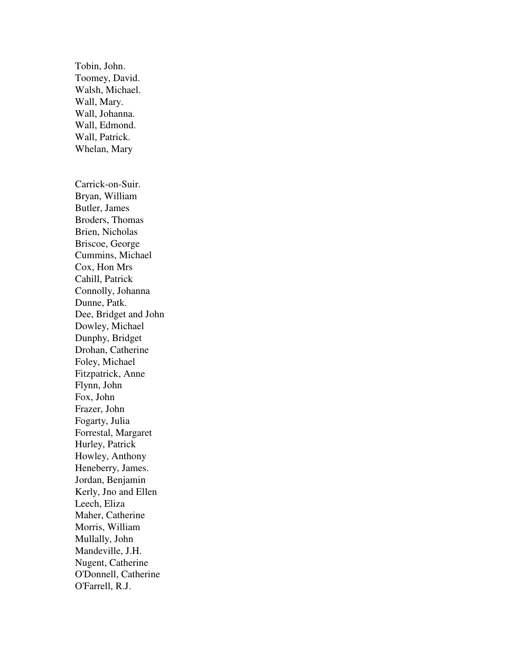Wall, Mary. Wall, Johanna. Wall, Edmond. Wall, Patrick. Whelan, Mary Carrick-on-Suir. Bryan, William Butler, James Broders, Thomas Brien, Nicholas Briscoe, George Cummins, Michael Cox, Hon Mrs Cahill, Patrick Connolly, Johanna Dunne, Patk. Dee, Bridget and John Dowley, Michael Dunphy, Bridget Drohan, Catherine Foley, Michael Fitzpatrick, Anne Flynn, John Fox, John Frazer, John Fogarty, Julia Forrestal, Margaret Hurley, Patrick Howley, Anthony Heneberry, James. Jordan, Benjamin Kerly, Jno and Ellen Leech, Eliza Maher, Catherine Morris, William Mullally, John Mandeville, J.H. Nugent, Catherine O'Donnell, Catherine O'Farrell, R.J.

Tobin, John. Toomey, David. Walsh, Michael.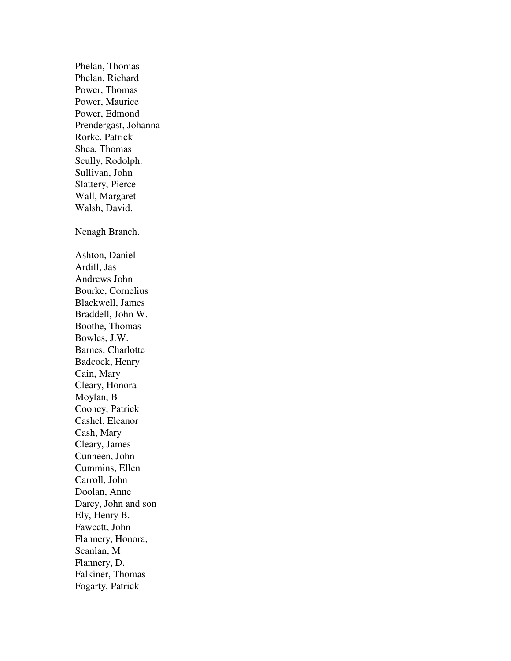Phelan, Thomas Phelan, Richard Power, Thomas Power, Maurice Power, Edmond Prendergast, Johanna Rorke, Patrick Shea, Thomas Scully, Rodolph. Sullivan, John Slattery, Pierce Wall, Margaret Walsh, David. Nenagh Branch. Ashton, Daniel Ardill, Jas Andrews John Bourke, Cornelius Blackwell, James Braddell, John W. Boothe, Thomas Bowles, J.W. Barnes, Charlotte Badcock, Henry Cain, Mary Cleary, Honora Moylan, B Cooney, Patrick Cashel, Eleanor Cash, Mary Cleary, James Cunneen, John Cummins, Ellen Carroll, John Doolan, Anne Darcy, John and son Ely, Henry B. Fawcett, John Flannery, Honora, Scanlan, M Flannery, D. Falkiner, Thomas Fogarty, Patrick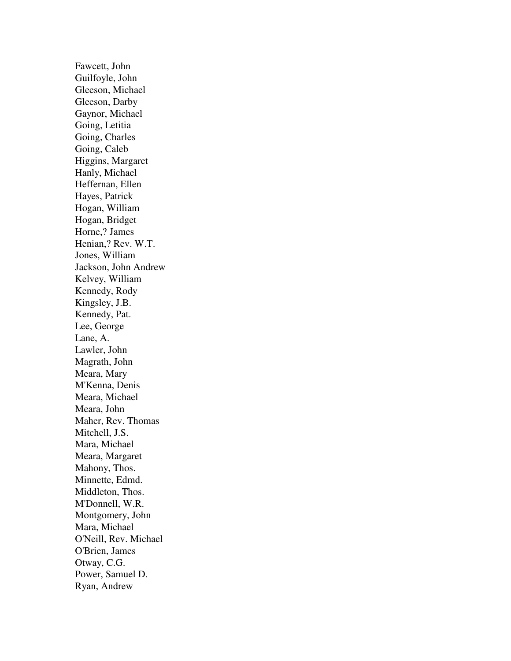Fawcett, John Guilfoyle, John Gleeson, Michael Gleeson, Darby Gaynor, Michael Going, Letitia Going, Charles Going, Caleb Higgins, Margaret Hanly, Michael Heffernan, Ellen Hayes, Patrick Hogan, William Hogan, Bridget Horne,? James Henian,? Rev. W.T. Jones, William Jackson, John Andrew Kelvey, William Kennedy, Rody Kingsley, J.B. Kennedy, Pat. Lee, George Lane, A. Lawler, John Magrath, John Meara, Mary M'Kenna, Denis Meara, Michael Meara, John Maher, Rev. Thomas Mitchell, J.S. Mara, Michael Meara, Margaret Mahony, Thos. Minnette, Edmd. Middleton, Thos. M'Donnell, W.R. Montgomery, John Mara, Michael O'Neill, Rev. Michael O'Brien, James Otway, C.G. Power, Samuel D. Ryan, Andrew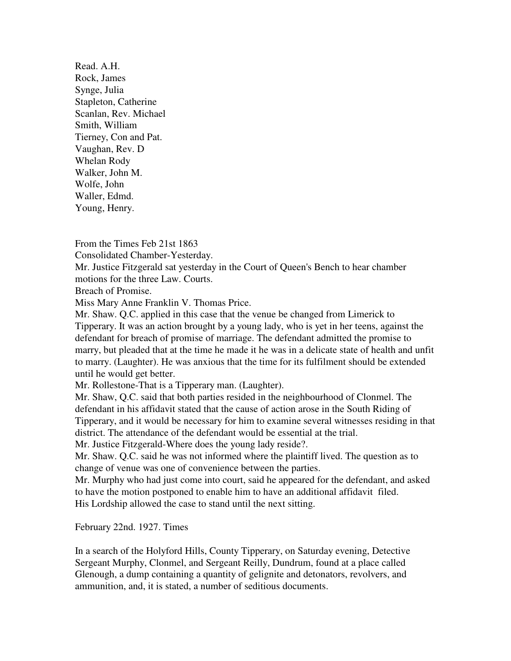Read. A.H. Rock, James Synge, Julia Stapleton, Catherine Scanlan, Rev. Michael Smith, William Tierney, Con and Pat. Vaughan, Rev. D Whelan Rody Walker, John M. Wolfe, John Waller, Edmd. Young, Henry.

From the Times Feb 21st 1863 Consolidated Chamber-Yesterday. Mr. Justice Fitzgerald sat yesterday in the Court of Queen's Bench to hear chamber motions for the three Law. Courts.

Breach of Promise.

Miss Mary Anne Franklin V. Thomas Price.

Mr. Shaw. Q.C. applied in this case that the venue be changed from Limerick to Tipperary. It was an action brought by a young lady, who is yet in her teens, against the defendant for breach of promise of marriage. The defendant admitted the promise to marry, but pleaded that at the time he made it he was in a delicate state of health and unfit to marry. (Laughter). He was anxious that the time for its fulfilment should be extended until he would get better.

Mr. Rollestone-That is a Tipperary man. (Laughter).

Mr. Shaw, Q.C. said that both parties resided in the neighbourhood of Clonmel. The defendant in his affidavit stated that the cause of action arose in the South Riding of Tipperary, and it would be necessary for him to examine several witnesses residing in that district. The attendance of the defendant would be essential at the trial.

Mr. Justice Fitzgerald-Where does the young lady reside?.

Mr. Shaw. Q.C. said he was not informed where the plaintiff lived. The question as to change of venue was one of convenience between the parties.

Mr. Murphy who had just come into court, said he appeared for the defendant, and asked to have the motion postponed to enable him to have an additional affidavit filed. His Lordship allowed the case to stand until the next sitting.

February 22nd. 1927. Times

In a search of the Holyford Hills, County Tipperary, on Saturday evening, Detective Sergeant Murphy, Clonmel, and Sergeant Reilly, Dundrum, found at a place called Glenough, a dump containing a quantity of gelignite and detonators, revolvers, and ammunition, and, it is stated, a number of seditious documents.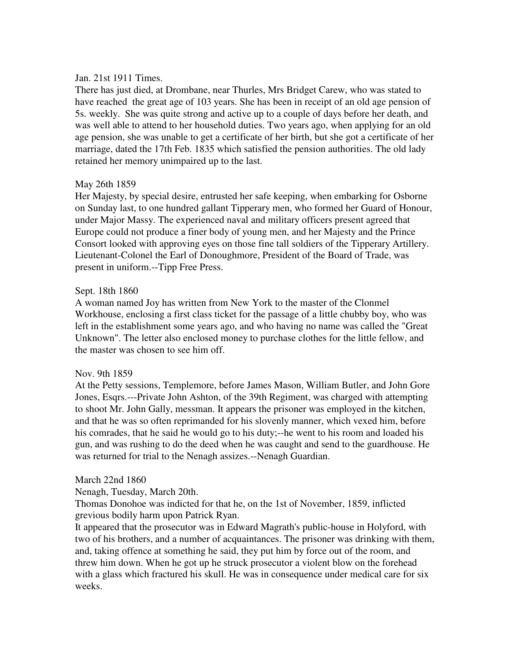# Jan. 21st 1911 Times.

There has just died, at Drombane, near Thurles, Mrs Bridget Carew, who was stated to have reached the great age of 103 years. She has been in receipt of an old age pension of 5s. weekly. She was quite strong and active up to a couple of days before her death, and was well able to attend to her household duties. Two years ago, when applying for an old age pension, she was unable to get a certificate of her birth, but she got a certificate of her marriage, dated the 17th Feb. 1835 which satisfied the pension authorities. The old lady retained her memory unimpaired up to the last.

# May 26th 1859

Her Majesty, by special desire, entrusted her safe keeping, when embarking for Osborne on Sunday last, to one hundred gallant Tipperary men, who formed her Guard of Honour, under Major Massy. The experienced naval and military officers present agreed that Europe could not produce a finer body of young men, and her Majesty and the Prince Consort looked with approving eyes on those fine tall soldiers of the Tipperary Artillery. Lieutenant-Colonel the Earl of Donoughmore, President of the Board of Trade, was present in uniform.--Tipp Free Press.

# Sept. 18th 1860

A woman named Joy has written from New York to the master of the Clonmel Workhouse, enclosing a first class ticket for the passage of a little chubby boy, who was left in the establishment some years ago, and who having no name was called the "Great Unknown". The letter also enclosed money to purchase clothes for the little fellow, and the master was chosen to see him off.

### Nov. 9th 1859

At the Petty sessions, Templemore, before James Mason, William Butler, and John Gore Jones, Esqrs.---Private John Ashton, of the 39th Regiment, was charged with attempting to shoot Mr. John Gally, messman. It appears the prisoner was employed in the kitchen, and that he was so often reprimanded for his slovenly manner, which vexed him, before his comrades, that he said he would go to his duty;--he went to his room and loaded his gun, and was rushing to do the deed when he was caught and send to the guardhouse. He was returned for trial to the Nenagh assizes.--Nenagh Guardian.

### March 22nd 1860

Nenagh, Tuesday, March 20th.

Thomas Donohoe was indicted for that he, on the 1st of November, 1859, inflicted grevious bodily harm upon Patrick Ryan.

It appeared that the prosecutor was in Edward Magrath's public-house in Holyford, with two of his brothers, and a number of acquaintances. The prisoner was drinking with them, and, taking offence at something he said, they put him by force out of the room, and threw him down. When he got up he struck prosecutor a violent blow on the forehead with a glass which fractured his skull. He was in consequence under medical care for six weeks.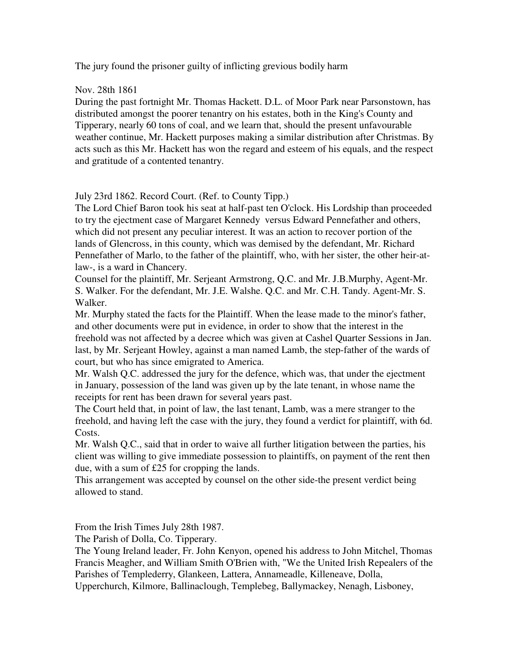The jury found the prisoner guilty of inflicting grevious bodily harm

Nov. 28th 1861

During the past fortnight Mr. Thomas Hackett. D.L. of Moor Park near Parsonstown, has distributed amongst the poorer tenantry on his estates, both in the King's County and Tipperary, nearly 60 tons of coal, and we learn that, should the present unfavourable weather continue, Mr. Hackett purposes making a similar distribution after Christmas. By acts such as this Mr. Hackett has won the regard and esteem of his equals, and the respect and gratitude of a contented tenantry.

July 23rd 1862. Record Court. (Ref. to County Tipp.)

The Lord Chief Baron took his seat at half-past ten O'clock. His Lordship than proceeded to try the ejectment case of Margaret Kennedy versus Edward Pennefather and others, which did not present any peculiar interest. It was an action to recover portion of the lands of Glencross, in this county, which was demised by the defendant, Mr. Richard Pennefather of Marlo, to the father of the plaintiff, who, with her sister, the other heir-atlaw-, is a ward in Chancery.

Counsel for the plaintiff, Mr. Serjeant Armstrong, Q.C. and Mr. J.B.Murphy, Agent-Mr. S. Walker. For the defendant, Mr. J.E. Walshe. Q.C. and Mr. C.H. Tandy. Agent-Mr. S. Walker.

Mr. Murphy stated the facts for the Plaintiff. When the lease made to the minor's father, and other documents were put in evidence, in order to show that the interest in the freehold was not affected by a decree which was given at Cashel Quarter Sessions in Jan. last, by Mr. Serjeant Howley, against a man named Lamb, the step-father of the wards of court, but who has since emigrated to America.

Mr. Walsh Q.C. addressed the jury for the defence, which was, that under the ejectment in January, possession of the land was given up by the late tenant, in whose name the receipts for rent has been drawn for several years past.

The Court held that, in point of law, the last tenant, Lamb, was a mere stranger to the freehold, and having left the case with the jury, they found a verdict for plaintiff, with 6d. Costs.

Mr. Walsh Q.C., said that in order to waive all further litigation between the parties, his client was willing to give immediate possession to plaintiffs, on payment of the rent then due, with a sum of £25 for cropping the lands.

This arrangement was accepted by counsel on the other side-the present verdict being allowed to stand.

From the Irish Times July 28th 1987.

The Parish of Dolla, Co. Tipperary.

The Young Ireland leader, Fr. John Kenyon, opened his address to John Mitchel, Thomas Francis Meagher, and William Smith O'Brien with, "We the United Irish Repealers of the Parishes of Templederry, Glankeen, Lattera, Annameadle, Killeneave, Dolla,

Upperchurch, Kilmore, Ballinaclough, Templebeg, Ballymackey, Nenagh, Lisboney,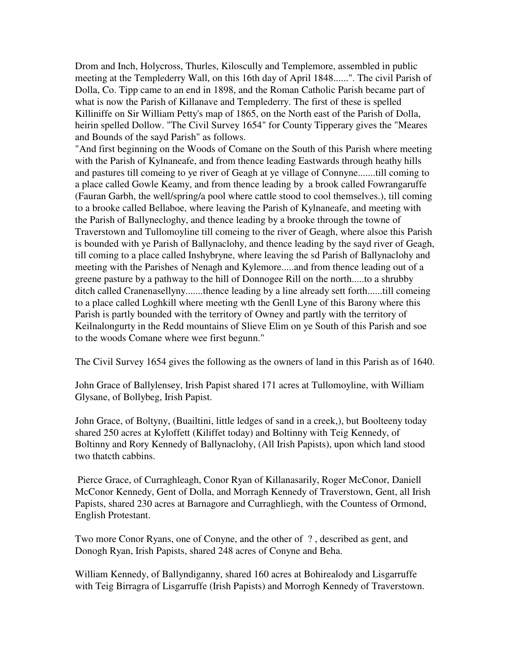Drom and Inch, Holycross, Thurles, Kiloscully and Templemore, assembled in public meeting at the Templederry Wall, on this 16th day of April 1848......". The civil Parish of Dolla, Co. Tipp came to an end in 1898, and the Roman Catholic Parish became part of what is now the Parish of Killanave and Templederry. The first of these is spelled Killiniffe on Sir William Petty's map of 1865, on the North east of the Parish of Dolla, heirin spelled Dollow. "The Civil Survey 1654" for County Tipperary gives the "Meares and Bounds of the sayd Parish" as follows.

"And first beginning on the Woods of Comane on the South of this Parish where meeting with the Parish of Kylnaneafe, and from thence leading Eastwards through heathy hills and pastures till comeing to ye river of Geagh at ye village of Connyne.......till coming to a place called Gowle Keamy, and from thence leading by a brook called Fowrangaruffe (Fauran Garbh, the well/spring/a pool where cattle stood to cool themselves.), till coming to a brooke called Bellaboe, where leaving the Parish of Kylnaneafe, and meeting with the Parish of Ballynecloghy, and thence leading by a brooke through the towne of Traverstown and Tullomoyline till comeing to the river of Geagh, where alsoe this Parish is bounded with ye Parish of Ballynaclohy, and thence leading by the sayd river of Geagh, till coming to a place called Inshybryne, where leaving the sd Parish of Ballynaclohy and meeting with the Parishes of Nenagh and Kylemore.....and from thence leading out of a greene pasture by a pathway to the hill of Donnogee Rill on the north.....to a shrubby ditch called Cranenasellyny.......thence leading by a line already sett forth......till comeing to a place called Loghkill where meeting wth the Genll Lyne of this Barony where this Parish is partly bounded with the territory of Owney and partly with the territory of Keilnalongurty in the Redd mountains of Slieve Elim on ye South of this Parish and soe to the woods Comane where wee first begunn."

The Civil Survey 1654 gives the following as the owners of land in this Parish as of 1640.

John Grace of Ballylensey, Irish Papist shared 171 acres at Tullomoyline, with William Glysane, of Bollybeg, Irish Papist.

John Grace, of Boltyny, (Buailtini, little ledges of sand in a creek,), but Boolteeny today shared 250 acres at Kyloffett (Kiliffet today) and Boltinny with Teig Kennedy, of Boltinny and Rory Kennedy of Ballynaclohy, (All Irish Papists), upon which land stood two thatcth cabbins.

 Pierce Grace, of Curraghleagh, Conor Ryan of Killanasarily, Roger McConor, Daniell McConor Kennedy, Gent of Dolla, and Morragh Kennedy of Traverstown, Gent, all Irish Papists, shared 230 acres at Barnagore and Curraghliegh, with the Countess of Ormond, English Protestant.

Two more Conor Ryans, one of Conyne, and the other of ? , described as gent, and Donogh Ryan, Irish Papists, shared 248 acres of Conyne and Beha.

William Kennedy, of Ballyndiganny, shared 160 acres at Bohirealody and Lisgarruffe with Teig Birragra of Lisgarruffe (Irish Papists) and Morrogh Kennedy of Traverstown.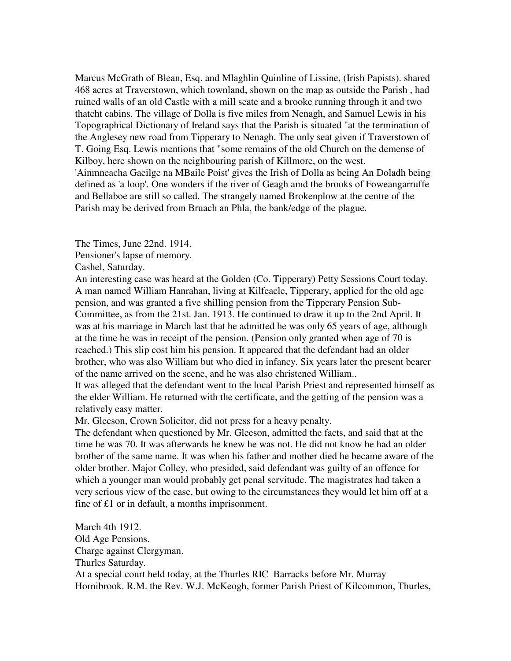Marcus McGrath of Blean, Esq. and Mlaghlin Quinline of Lissine, (Irish Papists). shared 468 acres at Traverstown, which townland, shown on the map as outside the Parish , had ruined walls of an old Castle with a mill seate and a brooke running through it and two thatcht cabins. The village of Dolla is five miles from Nenagh, and Samuel Lewis in his Topographical Dictionary of Ireland says that the Parish is situated "at the termination of the Anglesey new road from Tipperary to Nenagh. The only seat given if Traverstown of T. Going Esq. Lewis mentions that "some remains of the old Church on the demense of Kilboy, here shown on the neighbouring parish of Killmore, on the west.

'Ainmneacha Gaeilge na MBaile Poist' gives the Irish of Dolla as being An Doladh being defined as 'a loop'. One wonders if the river of Geagh amd the brooks of Foweangarruffe and Bellaboe are still so called. The strangely named Brokenplow at the centre of the Parish may be derived from Bruach an Phla, the bank/edge of the plague.

The Times, June 22nd. 1914.

Pensioner's lapse of memory.

Cashel, Saturday.

An interesting case was heard at the Golden (Co. Tipperary) Petty Sessions Court today. A man named William Hanrahan, living at Kilfeacle, Tipperary, applied for the old age pension, and was granted a five shilling pension from the Tipperary Pension Sub-Committee, as from the 21st. Jan. 1913. He continued to draw it up to the 2nd April. It was at his marriage in March last that he admitted he was only 65 years of age, although at the time he was in receipt of the pension. (Pension only granted when age of 70 is reached.) This slip cost him his pension. It appeared that the defendant had an older brother, who was also William but who died in infancy. Six years later the present bearer of the name arrived on the scene, and he was also christened William..

It was alleged that the defendant went to the local Parish Priest and represented himself as the elder William. He returned with the certificate, and the getting of the pension was a relatively easy matter.

Mr. Gleeson, Crown Solicitor, did not press for a heavy penalty.

The defendant when questioned by Mr. Gleeson, admitted the facts, and said that at the time he was 70. It was afterwards he knew he was not. He did not know he had an older brother of the same name. It was when his father and mother died he became aware of the older brother. Major Colley, who presided, said defendant was guilty of an offence for which a younger man would probably get penal servitude. The magistrates had taken a very serious view of the case, but owing to the circumstances they would let him off at a fine of  $£1$  or in default, a months imprisonment.

March 4th 1912. Old Age Pensions. Charge against Clergyman. Thurles Saturday. At a special court held today, at the Thurles RIC Barracks before Mr. Murray Hornibrook. R.M. the Rev. W.J. McKeogh, former Parish Priest of Kilcommon, Thurles,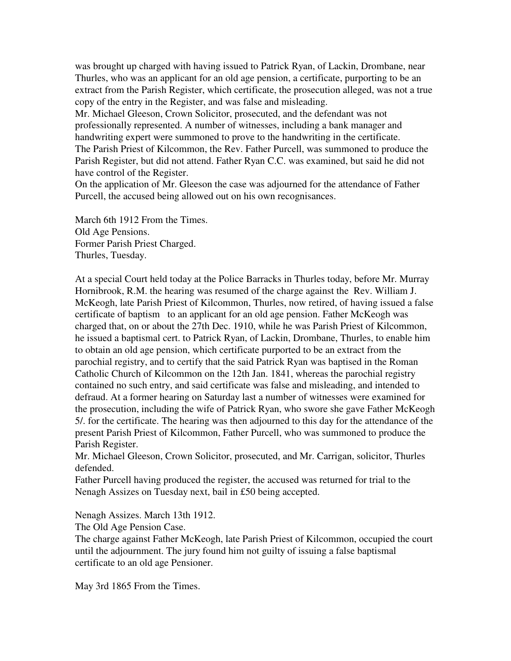was brought up charged with having issued to Patrick Ryan, of Lackin, Drombane, near Thurles, who was an applicant for an old age pension, a certificate, purporting to be an extract from the Parish Register, which certificate, the prosecution alleged, was not a true copy of the entry in the Register, and was false and misleading.

Mr. Michael Gleeson, Crown Solicitor, prosecuted, and the defendant was not professionally represented. A number of witnesses, including a bank manager and handwriting expert were summoned to prove to the handwriting in the certificate. The Parish Priest of Kilcommon, the Rev. Father Purcell, was summoned to produce the Parish Register, but did not attend. Father Ryan C.C. was examined, but said he did not have control of the Register.

On the application of Mr. Gleeson the case was adjourned for the attendance of Father Purcell, the accused being allowed out on his own recognisances.

March 6th 1912 From the Times. Old Age Pensions. Former Parish Priest Charged. Thurles, Tuesday.

At a special Court held today at the Police Barracks in Thurles today, before Mr. Murray Hornibrook, R.M. the hearing was resumed of the charge against the Rev. William J. McKeogh, late Parish Priest of Kilcommon, Thurles, now retired, of having issued a false certificate of baptism to an applicant for an old age pension. Father McKeogh was charged that, on or about the 27th Dec. 1910, while he was Parish Priest of Kilcommon, he issued a baptismal cert. to Patrick Ryan, of Lackin, Drombane, Thurles, to enable him to obtain an old age pension, which certificate purported to be an extract from the parochial registry, and to certify that the said Patrick Ryan was baptised in the Roman Catholic Church of Kilcommon on the 12th Jan. 1841, whereas the parochial registry contained no such entry, and said certificate was false and misleading, and intended to defraud. At a former hearing on Saturday last a number of witnesses were examined for the prosecution, including the wife of Patrick Ryan, who swore she gave Father McKeogh 5/. for the certificate. The hearing was then adjourned to this day for the attendance of the present Parish Priest of Kilcommon, Father Purcell, who was summoned to produce the Parish Register.

Mr. Michael Gleeson, Crown Solicitor, prosecuted, and Mr. Carrigan, solicitor, Thurles defended.

Father Purcell having produced the register, the accused was returned for trial to the Nenagh Assizes on Tuesday next, bail in £50 being accepted.

Nenagh Assizes. March 13th 1912.

The Old Age Pension Case.

The charge against Father McKeogh, late Parish Priest of Kilcommon, occupied the court until the adjournment. The jury found him not guilty of issuing a false baptismal certificate to an old age Pensioner.

May 3rd 1865 From the Times.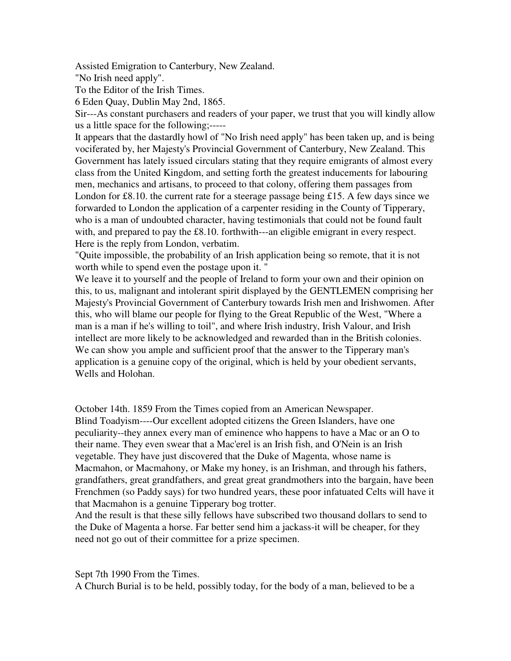Assisted Emigration to Canterbury, New Zealand.

"No Irish need apply".

To the Editor of the Irish Times.

6 Eden Quay, Dublin May 2nd, 1865.

Sir---As constant purchasers and readers of your paper, we trust that you will kindly allow us a little space for the following;-----

It appears that the dastardly howl of "No Irish need apply" has been taken up, and is being vociferated by, her Majesty's Provincial Government of Canterbury, New Zealand. This Government has lately issued circulars stating that they require emigrants of almost every class from the United Kingdom, and setting forth the greatest inducements for labouring men, mechanics and artisans, to proceed to that colony, offering them passages from London for £8.10, the current rate for a steerage passage being £15. A few days since we forwarded to London the application of a carpenter residing in the County of Tipperary, who is a man of undoubted character, having testimonials that could not be found fault with, and prepared to pay the £8.10. forthwith---an eligible emigrant in every respect. Here is the reply from London, verbatim.

"Quite impossible, the probability of an Irish application being so remote, that it is not worth while to spend even the postage upon it. "

We leave it to yourself and the people of Ireland to form your own and their opinion on this, to us, malignant and intolerant spirit displayed by the GENTLEMEN comprising her Majesty's Provincial Government of Canterbury towards Irish men and Irishwomen. After this, who will blame our people for flying to the Great Republic of the West, "Where a man is a man if he's willing to toil", and where Irish industry, Irish Valour, and Irish intellect are more likely to be acknowledged and rewarded than in the British colonies. We can show you ample and sufficient proof that the answer to the Tipperary man's application is a genuine copy of the original, which is held by your obedient servants, Wells and Holohan.

October 14th. 1859 From the Times copied from an American Newspaper. Blind Toadyism----Our excellent adopted citizens the Green Islanders, have one peculiarity--they annex every man of eminence who happens to have a Mac or an O to their name. They even swear that a Mac'erel is an Irish fish, and O'Nein is an Irish vegetable. They have just discovered that the Duke of Magenta, whose name is Macmahon, or Macmahony, or Make my honey, is an Irishman, and through his fathers, grandfathers, great grandfathers, and great great grandmothers into the bargain, have been Frenchmen (so Paddy says) for two hundred years, these poor infatuated Celts will have it that Macmahon is a genuine Tipperary bog trotter.

And the result is that these silly fellows have subscribed two thousand dollars to send to the Duke of Magenta a horse. Far better send him a jackass-it will be cheaper, for they need not go out of their committee for a prize specimen.

Sept 7th 1990 From the Times.

A Church Burial is to be held, possibly today, for the body of a man, believed to be a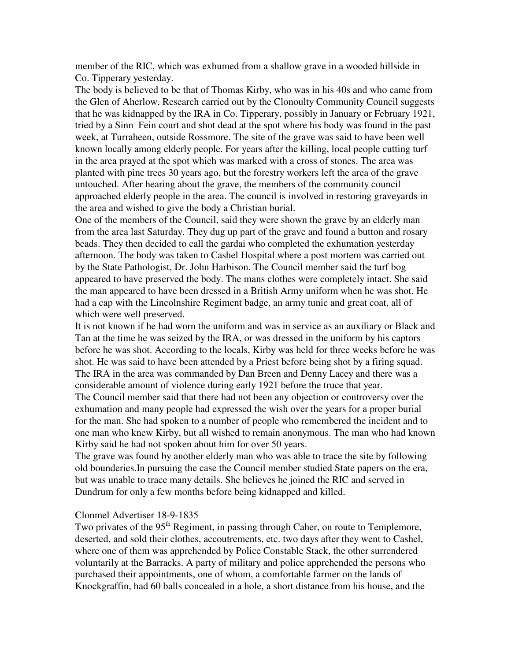member of the RIC, which was exhumed from a shallow grave in a wooded hillside in Co. Tipperary yesterday.

The body is believed to be that of Thomas Kirby, who was in his 40s and who came from the Glen of Aherlow. Research carried out by the Clonoulty Community Council suggests that he was kidnapped by the IRA in Co. Tipperary, possibly in January or February 1921, tried by a Sinn Fein court and shot dead at the spot where his body was found in the past week, at Turraheen, outside Rossmore. The site of the grave was said to have been well known locally among elderly people. For years after the killing, local people cutting turf in the area prayed at the spot which was marked with a cross of stones. The area was planted with pine trees 30 years ago, but the forestry workers left the area of the grave untouched. After hearing about the grave, the members of the community council approached elderly people in the area. The council is involved in restoring graveyards in the area and wished to give the body a Christian burial.

One of the members of the Council, said they were shown the grave by an elderly man from the area last Saturday. They dug up part of the grave and found a button and rosary beads. They then decided to call the gardai who completed the exhumation yesterday afternoon. The body was taken to Cashel Hospital where a post mortem was carried out by the State Pathologist, Dr. John Harbison. The Council member said the turf bog appeared to have preserved the body. The mans clothes were completely intact. She said the man appeared to have been dressed in a British Army uniform when he was shot. He had a cap with the Lincolnshire Regiment badge, an army tunic and great coat, all of which were well preserved.

It is not known if he had worn the uniform and was in service as an auxiliary or Black and Tan at the time he was seized by the IRA, or was dressed in the uniform by his captors before he was shot. According to the locals, Kirby was held for three weeks before he was shot. He was said to have been attended by a Priest before being shot by a firing squad. The IRA in the area was commanded by Dan Breen and Denny Lacey and there was a considerable amount of violence during early 1921 before the truce that year.

The Council member said that there had not been any objection or controversy over the exhumation and many people had expressed the wish over the years for a proper burial for the man. She had spoken to a number of people who remembered the incident and to one man who knew Kirby, but all wished to remain anonymous. The man who had known Kirby said he had not spoken about him for over 50 years.

The grave was found by another elderly man who was able to trace the site by following old bounderies.In pursuing the case the Council member studied State papers on the era, but was unable to trace many details. She believes he joined the RIC and served in Dundrum for only a few months before being kidnapped and killed.

## Clonmel Advertiser 18-9-1835

Two privates of the 95<sup>th</sup> Regiment, in passing through Caher, on route to Templemore, deserted, and sold their clothes, accoutrements, etc. two days after they went to Cashel, where one of them was apprehended by Police Constable Stack, the other surrendered voluntarily at the Barracks. A party of military and police apprehended the persons who purchased their appointments, one of whom, a comfortable farmer on the lands of Knockgraffin, had 60 balls concealed in a hole, a short distance from his house, and the